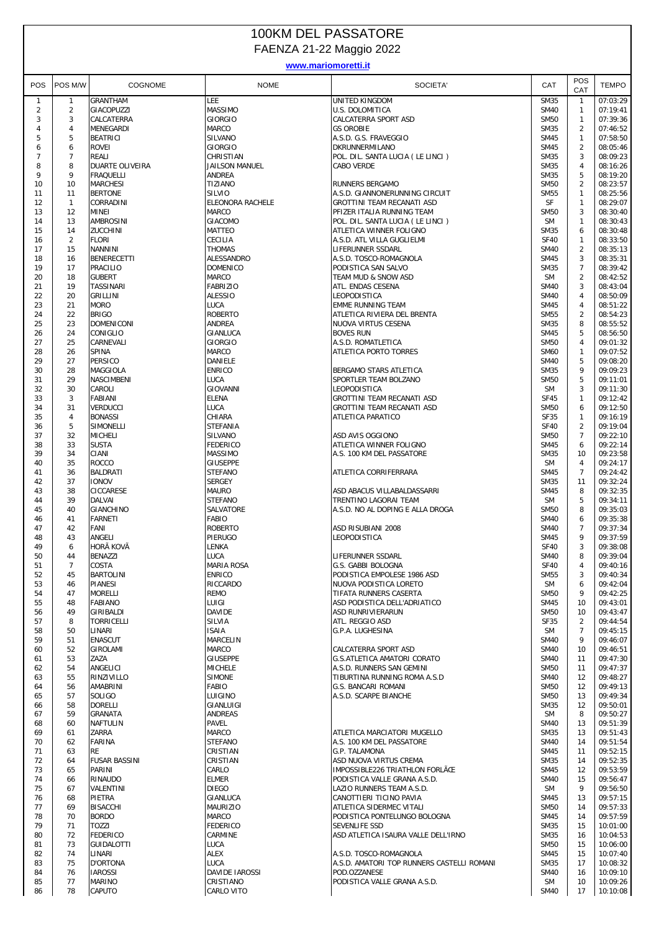## 100KM DEL PASSATORE FAENZA 21-22 Maggio 2022

## **www.mariomoretti.it**

|                     |                      |                                   |                             |                                                    |                            | POS                 |                      |
|---------------------|----------------------|-----------------------------------|-----------------------------|----------------------------------------------------|----------------------------|---------------------|----------------------|
| POS                 | POS M/W              | COGNOME                           | <b>NOME</b>                 | SOCIETA'                                           | CAT                        | CAT                 | <b>TEMPO</b>         |
| $\mathbf{1}$        | $\mathbf{1}$         | GRANTHAM                          | LEE                         | UNITED KINGDOM                                     | <b>SM35</b>                | $\mathbf{1}$        | 07:03:29             |
| $\overline{2}$      | $\overline{2}$       | GIACOPUZZI                        | <b>MASSIMO</b>              | U.S. DOLOMITICA                                    | <b>SM40</b>                | $\mathbf{1}$        | 07:19:41             |
| 3                   | 3                    | CALCATERRA                        | <b>GIORGIO</b>              | CALCATERRA SPORT ASD                               | <b>SM50</b>                | $\mathbf{1}$        | 07:39:36             |
| 4                   | $\sqrt{4}$           | MENEGARDI                         | MARCO                       | <b>GS OROBIE</b>                                   | <b>SM35</b>                | $\overline{2}$      | 07:46:52             |
| 5                   | 5                    | <b>BEATRICI</b>                   | SILVANO                     | A.S.D. G.S. FRAVEGGIO                              | <b>SM45</b>                | $\mathbf{1}$        | 07:58:50             |
| 6<br>$\overline{7}$ | 6<br>$\overline{7}$  | ROVEI<br>REALI                    | <b>GIORGIO</b><br>CHRISTIAN | DKRUNNERMILANO<br>POL. DIL. SANTA LUCIA (LE LINCI) | <b>SM45</b><br><b>SM35</b> | $\overline{2}$<br>3 | 08:05:46<br>08:09:23 |
| 8                   | 8                    | DUARTE OLIVEIRA                   | JAILSON MANUEL              | <b>CABO VERDE</b>                                  | <b>SM35</b>                | 4                   | 08:16:26             |
| 9                   | 9                    | <b>FRAQUELLI</b>                  | ANDREA                      |                                                    | <b>SM35</b>                | 5                   | 08:19:20             |
| 10                  | 10                   | <b>MARCHESI</b>                   | TIZIANO                     | RUNNERS BERGAMO                                    | <b>SM50</b>                | $\overline{2}$      | 08:23:57             |
| 11                  | 11                   | <b>BERTONE</b>                    | SILVIO                      | A.S.D. GIANNONERUNNING CIRCUIT                     | <b>SM55</b>                | 1                   | 08:25:56             |
| 12                  | $\mathbf{1}$         | CORRADINI                         | ELEONORA RACHELE            | GROTTINI TEAM RECANATI ASD                         | SF                         | $\mathbf{1}$        | 08:29:07             |
| 13                  | 12                   | <b>MINEI</b>                      | MARCO                       | PFIZER ITALIA RUNNING TEAM                         | <b>SM50</b>                | 3                   | 08:30:40             |
| 14                  | 13                   | <b>AMBROSINI</b>                  | <b>GIACOMO</b>              | POL. DIL. SANTA LUCIA (LE LINCI)                   | <b>SM</b>                  | 1                   | 08:30:43             |
| 15<br>16            | 14<br>$\overline{2}$ | ZUCCHINI<br><b>FLORI</b>          | <b>MATTEO</b><br>CECILIA    | ATLETICA WINNER FOLIGNO                            | <b>SM35</b><br><b>SF40</b> | 6<br>1              | 08:30:48<br>08:33:50 |
| 17                  | 15                   | <b>NANNINI</b>                    | <b>THOMAS</b>               | A.S.D. ATL VILLA GUGLIELMI<br>LIFERUNNER SSDARL    | <b>SM40</b>                | $\overline{2}$      | 08:35:13             |
| 18                  | 16                   | <b>BENERECETTI</b>                | ALESSANDRO                  | A.S.D. TOSCO-ROMAGNOLA                             | <b>SM45</b>                | 3                   | 08:35:31             |
| 19                  | 17                   | <b>PRACILIO</b>                   | <b>DOMENICO</b>             | PODISTICA SAN SALVO                                | <b>SM35</b>                | $\overline{7}$      | 08:39:42             |
| 20                  | 18                   | <b>GUBERT</b>                     | <b>MARCO</b>                | TEAM MUD & SNOW ASD                                | <b>SM</b>                  | $\overline{2}$      | 08:42:52             |
| 21                  | 19                   | <b>TASSINARI</b>                  | <b>FABRIZIO</b>             | ATL. ENDAS CESENA                                  | <b>SM40</b>                | 3                   | 08:43:04             |
| 22                  | 20                   | <b>GRILLINI</b>                   | <b>ALESSIO</b>              | LEOPODISTICA                                       | <b>SM40</b>                | $\overline{4}$      | 08:50:09             |
| 23                  | 21                   | <b>MORO</b>                       | LUCA                        | <b>EMME RUNNING TEAM</b>                           | <b>SM45</b>                | $\overline{4}$      | 08:51:22             |
| 24                  | 22                   | <b>BRIGO</b>                      | <b>ROBERTO</b>              | ATLETICA RIVIERA DEL BRENTA                        | <b>SM55</b>                | $\overline{2}$      | 08:54:23             |
| 25                  | 23                   | <b>DOMENICONI</b>                 | <b>ANDREA</b>               | NUOVA VIRTUS CESENA                                | <b>SM35</b>                | 8                   | 08:55:52             |
| 26                  | 24                   | CONIGLIO<br>CARNEVALI             | GIANLUCA<br><b>GIORGIO</b>  | <b>BOVES RUN</b>                                   | <b>SM45</b>                | 5<br>$\overline{4}$ | 08:56:50             |
| 27<br>28            | 25<br>26             | SPINA                             | MARCO                       | A.S.D. ROMATLETICA<br>ATLETICA PORTO TORRES        | <b>SM50</b><br><b>SM60</b> | 1                   | 09:01:32<br>09:07:52 |
| 29                  | 27                   | PERSICO                           | DANIELE                     |                                                    | <b>SM40</b>                | 5                   | 09:08:20             |
| 30                  | 28                   | <b>MAGGIOLA</b>                   | <b>ENRICO</b>               | BERGAMO STARS ATLETICA                             | <b>SM35</b>                | 9                   | 09:09:23             |
| 31                  | 29                   | <b>NASCIMBENI</b>                 | LUCA                        | SPORTLER TEAM BOLZANO                              | <b>SM50</b>                | 5                   | 09:11:01             |
| 32                  | 30                   | CAROLI                            | GIOVANNI                    | LEOPODISTICA                                       | <b>SM</b>                  | 3                   | 09:11:30             |
| 33                  | $\mathbf{3}$         | <b>FABIANI</b>                    | <b>ELENA</b>                | GROTTINI TEAM RECANATI ASD                         | <b>SF45</b>                | $\mathbf{1}$        | 09:12:42             |
| 34                  | 31                   | <b>VERDUCCI</b>                   | LUCA                        | GROTTINI TEAM RECANATI ASD                         | <b>SM50</b>                | 6                   | 09:12:50             |
| 35                  | 4                    | <b>BONASSI</b>                    | CHIARA                      | ATLETICA PARATICO                                  | <b>SF35</b>                | $\mathbf{1}$        | 09:16:19             |
| 36                  | 5                    | <b>SIMONELLI</b>                  | <b>STEFANIA</b>             |                                                    | <b>SF40</b>                | $\overline{2}$      | 09:19:04             |
| 37                  | 32                   | <b>MICHELI</b>                    | SILVANO                     | ASD AVIS OGGIONO                                   | <b>SM50</b>                | $\overline{7}$      | 09:22:10             |
| 38<br>39            | 33<br>34             | <b>SUSTA</b>                      | <b>FEDERICO</b><br>MASSIMO  | ATLETICA WINNER FOLIGNO                            | <b>SM45</b><br><b>SM35</b> | 6<br>10             | 09:22:14<br>09:23:58 |
| 40                  | 35                   | CIANI<br><b>ROCCO</b>             | <b>GIUSEPPE</b>             | A.S. 100 KM DEL PASSATORE                          | <b>SM</b>                  | $\overline{4}$      | 09:24:17             |
| 41                  | 36                   | <b>BALDRATI</b>                   | <b>STEFANO</b>              | ATLETICA CORRIFERRARA                              | <b>SM45</b>                | $\overline{7}$      | 09:24:42             |
| 42                  | 37                   | <b>IONOV</b>                      | <b>SERGEY</b>               |                                                    | <b>SM35</b>                | 11                  | 09:32:24             |
| 43                  | 38                   | CICCARESE                         | <b>MAURO</b>                | ASD ABACUS VILLABALDASSARRI                        | <b>SM45</b>                | 8                   | 09:32:35             |
| 44                  | 39                   | <b>DALVAI</b>                     | <b>STEFANO</b>              | TRENTINO LAGORAI TEAM                              | <b>SM</b>                  | 5                   | 09:34:11             |
| 45                  | 40                   | <b>GIANCHINO</b>                  | <b>SALVATORE</b>            | A.S.D. NO AL DOPING E ALLA DROGA                   | <b>SM50</b>                | 8                   | 09:35:03             |
| 46                  | 41                   | <b>FARNETI</b>                    | FABIO                       |                                                    | <b>SM40</b>                | 6                   | 09:35:38             |
| 47                  | 42                   | FANI                              | <b>ROBERTO</b>              | ASD RISUBIANI 2008                                 | <b>SM40</b>                | $\overline{7}$      | 09:37:34             |
| 48                  | 43                   | ANGELI                            | PIERUGO                     | LEOPODISTICA                                       | <b>SM45</b>                | 9                   | 09:37:59             |
| 49                  | 6                    | HORÃ KOVÃ                         | LENKA                       |                                                    | <b>SF40</b>                | 3<br>8              | 09:38:08             |
| 50<br>51            | 44<br>7              | <b>BENAZZI</b><br>COSTA           | LUCA<br>MARIA ROSA          | LIFERUNNER SSDARL<br>G.S. GABBI BOLOGNA            | <b>SM40</b><br>SF40        | 4                   | 09:39:04<br>09:40:16 |
| 52                  | 45                   | <b>BARTOLINI</b>                  | <b>ENRICO</b>               | PODISTICA EMPOLESE 1986 ASD                        | <b>SM55</b>                | 3                   | 09:40:34             |
| 53                  | 46                   | <b>PIANESI</b>                    | RICCARDO                    | NUOVA PODISTICA LORETO                             | <b>SM</b>                  | 6                   | 09:42:04             |
| 54                  | 47                   | <b>MORELLI</b>                    | REMO                        | TIFATA RUNNERS CASERTA                             | <b>SM50</b>                | 9                   | 09:42:25             |
| 55                  | 48                   | FABIANO                           | LUIGI                       | ASD PODISTICA DELL'ADRIATICO                       | <b>SM45</b>                | 10                  | 09:43:01             |
| 56                  | 49                   | GIRIBALDI                         | DAVIDE                      | ASD RUNRIVIERARUN                                  | <b>SM50</b>                | 10                  | 09:43:47             |
| 57                  | 8                    | <b>TORRICELLI</b>                 | SILVIA                      | ATL. REGGIO ASD                                    | <b>SF35</b>                | 2                   | 09:44:54             |
| 58                  | 50                   | LINARI                            | ISAIA                       | G.P.A. LUGHESINA                                   | <b>SM</b>                  | $\overline{7}$      | 09:45:15             |
| 59                  | 51                   | <b>ENASCUT</b>                    | MARCELIN                    | CALCATERRA SPORT ASD                               | <b>SM40</b>                | 9                   | 09:46:07             |
| 60<br>61            | 52<br>53             | GIROLAMI<br>ZAZA                  | MARCO<br><b>GIUSEPPE</b>    | <b>G.S.ATLETICA AMATORI CORATO</b>                 | <b>SM40</b><br><b>SM40</b> | 10<br>11            | 09:46:51<br>09:47:30 |
| 62                  | 54                   | ANGELICI                          | <b>MICHELE</b>              | A.S.D. RUNNERS SAN GEMINI                          | <b>SM50</b>                | 11                  | 09:47:37             |
| 63                  | 55                   | RINZIVILLO                        | <b>SIMONE</b>               | TIBURTINA RUNNING ROMA A.S.D                       | <b>SM40</b>                | 12                  | 09:48:27             |
| 64                  | 56                   | AMABRINI                          | FABIO                       | <b>G.S. BANCARI ROMANI</b>                         | <b>SM50</b>                | 12                  | 09:49:13             |
| 65                  | 57                   | SOLIGO                            | LUIGINO                     | A.S.D. SCARPE BIANCHE                              | <b>SM50</b>                | 13                  | 09:49:34             |
| 66                  | 58                   | <b>DORELLI</b>                    | GIANLUIGI                   |                                                    | <b>SM35</b>                | 12                  | 09:50:01             |
| 67                  | 59                   | <b>GRANATA</b>                    | <b>ANDREAS</b>              |                                                    | <b>SM</b>                  | 8                   | 09:50:27             |
| 68                  | 60                   | <b>NAFTULIN</b>                   | PAVEL                       |                                                    | <b>SM40</b>                | 13                  | 09:51:39             |
| 69                  | 61                   | ZARRA                             | MARCO                       | ATLETICA MARCIATORI MUGELLO                        | <b>SM35</b>                | 13                  | 09:51:43             |
| 70                  | 62                   | <b>FARINA</b>                     | <b>STEFANO</b>              | A.S. 100 KM DEL PASSATORE                          | <b>SM40</b>                | 14                  | 09:51:54             |
| 71<br>72            | 63<br>64             | <b>RE</b><br><b>FUSAR BASSINI</b> | CRISTIAN<br>CRISTIAN        | G.P. TALAMONA<br>ASD NUOVA VIRTUS CREMA            | <b>SM45</b><br><b>SM35</b> | 11<br>14            | 09:52:15<br>09:52:35 |
| 73                  | 65                   | PARINI                            | CARLO                       | IMPOSSIBLE226 TRIATHLON FORLÃŒ                     | <b>SM45</b>                | 12                  | 09:53:59             |
| 74                  | 66                   | RINAUDO                           | <b>ELMER</b>                | PODISTICA VALLE GRANA A.S.D.                       | <b>SM40</b>                | 15                  | 09:56:47             |
| 75                  | 67                   | VALENTINI                         | <b>DIEGO</b>                | LAZIO RUNNERS TEAM A.S.D.                          | <b>SM</b>                  | 9                   | 09:56:50             |
| 76                  | 68                   | PIETRA                            | GIANLUCA                    | CANOTTIERI TICINO PAVIA                            | <b>SM45</b>                | 13                  | 09:57:15             |
| 77                  | 69                   | <b>BISACCHI</b>                   | MAURIZIO                    | ATLETICA SIDERMEC VITALI                           | <b>SM50</b>                | 14                  | 09:57:33             |
| 78                  | 70                   | <b>BORDO</b>                      | MARCO                       | PODISTICA PONTELUNGO BOLOGNA                       | <b>SM45</b>                | 14                  | 09:57:59             |
| 79                  | 71                   | TOZZI                             | <b>FEDERICO</b>             | SEVENLIFE SSD                                      | <b>SM35</b>                | 15                  | 10:01:00             |
| 80                  | 72                   | <b>FEDERICO</b>                   | CARMINE                     | ASD ATLETICA ISAURA VALLE DELL'IRNO                | <b>SM35</b>                | 16                  | 10:04:53             |
| 81<br>82            | 73<br>74             | <b>GUIDALOTTI</b><br>LINARI       | LUCA<br>ALEX                | A.S.D. TOSCO-ROMAGNOLA                             | <b>SM50</b><br><b>SM45</b> | 15<br>15            | 10:06:00<br>10:07:40 |
| 83                  | 75                   | D'ORTONA                          | LUCA                        | A.S.D. AMATORI TOP RUNNERS CASTELLI ROMANI         | <b>SM35</b>                | 17                  | 10:08:32             |
| 84                  | 76                   | <b>IAROSSI</b>                    | DAVIDE IAROSSI              | POD.OZZANESE                                       | <b>SM40</b>                | 16                  | 10:09:10             |
| 85                  | 77                   | <b>MARINO</b>                     | CRISTIANO                   | PODISTICA VALLE GRANA A.S.D.                       | <b>SM</b>                  | 10                  | 10:09:26             |
| 86                  | 78                   | CAPUTO                            | CARLO VITO                  |                                                    | <b>SM40</b>                | 17                  | 10:10:08             |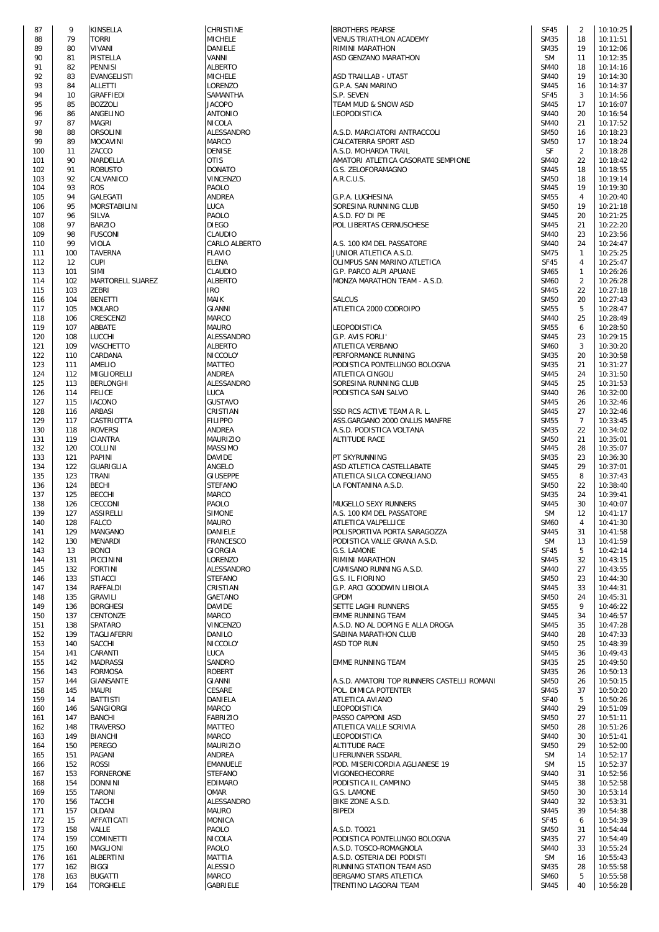| 87         | 9          | KINSELLA                         |
|------------|------------|----------------------------------|
| 88         | 79         | torri                            |
| 89<br>90   | 80<br>81   | VIVANI<br>PISTELLA               |
| 91         | 82         | PENNISI                          |
| 92         | 83         | EVANGELISTI                      |
| 93         | 84         | ALLETTI                          |
| 94<br>95   | 10<br>85   | <b>GRAFFIEDI</b><br>BOZZOLI      |
| 96         | 86         | ANGELINO                         |
| 97         | 87         | <b>MAGRI</b>                     |
| 98         | 88         | ORSOLINI                         |
| 99<br>100  | 89<br>11   | MOCAVINI<br>ZACCO                |
| 101        | 90         | NARDELLA                         |
| 102        | 91         | <b>ROBUSTO</b>                   |
| 103<br>104 | 92<br>93   | CALVANICO<br><b>ROS</b>          |
| 105        | 94         | GALEGATI                         |
| 106        | 95         | MORSTABILINI                     |
| 107<br>108 | 96<br>97   | SILVA<br><b>BARZIO</b>           |
| 109        | 98         | <b>FUSCONI</b>                   |
| 110        | 99         | VIOLA                            |
| 111<br>112 | 100<br>12  | TAVERNA<br>CUPI                  |
| 113        | 101        | <b>SIMI</b>                      |
| 114        | 102        | MARTORELL SUAF                   |
| 115        | 103        | ZEBRI                            |
| 116<br>117 | 104<br>105 | <b>BENETTI</b><br>MOLARO         |
| 118        | 106        | CRESCENZI                        |
| 119        | 107        | ABBATE                           |
| 120<br>121 | 108<br>109 | LUCCHI<br>VASCHETTO              |
| 122        | 110        | CARDANA                          |
| 123        | 111        | AMELIO                           |
| 124<br>125 | 112<br>113 | MIGLIORELLI<br>BERLONGHI         |
| 126        | 114        | FELICE                           |
| 127        | 115        | <b>IACONO</b>                    |
| 128<br>129 | 116<br>117 | ARBASI<br>CASTRIOTTA             |
| 130        | 118        | ROVERSI                          |
| 131        | 119        | CIANTRA                          |
| 132<br>133 | 120<br>121 | COLLINI<br>PAPINI                |
| 134        | 122        | GUARIGLIA                        |
| 135        | 123        | TRANI                            |
| 136        | 124        | BECHI                            |
| 137<br>138 | 125<br>126 | BECCHI<br>CECCONI                |
| 139        | 127        | ASSIRELLI                        |
| 140        | 128        | FALCO                            |
| 141<br>142 | 129<br>130 | MANGANO<br>MENARDI               |
| 143        | 13         | <b>BONCI</b>                     |
| 144        | 131        | PICCININI                        |
| 145<br>146 | 132<br>133 | <b>FORTINI</b><br><b>STIACCI</b> |
| 147        | 134        | RAFFALDI                         |
| 148        | 135        | GRAVILI                          |
| 149<br>150 | 136<br>137 | <b>BORGHESI</b><br>CENTONZE      |
| 151        | 138        | SPATARO                          |
| 152        | 139        | TAGLIAFERRI                      |
| 153<br>154 | 140<br>141 | SACCHI<br>CARANTI                |
| 155        | 142        | MADRASSI                         |
| 156        | 143        | FORMOSA                          |
| 157        | 144        | GIANSANTE                        |
| 158<br>159 | 145<br>14  | MAURI<br>BATTISTI                |
| 160        | 146        | SANGIORGI                        |
| 161        | 147        | BANCHI                           |
| 162<br>163 | 148<br>149 | <b>TRAVERSO</b><br>BIANCHI       |
| 164        | 150        | PEREGO                           |
| 165        | 151        | PAGANI                           |
| 166<br>167 | 152<br>153 | ROSSI<br>FORNERONE               |
| 168        | 154        | DONNINI                          |
| 169        | 155        | TARONI                           |
| 170<br>171 | 156<br>157 | TACCHI<br>OLDANI                 |
| 172        | 15         | AFFATICATI                       |
| 173        | 158        | VALLE                            |
| 174<br>175 | 159<br>160 | COMINETTI<br>MAGLIONI            |
| 176        | 161        | ALBERTINI                        |
| 177        | 162        | BIGGI                            |
| 178<br>179 | 163<br>164 | BUGATTI<br><b>TORGHELE</b>       |
|            |            |                                  |

| <b>HRISTINE</b>                      |
|--------------------------------------|
|                                      |
| <b>AICHELE</b><br>)ANIELE            |
| /ANNI                                |
| <b>ILBERTO</b>                       |
| <b>AICHELE</b>                       |
| ORENZO.                              |
| <b>AMANTHA</b>                       |
| <b>ACOPO</b>                         |
| <b>INTONIO</b>                       |
| <b>IICOLA</b>                        |
| <b>ILESSANDRO</b>                    |
| AARCO                                |
| <b>DENISE</b>                        |
| )TIS                                 |
| <b>OTANO</b>                         |
| <b>INCENZO</b>                       |
| AOLO <sup>,</sup>                    |
| <b>INDREA</b>                        |
| .UCA                                 |
| <b>AOLO</b>                          |
| <b>DIEGO</b>                         |
| <b>LAUDIO</b><br><b>ARLO ALBERTO</b> |
|                                      |
| LAVIO<br>LENA                        |
| <b>LAUDIO</b>                        |
| <b>ILBERTO</b>                       |
| RO                                   |
| AAIK                                 |
| <b>GIANNI</b>                        |
| AARCO                                |
| aauro                                |
| <b>ILESSANDRO</b>                    |
| <b>ILBERTO</b>                       |
| <b>IICCOLO'</b>                      |
| AATTEO                               |
| <b>INDREA</b>                        |
| <b>ILESSANDRO</b>                    |
| .UCA                                 |
| <b>SUSTAVO</b>                       |
| <b>RISTIAN</b>                       |
| <b>ILIPPO</b>                        |
| <b>INDREA</b>                        |
| AAURIZIO                             |
| AASSIMO                              |
| <b>AVIDE</b>                         |
| <b>INGELO</b>                        |
| <b>GIUSEPPE</b><br><b>TEFANO</b>     |
| <b>ARCO</b>                          |
| <b>AOLO</b>                          |
| <b>IMONE</b>                         |
| Aauro                                |
|                                      |
|                                      |
| )ANIELE                              |
| RANCESCO                             |
| <b>GIORGIA</b>                       |
| ORENZO.<br><b>ILESSANDRO</b>         |
| <b>TEFANO</b>                        |
| <b>RISTIAN</b>                       |
| <b>SAETANO</b>                       |
| <b>AVIDE</b>                         |
| AARCO                                |
| /INCENZO                             |
| )ANILO                               |
| <b>IICCOLO</b>                       |
| <b>UCA</b>                           |
| 6ANDRO                               |
| ?OBERT                               |
| <b>SIANNI</b>                        |
| <b>ESARE</b>                         |
| )ANIELA                              |
| <b>AARCO</b>                         |
| ABRIZIO                              |
| AATTEO                               |
| <b>ARCO</b>                          |
| AAURIZIO                             |
| <b>INDREA</b>                        |
| MANUELE                              |
| <b>TEFANO</b>                        |
| <b>DIMARO</b><br>)Mar                |
| <b>ILESSANDRO</b>                    |
| aauro                                |
| <b>MONICA</b>                        |
| <b>AOLO</b>                          |
| JICOLA                               |
| <b>AOLO</b>                          |
| AATTIA                               |
| <b>ILESSIO</b><br><b>ARCO</b>        |

| 87         | 9          | KINSELLA                        | <b>CHRISTINE</b>                | <b>BROTHERS PEARSE</b>                                | <b>SF45</b>                | 2                 | 10:10:25             |
|------------|------------|---------------------------------|---------------------------------|-------------------------------------------------------|----------------------------|-------------------|----------------------|
| 88         | 79         | <b>TORRI</b>                    | <b>MICHELE</b>                  | VENUS TRIATHLON ACADEMY                               | <b>SM35</b>                | 18                | 10:11:51             |
| 89         | 80         | <b>VIVANI</b>                   | DANIELE                         | RIMINI MARATHON                                       | <b>SM35</b>                | 19                | 10:12:06             |
| 90         | 81         | PISTELLA                        | VANNI                           | ASD GENZANO MARATHON                                  | <b>SM</b>                  | 11                | 10:12:35             |
| 91         | 82         | <b>PENNISI</b>                  | <b>ALBERTO</b>                  |                                                       | <b>SM40</b>                | 18                | 10:14:16             |
| 92         | 83         | <b>EVANGELISTI</b>              | <b>MICHELE</b>                  | ASD TRAILLAB - UTA5T                                  | <b>SM40</b>                | 19                | 10:14:30             |
| 93         | 84         | <b>ALLETTI</b>                  | LORENZO                         | G.P.A. SAN MARINO                                     | <b>SM45</b>                | 16                | 10:14:37             |
| 94         | 10         | <b>GRAFFIEDI</b>                | SAMANTHA                        | S.P. SEVEN                                            | <b>SF45</b>                | 3                 | 10:14:56             |
| 95         | 85         | <b>BOZZOLI</b>                  | <b>JACOPO</b>                   | TEAM MUD & SNOW ASD                                   | <b>SM45</b>                | 17                | 10:16:07             |
| 96         | 86         | ANGELINO                        | <b>ANTONIO</b>                  | LEOPODISTICA                                          | <b>SM40</b>                | 20                | 10:16:54             |
| 97         | 87         | <b>MAGRI</b>                    | <b>NICOLA</b>                   |                                                       | <b>SM40</b>                | 21                | 10:17:52             |
| 98         | 88         | <b>ORSOLINI</b>                 | ALESSANDRO                      | A.S.D. MARCIATORI ANTRACCOLI                          | <b>SM50</b>                | 16                | 10:18:23             |
| 99         | 89         | <b>MOCAVINI</b>                 | <b>MARCO</b>                    | CALCATERRA SPORT ASD                                  | <b>SM50</b>                | 17                | 10:18:24             |
| 100        | 11         | ZACCO                           | <b>DENISE</b>                   | A.S.D. MOHARDA TRAIL                                  | SF                         | $\overline{2}$    | 10:18:28             |
| 101        | 90         | NARDELLA                        | <b>OTIS</b>                     | AMATORI ATLETICA CASORATE SEMPIONE                    | <b>SM40</b>                | 22                | 10:18:42             |
| 102        | 91         | <b>ROBUSTO</b>                  | <b>DONATO</b>                   | G.S. ZELOFORAMAGNO                                    | <b>SM45</b>                | 18                | 10:18:55             |
| 103        | 92         | CALVANICO                       | <b>VINCENZO</b>                 | A.R.C.U.S.                                            | <b>SM50</b>                | 18                | 10:19:14             |
| 104        | 93         | <b>ROS</b>                      | PAOLO                           |                                                       | <b>SM45</b>                | 19                | 10:19:30             |
| 105        | 94         | <b>GALEGATI</b>                 | <b>ANDREA</b>                   | G.P.A. LUGHESINA                                      | <b>SM55</b>                | 4                 | 10:20:40             |
| 106        | 95         | <b>MORSTABILINI</b>             | LUCA                            | SORESINA RUNNING CLUB                                 | <b>SM50</b>                | 19                | 10:21:18             |
| 107        | 96         | <b>SILVA</b>                    | PAOLO                           | A.S.D. FO' DI PE                                      | <b>SM45</b>                | 20                | 10:21:25             |
| 108        | 97         | <b>BARZIO</b>                   | <b>DIEGO</b>                    | POL LIBERTAS CERNUSCHESE                              | <b>SM45</b>                | 21                | 10:22:20             |
| 109        | 98         | <b>FUSCONI</b>                  | CLAUDIO                         |                                                       | <b>SM40</b>                | 23                | 10:23:56             |
| 110        | 99         | <b>VIOLA</b>                    | CARLO ALBERTO                   | A.S. 100 KM DEL PASSATORE                             | <b>SM40</b>                | 24                | 10:24:47             |
| 111        | 100        | <b>TAVERNA</b>                  | <b>FLAVIO</b>                   | JUNIOR ATLETICA A.S.D.                                | <b>SM75</b>                | $\mathbf{1}$      | 10:25:25<br>10:25:47 |
| 112        | 12         | <b>CUPI</b><br><b>SIMI</b>      | <b>ELENA</b>                    | OLIMPUS SAN MARINO ATLETICA<br>G.P. PARCO ALPI APUANE | <b>SF45</b>                | 4<br>$\mathbf{1}$ | 10:26:26             |
| 113        | 101        | <b>MARTORELL SUAREZ</b>         | CLAUDIO<br><b>ALBERTO</b>       |                                                       | SM65                       |                   | 10:26:28             |
| 114        | 102        |                                 |                                 | MONZA MARATHON TEAM - A.S.D.                          | <b>SM60</b>                | $\overline{2}$    |                      |
| 115        | 103<br>104 | ZEBRI<br><b>BENETTI</b>         | IRO<br>MAIK                     | <b>SALCUS</b>                                         | <b>SM45</b><br><b>SM50</b> | 22<br>20          | 10:27:18<br>10:27:43 |
| 116<br>117 | 105        | <b>MOLARO</b>                   | <b>GIANNI</b>                   | ATLETICA 2000 CODROIPO                                | <b>SM55</b>                | 5                 | 10:28:47             |
| 118        | 106        | <b>CRESCENZI</b>                | <b>MARCO</b>                    |                                                       | <b>SM40</b>                | 25                | 10:28:49             |
| 119        | 107        | ABBATE                          | <b>MAURO</b>                    | LEOPODISTICA                                          | <b>SM55</b>                | 6                 | 10:28:50             |
| 120        | 108        | <b>LUCCHI</b>                   | ALESSANDRO                      | G.P. AVIS FORLI'                                      | <b>SM45</b>                | 23                | 10:29:15             |
| 121        | 109        | <b>VASCHETTO</b>                | <b>ALBERTO</b>                  | ATLETICA VERBANO                                      | <b>SM60</b>                | $\mathbf{3}$      | 10:30:20             |
| 122        | 110        | CARDANA                         | NICCOLO'                        | PERFORMANCE RUNNING                                   | <b>SM35</b>                | 20                | 10:30:58             |
| 123        | 111        | AMELIO                          | MATTEO                          | PODISTICA PONTELUNGO BOLOGNA                          | <b>SM35</b>                | 21                | 10:31:27             |
| 124        | 112        | MIGLIORELLI                     | <b>ANDREA</b>                   | ATLETICA CINGOLI                                      | <b>SM45</b>                | 24                | 10:31:50             |
| 125        | 113        | <b>BERLONGHI</b>                | ALESSANDRO                      | SORESINA RUNNING CLUB                                 | <b>SM45</b>                | 25                | 10:31:53             |
| 126        | 114        | <b>FELICE</b>                   | LUCA                            | PODISTICA SAN SALVO                                   | <b>SM40</b>                | 26                | 10:32:00             |
| 127        | 115        | <b>IACONO</b>                   | <b>GUSTAVO</b>                  |                                                       | <b>SM45</b>                | 26                | 10:32:46             |
| 128        | 116        | <b>ARBASI</b>                   | CRISTIAN                        | SSD RCS ACTIVE TEAM A R. L.                           | <b>SM45</b>                | 27                | 10:32:46             |
| 129        | 117        | CASTRIOTTA                      | <b>FILIPPO</b>                  | ASS.GARGANO 2000 ONLUS MANFRE                         | <b>SM55</b>                | $\overline{7}$    | 10:33:45             |
| 130        | 118        | <b>ROVERSI</b>                  | <b>ANDREA</b>                   | A.S.D. PODISTICA VOLTANA                              | <b>SM35</b>                | 22                | 10:34:02             |
| 131        | 119        | <b>CIANTRA</b>                  | <b>MAURIZIO</b>                 | ALTITUDE RACE                                         | <b>SM50</b>                | 21                | 10:35:01             |
| 132        | 120        | <b>COLLINI</b>                  | <b>MASSIMO</b>                  |                                                       | <b>SM45</b>                | 28                | 10:35:07             |
| 133        | 121        | <b>PAPINI</b>                   | <b>DAVIDE</b>                   | PT SKYRUNNING                                         | <b>SM35</b>                | 23                | 10:36:30             |
| 134        | 122        | <b>GUARIGLIA</b>                | ANGELO                          | ASD ATLETICA CASTELLABATE                             | <b>SM45</b>                | 29                | 10:37:01             |
| 135        | 123        | <b>TRANI</b>                    | <b>GIUSEPPE</b>                 | ATLETICA SILCA CONEGLIANO                             | <b>SM55</b>                | 8                 | 10:37:43             |
| 136        | 124        | <b>BECHI</b>                    | <b>STEFANO</b>                  | LA FONTANINA A.S.D.                                   | <b>SM50</b>                | 22                | 10:38:40             |
| 137        | 125        | <b>BECCHI</b>                   | <b>MARCO</b>                    |                                                       | <b>SM35</b>                | 24                | 10:39:41             |
| 138        | 126        | <b>CECCONI</b>                  | PAOLO                           | MUGELLO SEXY RUNNERS                                  | <b>SM45</b>                | 30                | 10:40:07             |
| 139        | 127        | <b>ASSIRELLI</b>                | <b>SIMONE</b>                   | A.S. 100 KM DEL PASSATORE                             | <b>SM</b>                  | 12                | 10:41:17             |
| 140        | 128        | <b>FALCO</b>                    | <b>MAURO</b>                    | ATLETICA VALPELLICE                                   | <b>SM60</b>                | $\overline{4}$    | 10:41:30             |
| 141        | 129        | <b>MANGANO</b>                  | <b>DANIELE</b>                  | POLISPORTIVA PORTA SARAGOZZA                          | <b>SM45</b>                | 31                | 10:41:58             |
| 142        | 130        | <b>MENARDI</b>                  | FRANCESCO                       | PODISTICA VALLE GRANA A.S.D.                          | <b>SM</b>                  | 13                | 10:41:59             |
| 143        | 13         | <b>BONCI</b>                    | <b>GIORGIA</b>                  | G.S. LAMONE                                           | <b>SF45</b>                | 5                 | 10:42:14             |
| 144        | 131        | <b>PICCININI</b>                | LORENZO                         | RIMINI MARATHON                                       | <b>SM45</b>                | 32                | 10:43:15             |
| 145        | 132        | <b>FORTINI</b>                  | ALESSANDRO                      | CAMISANO RUNNING A.S.D.                               | <b>SM40</b>                | 27                | 10:43:55             |
| 146        | 133        | <b>STIACCI</b>                  | <b>STEFANO</b>                  | G.S. IL FIORINO                                       | <b>SM50</b>                | 23                | 10:44:30             |
| 147        | 134        | <b>RAFFALDI</b>                 | CRISTIAN                        | G.P. ARCI GOODWIN LIBIOLA                             | <b>SM45</b>                | 33                | 10:44:31             |
| 148        | 135        | <b>GRAVILI</b>                  | GAETANO                         | <b>GPDM</b>                                           | <b>SM50</b>                | 24                | 10:45:31             |
| 149        | 136        | <b>BORGHESI</b>                 | <b>DAVIDE</b>                   | SETTE LAGHI RUNNERS                                   | <b>SM55</b>                | 9                 | 10:46:22             |
| 150        | 137        | <b>CENTONZE</b>                 | <b>MARCO</b>                    | EMME RUNNING TEAM                                     | <b>SM45</b>                | 34                | 10:46:57             |
| 151        | 138        | <b>SPATARO</b>                  | VINCENZO                        | A.S.D. NO AL DOPING E ALLA DROGA                      | <b>SM45</b>                | 35                | 10:47:28             |
| 152        | 139        | <b>TAGLIAFERRI</b>              | <b>DANILO</b>                   | SABINA MARATHON CLUB                                  | <b>SM40</b>                | 28                | 10:47:33             |
| 153        | 140        | <b>SACCHI</b>                   | NICCOLO'                        | ASD TOP RUN                                           | <b>SM50</b>                | 25                | 10:48:39             |
| 154        | 141        | CARANTI                         | <b>LUCA</b>                     |                                                       | <b>SM45</b>                | 36                | 10:49:43             |
| 155        | 142        | <b>MADRASSI</b>                 | SANDRO                          | <b>EMME RUNNING TEAM</b>                              | <b>SM35</b>                | 25                | 10:49:50             |
| 156        | 143        | <b>FORMOSA</b>                  | <b>ROBERT</b>                   |                                                       | <b>SM35</b>                | 26                | 10:50:13             |
| 157        | 144        | GIANSANTE                       | GIANNI                          | A.S.D. AMATORI TOP RUNNERS CASTELLI ROMANI            | <b>SM50</b>                | 26                | 10:50:15             |
| 158        | 145        | <b>MAURI</b>                    | CESARE                          | POL. DIMICA POTENTER                                  | <b>SM45</b>                | 37                | 10:50:20             |
| 159        | 14         | <b>BATTISTI</b>                 | DANIELA                         | ATLETICA AVIANO                                       | <b>SF40</b>                | 5                 | 10:50:26             |
| 160        | 146        | SANGIORGI                       | MARCO                           | LEOPODISTICA                                          | <b>SM40</b>                | 29                | 10:51:09             |
| 161        | 147        | <b>BANCHI</b>                   | <b>FABRIZIO</b>                 | PASSO CAPPONI ASD                                     | <b>SM50</b>                | 27                | 10:51:11             |
| 162        | 148        | <b>TRAVERSO</b>                 | <b>MATTEO</b>                   | ATLETICA VALLE SCRIVIA                                | <b>SM50</b>                | 28                | 10:51:26             |
| 163        | 149<br>150 | <b>BIANCHI</b><br><b>PEREGO</b> | <b>MARCO</b><br><b>MAURIZIO</b> | LEOPODISTICA                                          | <b>SM40</b><br><b>SM50</b> | 30<br>29          | 10:51:41<br>10:52:00 |
| 164<br>165 | 151        | PAGANI                          | ANDREA                          | <b>ALTITUDE RACE</b><br>LIFERUNNER SSDARL             | <b>SM</b>                  | 14                | 10:52:17             |
| 166        | 152        | <b>ROSSI</b>                    | <b>EMANUELE</b>                 | POD. MISERICORDIA AGLIANESE 19                        | <b>SM</b>                  | 15                | 10:52:37             |
| 167        | 153        | <b>FORNERONE</b>                | <b>STEFANO</b>                  | VIGONECHECORRE                                        | <b>SM40</b>                | 31                | 10:52:56             |
| 168        | 154        | <b>DONNINI</b>                  | <b>EDIMARO</b>                  | PODISTICA IL CAMPINO                                  | <b>SM45</b>                | 38                | 10:52:58             |
| 169        | 155        | <b>TARONI</b>                   | OMAR                            | G.S. LAMONE                                           | <b>SM50</b>                | 30                | 10:53:14             |
| 170        | 156        | <b>TACCHI</b>                   | ALESSANDRO                      | BIKE ZONE A.S.D.                                      | <b>SM40</b>                | 32                | 10:53:31             |
| 171        | 157        | <b>OLDANI</b>                   | <b>MAURO</b>                    | <b>BIPEDI</b>                                         | <b>SM45</b>                | 39                | 10:54:38             |
| 172        | 15         | AFFATICATI                      | <b>MONICA</b>                   |                                                       | <b>SF45</b>                | 6                 | 10:54:39             |
| 173        | 158        | VALLE                           | PAOLO                           | A.S.D. TO021                                          | <b>SM50</b>                | 31                | 10:54:44             |
| 174        | 159        | <b>COMINETTI</b>                | <b>NICOLA</b>                   | PODISTICA PONTELUNGO BOLOGNA                          | <b>SM35</b>                | 27                | 10:54:49             |
| 175        | 160        | <b>MAGLIONI</b>                 | PAOLO                           | A.S.D. TOSCO-ROMAGNOLA                                | <b>SM40</b>                | 33                | 10:55:24             |
| 176        | 161        | <b>ALBERTINI</b>                | <b>MATTIA</b>                   | A.S.D. OSTERIA DEI PODISTI                            | <b>SM</b>                  | 16                | 10:55:43             |
| 177        | 162        | <b>BIGGI</b>                    | <b>ALESSIO</b>                  | RUNNING STATION TEAM ASD                              | <b>SM35</b>                | 28                | 10:55:58             |
| 178        | 163        | <b>BUGATTI</b>                  | <b>MARCO</b>                    | BERGAMO STARS ATLETICA                                | <b>SM60</b>                | 5                 | 10:55:58             |
| 179        | 164        | <b>TORGHELE</b>                 | GABRIELE                        | TRENTINO LAGORAI TEAM                                 | <b>SM45</b>                | 40                | 10:56:28             |
|            |            |                                 |                                 |                                                       |                            |                   |                      |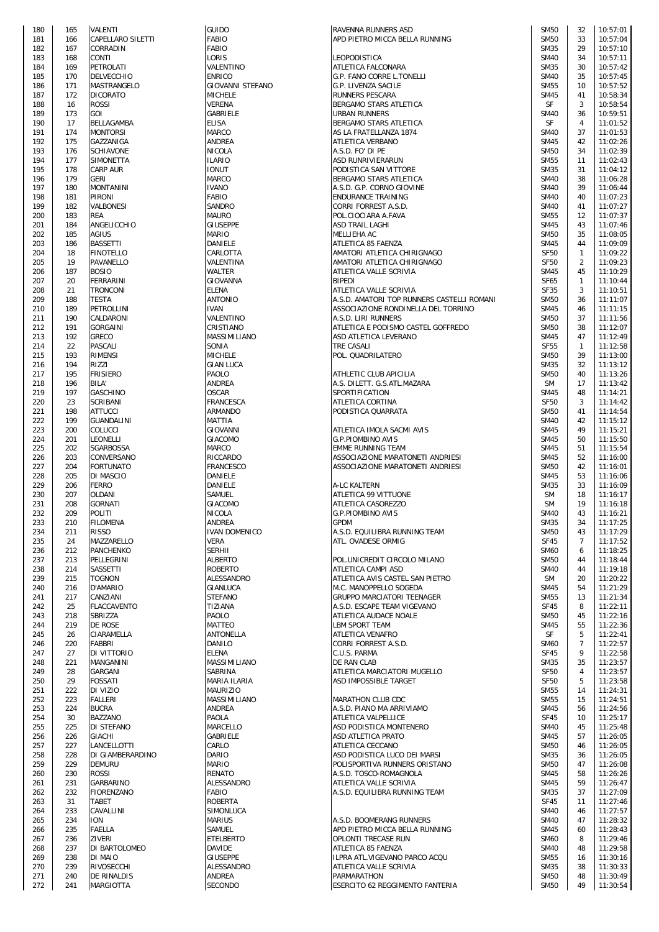| 180 | 165 | <b>VALENTI</b>    |
|-----|-----|-------------------|
| 181 | 166 | CAPELLARO SILETTI |
| 182 |     | CORRADIN          |
|     | 167 |                   |
| 183 | 168 | CONTI             |
| 184 | 169 | PETROLATI         |
| 185 | 170 | DELVECCHIO        |
| 186 | 171 | MASTRANGELO       |
| 187 | 172 | DICORATO          |
| 188 | 16  | ROSSI             |
| 189 | 173 | <b>GOI</b>        |
|     |     |                   |
| 190 | 17  | BELLAGAMBA        |
| 191 | 174 | <b>MONTORSI</b>   |
| 192 | 175 | GAZZANIGA         |
| 193 | 176 | SCHIAVONE         |
| 194 | 177 | SIMONETTA         |
| 195 | 178 | <b>CARP AUR</b>   |
| 196 | 179 | <b>GERI</b>       |
|     |     |                   |
| 197 | 180 | MONTANINI         |
| 198 | 181 | PIRONI            |
| 199 | 182 | VALBONESI         |
| 200 | 183 | REA               |
| 201 | 184 | ANGELICCHIO       |
| 202 | 185 | AGIUS             |
| 203 | 186 | BASSETTI          |
|     | 18  |                   |
| 204 |     | FINOTELLO         |
| 205 | 19  | PAVANELLO         |
| 206 | 187 | <b>BOSIO</b>      |
| 207 | 20  | FERRARINI         |
| 208 | 21  | TRONCONI          |
| 209 | 188 | <b>TESTA</b>      |
| 210 | 189 | PETROLLINI        |
| 211 | 190 | CALDARONI         |
|     |     |                   |
| 212 | 191 | <b>GORGAINI</b>   |
| 213 | 192 | GRECO             |
| 214 | 22  | PASCALI           |
| 215 | 193 | RIMENSI           |
| 216 | 194 | RIZZI             |
| 217 | 195 | <b>FRISIERO</b>   |
| 218 | 196 | BILA'             |
|     |     |                   |
| 219 | 197 | GASCHINO          |
| 220 | 23  | SCRIBANI          |
| 221 | 198 | ATTUCCI           |
| 222 | 199 | GUANDALINI        |
| 223 | 200 | COLUCCI           |
| 224 | 201 | LEONELLI          |
| 225 | 202 | SGARBOSSA         |
| 226 | 203 | CONVERSANO        |
|     |     | <b>FORTUNATO</b>  |
| 227 | 204 |                   |
| 228 | 205 | DI MASCIO         |
| 229 | 206 | Ferro             |
| 230 | 207 | OLDANI            |
| 231 | 208 | <b>GORNATI</b>    |
| 232 | 209 | POLITI            |
| 233 | 210 | FILOMENA          |
| 234 | 211 | <b>RISSO</b>      |
|     |     |                   |
| 235 | 24  | MAZZARELLO        |
| 236 | 212 | PANCHENKO         |
| 237 | 213 | PELLEGRINI        |
| 238 | 214 | SASSETTI          |
| 239 | 215 | <b>TOGNON</b>     |
| 240 | 216 | D'AMARIO          |
| 241 | 217 | CANZIANI          |
| 242 | 25  | FLACCAVENTO       |
| 243 | 218 | SBRIZZA           |
| 244 | 219 | DE ROSE           |
|     |     |                   |
| 245 | 26  | CIARAMELLA        |
| 246 | 220 | <b>FABBRI</b>     |
| 247 | 27  | DI VITTORIO       |
| 248 | 221 | MANGANINI         |
| 249 | 28  | GARGANI           |
| 250 | 29  | FOSSATI           |
| 251 | 222 | DI VIZIO          |
| 252 | 223 | <b>FALLERI</b>    |
| 253 | 224 | <b>BUCRA</b>      |
|     |     |                   |
| 254 | 30  | BAZZANO           |
| 255 | 225 | DI STEFANO        |
| 256 | 226 | GIACHI            |
| 257 | 227 | LANCELLOTTI       |
| 258 | 228 | DI GIAMBERARDINO  |
| 259 | 229 | DEMURU            |
| 260 | 230 | ROSSI             |
| 261 | 231 | GARBARINO         |
| 262 | 232 | FIORENZANO        |
|     |     |                   |
| 263 | 31  | TABET             |
| 264 | 233 | CAVALLINI         |
| 265 | 234 | <b>ION</b>        |
| 266 | 235 | FAELLA            |
| 267 | 236 | ZIVERI            |
| 268 | 237 | DI BARTOLOMEO     |
| 269 | 238 | DI MAIO           |
| 270 | 239 | RIVOSECCHI        |
| 271 | 240 | DE RINALDIS       |
| 272 | 241 | <b>MARGIOTTA</b>  |

| 180 | 165 | VALENTI            | <b>GUIDO</b>            | RAVENNA RUNNERS ASD                        | <b>SM50</b> | 32             | 10:57:01 |
|-----|-----|--------------------|-------------------------|--------------------------------------------|-------------|----------------|----------|
| 181 | 166 | CAPELLARO SILETTI  | <b>FABIO</b>            | APD PIETRO MICCA BELLA RUNNING             | <b>SM50</b> | 33             | 10:57:04 |
| 182 | 167 | CORRADIN           | <b>FABIO</b>            |                                            | <b>SM35</b> | 29             | 10:57:10 |
|     |     |                    |                         |                                            |             |                |          |
| 183 | 168 | <b>CONTI</b>       | LORIS                   | LEOPODISTICA                               | <b>SM40</b> | 34             | 10:57:11 |
| 184 | 169 | <b>PETROLATI</b>   | VALENTINO               | ATLETICA FALCONARA                         | <b>SM35</b> | 30             | 10:57:42 |
| 185 | 170 | <b>DELVECCHIO</b>  | <b>ENRICO</b>           | G.P. FANO CORRE L.TONELLI                  | <b>SM40</b> | 35             | 10:57:45 |
| 186 | 171 | MASTRANGELO        | <b>GIOVANNI STEFANO</b> | G.P. LIVENZA SACILE                        | <b>SM55</b> | 10             | 10:57:52 |
|     |     |                    |                         | RUNNERS PESCARA                            |             |                |          |
| 187 | 172 | <b>DICORATO</b>    | <b>MICHELE</b>          |                                            | <b>SM45</b> | 41             | 10:58:34 |
| 188 | 16  | <b>ROSSI</b>       | <b>VERENA</b>           | BERGAMO STARS ATLETICA                     | SF          | 3              | 10:58:54 |
| 189 | 173 | GOI                | GABRIELE                | URBAN RUNNERS                              | <b>SM40</b> | 36             | 10:59:51 |
| 190 | 17  | BELLAGAMBA         | <b>ELISA</b>            | BERGAMO STARS ATLETICA                     | <b>SF</b>   | $\overline{4}$ | 11:01:52 |
| 191 | 174 | <b>MONTORSI</b>    | <b>MARCO</b>            |                                            | <b>SM40</b> | 37             | 11:01:53 |
|     |     |                    |                         | AS LA FRATELLANZA 1874                     |             |                |          |
| 192 | 175 | GAZZANIGA          | <b>ANDREA</b>           | <b>ATLETICA VERBANO</b>                    | <b>SM45</b> | 42             | 11:02:26 |
| 193 | 176 | <b>SCHIAVONE</b>   | <b>NICOLA</b>           | A.S.D. FO' DI PE                           | <b>SM50</b> | 34             | 11:02:39 |
| 194 | 177 | SIMONETTA          | <b>ILARIO</b>           | ASD RUNRIVIERARUN                          | <b>SM55</b> | 11             | 11:02:43 |
|     |     |                    |                         |                                            |             |                |          |
| 195 | 178 | <b>CARP AUR</b>    | <b>IONUT</b>            | PODISTICA SAN VITTORE                      | <b>SM35</b> | 31             | 11:04:12 |
| 196 | 179 | <b>GERI</b>        | MARCO                   | BERGAMO STARS ATLETICA                     | <b>SM40</b> | 38             | 11:06:28 |
| 197 | 180 | <b>MONTANINI</b>   | <b>IVANO</b>            | A.S.D. G.P. CORNO GIOVINE                  | <b>SM40</b> | 39             | 11:06:44 |
|     |     |                    |                         |                                            |             |                |          |
| 198 | 181 | <b>PIRONI</b>      | <b>FABIO</b>            | <b>ENDURANCE TRAINING</b>                  | <b>SM40</b> | 40             | 11:07:23 |
| 199 | 182 | VALBONESI          | SANDRO                  | CORRI FORREST A.S.D.                       | <b>SM40</b> | 41             | 11:07:27 |
| 200 | 183 | <b>REA</b>         | <b>MAURO</b>            | POL.CIOCIARA A.FAVA                        | <b>SM55</b> | 12             | 11:07:37 |
| 201 | 184 | ANGELICCHIO        | <b>GIUSEPPE</b>         | ASD TRAIL LAGHI                            | <b>SM45</b> | 43             | 11:07:46 |
|     |     |                    |                         |                                            |             |                |          |
| 202 | 185 | <b>AGIUS</b>       | MARIO                   | MELLIEHA AC                                | <b>SM50</b> | 35             | 11:08:05 |
| 203 | 186 | <b>BASSETTI</b>    | DANIELE                 | ATLETICA 85 FAENZA                         | <b>SM45</b> | 44             | 11:09:09 |
| 204 | 18  | <b>FINOTELLO</b>   | CARLOTTA                | AMATORI ATLETICA CHIRIGNAGO                | <b>SF50</b> | $\mathbf{1}$   | 11:09:22 |
|     | 19  |                    |                         |                                            | <b>SF50</b> | 2              |          |
| 205 |     | PAVANELLO          | VALENTINA               | AMATORI ATLETICA CHIRIGNAGO                |             |                | 11:09:23 |
| 206 | 187 | <b>BOSIO</b>       | <b>WALTER</b>           | ATLETICA VALLE SCRIVIA                     | <b>SM45</b> | 45             | 11:10:29 |
| 207 | 20  | <b>FERRARINI</b>   | GIOVANNA                | <b>BIPEDI</b>                              | SF65        | $\mathbf{1}$   | 11:10:44 |
| 208 | 21  | <b>TRONCONI</b>    | <b>ELENA</b>            | ATLETICA VALLE SCRIVIA                     | <b>SF35</b> | 3              | 11:10:51 |
|     |     |                    |                         |                                            |             |                |          |
| 209 | 188 | TESTA              | <b>ANTONIO</b>          | A.S.D. AMATORI TOP RUNNERS CASTELLI ROMANI | <b>SM50</b> | 36             | 11:11:07 |
| 210 | 189 | <b>PETROLLINI</b>  | <b>IVAN</b>             | ASSOCIAZIONE RONDINELLA DEL TORRINO        | <b>SM45</b> | 46             | 11:11:15 |
| 211 | 190 | CALDARONI          | VALENTINO               | A.S.D. LIRI RUNNERS                        | <b>SM50</b> | 37             | 11:11:56 |
|     | 191 | <b>GORGAINI</b>    | CRISTIANO               | ATLETICA E PODISMO CASTEL GOFFREDO         | <b>SM50</b> | 38             | 11:12:07 |
| 212 |     |                    |                         |                                            |             |                |          |
| 213 | 192 | <b>GRECO</b>       | MASSIMILIANO            | ASD ATLETICA LEVERANO                      | <b>SM45</b> | 47             | 11:12:49 |
| 214 | 22  | <b>PASCALI</b>     | SONIA                   | TRE CASALI                                 | <b>SF55</b> | $\mathbf{1}$   | 11:12:58 |
| 215 | 193 | <b>RIMENSI</b>     | <b>MICHELE</b>          | POL. QUADRILATERO                          | <b>SM50</b> | 39             | 11:13:00 |
|     |     |                    |                         |                                            |             |                |          |
| 216 | 194 | RIZZI              | <b>GIAN LUCA</b>        |                                            | <b>SM35</b> | 32             | 11:13:12 |
| 217 | 195 | <b>FRISIERO</b>    | PAOLO                   | ATHLETIC CLUB APICILIA                     | <b>SM50</b> | 40             | 11:13:26 |
| 218 | 196 | BILA'              | <b>ANDREA</b>           | A.S. DILETT. G.S.ATL.MAZARA                | <b>SM</b>   | 17             | 11:13:42 |
| 219 | 197 | <b>GASCHINO</b>    | <b>OSCAR</b>            | SPORTIFICATION                             | <b>SM45</b> | 48             | 11:14:21 |
|     |     |                    |                         |                                            |             |                |          |
| 220 | 23  | SCRIBANI           | FRANCESCA               | ATLETICA CORTINA                           | <b>SF50</b> | 3              | 11:14:42 |
| 221 | 198 | <b>ATTUCCI</b>     | <b>ARMANDO</b>          | PODISTICA QUARRATA                         | <b>SM50</b> | 41             | 11:14:54 |
| 222 | 199 | <b>GUANDALINI</b>  | MATTIA                  |                                            | <b>SM40</b> | 42             | 11:15:12 |
| 223 | 200 | <b>COLUCCI</b>     | <b>GIOVANNI</b>         | ATLETICA IMOLA SACMI AVIS                  | <b>SM45</b> | 49             | 11:15:21 |
|     |     |                    |                         |                                            |             |                |          |
| 224 | 201 | LEONELLI           | GIACOMO                 | <b>G.P.PIOMBINO AVIS</b>                   | <b>SM45</b> | 50             | 11:15:50 |
| 225 | 202 | SGARBOSSA          | <b>MARCO</b>            | <b>EMME RUNNING TEAM</b>                   | <b>SM45</b> | 51             | 11:15:54 |
| 226 | 203 | CONVERSANO         | RICCARDO                | ASSOCIAZIONE MARATONETI ANDRIESI           | <b>SM45</b> | 52             | 11:16:00 |
|     |     |                    |                         |                                            |             |                |          |
| 227 | 204 | <b>FORTUNATO</b>   | <b>FRANCESCO</b>        | ASSOCIAZIONE MARATONETI ANDRIESI           | <b>SM50</b> | 42             | 11:16:01 |
| 228 | 205 | DI MASCIO          | DANIELE                 |                                            | <b>SM45</b> | 53             | 11:16:06 |
| 229 | 206 | <b>FERRO</b>       | DANIELE                 | A-LC KALTERN                               | <b>SM35</b> | 33             | 11:16:09 |
| 230 | 207 | OLDANI             | SAMUEL                  | <b>ATLETICA 99 VITTUONE</b>                | <b>SM</b>   | 18             | 11:16:17 |
|     |     |                    |                         |                                            |             |                |          |
| 231 | 208 | <b>GORNATI</b>     | GIACOMO                 | ATLETICA CASOREZZO                         | <b>SM</b>   | 19             | 11:16:18 |
| 232 | 209 | POLITI             | <b>NICOLA</b>           | <b>G.P.PIOMBINO AVIS</b>                   | <b>SM40</b> | 43             | 11:16:21 |
| 233 | 210 | <b>FILOMENA</b>    | <b>ANDREA</b>           | <b>GPDM</b>                                | <b>SM35</b> | 34             | 11:17:25 |
|     |     |                    |                         |                                            |             |                |          |
| 234 | 211 | <b>RISSO</b>       | <b>IVAN DOMENICO</b>    | A.S.D. EQUILIBRA RUNNING TEAM              | <b>SM50</b> | 43             | 11:17:29 |
| 235 | 24  | MAZZARELLO         | VERA                    | ATL. OVADESE ORMIG                         | <b>SF45</b> | $\overline{7}$ | 11:17:52 |
| 236 | 212 | <b>PANCHENKO</b>   | <b>SERHII</b>           |                                            | <b>SM60</b> | 6              | 11:18:25 |
| 237 | 213 | PELLEGRINI         | <b>ALBERTO</b>          | POL.UNICREDIT CIRCOLO MILANO               | <b>SM50</b> | 44             | 11:18:44 |
|     |     |                    |                         |                                            |             |                |          |
| 238 | 214 | SASSETTI           | <b>ROBERTO</b>          | ATLETICA CAMPI ASD                         | <b>SM40</b> | 44             | 11:19:18 |
| 239 | 215 | <b>TOGNON</b>      | ALESSANDRO              | ATLETICA AVIS CASTEL SAN PIETRO            | <b>SM</b>   | 20             | 11:20:22 |
| 240 | 216 | D'AMARIO           | <b>GIANLUCA</b>         | M.C. MANOPPELLO SOGEDA                     | <b>SM45</b> | 54             | 11:21:29 |
|     |     | CANZIANI           |                         |                                            |             |                |          |
| 241 | 217 |                    | <b>STEFANO</b>          | GRUPPO MARCIATORI TEENAGER                 | <b>SM55</b> | 13             | 11:21:34 |
| 242 | 25  | <b>FLACCAVENTO</b> | TIZIANA                 | A.S.D. ESCAPE TEAM VIGEVANO                | SF45        | 8              | 11:22:11 |
| 243 | 218 | SBRIZZA            | PAOLO                   | ATLETICA AUDACE NOALE                      | <b>SM50</b> | 45             | 11:22:16 |
| 244 | 219 | DE ROSE            | <b>MATTEO</b>           | LBM SPORT TEAM                             | <b>SM45</b> | 55             | 11:22:36 |
| 245 | 26  | CIARAMELLA         | <b>ANTONELLA</b>        | ATLETICA VENAFRO                           | SF          | 5              | 11:22:41 |
|     |     |                    |                         |                                            |             |                |          |
| 246 | 220 | <b>FABBRI</b>      | <b>DANILO</b>           | CORRI FORREST A.S.D.                       | <b>SM60</b> | $\overline{7}$ | 11:22:57 |
| 247 | 27  | DI VITTORIO        | ELENA                   | C.U.S. PARMA                               | SF45        | 9              | 11:22:58 |
| 248 | 221 | <b>MANGANINI</b>   | <b>MASSIMILIANO</b>     | DE RAN CLAB                                | <b>SM35</b> | 35             | 11:23:57 |
| 249 | 28  | GARGANI            | SABRINA                 | ATLETICA MARCIATORI MUGELLO                | <b>SF50</b> | $\overline{4}$ | 11:23:57 |
|     |     |                    |                         |                                            |             |                |          |
| 250 | 29  | <b>FOSSATI</b>     | MARIA ILARIA            | ASD IMPOSSIBLE TARGET                      | <b>SF50</b> | 5              | 11:23:58 |
| 251 | 222 | DI VIZIO           | <b>MAURIZIO</b>         |                                            | <b>SM55</b> | 14             | 11:24:31 |
| 252 | 223 | <b>FALLERI</b>     | MASSIMILIANO            | MARATHON CLUB CDC                          | <b>SM55</b> | 15             | 11:24:51 |
|     | 224 | <b>BUCRA</b>       | ANDREA                  |                                            | <b>SM45</b> | 56             | 11:24:56 |
| 253 |     |                    |                         | A.S.D. PIANO MA ARRIVIAMO                  |             |                |          |
| 254 | 30  | <b>BAZZANO</b>     | PAOLA                   | ATLETICA VALPELLICE                        | <b>SF45</b> | 10             | 11:25:17 |
| 255 | 225 | DI STEFANO         | MARCELLO                | ASD PODISTICA MONTENERO                    | <b>SM40</b> | 45             | 11:25:48 |
| 256 | 226 | <b>GIACHI</b>      | GABRIELE                | ASD ATLETICA PRATO                         | <b>SM45</b> | 57             | 11:26:05 |
|     |     |                    |                         |                                            |             |                |          |
| 257 | 227 | LANCELLOTTI        | CARLO                   | ATLETICA CECCANO                           | <b>SM50</b> | 46             | 11:26:05 |
| 258 | 228 | DI GIAMBERARDINO   | DARIO                   | ASD PODISTICA LUCO DEI MARSI               | <b>SM35</b> | 36             | 11:26:05 |
| 259 | 229 | <b>DEMURU</b>      | <b>MARIO</b>            | POLISPORTIVA RUNNERS ORISTANO              | <b>SM50</b> | 47             | 11:26:08 |
|     | 230 | <b>ROSSI</b>       | <b>RENATO</b>           | A.S.D. TOSCO-ROMAGNOLA                     | <b>SM45</b> | 58             | 11:26:26 |
| 260 |     |                    |                         |                                            |             |                |          |
| 261 | 231 | GARBARINO          | ALESSANDRO              | ATLETICA VALLE SCRIVIA                     | <b>SM45</b> | 59             | 11:26:47 |
| 262 | 232 | FIORENZANO         | <b>FABIO</b>            | A.S.D. EQUILIBRA RUNNING TEAM              | <b>SM35</b> | 37             | 11:27:09 |
| 263 | 31  | <b>TABET</b>       | <b>ROBERTA</b>          |                                            | <b>SF45</b> | 11             | 11:27:46 |
|     |     |                    |                         |                                            |             |                |          |
| 264 | 233 | CAVALLINI          | SIMONLUCA               |                                            | <b>SM40</b> | 46             | 11:27:57 |
| 265 | 234 | <b>ION</b>         | <b>MARIUS</b>           | A.S.D. BOOMERANG RUNNERS                   | <b>SM40</b> | 47             | 11:28:32 |
| 266 | 235 | <b>FAELLA</b>      | SAMUEL                  | APD PIETRO MICCA BELLA RUNNING             | <b>SM45</b> | 60             | 11:28:43 |
|     | 236 | <b>ZIVERI</b>      | ETELBERTO               | OPLONTI TRECASE RUN                        | <b>SM60</b> | 8              | 11:29:46 |
| 267 |     |                    |                         |                                            |             |                |          |
| 268 | 237 | DI BARTOLOMEO      | <b>DAVIDE</b>           | ATLETICA 85 FAENZA                         | <b>SM40</b> | 48             | 11:29:58 |
| 269 | 238 | DI MAIO            | <b>GIUSEPPE</b>         | ILPRA ATL.VIGEVANO PARCO ACQU              | <b>SM55</b> | 16             | 11:30:16 |
| 270 | 239 | RIVOSECCHI         | ALESSANDRO              | ATLETICA VALLE SCRIVIA                     | <b>SM35</b> | 38             | 11:30:33 |
|     |     |                    |                         |                                            |             | 48             |          |
| 271 | 240 | <b>DE RINALDIS</b> | ANDREA                  | PARMARATHON                                | <b>SM50</b> |                | 11:30:49 |
| 272 | 241 | <b>MARGIOTTA</b>   | <b>SECONDO</b>          | ESERCITO 62 REGGIMENTO FANTERIA            | <b>SM50</b> | 49             | 11:30:54 |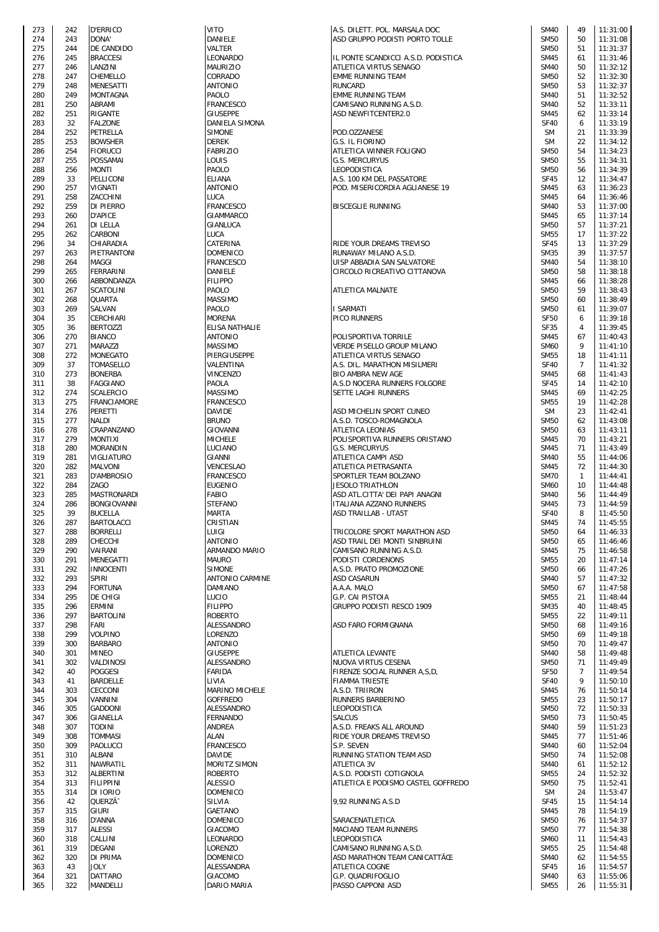| 273        | 242 | <b>D'ERRICO</b>    |
|------------|-----|--------------------|
| 274        | 243 | DONA'              |
| 275        | 244 | DE CANDIDO         |
| 276        | 245 | <b>BRACCESI</b>    |
| 277        | 246 | LANZINI            |
| 278        | 247 | CHEMELLO           |
|            |     | MENESATTI          |
| 279        | 248 |                    |
| 280        | 249 | MONTAGNA           |
| 281        | 250 | ABRAMI             |
| 282        | 251 | RIGANTE            |
| 283        | 32  | <b>FALZONE</b>     |
| 284        | 252 | PETRELLA           |
| 285        | 253 | <b>BOWSHER</b>     |
| 286        | 254 | FIORUCCI           |
|            |     |                    |
| 287        | 255 | POSSAMAI           |
| 288        | 256 | MONTI              |
| 289        | 33  | PELLICONI          |
| 290        | 257 | VIGNATI            |
| 291        | 258 | ZACCHINI           |
| 292        | 259 | DI PIERRO          |
| 293        | 260 | <b>D'APICE</b>     |
|            |     |                    |
| 294        | 261 | DI LELLA           |
| 295        | 262 | CARBONI            |
| 296        | 34  | CHIARADIA          |
| 297        | 263 | PIETRANTONI        |
| 298        | 264 | MAGGI              |
| 299        | 265 | FERRARINI          |
| 300        | 266 | ABBONDANZA         |
| 301        | 267 | SCATOLINI          |
|            |     | QUARTA             |
| 302        | 268 |                    |
| 303        | 269 | SALVAN             |
| 304        | 35  | CERCHIARI          |
| 305        | 36  | <b>BERTOZZI</b>    |
| 306        | 270 | <b>BIANCO</b>      |
| 307        | 271 | MARAZZI            |
| 308        | 272 | MONEGATO           |
| 309        | 37  | TOMASELLO          |
| 310        | 273 | <b>BONERBA</b>     |
| 311        | 38  | FAGGIANO           |
| 312        | 274 | SCALERCIO          |
| 313        | 275 | FRANCIAMORE        |
|            |     |                    |
| 314        | 276 | PERETTI            |
| 315        | 277 | NALDI              |
| 316        | 278 | CRAPANZANO         |
| 317        | 279 | MONTIXI            |
| 318        | 280 | MORANDIN           |
| 319        | 281 | VIGLIATURO         |
| 320        | 282 | MALVONI            |
| 321        | 283 | D'AMBROSIO         |
| 322        | 284 | ZAGO               |
| 323        | 285 | <b>MASTRONARDI</b> |
| 324        | 286 | BONGIOVANNI        |
| 325        | 39  | <b>BUCELLA</b>     |
| 326        | 287 | BARTOLACCI         |
| 327        | 288 | <b>BORRELLI</b>    |
| 328        |     |                    |
|            | 289 | CHECCHI            |
| 329        | 290 | VAIRANI            |
| 330        | 291 | MENEGATTI          |
| 331        | 292 | <b>INNOCENTI</b>   |
| 332        | 293 | SPIRI              |
| 333        | 294 | <b>FORTUNA</b>     |
| 334        | 295 | DE CHIGI           |
| 335        | 296 | ERMINI             |
| 336        | 297 | BARTOLINI          |
| 337        | 298 | FARI               |
| 338        | 299 | VOLPINO            |
|            |     | <b>BARBARO</b>     |
| 339        | 300 |                    |
| 340        | 301 | MINEO              |
| 341        | 302 | VALDINOSI          |
| 342        | 40  | <b>POGGESI</b>     |
| 343        | 41  | <b>BARDELLE</b>    |
| 344        | 303 | CECCONI            |
| 345        | 304 | VANNINI            |
| 346        | 305 | GADDONI            |
| 347        | 306 | GIANELLA           |
| 348        | 307 | TODINI             |
| 349        | 308 | TOMMASI            |
| 350        | 309 | PAOLUCCI           |
| 351        | 310 | <b>ALBANI</b>      |
|            |     |                    |
| 352        | 311 | NAWRATIL           |
| 353        | 312 | ALBERTINI          |
| 354        | 313 | <b>FILIPPINI</b>   |
| 355        | 314 | DI IORIO           |
| 356        | 42  | QUERZĂ^            |
| 357        | 315 | <b>GIURI</b>       |
| 358        | 316 | D'ANNA             |
| 359        | 317 | ALESSI             |
| 360        | 318 | CALLINI            |
| 361        | 319 | DEGANI             |
| 362        | 320 | DI PRIMA           |
|            |     |                    |
| 363<br>364 | 43  | JOLY               |
|            | 321 | DATTARO            |

| 273 | 242 | <b>D'ERRICO</b>     | <b>VITO</b>            | A.S. DILETT. POL. MARSALA DOC       | <b>SM40</b> | 49             | 11:31:00 |
|-----|-----|---------------------|------------------------|-------------------------------------|-------------|----------------|----------|
| 274 | 243 | DONA'               | <b>DANIELE</b>         | ASD GRUPPO PODISTI PORTO TOLLE      | <b>SM50</b> | 50             | 11:31:08 |
| 275 | 244 | DE CANDIDO          | VALTER                 |                                     | <b>SM50</b> | 51             | 11:31:37 |
| 276 | 245 | <b>BRACCESI</b>     | <b>LEONARDO</b>        | IL PONTE SCANDICCI A.S.D. PODISTICA | <b>SM45</b> | 61             | 11:31:46 |
| 277 | 246 | LANZINI             | <b>MAURIZIO</b>        | ATLETICA VIRTUS SENAGO              | <b>SM40</b> | 50             | 11:32:12 |
| 278 | 247 | CHEMELLO            | CORRADO                | <b>EMME RUNNING TEAM</b>            | <b>SM50</b> | 52             | 11:32:30 |
| 279 | 248 | <b>MENESATTI</b>    | <b>ANTONIO</b>         | <b>RUNCARD</b>                      | <b>SM50</b> | 53             | 11:32:37 |
|     |     |                     |                        |                                     |             |                |          |
| 280 | 249 | <b>MONTAGNA</b>     | PAOLO                  | <b>EMME RUNNING TEAM</b>            | <b>SM40</b> | 51             | 11:32:52 |
| 281 | 250 | ABRAMI              | <b>FRANCESCO</b>       | CAMISANO RUNNING A.S.D.             | <b>SM40</b> | 52             | 11:33:11 |
| 282 | 251 | <b>RIGANTE</b>      | <b>GIUSEPPE</b>        | ASD NEWFITCENTER2.0                 | <b>SM45</b> | 62             | 11:33:14 |
| 283 | 32  | <b>FALZONE</b>      | DANIELA SIMONA         |                                     | <b>SF40</b> | 6              | 11:33:19 |
| 284 | 252 | PETRELLA            | <b>SIMONE</b>          | POD.OZZANESE                        | <b>SM</b>   | 21             | 11:33:39 |
| 285 | 253 | <b>BOWSHER</b>      | <b>DEREK</b>           | G.S. IL FIORINO                     | <b>SM</b>   | 22             | 11:34:12 |
|     |     |                     |                        |                                     |             |                |          |
| 286 | 254 | <b>FIORUCCI</b>     | <b>FABRIZIO</b>        | ATLETICA WINNER FOLIGNO             | <b>SM50</b> | 54             | 11:34:23 |
| 287 | 255 | <b>POSSAMAI</b>     | LOUIS                  | <b>G.S. MERCURYUS</b>               | <b>SM50</b> | 55             | 11:34:31 |
| 288 | 256 | <b>MONTI</b>        | PAOLO                  | LEOPODISTICA                        | <b>SM50</b> | 56             | 11:34:39 |
| 289 | 33  | PELLICONI           | <b>ELIANA</b>          | A.S. 100 KM DEL PASSATORE           | <b>SF45</b> | 12             | 11:34:47 |
| 290 | 257 | <b>VIGNATI</b>      | <b>ANTONIO</b>         | POD. MISERICORDIA AGLIANESE 19      | <b>SM45</b> | 63             | 11:36:23 |
| 291 | 258 | ZACCHINI            | LUCA                   |                                     | <b>SM45</b> | 64             | 11:36:46 |
| 292 | 259 | <b>DI PIERRO</b>    | <b>FRANCESCO</b>       | <b>BISCEGLIE RUNNING</b>            | <b>SM40</b> | 53             | 11:37:00 |
|     |     |                     |                        |                                     |             |                |          |
| 293 | 260 | <b>D'APICE</b>      | <b>GIAMMARCO</b>       |                                     | <b>SM45</b> | 65             | 11:37:14 |
| 294 | 261 | <b>DI LELLA</b>     | GIANLUCA               |                                     | <b>SM50</b> | 57             | 11:37:21 |
| 295 | 262 | CARBONI             | <b>LUCA</b>            |                                     | <b>SM55</b> | 17             | 11:37:22 |
| 296 | 34  | CHIARADIA           | CATERINA               | <b>RIDE YOUR DREAMS TREVISO</b>     | <b>SF45</b> | 13             | 11:37:29 |
| 297 | 263 | PIETRANTONI         | <b>DOMENICO</b>        | RUNAWAY MILANO A.S.D.               | <b>SM35</b> | 39             | 11:37:57 |
|     |     |                     |                        |                                     |             |                |          |
| 298 | 264 | <b>MAGGI</b>        | <b>FRANCESCO</b>       | UISP ABBADIA SAN SALVATORE          | <b>SM40</b> | 54             | 11:38:10 |
| 299 | 265 | <b>FERRARINI</b>    | DANIELE                | CIRCOLO RICREATIVO CITTANOVA        | <b>SM50</b> | 58             | 11:38:18 |
| 300 | 266 | ABBONDANZA          | <b>FILIPPO</b>         |                                     | <b>SM45</b> | 66             | 11:38:28 |
| 301 | 267 | <b>SCATOLINI</b>    | PAOLO                  | <b>ATLETICA MALNATE</b>             | <b>SM50</b> | 59             | 11:38:43 |
| 302 | 268 | <b>QUARTA</b>       | <b>MASSIMO</b>         |                                     | <b>SM50</b> | 60             | 11:38:49 |
| 303 | 269 | SALVAN              | PAOLO                  | I SARMATI                           | <b>SM50</b> | 61             | 11:39:07 |
|     |     |                     | <b>MORENA</b>          |                                     |             |                |          |
| 304 | 35  | <b>CERCHIARI</b>    |                        | PICO RUNNERS                        | <b>SF50</b> | 6              | 11:39:18 |
| 305 | 36  | <b>BERTOZZI</b>     | <b>ELISA NATHALIE</b>  |                                     | <b>SF35</b> | 4              | 11:39:45 |
| 306 | 270 | <b>BIANCO</b>       | <b>ANTONIO</b>         | POLISPORTIVA TORRILE                | <b>SM45</b> | 67             | 11:40:43 |
| 307 | 271 | <b>MARAZZI</b>      | <b>MASSIMO</b>         | VERDE PISELLO GROUP MILANO          | <b>SM60</b> | 9              | 11:41:10 |
| 308 | 272 | <b>MONEGATO</b>     | PIERGIUSEPPE           | ATLETICA VIRTUS SENAGO              | <b>SM55</b> | 18             | 11:41:11 |
| 309 | 37  |                     | VALENTINA              |                                     | <b>SF40</b> | $\overline{7}$ | 11:41:32 |
|     |     | <b>TOMASELLO</b>    |                        | A.S. DIL. MARATHON MISILMERI        |             |                |          |
| 310 | 273 | <b>BONERBA</b>      | <b>VINCENZO</b>        | <b>BIO AMBRA NEW AGE</b>            | <b>SM45</b> | 68             | 11:41:43 |
| 311 | 38  | <b>FAGGIANO</b>     | PAOLA                  | A.S.D NOCERA RUNNERS FOLGORE        | <b>SF45</b> | 14             | 11:42:10 |
| 312 | 274 | <b>SCALERCIO</b>    | <b>MASSIMO</b>         | SETTE LAGHI RUNNERS                 | <b>SM45</b> | 69             | 11:42:25 |
| 313 | 275 | <b>FRANCIAMORE</b>  | <b>FRANCESCO</b>       |                                     | <b>SM55</b> | 19             | 11:42:28 |
| 314 | 276 | <b>PERETTI</b>      | <b>DAVIDE</b>          | ASD MICHELIN SPORT CUNEO            | <b>SM</b>   | 23             | 11:42:41 |
|     |     |                     |                        |                                     |             |                |          |
| 315 | 277 | <b>NALDI</b>        | <b>BRUNO</b>           | A.S.D. TOSCO-ROMAGNOLA              | <b>SM50</b> | 62             | 11:43:08 |
| 316 | 278 | CRAPANZANO          | <b>GIOVANNI</b>        | <b>ATLETICA LEONIAS</b>             | <b>SM50</b> | 63             | 11:43:11 |
| 317 | 279 | <b>MONTIXI</b>      | <b>MICHELE</b>         | POLISPORTIVA RUNNERS ORISTANO       | <b>SM45</b> | 70             | 11:43:21 |
| 318 | 280 | <b>MORANDIN</b>     | LUCIANO                | <b>G.S. MERCURYUS</b>               | <b>SM45</b> | 71             | 11:43:49 |
| 319 | 281 | VIGLIATURO          | <b>GIANNI</b>          | ATLETICA CAMPI ASD                  | <b>SM40</b> | 55             | 11:44:06 |
|     |     |                     |                        |                                     |             |                |          |
| 320 | 282 | <b>MALVONI</b>      | <b>VENCESLAO</b>       | <b>ATLETICA PIETRASANTA</b>         | <b>SM45</b> | 72             | 11:44:30 |
| 321 | 283 | D'AMBROSIO          | <b>FRANCESCO</b>       | SPORTLER TEAM BOLZANO               | <b>SM70</b> | $\mathbf{1}$   | 11:44:41 |
| 322 | 284 | ZAGO                | <b>EUGENIO</b>         | <b>JESOLO TRIATHLON</b>             | <b>SM60</b> | 10             | 11:44:48 |
| 323 | 285 | <b>MASTRONARDI</b>  | <b>FABIO</b>           | ASD ATL.CITTA' DEI PAPI ANAGNI      | <b>SM40</b> | 56             | 11:44:49 |
| 324 | 286 | <b>BONGIOVANNI</b>  | <b>STEFANO</b>         | ITALIANA AZZANO RUNNERS             | <b>SM45</b> | 73             | 11:44:59 |
| 325 | 39  | <b>BUCELLA</b>      | <b>MARTA</b>           | ASD TRAILLAB - UTA5T                | SF40        | 8              | 11:45:50 |
|     |     |                     |                        |                                     |             |                |          |
| 326 | 287 | <b>BARTOLACCI</b>   | <b>CRISTIAN</b>        |                                     | <b>SM45</b> | 74             | 11:45:55 |
| 327 | 288 | <b>BORRELLI</b>     | LUIGI                  | TRICOLORE SPORT MARATHON ASD        | <b>SM50</b> | 64             | 11:46:33 |
| 328 | 289 | CHECCHI             | <b>ANTONIO</b>         | ASD TRAIL DEI MONTI SINBRUINI       | <b>SM50</b> | 65             | 11:46:46 |
| 329 | 290 | VAIRANI             | ARMANDO MARIO          | CAMISANO RUNNING A.S.D.             | <b>SM45</b> | 75             | 11:46:58 |
| 330 | 291 | <b>MENEGATTI</b>    | <b>MAURO</b>           | PODISTI CORDENONS                   | <b>SM55</b> | 20             | 11:47:14 |
| 331 | 292 | <b>INNOCENTI</b>    | <b>SIMONE</b>          | A.S.D. PRATO PROMOZIONE             | <b>SM50</b> | 66             | 11:47:26 |
|     |     |                     |                        |                                     |             |                |          |
| 332 | 293 | <b>SPIRI</b>        | <b>ANTONIO CARMINE</b> | <b>ASD CASARUN</b>                  | <b>SM40</b> | 57             | 11:47:32 |
| 333 | 294 | <b>FORTUNA</b>      | <b>DAMIANO</b>         | A.A.A. MALO                         | <b>SM50</b> | 67             | 11:47:58 |
| 334 | 295 | DE CHIGI            | LUCIO                  | G.P. CAI PISTOIA                    | <b>SM55</b> | 21             | 11:48:44 |
| 335 | 296 | <b>ERMINI</b>       | <b>FILIPPO</b>         | <b>GRUPPO PODISTI RESCO 1909</b>    | <b>SM35</b> | 40             | 11:48:45 |
| 336 | 297 | <b>BARTOLINI</b>    | <b>ROBERTO</b>         |                                     | <b>SM55</b> | 22             | 11:49:11 |
| 337 | 298 | <b>FARI</b>         | ALESSANDRO             | <b>ASD FARO FORMIGNANA</b>          | <b>SM50</b> | 68             | 11:49:16 |
| 338 | 299 | <b>VOLPINO</b>      | LORENZO                |                                     | <b>SM50</b> | 69             | 11:49:18 |
|     | 300 |                     |                        |                                     |             |                |          |
| 339 |     | <b>BARBARO</b>      | <b>ANTONIO</b>         |                                     | <b>SM50</b> | 70             | 11:49:47 |
| 340 | 301 | <b>MINEO</b>        | <b>GIUSEPPE</b>        | <b>ATLETICA LEVANTE</b>             | <b>SM40</b> | 58             | 11:49:48 |
| 341 | 302 | VALDINOSI           | ALESSANDRO             | NUOVA VIRTUS CESENA                 | <b>SM50</b> | 71             | 11:49:49 |
| 342 | 40  | <b>POGGESI</b>      | <b>FARIDA</b>          | FIRENZE SOCIAL RUNNER A, S, D,      | <b>SF50</b> | $\overline{7}$ | 11:49:54 |
| 343 | 41  | <b>BARDELLE</b>     | LIVIA                  | <b>FIAMMA TRIESTE</b>               | <b>SF40</b> | 9              | 11:50:10 |
| 344 | 303 | <b>CECCONI</b>      | MARINO MICHELE         | A.S.D. TRIIRON                      | <b>SM45</b> | 76             | 11:50:14 |
| 345 | 304 | VANNINI             | <b>GOFFREDO</b>        | <b>RUNNERS BARBERINO</b>            | <b>SM55</b> | 23             | 11:50:17 |
|     |     |                     |                        |                                     |             |                |          |
| 346 | 305 | <b>GADDONI</b>      | ALESSANDRO             | LEOPODISTICA                        | <b>SM50</b> | 72             | 11:50:33 |
| 347 | 306 | <b>GIANELLA</b>     | <b>FERNANDO</b>        | <b>SALCUS</b>                       | <b>SM50</b> | 73             | 11:50:45 |
| 348 | 307 | <b>TODINI</b>       | ANDREA                 | A.S.D. FREAKS ALL AROUND            | <b>SM40</b> | 59             | 11:51:23 |
| 349 | 308 | <b>TOMMASI</b>      | <b>ALAN</b>            | <b>RIDE YOUR DREAMS TREVISO</b>     | <b>SM45</b> | 77             | 11:51:46 |
| 350 | 309 | <b>PAOLUCCI</b>     | <b>FRANCESCO</b>       | S.P. SEVEN                          | <b>SM40</b> | 60             | 11:52:04 |
| 351 | 310 | ALBANI              | <b>DAVIDE</b>          | RUNNING STATION TEAM ASD            | <b>SM50</b> | 74             | 11:52:08 |
| 352 | 311 | NAWRATIL            | MORITZ SIMON           | <b>ATLETICA 3V</b>                  | <b>SM40</b> |                | 11:52:12 |
|     |     |                     |                        |                                     |             | 61             |          |
| 353 | 312 | ALBERTINI           | <b>ROBERTO</b>         | A.S.D. PODISTI COTIGNOLA            | <b>SM55</b> | 24             | 11:52:32 |
| 354 | 313 | <b>FILIPPINI</b>    | <b>ALESSIO</b>         | ATLETICA E PODISMO CASTEL GOFFREDO  | <b>SM50</b> | 75             | 11:52:41 |
| 355 | 314 | DI IORIO            | <b>DOMENICO</b>        |                                     | <b>SM</b>   | 24             | 11:53:47 |
| 356 | 42  | QUERZÃ <sup>^</sup> | SILVIA                 | 9,92 RUNNING A.S.D                  | <b>SF45</b> | 15             | 11:54:14 |
| 357 | 315 | <b>GIURI</b>        | <b>GAETANO</b>         |                                     | <b>SM45</b> | 78             | 11:54:19 |
|     |     |                     |                        |                                     |             |                |          |
| 358 | 316 | D'ANNA              | <b>DOMENICO</b>        | SARACENATLETICA                     | <b>SM50</b> | 76             | 11:54:37 |
| 359 | 317 | <b>ALESSI</b>       | <b>GIACOMO</b>         | MACIANO TEAM RUNNERS                | <b>SM50</b> | 77             | 11:54:38 |
| 360 | 318 | CALLINI             | LEONARDO               | <b>LEOPODISTICA</b>                 | <b>SM60</b> | 11             | 11:54:43 |
| 361 | 319 | <b>DEGANI</b>       | LORENZO                | CAMISANO RUNNING A.S.D.             | <b>SM55</b> | 25             | 11:54:48 |
| 362 | 320 | <b>DI PRIMA</b>     | <b>DOMENICO</b>        | ASD MARATHON TEAM CANICATTÃŒ        | <b>SM40</b> | 62             | 11:54:55 |
| 363 | 43  | JOLY                | ALESSANDRA             | ATLETICA COGNE                      | <b>SF45</b> | 16             | 11:54:57 |
|     |     |                     |                        | G.P. QUADRIFOGLIO                   |             |                |          |
| 364 | 321 | <b>DATTARO</b>      | <b>GIACOMO</b>         |                                     | <b>SM40</b> | 63             | 11:55:06 |
| 365 | 322 | <b>MANDELLI</b>     | DARIO MARIA            | PASSO CAPPONI ASD                   | <b>SM55</b> | 26             | 11:55:31 |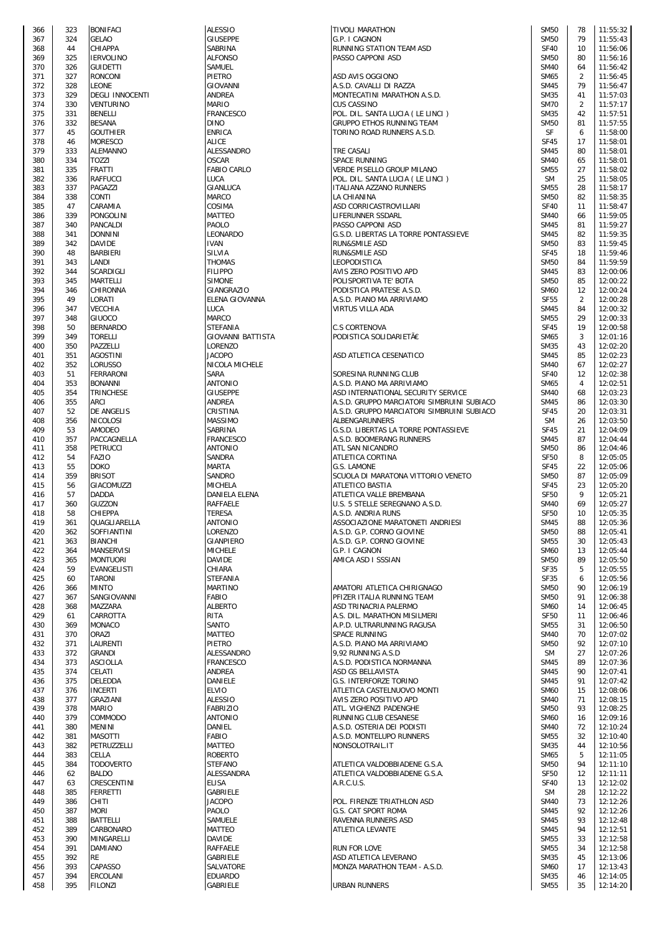| 366        | 323        | <b>BONIFACI</b>        | <b>ALESSIO</b>                    |
|------------|------------|------------------------|-----------------------------------|
| 367        | 324        | GELAO                  | <b>GIUSEPPE</b>                   |
| 368        | 44         | CHIAPPA                | SABRINA                           |
| 369        | 325        | <b>IERVOLINO</b>       | <b>ALFONSO</b>                    |
| 370        | 326        | <b>GUIDETTI</b>        | SAMUEL                            |
| 371        | 327        | RONCONI                | PIETRO                            |
| 372        | 328        | LEONE                  | GIOVANNI                          |
| 373        | 329        | <b>DEGLI INNOCENTI</b> | ANDREA                            |
| 374        | 330        | VENTURINO              | MARIO                             |
| 375        | 331        | BENELLI                | <b>FRANCESC</b>                   |
| 376        | 332        | <b>BESANA</b>          | <b>DINO</b>                       |
| 377        | 45         | <b>GOUTHIER</b>        | <b>ENRICA</b>                     |
| 378        | 46         | MORESCO                | <b>ALICE</b>                      |
| 379        | 333        | ALEMANNO               | ALESSAND                          |
| 380        | 334        | TOZZI                  | OSCAR                             |
| 381        | 335        | <b>FRATTI</b>          | <b>FABIO CAI</b>                  |
| 382        | 336        | RAFFUCCI               | LUCA                              |
| 383        | 337        | PAGAZZI                | GIANLUCA                          |
| 384        | 338        | CONTI                  | MARCO                             |
| 385        | 47         | CARAMIA                | COSIMA                            |
| 386        | 339        | PONGOLINI              | MATTEO                            |
| 387        | 340        | PANCALDI               | PAOLO                             |
| 388        | 341        | <b>DONNINI</b>         | <b>LEONARD</b>                    |
| 389        | 342        | <b>DAVIDE</b>          | <b>IVAN</b>                       |
| 390        | 48         | BARBIERI               | SILVIA                            |
| 391        | 343        | LANDI                  | <b>THOMAS</b>                     |
| 392        | 344        | SCARDIGLI              | <b>FILIPPO</b>                    |
| 393        | 345        | MARTELLI               | SIMONE                            |
| 394        | 346        | CHIRONNA               | GIANGRAZ                          |
| 395        | 49         | LORATI                 | ELENA GIO                         |
| 396        | 347        | VECCHIA                | LUCA                              |
| 397        | 348        | GIUOCO                 | MARCO                             |
| 398        | 50         | BERNARDO               | STEFANIA                          |
| 399        | 349        | <b>TORELLI</b>         | <b>GIOVANNI</b>                   |
| 400        | 350        | PAZZELLI               | LORENZO                           |
| 401        | 351        | AGOSTINI               | JACOPO                            |
| 402        | 352        | Lorusso                | NICOLA M                          |
| 403        | 51         | FERRARONI              | <b>SARA</b>                       |
| 404        | 353        | <b>BONANNI</b>         | ANTONIO                           |
| 405        | 354        | TRINCHESE              | GIUSEPPE                          |
| 406        | 355        | ARCI                   | ANDREA                            |
| 407        | 52         | DE ANGELIS             | CRISTINA                          |
| 408        | 356        | NICOLOSI               | MASSIMO                           |
| 409        | 53         | AMODEO                 | SABRINA                           |
| 410        | 357        | PACCAGNELLA            | <b>FRANCESC</b>                   |
| 411        | 358        | PETRUCCI               | ANTONIO                           |
| 412        | 54         | FAZIO                  | SANDRA                            |
| 413        | 55         | DOKO                   | <b>MARTA</b>                      |
| 414        | 359        | <b>BRISOT</b>          | <b>SANDRO</b>                     |
|            |            | <b>GIACOMUZZI</b>      | <b>MICHELA</b>                    |
| 415        | 56         |                        | <b>DANIELA E</b>                  |
| 416<br>417 | 57         | DADDA                  |                                   |
|            | 360        | GUZZON                 | RAFFAELE                          |
| 418        | 58         | CHIEPPA                | <b>TERESA</b>                     |
| 419        | 361        | QUAGLIARELLA           | ANTONIO                           |
| 420        | 362        | SOFFIANTINI            | LORENZO                           |
| 421        | 363        | <b>BIANCHI</b>         | <b>GIANPIER</b>                   |
| 422        | 364        | <b>MANSERVISI</b>      | <b>MICHELE</b>                    |
| 423        | 365        | <b>MONTUORI</b>        | DAVIDE                            |
| 424        | 59         | <b>EVANGELISTI</b>     | CHIARA                            |
| 425        | 60         | TARONI                 | <b>STEFANIA</b><br><b>MARTINO</b> |
| 426        | 366        | MINTO                  |                                   |
| 427        | 367        | SANGIOVANNI            | <b>FABIO</b>                      |
| 428        | 368        | MAZZARA                | <b>ALBERTO</b>                    |
| 429        | 61<br>369  | CARROTTA               | RITA                              |
| 430<br>431 |            | <b>MONACO</b>          | SANTO<br>MATTEO                   |
|            | 370        | ORAZI                  |                                   |
| 432        | 371        | LAURENTI               | PIETRO<br>ALESSAND                |
| 433<br>434 | 372<br>373 | GRANDI<br>ASCIOLLA     |                                   |
|            |            | CELATI                 | <b>FRANCESC</b>                   |
| 435        | 374        | DELEDDA                | ANDREA<br>DANIELE                 |
| 436        | 375        |                        |                                   |
| 437        | 376        | <b>INCERTI</b>         | <b>ELVIO</b>                      |
| 438        | 377        | GRAZIANI               | <b>ALESSIO</b>                    |
| 439        | 378        | MARIO                  | <b>FABRIZIO</b>                   |
| 440        | 379        | COMMODO                | <b>ANTONIO</b>                    |
| 441        | 380        | MENINI                 | DANIEL                            |
| 442        | 381        | <b>MASOTTI</b>         | FABIO                             |
| 443        | 382        | PETRUZZELLI            | MATTEO                            |
| 444        | 383        | CELLA                  | <b>ROBERTO</b>                    |
| 445        | 384        | TODOVERTO              | STEFANO                           |
| 446        | 62         | BALDO                  | ALESSAND                          |
| 447        | 63         | CRESCENTINI            | <b>ELISA</b>                      |
| 448        | 385        | FERRETTI               | GABRIELE                          |
| 449        | 386        | CHITI                  | <b>JACOPO</b>                     |
| 450        | 387        | <b>MORI</b>            | PAOLO                             |
| 451        | 388        | BATTELLI               | SAMUELE                           |
| 452        | 389        | CARBONARO              | MATTEO                            |
| 453        | 390        | MINGARELLI             | DAVIDE                            |
| 454        | 391        | DAMIANO                | RAFFAELE                          |
| 455        | 392        | <b>RE</b>              | GABRIELE                          |
| 456        | 393        | CAPASSO                | SALVATOR                          |
| 457        | 394        | ERCOLANI               | <b>EDUARDO</b>                    |
| 458        | 395        | <b>FILONZI</b>         | GABRIELE                          |

| 366 | 323 | <b>BONIFACI</b>        | <b>ALESSIO</b>           | <b>TIVOLI MARATHON</b>                     | <b>SM50</b> | 78             | 11:55:32 |
|-----|-----|------------------------|--------------------------|--------------------------------------------|-------------|----------------|----------|
| 367 | 324 | <b>GELAO</b>           | <b>GIUSEPPE</b>          | G.P. I CAGNON                              | <b>SM50</b> | 79             | 11:55:43 |
| 368 | 44  | CHIAPPA                | SABRINA                  | RUNNING STATION TEAM ASD                   | <b>SF40</b> | 10             | 11:56:06 |
| 369 | 325 | <b>IERVOLINO</b>       | <b>ALFONSO</b>           | PASSO CAPPONI ASD                          | <b>SM50</b> | 80             | 11:56:16 |
| 370 | 326 | <b>GUIDETTI</b>        | SAMUEL                   |                                            | <b>SM40</b> | 64             | 11:56:42 |
| 371 | 327 | <b>RONCONI</b>         | PIETRO                   | ASD AVIS OGGIONO                           | SM65        | $\overline{2}$ | 11:56:45 |
| 372 | 328 | <b>LEONE</b>           | <b>GIOVANNI</b>          | A.S.D. CAVALLI DI RAZZA                    | <b>SM45</b> | 79             | 11:56:47 |
|     |     |                        |                          |                                            |             |                |          |
| 373 | 329 | <b>DEGLI INNOCENTI</b> | ANDREA                   | MONTECATINI MARATHON A.S.D.                | <b>SM35</b> | 41             | 11:57:03 |
| 374 | 330 | <b>VENTURINO</b>       | <b>MARIO</b>             | <b>CUS CASSINO</b>                         | <b>SM70</b> | 2              | 11:57:17 |
| 375 | 331 | <b>BENELLI</b>         | <b>FRANCESCO</b>         | POL. DIL. SANTA LUCIA (LE LINCI)           | <b>SM35</b> | 42             | 11:57:51 |
| 376 | 332 | <b>BESANA</b>          | <b>DINO</b>              | <b>GRUPPO ETHOS RUNNING TEAM</b>           | <b>SM50</b> | 81             | 11:57:55 |
| 377 | 45  | <b>GOUTHIER</b>        | <b>ENRICA</b>            | TORINO ROAD RUNNERS A.S.D.                 | SF          | 6              | 11:58:00 |
| 378 | 46  | <b>MORESCO</b>         | <b>ALICE</b>             |                                            | <b>SF45</b> | 17             | 11:58:01 |
|     |     |                        |                          |                                            |             |                |          |
| 379 | 333 | <b>ALEMANNO</b>        | ALESSANDRO               | TRE CASALI                                 | <b>SM45</b> | 80             | 11:58:01 |
| 380 | 334 | TOZZI                  | <b>OSCAR</b>             | SPACE RUNNING                              | <b>SM40</b> | 65             | 11:58:01 |
| 381 | 335 | <b>FRATTI</b>          | FABIO CARLO              | VERDE PISELLO GROUP MILANO                 | <b>SM55</b> | 27             | 11:58:02 |
| 382 | 336 | <b>RAFFUCCI</b>        | LUCA                     | POL. DIL. SANTA LUCIA (LE LINCI )          | <b>SM</b>   | 25             | 11:58:05 |
| 383 | 337 | PAGAZZI                | GIANLUCA                 | ITALIANA AZZANO RUNNERS                    | <b>SM55</b> | 28             | 11:58:17 |
| 384 | 338 | <b>CONTI</b>           | <b>MARCO</b>             | LA CHIANINA                                | <b>SM50</b> | 82             | 11:58:35 |
| 385 | 47  | CARAMIA                | COSIMA                   | ASD CORRICASTROVILLARI                     | <b>SF40</b> | 11             | 11:58:47 |
|     |     |                        |                          |                                            |             |                |          |
| 386 | 339 | <b>PONGOLINI</b>       | MATTEO                   | LIFERUNNER SSDARL                          | <b>SM40</b> | 66             | 11:59:05 |
| 387 | 340 | PANCALDI               | PAOLO                    | PASSO CAPPONI ASD                          | <b>SM45</b> | 81             | 11:59:27 |
| 388 | 341 | <b>DONNINI</b>         | LEONARDO                 | G.S.D. LIBERTAS LA TORRE PONTASSIEVE       | <b>SM45</b> | 82             | 11:59:35 |
| 389 | 342 | <b>DAVIDE</b>          | <b>IVAN</b>              | <b>RUN&amp;SMILE ASD</b>                   | <b>SM50</b> | 83             | 11:59:45 |
| 390 | 48  | <b>BARBIERI</b>        | SILVIA                   | RUN&SMILE ASD                              | <b>SF45</b> | 18             | 11:59:46 |
| 391 | 343 | LANDI                  | <b>THOMAS</b>            | <b>LEOPODISTICA</b>                        | <b>SM50</b> | 84             | 11:59:59 |
|     |     | SCARDIGLI              | <b>FILIPPO</b>           |                                            | <b>SM45</b> | 83             |          |
| 392 | 344 |                        |                          | AVIS ZERO POSITIVO APD                     |             |                | 12:00:06 |
| 393 | 345 | MARTELLI               | <b>SIMONE</b>            | POLISPORTIVA TE' BOTA                      | <b>SM50</b> | 85             | 12:00:22 |
| 394 | 346 | CHIRONNA               | GIANGRAZIO               | PODISTICA PRATESE A.S.D.                   | <b>SM60</b> | 12             | 12:00:24 |
| 395 | 49  | LORATI                 | ELENA GIOVANNA           | A.S.D. PIANO MA ARRIVIAMO                  | <b>SF55</b> | 2              | 12:00:28 |
| 396 | 347 | <b>VECCHIA</b>         | LUCA                     | <b>VIRTUS VILLA ADA</b>                    | <b>SM45</b> | 84             | 12:00:32 |
| 397 | 348 | GIUOCO                 | <b>MARCO</b>             |                                            | <b>SM55</b> | 29             | 12:00:33 |
| 398 | 50  | <b>BERNARDO</b>        | STEFANIA                 | <b>C.S CORTENOVA</b>                       | <b>SF45</b> | 19             | 12:00:58 |
|     |     |                        |                          |                                            |             |                |          |
| 399 | 349 | <b>TORELLI</b>         | <b>GIOVANNI BATTISTA</b> | PODISTICA SOLIDARIETÀ                      | SM65        | 3              | 12:01:16 |
| 400 | 350 | PAZZELLI               | LORENZO                  |                                            | <b>SM35</b> | 43             | 12:02:20 |
| 401 | 351 | <b>AGOSTINI</b>        | <b>JACOPO</b>            | ASD ATLETICA CESENATICO                    | <b>SM45</b> | 85             | 12:02:23 |
| 402 | 352 | <b>LORUSSO</b>         | NICOLA MICHELE           |                                            | <b>SM40</b> | 67             | 12:02:27 |
| 403 | 51  | FERRARONI              | <b>SARA</b>              | SORESINA RUNNING CLUB                      | <b>SF40</b> | 12             | 12:02:38 |
| 404 | 353 | <b>BONANNI</b>         | <b>ANTONIO</b>           | A.S.D. PIANO MA ARRIVIAMO                  | SM65        | 4              | 12:02:51 |
|     |     |                        |                          |                                            | <b>SM40</b> |                |          |
| 405 | 354 | <b>TRINCHESE</b>       | <b>GIUSEPPE</b>          | ASD INTERNATIONAL SECURITY SERVICE         |             | 68             | 12:03:23 |
| 406 | 355 | ARCI                   | ANDREA                   | A.S.D. GRUPPO MARCIATORI SIMBRUINI SUBIACO | <b>SM45</b> | 86             | 12:03:30 |
| 407 | 52  | <b>DE ANGELIS</b>      | CRISTINA                 | A.S.D. GRUPPO MARCIATORI SIMBRUINI SUBIACO | <b>SF45</b> | 20             | 12:03:31 |
| 408 | 356 | <b>NICOLOSI</b>        | <b>MASSIMO</b>           | <b>ALBENGARUNNERS</b>                      | <b>SM</b>   | 26             | 12:03:50 |
| 409 | 53  | AMODEO                 | SABRINA                  | G.S.D. LIBERTAS LA TORRE PONTASSIEVE       | <b>SF45</b> | 21             | 12:04:09 |
| 410 | 357 | PACCAGNELLA            | <b>FRANCESCO</b>         | A.S.D. BOOMERANG RUNNERS                   | <b>SM45</b> | 87             | 12:04:44 |
| 411 | 358 | <b>PETRUCCI</b>        | <b>ANTONIO</b>           | ATL SAN NICANDRO                           | <b>SM50</b> | 86             | 12:04:46 |
| 412 | 54  | <b>FAZIO</b>           | SANDRA                   | ATLETICA CORTINA                           | <b>SF50</b> | 8              | 12:05:05 |
|     |     |                        |                          |                                            |             |                |          |
| 413 | 55  | <b>DOKO</b>            | <b>MARTA</b>             | G.S. LAMONE                                | <b>SF45</b> | 22             | 12:05:06 |
| 414 | 359 | <b>BRISOT</b>          | SANDRO                   | SCUOLA DI MARATONA VITTORIO VENETO         | <b>SM50</b> | 87             | 12:05:09 |
| 415 | 56  | GIACOMUZZI             | <b>MICHELA</b>           | <b>ATLETICO BASTIA</b>                     | SF45        | 23             | 12:05:20 |
| 416 | 57  | <b>DADDA</b>           | DANIELA ELENA            | ATLETICA VALLE BREMBANA                    | <b>SF50</b> | 9              | 12:05:21 |
| 417 | 360 | <b>GUZZON</b>          | <b>RAFFAELE</b>          | U.S. 5 STELLE SEREGNANO A.S.D.             | <b>SM40</b> | 69             | 12:05:27 |
| 418 | 58  | CHIEPPA                | <b>TERESA</b>            | A.S.D. ANDRIA RUNS                         | <b>SF50</b> | 10             | 12:05:35 |
| 419 | 361 | QUAGLIARELLA           | <b>ANTONIO</b>           | ASSOCIAZIONE MARATONETI ANDRIESI           | <b>SM45</b> | 88             | 12:05:36 |
|     |     |                        |                          |                                            |             |                |          |
| 420 | 362 | SOFFIANTINI            | LORENZO                  | A.S.D. G.P. CORNO GIOVINE                  | <b>SM50</b> | 88             | 12:05:41 |
| 421 | 363 | <b>BIANCHI</b>         | <b>GIANPIERO</b>         | A.S.D. G.P. CORNO GIOVINE                  | <b>SM55</b> | 30             | 12:05:43 |
| 422 | 364 | <b>MANSERVISI</b>      | <b>MICHELE</b>           | G.P. I CAGNON                              | <b>SM60</b> | 13             | 12:05:44 |
| 423 | 365 | <b>MONTUORI</b>        | <b>DAVIDE</b>            | AMICA ASD I SSSIAN                         | <b>SM50</b> | 89             | 12:05:50 |
| 424 | 59  | <b>EVANGELISTI</b>     | CHIARA                   |                                            | <b>SF35</b> | 5              | 12:05:55 |
| 425 | 60  | <b>TARONI</b>          | <b>STEFANIA</b>          |                                            | SF35        | 6              | 12:05:56 |
|     | 366 | <b>MINTO</b>           | <b>MARTINO</b>           | AMATORI ATLETICA CHIRIGNAGO                | <b>SM50</b> | 90             | 12:06:19 |
| 426 |     |                        |                          |                                            |             |                |          |
| 427 | 367 | SANGIOVANNI            | <b>FABIO</b>             | PFIZER ITALIA RUNNING TEAM                 | <b>SM50</b> | 91             | 12:06:38 |
| 428 | 368 | <b>MAZZARA</b>         | <b>ALBERTO</b>           | ASD TRINACRIA PALERMO                      | <b>SM60</b> | 14             | 12:06:45 |
| 429 | 61  | CARROTTA               | RITA                     | A.S. DIL. MARATHON MISILMERI               | <b>SF50</b> | 11             | 12:06:46 |
| 430 | 369 | MONACO                 | SANTO                    | A.P.D. ULTRARUNNING RAGUSA                 | <b>SM55</b> | 31             | 12:06:50 |
| 431 | 370 | ORAZI                  | <b>MATTEO</b>            | SPACE RUNNING                              | <b>SM40</b> | 70             | 12:07:02 |
| 432 | 371 | LAURENTI               | PIETRO                   | A.S.D. PIANO MA ARRIVIAMO                  | <b>SM50</b> | 92             | 12:07:10 |
| 433 | 372 | <b>GRANDI</b>          | ALESSANDRO               | 9.92 RUNNING A.S.D                         | SM          | 27             | 12:07:26 |
| 434 | 373 | ASCIOLLA               | <b>FRANCESCO</b>         | A.S.D. PODISTICA NORMANNA                  | <b>SM45</b> | 89             | 12:07:36 |
| 435 | 374 | CELATI                 | ANDREA                   | ASD GS BELLAVISTA                          | <b>SM45</b> | 90             | 12:07:41 |
|     |     |                        |                          |                                            |             |                |          |
| 436 | 375 | <b>DELEDDA</b>         | DANIELE                  | G.S. INTERFORZE TORINO                     | <b>SM45</b> | 91             | 12:07:42 |
| 437 | 376 | <b>INCERTI</b>         | <b>ELVIO</b>             | ATLETICA CASTELNUOVO MONTI                 | <b>SM60</b> | 15             | 12:08:06 |
| 438 | 377 | GRAZIANI               | <b>ALESSIO</b>           | AVIS ZERO POSITIVO APD                     | <b>SM40</b> | 71             | 12:08:15 |
| 439 | 378 | <b>MARIO</b>           | <b>FABRIZIO</b>          | ATL. VIGHENZI PADENGHE                     | <b>SM50</b> | 93             | 12:08:25 |
| 440 | 379 | COMMODO                | <b>ANTONIO</b>           | RUNNING CLUB CESANESE                      | <b>SM60</b> | 16             | 12:09:16 |
| 441 | 380 | MENINI                 | DANIEL                   | A.S.D. OSTERIA DEI PODISTI                 | <b>SM40</b> | 72             | 12:10:24 |
| 442 | 381 | <b>MASOTTI</b>         | <b>FABIO</b>             | A.S.D. MONTELUPO RUNNERS                   | <b>SM55</b> | 32             | 12:10:40 |
|     |     | PETRUZZELLI            |                          |                                            |             |                |          |
| 443 | 382 |                        | MATTEO                   | NONSOLOTRAIL.IT                            | <b>SM35</b> | 44             | 12:10:56 |
| 444 | 383 | CELLA                  | <b>ROBERTO</b>           |                                            | SM65        | 5              | 12:11:05 |
| 445 | 384 | <b>TODOVERTO</b>       | <b>STEFANO</b>           | ATLETICA VALDOBBIADENE G.S.A.              | <b>SM50</b> | 94             | 12:11:10 |
| 446 | 62  | <b>BALDO</b>           | ALESSANDRA               | ATLETICA VALDOBBIADENE G.S.A.              | <b>SF50</b> | 12             | 12:11:11 |
| 447 | 63  | CRESCENTINI            | <b>ELISA</b>             | A.R.C.U.S.                                 | <b>SF40</b> | 13             | 12:12:02 |
| 448 | 385 | FERRETTI               | GABRIELE                 |                                            | SM          | 28             | 12:12:22 |
| 449 | 386 | CHITI                  | <b>JACOPO</b>            | POL. FIRENZE TRIATHLON ASD                 | <b>SM40</b> | 73             | 12:12:26 |
|     |     | <b>MORI</b>            | PAOLO                    | G.S. CAT SPORT ROMA                        | <b>SM45</b> | 92             |          |
| 450 | 387 |                        |                          |                                            |             |                | 12:12:26 |
| 451 | 388 | <b>BATTELLI</b>        | SAMUELE                  | RAVENNA RUNNERS ASD                        | <b>SM45</b> | 93             | 12:12:48 |
| 452 | 389 | CARBONARO              | MATTEO                   | <b>ATLETICA LEVANTE</b>                    | <b>SM45</b> | 94             | 12:12:51 |
| 453 | 390 | MINGARELLI             | <b>DAVIDE</b>            |                                            | <b>SM55</b> | 33             | 12:12:58 |
| 454 | 391 | <b>DAMIANO</b>         | <b>RAFFAELE</b>          | RUN FOR LOVE                               | <b>SM55</b> | 34             | 12:12:58 |
| 455 | 392 | <b>RE</b>              | GABRIELE                 | ASD ATLETICA LEVERANO                      | <b>SM35</b> | 45             | 12:13:06 |
| 456 | 393 | CAPASSO                | SALVATORE                | MONZA MARATHON TEAM - A.S.D.               | <b>SM60</b> | 17             | 12:13:43 |
| 457 | 394 | <b>ERCOLANI</b>        | <b>EDUARDO</b>           |                                            | <b>SM35</b> | 46             | 12:14:05 |
|     |     |                        |                          |                                            |             |                |          |
| 458 | 395 | <b>FILONZI</b>         | GABRIELE                 | <b>URBAN RUNNERS</b>                       | SM55        | 35             | 12:14:20 |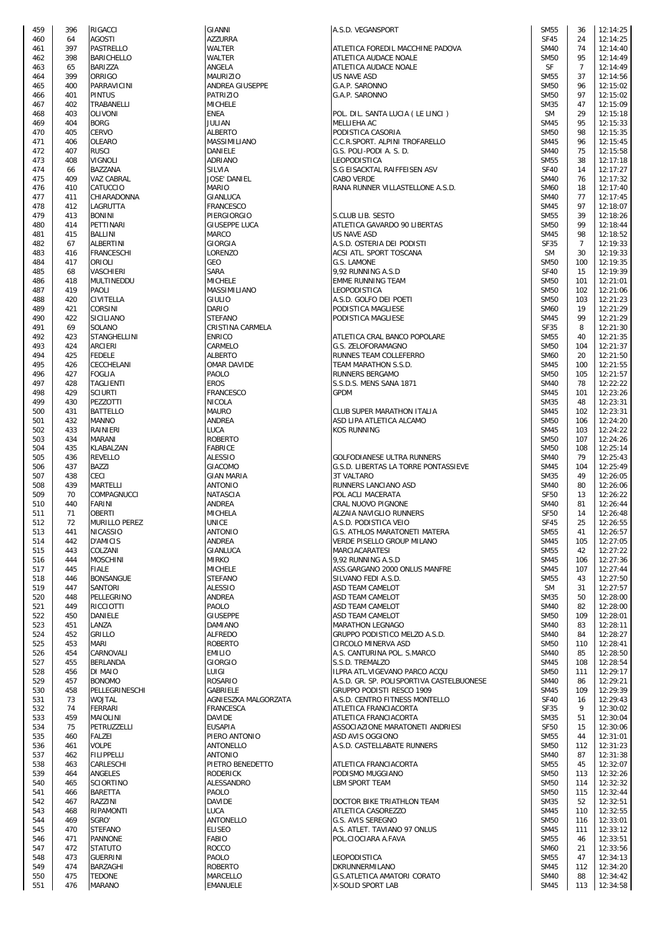| 459        | 396        | <b>RIGACCI</b>                 | GIANNI                           | A.S.D. VEGANSPORT                                         | <b>SM55</b>                | 36             | 12:14:25             |
|------------|------------|--------------------------------|----------------------------------|-----------------------------------------------------------|----------------------------|----------------|----------------------|
| 460        | 64         | <b>AGOSTI</b>                  | <b>AZZURRA</b>                   |                                                           | <b>SF45</b>                | 24             | 12:14:25             |
| 461        | 397<br>398 | PASTRELLO<br><b>BARICHELLO</b> | WALTER                           | ATLETICA FOREDIL MACCHINE PADOVA                          | <b>SM40</b><br><b>SM50</b> | 74<br>95       | 12:14:40             |
| 462<br>463 | 65         | BARIZZA                        | WALTER<br>ANGELA                 | ATLETICA AUDACE NOALE<br>ATLETICA AUDACE NOALE            | SF                         | $\overline{7}$ | 12:14:49<br>12:14:49 |
| 464        | 399        | ORRIGO                         | <b>MAURIZIO</b>                  | <b>US NAVE ASD</b>                                        | <b>SM55</b>                | 37             | 12:14:56             |
| 465        | 400        | PARRAVICINI                    | ANDREA GIUSEPPE                  | G.A.P. SARONNO                                            | <b>SM50</b>                | 96             | 12:15:02             |
| 466        | 401        | <b>PINTUS</b>                  | <b>PATRIZIO</b>                  | G.A.P. SARONNO                                            | <b>SM50</b>                | 97             | 12:15:02             |
| 467        | 402        | TRABANELLI                     | <b>MICHELE</b>                   |                                                           | <b>SM35</b>                | 47             | 12:15:09             |
| 468        | 403        | <b>OLIVONI</b>                 | ENEA                             | POL. DIL. SANTA LUCIA (LE LINCI)                          | <b>SM</b>                  | 29             | 12:15:18             |
| 469        | 404        | <b>BORG</b>                    | JULIAN                           | MELLIEHA AC                                               | <b>SM45</b>                | 95             | 12:15:33             |
| 470        | 405        | CERVO                          | <b>ALBERTO</b>                   | PODISTICA CASORIA                                         | <b>SM50</b>                | 98             | 12:15:35             |
| 471        | 406        | OLEARO                         | MASSIMILIANO                     | C.C.R.SPORT. ALPINI TROFARELLO                            | <b>SM45</b>                | 96             | 12:15:45             |
| 472        | 407        | <b>RUSCI</b>                   | DANIELE                          | G.S. POLI-PODI A. S. D.                                   | <b>SM40</b>                | 75             | 12:15:58             |
| 473        | 408        | <b>VIGNOLI</b>                 | ADRIANO                          | LEOPODISTICA                                              | <b>SM55</b>                | 38             | 12:17:18             |
| 474        | 66         | <b>BAZZANA</b>                 | SILVIA                           | S.G EISACKTAL RAIFFEISEN ASV                              | <b>SF40</b>                | 14             | 12:17:27             |
| 475        | 409        | VAZ CABRAL                     | JOSE' DANIEL                     | CABO VERDE                                                | <b>SM40</b>                | 76             | 12:17:32             |
| 476        | 410        | CATUCCIO                       | <b>MARIO</b>                     | RANA RUNNER VILLASTELLONE A.S.D.                          | <b>SM60</b>                | 18             | 12:17:40             |
| 477        | 411        | CHIARADONNA                    | GIANLUCA                         |                                                           | <b>SM40</b>                | 77             | 12:17:45             |
| 478<br>479 | 412<br>413 | LAGRUTTA<br><b>BONINI</b>      | <b>FRANCESCO</b><br>PIERGIORGIO  |                                                           | <b>SM45</b><br><b>SM55</b> | 97<br>39       | 12:18:07             |
| 480        | 414        | PETTINARI                      | GIUSEPPE LUCA                    | S.CLUB LIB. SESTO<br>ATLETICA GAVARDO 90 LIBERTAS         | <b>SM50</b>                | 99             | 12:18:26<br>12:18:44 |
| 481        | 415        | <b>BALLINI</b>                 | <b>MARCO</b>                     | US NAVE ASD                                               | <b>SM45</b>                | 98             | 12:18:52             |
| 482        | 67         | ALBERTINI                      | GIORGIA                          | A.S.D. OSTERIA DEI PODISTI                                | <b>SF35</b>                | $\overline{7}$ | 12:19:33             |
| 483        | 416        | <b>FRANCESCHI</b>              | LORENZO                          | ACSI ATL. SPORT TOSCANA                                   | <b>SM</b>                  | 30             | 12:19:33             |
| 484        | 417        | ORIOLI                         | GEO                              | G.S. LAMONE                                               | <b>SM50</b>                | 100            | 12:19:35             |
| 485        | 68         | VASCHIERI                      | SARA                             | 9,92 RUNNING A.S.D                                        | <b>SF40</b>                | 15             | 12:19:39             |
| 486        | 418        | <b>MULTINEDDU</b>              | <b>MICHELE</b>                   | <b>EMME RUNNING TEAM</b>                                  | <b>SM50</b>                | 101            | 12:21:01             |
| 487        | 419        | PAOLI                          | MASSIMILIANO                     | LEOPODISTICA                                              | <b>SM50</b>                | 102            | 12:21:06             |
| 488        | 420        | CIVITELLA                      | GIULIO                           | A.S.D. GOLFO DEI POETI                                    | <b>SM50</b>                | 103            | 12:21:23             |
| 489        | 421        | <b>CORSINI</b>                 | <b>DARIO</b>                     | PODISTICA MAGLIESE                                        | <b>SM60</b>                | 19             | 12:21:29             |
| 490        | 422        | SICILIANO                      | <b>STEFANO</b>                   | PODISTICA MAGLIESE                                        | <b>SM45</b>                | 99             | 12:21:29             |
| 491        | 69         | SOLANO                         | CRISTINA CARMELA                 |                                                           | <b>SF35</b>                | 8              | 12:21:30             |
| 492        | 423        | STANGHELLINI                   | <b>ENRICO</b>                    | ATLETICA CRAL BANCO POPOLARE                              | <b>SM55</b>                | 40             | 12:21:35             |
| 493        | 424        | <b>ARCIERI</b>                 | CARMELO                          | G.S. ZELOFORAMAGNO                                        | <b>SM50</b>                | 104            | 12:21:37             |
| 494        | 425        | <b>FEDELE</b>                  | ALBERTO                          | RUNNES TEAM COLLEFERRO                                    | <b>SM60</b>                | 20             | 12:21:50             |
| 495        | 426        | CECCHELANI                     | OMAR DAVIDE                      | TEAM MARATHON S.S.D.                                      | <b>SM45</b>                | 100            | 12:21:55             |
| 496        | 427        | <b>FOGLIA</b>                  | PAOLO                            | RUNNERS BERGAMO                                           | <b>SM50</b>                | 105            | 12:21:57             |
| 497        | 428        | <b>TAGLIENTI</b>               | <b>EROS</b>                      | S.S.D.S. MENS SANA 1871                                   | <b>SM40</b>                | 78             | 12:22:22             |
| 498        | 429        | <b>SCIURTI</b>                 | FRANCESCO                        | <b>GPDM</b>                                               | <b>SM45</b>                | 101            | 12:23:26             |
| 499<br>500 | 430<br>431 | PEZZOTTI<br><b>BATTELLO</b>    | <b>NICOLA</b><br><b>MAURO</b>    | CLUB SUPER MARATHON ITALIA                                | <b>SM35</b><br><b>SM45</b> | 48<br>102      | 12:23:31<br>12:23:31 |
| 501        | 432        | <b>MANNO</b>                   | <b>ANDREA</b>                    | ASD LIPA ATLETICA ALCAMO                                  | <b>SM50</b>                | 106            | 12:24:20             |
| 502        | 433        | RAINIERI                       | <b>LUCA</b>                      | <b>KOS RUNNING</b>                                        | <b>SM45</b>                | 103            | 12:24:22             |
| 503        | 434        | <b>MARANI</b>                  | <b>ROBERTO</b>                   |                                                           | <b>SM50</b>                | 107            | 12:24:26             |
| 504        | 435        | KLABALZAN                      | <b>FABRICE</b>                   |                                                           | <b>SM50</b>                | 108            | 12:25:14             |
| 505        | 436        | <b>REVELLO</b>                 | <b>ALESSIO</b>                   | GOLFODIANESE ULTRA RUNNERS                                | <b>SM40</b>                | 79             | 12:25:43             |
| 506        | 437        | <b>BAZZI</b>                   | <b>GIACOMO</b>                   | G.S.D. LIBERTAS LA TORRE PONTASSIEVE                      | <b>SM45</b>                | 104            | 12:25:49             |
| 507        | 438        | <b>CECI</b>                    | <b>GIAN MARIA</b>                | <b>3T VALTARO</b>                                         | <b>SM35</b>                | 49             | 12:26:05             |
| 508        | 439        | <b>MARTELLI</b>                | <b>ANTONIO</b>                   | RUNNERS LANCIANO ASD                                      | <b>SM40</b>                | 80             | 12:26:06             |
| 509        | 70         | COMPAGNUCCI                    | <b>NATASCIA</b>                  | POL ACLI MACERATA                                         | <b>SF50</b>                | 13             | 12:26:22             |
| 510        | 440        | <b>FARINI</b>                  | ANDREA                           | CRAL NUOVO PIGNONE                                        | <b>SM40</b>                | 81             | 12:26:44             |
| 511        | 71         | <b>OBERTI</b>                  | <b>MICHELA</b>                   | ALZAIA NAVIGLIO RUNNERS                                   | <b>SF50</b>                | 14             | 12:26:48             |
| 512        | 72         | MURILLO PEREZ                  | <b>UNICE</b>                     | A.S.D. PODISTICA VEIO                                     | <b>SF45</b>                | 25             | 12:26:55             |
| 513        | 441        | <b>NICASSIO</b>                | <b>ANTONIO</b>                   | G.S. ATHLOS MARATONETI MATERA                             | <b>SM55</b>                | 41             | 12:26:57             |
| 514        | 442        | <b>D'AMICIS</b>                | <b>ANDREA</b>                    | VERDE PISELLO GROUP MILANO                                | <b>SM45</b>                | 105            | 12:27:05             |
| 515        | 443        | COLZANI                        | GIANLUCA                         | <b>MARCIACARATESI</b>                                     | <b>SM55</b>                | 42             | 12:27:22             |
| 516        | 444        | <b>MOSCHINI</b>                | <b>MIRKO</b>                     | 9,92 RUNNING A.S.D                                        | <b>SM45</b>                | 106            | 12:27:36             |
| 517        | 445        | FIALE                          | <b>MICHELE</b>                   | ASS.GARGANO 2000 ONLUS MANFRE                             | <b>SM45</b>                | 107            | 12:27:44<br>12:27:50 |
| 518<br>519 | 446<br>447 | <b>BONSANGUE</b><br>SANTORI    | <b>STEFANO</b><br><b>ALESSIO</b> | SILVANO FEDI A.S.D.<br>ASD TEAM CAMELOT                   | <b>SM55</b><br><b>SM</b>   | 43<br>31       | 12:27:57             |
| 520        | 448        | PELLEGRINO                     | ANDREA                           | ASD TEAM CAMELOT                                          | <b>SM35</b>                | 50             | 12:28:00             |
| 521        | 449        | <b>RICCIOTTI</b>               | PAOLO                            | ASD TEAM CAMELOT                                          | <b>SM40</b>                | 82             | 12:28:00             |
| 522        | 450        | DANIELE                        | <b>GIUSEPPE</b>                  | ASD TEAM CAMELOT                                          | <b>SM50</b>                | 109            | 12:28:01             |
| 523        | 451        | LANZA                          | DAMIANO                          | MARATHON LEGNAGO                                          | <b>SM40</b>                | 83             | 12:28:11             |
| 524        | 452        | GRILLO                         | <b>ALFREDO</b>                   | GRUPPO PODISTICO MELZO A.S.D.                             | <b>SM40</b>                | 84             | 12:28:27             |
| 525        | 453        | MARI                           | <b>ROBERTO</b>                   | CIRCOLO MINERVA ASD                                       | <b>SM50</b>                | 110            | 12:28:41             |
| 526        | 454        | CARNOVALI                      | <b>EMILIO</b>                    | A.S. CANTURINA POL. S.MARCO                               | <b>SM40</b>                | 85             | 12:28:50             |
| 527        | 455        | BERLANDA                       | GIORGIO                          | S.S.D. TREMALZO                                           | <b>SM45</b>                | 108            | 12:28:54             |
| 528        | 456        | DI MAIO                        | LUIGI                            | ILPRA ATL.VIGEVANO PARCO ACQU                             | <b>SM50</b>                | 111            | 12:29:17             |
| 529        | 457        | <b>BONOMO</b>                  | ROSARIO                          | A.S.D. GR. SP. POLISPORTIVA CASTELBUONESE                 | <b>SM40</b>                | 86             | 12:29:21             |
| 530        | 458        | PELLEGRINESCHI                 | GABRIELE                         | GRUPPO PODISTI RESCO 1909                                 | <b>SM45</b>                | 109            | 12:29:39             |
| 531        | 73         | <b>WOJTAL</b>                  | AGNIESZKA MALGORZATA             | A.S.D. CENTRO FITNESS MONTELLO                            | <b>SF40</b>                | 16             | 12:29:43             |
| 532        | 74         | <b>FERRARI</b>                 | FRANCESCA                        | ATLETICA FRANCIACORTA                                     | SF35                       | 9              | 12:30:02             |
| 533<br>534 | 459<br>75  | MAIOLINI<br>PETRUZZELLI        | <b>DAVIDE</b><br><b>EUSAPIA</b>  | ATLETICA FRANCIACORTA<br>ASSOCIAZIONE MARATONETI ANDRIESI | <b>SM35</b><br><b>SF50</b> | 51<br>15       | 12:30:04<br>12:30:06 |
| 535        | 460        | <b>FALZEI</b>                  | PIERO ANTONIO                    | ASD AVIS OGGIONO                                          | <b>SM55</b>                | 44             | 12:31:01             |
| 536        | 461        | <b>VOLPE</b>                   | ANTONELLO                        | A.S.D. CASTELLABATE RUNNERS                               | <b>SM50</b>                | 112            | 12:31:23             |
| 537        | 462        | <b>FILIPPELLI</b>              | <b>ANTONIO</b>                   |                                                           | <b>SM40</b>                | 87             | 12:31:38             |
| 538        | 463        | CARLESCHI                      | PIETRO BENEDETTO                 | ATLETICA FRANCIACORTA                                     | <b>SM55</b>                | 45             | 12:32:07             |
| 539        | 464        | ANGELES                        | <b>RODERICK</b>                  | PODISMO MUGGIANO                                          | <b>SM50</b>                | 113            | 12:32:26             |
| 540        | 465        | <b>SCIORTINO</b>               | ALESSANDRO                       | LBM SPORT TEAM                                            | <b>SM50</b>                | 114            | 12:32:32             |
| 541        | 466        | <b>BARETTA</b>                 | PAOLO                            |                                                           | <b>SM50</b>                | 115            | 12:32:44             |
| 542        | 467        | RAZZINI                        | <b>DAVIDE</b>                    | DOCTOR BIKE TRIATHLON TEAM                                | <b>SM35</b>                | 52             | 12:32:51             |
| 543        | 468        | RIPAMONTI                      | LUCA                             | ATLETICA CASOREZZO                                        | <b>SM45</b>                | 110            | 12:32:55             |
| 544        | 469        | SGRO'                          | ANTONELLO                        | G.S. AVIS SEREGNO                                         | <b>SM50</b>                | 116            | 12:33:01             |
| 545        | 470        | <b>STEFANO</b>                 | <b>ELISEO</b>                    | A.S. ATLET. TAVIANO 97 ONLUS                              | <b>SM45</b>                | 111            | 12:33:12             |
| 546        | 471        | <b>PANNONE</b>                 | <b>FABIO</b>                     | POL.CIOCIARA A.FAVA                                       | <b>SM55</b>                | 46             | 12:33:51             |
| 547<br>548 | 472<br>473 | <b>STATUTO</b>                 | <b>ROCCO</b><br>PAOLO            | LEOPODISTICA                                              | <b>SM60</b><br><b>SM55</b> | 21<br>47       | 12:33:56<br>12:34:13 |
| 549        | 474        | <b>GUERRINI</b><br>BARZAGHI    | <b>ROBERTO</b>                   | DKRUNNERMILANO                                            | <b>SM45</b>                | 112            | 12:34:20             |
| 550        | 475        | <b>TEDONE</b>                  | MARCELLO                         | G.S.ATLETICA AMATORI CORATO                               | <b>SM40</b>                | 88             | 12:34:42             |
| 551        | 476        | MARANO                         | <b>EMANUELE</b>                  | X-SOLID SPORT LAB                                         | <b>SM45</b>                | 113            | 12:34:58             |
|            |            |                                |                                  |                                                           |                            |                |                      |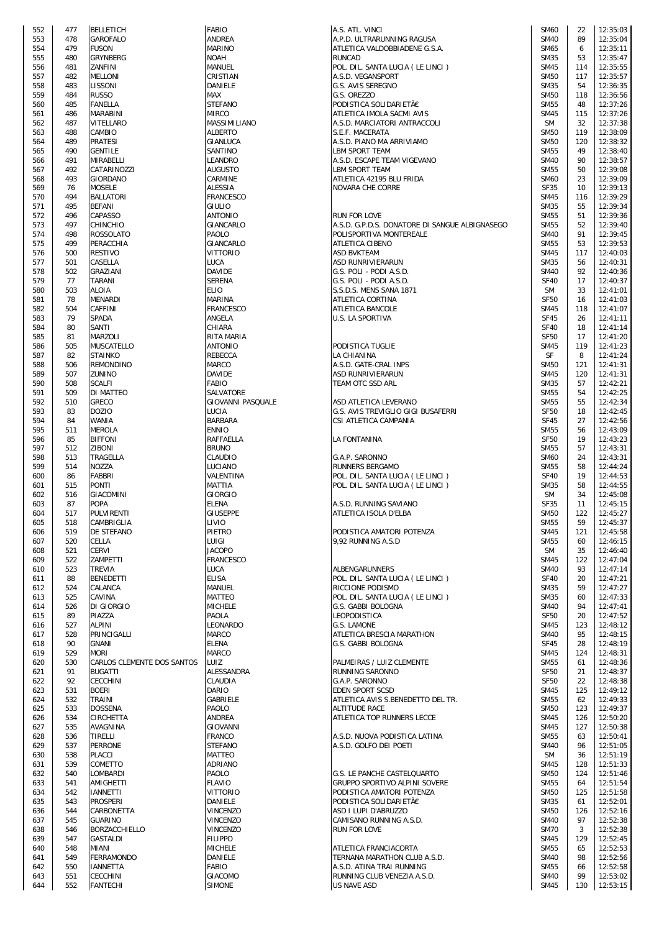| 552        | 477       | BELLETICH                    |
|------------|-----------|------------------------------|
| 553        | 478       | GAROFALO                     |
| 554        | 479       | fuson                        |
| 555        | 480       | GRYNBERG                     |
| 556        | 481       | ZANFINI                      |
| 557        | 482       | MELLONI                      |
| 558        | 483       | LISSONI                      |
| 559        | 484       | <b>RUSSO</b>                 |
| 560        | 485       | <b>FANELLA</b>               |
| 561        | 486       | MARABINI                     |
| 562        | 487       | VITELLARO                    |
| 563        | 488       | CAMBIO                       |
| 564        | 489       | PRATESI                      |
| 565        | 490       | GENTILE                      |
| 566        | 491       | MIRABELLI                    |
| 567        | 492       | CATARINO771                  |
| 568        | 493       | GIORDANO                     |
| 569        | 76        | MOSELE                       |
| 570        | 494       | <b>BALLATORI</b>             |
| 571        | 495       | <b>BEFANI</b>                |
| 572        | 496       | CAPASSO                      |
| 573        | 497       | CHINCHIO                     |
| 574        | 498       | ROSSOLATO                    |
| 575        | 499       | PERACCHIA                    |
|            | 500       | <b>RESTIVO</b>               |
| 576<br>577 | 501       | CASELLA                      |
| 578        | 502       | GRAZIANI                     |
| 579        | 77        |                              |
|            | 503       | TARANI                       |
| 580        | 78        | ALOIA<br><b>MENARDI</b>      |
| 581        | 504       |                              |
| 582        |           | CAFFINI                      |
| 583        | 79        | SPADA                        |
| 584        | 80        | SANTI                        |
| 585        | 81        | MARZOLI                      |
| 586        | 505       | MUSCATELLO                   |
| 587        | 82        | STAINKO                      |
| 588        | 506       | REMONDINO                    |
| 589        | 507       | ZUNINO                       |
| 590        | 508       | SCALFI                       |
| 591        | 509       | DI MATTEO                    |
| 592        | 510       | GRECO                        |
| 593        | 83        | DOZIO                        |
| 594        | 84        | WANIA                        |
| 595        | 511       | MEROLA                       |
| 596        | 85        | <b>BIFFONI</b>               |
| 597        | 512       | ZIBONI                       |
| 598        | 513       | TRAGELLA                     |
| 599        | 514       | NOZZA                        |
| 600        | 86        | FABBRI                       |
| 601        | 515       | <b>PONTI</b>                 |
| 602        | 516       | GIACOMINI                    |
| 603        | 87        | <b>POPA</b>                  |
| 604        | 517       | PULVIRENTI                   |
| 605        | 518       | CAMBRIGLIA                   |
| 606        | 519       | DE STEFANO                   |
| 607        | 520       | CELLA                        |
| 608        | 521       | CERVI                        |
| 609        | 522       | ZAMPETTI                     |
| 610        | 523       | TREVIA                       |
| 611        | 88        | <b>BENEDETTI</b>             |
| 612        | 524       | CALANCA                      |
| 613        | 525       | CAVINA                       |
| 614        | 526       | DI GIORGIO                   |
| 615        | 89        | PIAZZA                       |
| 616        | 527       | <b>ALPINI</b><br>PRINCIGALLI |
| 617        | 528<br>90 | GNANI                        |
| 618<br>619 | 529       | MORI                         |
| 620        | 530       | CARLOS CLEMENTE DOS SA       |
| 621        | 91        | <b>BUGATTI</b>               |
| 622        | 92        | CECCHINI                     |
| 623        | 531       | <b>BOERI</b>                 |
| 624        | 532       | TRAINI                       |
| 625        | 533       | DOSSENA                      |
| 626        | 534       | CIRCHETTA                    |
| 627        | 535       | AVAGNINA                     |
| 628        | 536       | TIRELLI                      |
| 629        | 537       | PERRONE                      |
| 630        | 538       | PLACCI                       |
| 631        | 539       | COMETTO                      |
| 632        | 540       | LOMBARDI                     |
| 633        | 541       | AMIGHETTI                    |
| 634        | 542       | IANNETTI                     |
| 635        | 543       | <b>PROSPERI</b>              |
| 636        | 544       | CARBONETTA                   |
| 637        | 545       | <b>GUARINO</b>               |
| 638        | 546       | BORZACCHIELLO                |
| 639        | 547       | GASTALDI                     |
| 640        | 548       | MIANI                        |
| 641        | 549       | FERRAMONDO                   |
| 642        | 550       | IANNETTA                     |
|            |           |                              |
| 643        | 551       | CECCHINI                     |

| 552 | 477 | <b>BELLETICH</b>           | <b>FABIO</b>             | A.S. ATL. VINCI                                | <b>SM60</b> | 22  | 12:35:03 |
|-----|-----|----------------------------|--------------------------|------------------------------------------------|-------------|-----|----------|
| 553 | 478 | <b>GAROFALO</b>            | <b>ANDREA</b>            | A.P.D. ULTRARUNNING RAGUSA                     | <b>SM40</b> | 89  | 12:35:04 |
|     |     |                            |                          |                                                |             |     |          |
| 554 | 479 | <b>FUSON</b>               | <b>MARINO</b>            | ATLETICA VALDOBBIADENE G.S.A.                  | SM65        | 6   | 12:35:11 |
| 555 | 480 | <b>GRYNBERG</b>            | <b>NOAH</b>              | <b>RUNCAD</b>                                  | <b>SM35</b> | 53  | 12:35:47 |
| 556 | 481 | ZANFINI                    | MANUEL                   | POL. DIL. SANTA LUCIA (LE LINCI)               | <b>SM45</b> | 114 | 12:35:55 |
| 557 | 482 | <b>MELLONI</b>             | CRISTIAN                 | A.S.D. VEGANSPORT                              | <b>SM50</b> | 117 | 12:35:57 |
| 558 | 483 | <b>LISSONI</b>             | <b>DANIELE</b>           | G.S. AVIS SEREGNO                              | <b>SM35</b> | 54  | 12:36:35 |
|     |     |                            |                          |                                                |             |     |          |
| 559 | 484 | <b>RUSSO</b>               | MAX                      | G.S. OREZZO                                    | <b>SM50</b> | 118 | 12:36:56 |
| 560 | 485 | <b>FANELLA</b>             | <b>STEFANO</b>           | PODISTICA SOLIDARIETÃE                         | <b>SM55</b> | 48  | 12:37:26 |
| 561 | 486 | MARABINI                   | <b>MIRCO</b>             | ATLETICA IMOLA SACMI AVIS                      | <b>SM45</b> | 115 | 12:37:26 |
| 562 | 487 | <b>VITELLARO</b>           | MASSIMILIANO             | A.S.D. MARCIATORI ANTRACCOLI                   | <b>SM</b>   | 32  | 12:37:38 |
| 563 | 488 | CAMBIO                     | <b>ALBERTO</b>           | S.E.F. MACERATA                                | <b>SM50</b> | 119 | 12:38:09 |
|     |     |                            |                          |                                                |             |     |          |
| 564 | 489 | <b>PRATESI</b>             | <b>GIANLUCA</b>          | A.S.D. PIANO MA ARRIVIAMO                      | <b>SM50</b> | 120 | 12:38:32 |
| 565 | 490 | <b>GENTILE</b>             | SANTINO                  | <b>LBM SPORT TEAM</b>                          | <b>SM55</b> | 49  | 12:38:40 |
| 566 | 491 | MIRABELLI                  | LEANDRO                  | A.S.D. ESCAPE TEAM VIGEVANO                    | <b>SM40</b> | 90  | 12:38:57 |
| 567 | 492 | CATARINOZZI                | <b>AUGUSTO</b>           | <b>LBM SPORT TEAM</b>                          | <b>SM55</b> | 50  | 12:39:08 |
| 568 | 493 | <b>GIORDANO</b>            | CARMINE                  | ATLETICA 42195 BLU FRIDA                       | <b>SM60</b> | 23  | 12:39:09 |
|     |     |                            |                          |                                                |             |     |          |
| 569 | 76  | <b>MOSELE</b>              | <b>ALESSIA</b>           | NOVARA CHE CORRE                               | <b>SF35</b> | 10  | 12:39:13 |
| 570 | 494 | <b>BALLATORI</b>           | <b>FRANCESCO</b>         |                                                | <b>SM45</b> | 116 | 12:39:29 |
| 571 | 495 | <b>BEFANI</b>              | <b>GIULIO</b>            |                                                | <b>SM35</b> | 55  | 12:39:34 |
| 572 | 496 | <b>CAPASSO</b>             | <b>ANTONIO</b>           | <b>RUN FOR LOVE</b>                            | <b>SM55</b> | 51  | 12:39:36 |
| 573 | 497 | <b>CHINCHIO</b>            | GIANCARLO                | A.S.D. G.P.D.S. DONATORE DI SANGUE ALBIGNASEGO | <b>SM55</b> | 52  | 12:39:40 |
|     |     |                            |                          |                                                |             |     |          |
| 574 | 498 | <b>ROSSOLATO</b>           | PAOLO                    | POLISPORTIVA MONTEREALE                        | <b>SM40</b> | 91  | 12:39:45 |
| 575 | 499 | PERACCHIA                  | GIANCARLO                | <b>ATLETICA CIBENO</b>                         | <b>SM55</b> | 53  | 12:39:53 |
| 576 | 500 | <b>RESTIVO</b>             | <b>VITTORIO</b>          | <b>ASD BVKTEAM</b>                             | <b>SM45</b> | 117 | 12:40:03 |
| 577 | 501 | CASELLA                    | LUCA                     | <b>ASD RUNRIVIERARUN</b>                       | SM35        | 56  | 12:40:31 |
|     |     |                            |                          |                                                |             |     |          |
| 578 | 502 | <b>GRAZIANI</b>            | <b>DAVIDE</b>            | G.S. POLI - PODI A.S.D.                        | <b>SM40</b> | 92  | 12:40:36 |
| 579 | 77  | <b>TARANI</b>              | <b>SERENA</b>            | G.S. POLI - PODI A.S.D.                        | <b>SF40</b> | 17  | 12:40:37 |
| 580 | 503 | <b>ALOIA</b>               | <b>ELIO</b>              | S.S.D.S. MENS SANA 1871                        | <b>SM</b>   | 33  | 12:41:01 |
| 581 | 78  | <b>MENARDI</b>             | <b>MARINA</b>            | <b>ATLETICA CORTINA</b>                        | <b>SF50</b> | 16  | 12:41:03 |
| 582 | 504 | CAFFINI                    | <b>FRANCESCO</b>         | <b>ATLETICA BANCOLE</b>                        | <b>SM45</b> | 118 | 12:41:07 |
|     |     |                            |                          |                                                |             |     |          |
| 583 | 79  | <b>SPADA</b>               | ANGELA                   | U.S. LA SPORTIVA                               | <b>SF45</b> | 26  | 12:41:11 |
| 584 | 80  | SANTI                      | CHIARA                   |                                                | <b>SF40</b> | 18  | 12:41:14 |
| 585 | 81  | <b>MARZOLI</b>             | RITA MARIA               |                                                | <b>SF50</b> | 17  | 12:41:20 |
| 586 | 505 | <b>MUSCATELLO</b>          | <b>ANTONIO</b>           | PODISTICA TUGLIE                               | <b>SM45</b> | 119 | 12:41:23 |
|     |     |                            |                          |                                                |             |     |          |
| 587 | 82  | <b>STAINKO</b>             | <b>REBECCA</b>           | LA CHIANINA                                    | SF          | 8   | 12:41:24 |
| 588 | 506 | <b>REMONDINO</b>           | <b>MARCO</b>             | A.S.D. GATE-CRAL INPS                          | <b>SM50</b> | 121 | 12:41:31 |
| 589 | 507 | ZUNINO                     | <b>DAVIDE</b>            | <b>ASD RUNRIVIERARUN</b>                       | <b>SM45</b> | 120 | 12:41:31 |
| 590 | 508 | <b>SCALFI</b>              | <b>FABIO</b>             | TEAM OTC SSD ARL                               | <b>SM35</b> | 57  | 12:42:21 |
| 591 | 509 | DI MATTEO                  | SALVATORE                |                                                | <b>SM55</b> | 54  | 12:42:25 |
|     |     |                            |                          |                                                |             |     |          |
| 592 | 510 | <b>GRECO</b>               | <b>GIOVANNI PASQUALE</b> | ASD ATLETICA LEVERANO                          | <b>SM55</b> | 55  | 12:42:34 |
| 593 | 83  | <b>DOZIO</b>               | <b>LUCIA</b>             | G.S. AVIS TREVIGLIO GIGI BUSAFERRI             | <b>SF50</b> | 18  | 12:42:45 |
| 594 | 84  | <b>WANIA</b>               | <b>BARBARA</b>           | CSI ATLETICA CAMPANIA                          | <b>SF45</b> | 27  | 12:42:56 |
| 595 | 511 | <b>MEROLA</b>              | <b>ENNIO</b>             |                                                | <b>SM55</b> | 56  | 12:43:09 |
| 596 | 85  | <b>BIFFONI</b>             | <b>RAFFAELLA</b>         | <b>LA FONTANINA</b>                            | <b>SF50</b> | 19  | 12:43:23 |
|     |     |                            |                          |                                                |             |     |          |
| 597 | 512 | <b>ZIBONI</b>              | <b>BRUNO</b>             |                                                | <b>SM55</b> | 57  | 12:43:31 |
| 598 | 513 | TRAGELLA                   | <b>CLAUDIO</b>           | G.A.P. SARONNO                                 | <b>SM60</b> | 24  | 12:43:31 |
| 599 | 514 | <b>NOZZA</b>               | LUCIANO                  | <b>RUNNERS BERGAMO</b>                         | <b>SM55</b> | 58  | 12:44:24 |
| 600 | 86  | <b>FABBRI</b>              | VALENTINA                | POL. DIL. SANTA LUCIA (LE LINCI)               | <b>SF40</b> | 19  | 12:44:53 |
|     |     |                            |                          |                                                |             |     |          |
| 601 | 515 | <b>PONTI</b>               | <b>MATTIA</b>            | POL. DIL. SANTA LUCIA (LE LINCI)               | <b>SM35</b> | 58  | 12:44:55 |
| 602 | 516 | <b>GIACOMINI</b>           | <b>GIORGIO</b>           |                                                | <b>SM</b>   | 34  | 12:45:08 |
| 603 | 87  | <b>POPA</b>                | <b>ELENA</b>             | A.S.D. RUNNING SAVIANO                         | <b>SF35</b> | 11  | 12:45:15 |
| 604 | 517 | <b>PULVIRENTI</b>          | <b>GIUSEPPE</b>          | ATLETICA ISOLA D'ELBA                          | <b>SM50</b> | 122 | 12:45:27 |
| 605 | 518 | CAMBRIGLIA                 | LIVIO                    |                                                | <b>SM55</b> | 59  | 12:45:37 |
|     |     |                            |                          |                                                |             |     |          |
| 606 | 519 | <b>DE STEFANO</b>          | <b>PIETRO</b>            | PODISTICA AMATORI POTENZA                      | <b>SM45</b> | 121 | 12:45:58 |
| 607 | 520 | CELLA                      | LUIGI                    | 9,92 RUNNING A.S.D                             | <b>SM55</b> | 60  | 12:46:15 |
| 608 | 521 | <b>CERVI</b>               | <b>JACOPO</b>            |                                                | <b>SM</b>   | 35  | 12:46:40 |
| 609 | 522 | <b>ZAMPETTI</b>            | <b>FRANCESCO</b>         |                                                | <b>SM45</b> | 122 | 12:47:04 |
|     | 523 | <b>TREVIA</b>              |                          | <b>ALBENGARUNNERS</b>                          | <b>SM40</b> | 93  |          |
| 610 |     |                            | LUCA                     |                                                |             |     | 12:47:14 |
| 611 | 88  | <b>BENEDETTI</b>           | <b>ELISA</b>             | POL. DIL. SANTA LUCIA (LE LINCI)               | <b>SF40</b> | 20  | 12:47:21 |
| 612 | 524 | CALANCA                    | MANUEL                   | RICCIONE PODISMO                               | SM35        | 59  | 12:47:27 |
| 613 | 525 | CAVINA                     | <b>MATTEO</b>            | POL. DIL. SANTA LUCIA (LE LINCI)               | <b>SM35</b> | 60  | 12:47:33 |
| 614 | 526 | DI GIORGIO                 | <b>MICHELE</b>           | G.S. GABBI BOLOGNA                             | <b>SM40</b> | 94  | 12:47:41 |
|     |     |                            |                          |                                                |             |     |          |
| 615 | 89  | PIAZZA                     | PAOLA                    | LEOPODISTICA                                   | <b>SF50</b> | 20  | 12:47:52 |
| 616 | 527 | <b>ALPINI</b>              | <b>LEONARDO</b>          | G.S. LAMONE                                    | <b>SM45</b> | 123 | 12:48:12 |
| 617 | 528 | PRINCIGALLI                | <b>MARCO</b>             | ATLETICA BRESCIA MARATHON                      | <b>SM40</b> | 95  | 12:48:15 |
| 618 | 90  | <b>GNANI</b>               | <b>ELENA</b>             | G.S. GABBI BOLOGNA                             | <b>SF45</b> | 28  | 12:48:19 |
| 619 | 529 | <b>MORI</b>                | <b>MARCO</b>             |                                                | <b>SM45</b> | 124 | 12:48:31 |
|     | 530 | CARLOS CLEMENTE DOS SANTOS |                          |                                                | <b>SM55</b> |     |          |
| 620 |     |                            | LUIZ                     | PALMEIRAS / LUIZ CLEMENTE                      |             | 61  | 12:48:36 |
| 621 | 91  | <b>BUGATTI</b>             | ALESSANDRA               | <b>RUNNING SARONNO</b>                         | <b>SF50</b> | 21  | 12:48:37 |
| 622 | 92  | <b>CECCHINI</b>            | CLAUDIA                  | G.A.P. SARONNO                                 | <b>SF50</b> | 22  | 12:48:38 |
| 623 | 531 | <b>BOERI</b>               | <b>DARIO</b>             | <b>EDEN SPORT SCSD</b>                         | <b>SM45</b> | 125 | 12:49:12 |
| 624 | 532 | TRAINI                     | GABRIELE                 | ATLETICA AVIS S.BENEDETTO DEL TR.              | <b>SM55</b> | 62  | 12:49:33 |
|     |     |                            |                          |                                                |             |     |          |
| 625 | 533 | <b>DOSSENA</b>             | PAOLO                    | <b>ALTITUDE RACE</b>                           | <b>SM50</b> | 123 | 12:49:37 |
| 626 | 534 | <b>CIRCHETTA</b>           | ANDREA                   | ATLETICA TOP RUNNERS LECCE                     | <b>SM45</b> | 126 | 12:50:20 |
| 627 | 535 | AVAGNINA                   | <b>GIOVANNI</b>          |                                                | <b>SM45</b> | 127 | 12:50:38 |
| 628 | 536 | <b>TIRELLI</b>             | <b>FRANCO</b>            | A.S.D. NUOVA PODISTICA LATINA                  | <b>SM55</b> | 63  | 12:50:41 |
|     | 537 | <b>PERRONE</b>             | <b>STEFANO</b>           |                                                | <b>SM40</b> | 96  |          |
| 629 |     |                            |                          | A.S.D. GOLFO DEI POETI                         |             |     | 12:51:05 |
| 630 | 538 | <b>PLACCI</b>              | <b>MATTEO</b>            |                                                | <b>SM</b>   | 36  | 12:51:19 |
| 631 | 539 | COMETTO                    | ADRIANO                  |                                                | <b>SM45</b> | 128 | 12:51:33 |
| 632 | 540 | <b>LOMBARDI</b>            | PAOLO                    | G.S. LE PANCHE CASTELQUARTO                    | <b>SM50</b> | 124 | 12:51:46 |
| 633 | 541 | <b>AMIGHETTI</b>           | <b>FLAVIO</b>            | GRUPPO SPORTIVO ALPINI SOVERE                  | <b>SM55</b> | 64  | 12:51:54 |
|     |     |                            |                          |                                                |             |     |          |
| 634 | 542 | <b>IANNETTI</b>            | <b>VITTORIO</b>          | PODISTICA AMATORI POTENZA                      | <b>SM50</b> | 125 | 12:51:58 |
| 635 | 543 | <b>PROSPERI</b>            | DANIELE                  | PODISTICA SOLIDARIETÃE                         | <b>SM35</b> | 61  | 12:52:01 |
| 636 | 544 | CARBONETTA                 | <b>VINCENZO</b>          | ASD I LUPI D'ABRUZZO                           | <b>SM50</b> | 126 | 12:52:16 |
| 637 | 545 | <b>GUARINO</b>             | <b>VINCENZO</b>          | CAMISANO RUNNING A.S.D.                        | <b>SM40</b> | 97  | 12:52:38 |
|     |     | BORZACCHIELLO              | <b>VINCENZO</b>          | RUN FOR LOVE                                   | <b>SM70</b> | 3   | 12:52:38 |
| 638 | 546 |                            |                          |                                                |             |     |          |
| 639 | 547 | <b>GASTALDI</b>            | <b>FILIPPO</b>           |                                                | <b>SM45</b> | 129 | 12:52:45 |
| 640 | 548 | MIANI                      | <b>MICHELE</b>           | ATLETICA FRANCIACORTA                          | <b>SM55</b> | 65  | 12:52:53 |
| 641 | 549 | <b>FERRAMONDO</b>          | DANIELE                  | TERNANA MARATHON CLUB A.S.D.                   | <b>SM40</b> | 98  | 12:52:56 |
| 642 | 550 | <b>IANNETTA</b>            | <b>FABIO</b>             | A.S.D. ATINA TRAI RUNNING                      | <b>SM55</b> | 66  | 12:52:58 |
|     |     |                            |                          |                                                |             |     |          |
| 643 | 551 | <b>CECCHINI</b>            | <b>GIACOMO</b>           | RUNNING CLUB VENEZIA A.S.D.                    | <b>SM40</b> | 99  | 12:53:02 |
| 644 | 552 | <b>FANTECHI</b>            | <b>SIMONE</b>            | <b>US NAVE ASD</b>                             | <b>SM45</b> | 130 | 12:53:15 |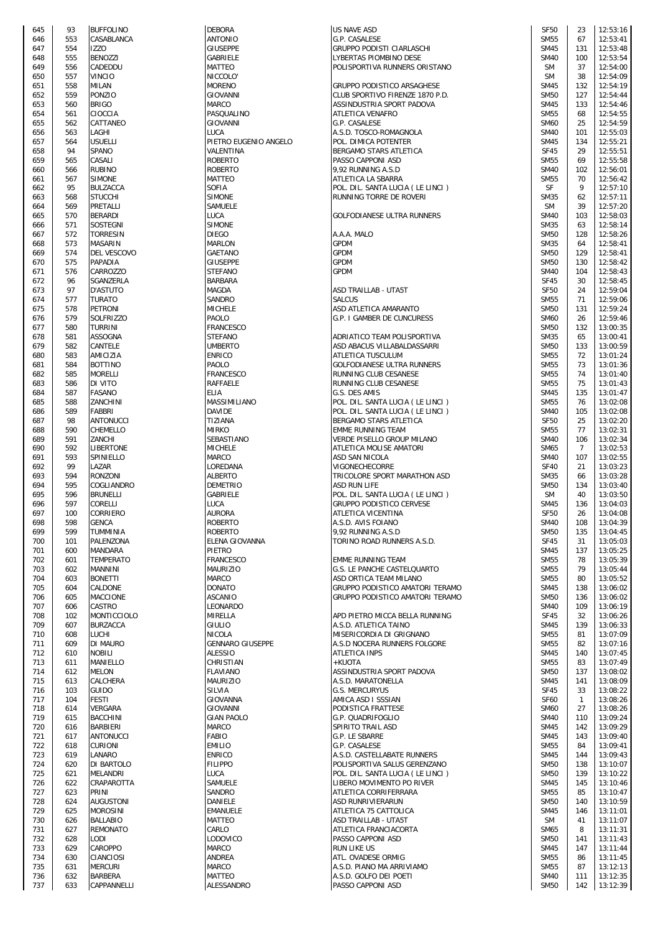| 645 | 93  | <b>BUFFOLINO</b> |
|-----|-----|------------------|
| 646 | 553 | CASABLANCA       |
| 647 | 554 | <b>IZZO</b>      |
| 648 | 555 | <b>BENOZZI</b>   |
| 649 | 556 | CADEDDU          |
| 650 | 557 | VINCIO           |
| 651 | 558 | MILAN            |
|     |     |                  |
| 652 | 559 | PONZIO           |
| 653 | 560 | <b>BRIGO</b>     |
| 654 | 561 | CIOCCIA          |
| 655 | 562 | CATTANEO         |
| 656 | 563 | LAGHI            |
| 657 | 564 | usuelli          |
| 658 | 94  | SPANO            |
| 659 | 565 | CASALI           |
|     |     |                  |
| 660 | 566 | RUBINO           |
| 661 | 567 | SIMONE           |
| 662 | 95  | <b>BULZACCA</b>  |
| 663 | 568 | STUCCHI          |
| 664 | 569 | PRETALLI         |
| 665 | 570 | <b>BERARDI</b>   |
| 666 | 571 | SOSTEGNI         |
| 667 | 572 | TORRESIN         |
| 668 | 573 | <b>MASARIN</b>   |
| 669 | 574 | DEL VESCOVO      |
|     |     |                  |
| 670 | 575 | PAPADIA          |
| 671 | 576 | CARROZZO         |
| 672 | 96  | SGANZERLA        |
| 673 | 97  | D'ASTUTO         |
| 674 | 577 | TURATO           |
| 675 | 578 | PETRONI          |
| 676 | 579 | SOLFRIZZO        |
| 677 | 580 | TURRINI          |
| 678 | 581 | ASSOGNA          |
| 679 | 582 | CANTELE          |
| 680 | 583 | AMICIZIA         |
| 681 | 584 | <b>BOTTINO</b>   |
|     |     | <b>MORELLI</b>   |
| 682 | 585 |                  |
| 683 | 586 | DI VITO          |
| 684 | 587 | FASANO           |
| 685 | 588 | ZANCHINI         |
| 686 | 589 | FABBRI           |
| 687 | 98  | ANTONUCCI        |
| 688 | 590 | CHEMELLO         |
| 689 | 591 | ZANCHI           |
| 690 | 592 | LIBERTONE        |
| 691 | 593 | SPINIELLO        |
| 692 | 99  | LAZAR            |
| 693 | 594 | <b>RONZONI</b>   |
| 694 | 595 | COGLIANDRO       |
| 695 | 596 | <b>BRUNELLI</b>  |
| 696 | 597 | CORELLI          |
| 697 | 100 | CORRIERO         |
| 698 | 598 | <b>GENCA</b>     |
|     | 599 |                  |
| 699 | 101 | TUMMINIA         |
| 700 |     | PALENZONA        |
| 701 | 600 | MANDARA          |
| 702 | 601 | TEMPERATO        |
| 703 | 602 | MANNINI          |
| 704 | 603 | <b>BONETTI</b>   |
| 705 | 604 | CALDONE          |
| 706 | 605 | MACCIONE         |
| 707 | 606 | CASTRO           |
| 708 | 102 | MONTICCIOLO      |
| 709 | 607 | <b>BURZACCA</b>  |
| 710 | 608 | LUCHI            |
| 711 | 609 | DI MAURO         |
| 712 | 610 | NOBILI           |
| 713 | 611 | MANIELLO         |
| 714 | 612 | MELON            |
| 715 | 613 | CALCHERA         |
| 716 | 103 | <b>GUIDO</b>     |
| 717 | 104 | FESTI            |
| 718 | 614 | VERGARA          |
|     |     |                  |
| 719 | 615 | BACCHINI         |
| 720 | 616 | BARBIERI         |
| 721 | 617 | ANTONUCCI        |
| 722 | 618 | <b>CURIONI</b>   |
| 723 | 619 | LANARO           |
| 724 | 620 | DI BARTOLO       |
| 725 | 621 | MELANDRI         |
| 726 | 622 | CRAPAROTTA       |
| 727 | 623 | PRINI            |
| 728 | 624 | <b>AUGUSTONI</b> |
| 729 | 625 | MOROSINI         |
| 730 | 626 | BALLABIO         |
| 731 | 627 | <b>REMONATO</b>  |
| 732 | 628 | LODI             |
| 733 | 629 | CAROPPO          |
| 734 | 630 | CIANCIOSI        |
| 735 | 631 | MERCURI          |
|     |     |                  |
| 736 | 632 | BARBERA          |
| 737 | 633 | CAPPANNELLI      |

| 645 | 93  | <b>BUFFOLINO</b> | <b>DEBORA</b>           | <b>US NAVE ASD</b>                 | <b>SF50</b> | 23             | 12:53:16 |
|-----|-----|------------------|-------------------------|------------------------------------|-------------|----------------|----------|
|     | 553 |                  |                         |                                    | <b>SM55</b> | 67             |          |
| 646 |     | CASABLANCA       | ANTONIO                 | G.P. CASALESE                      |             |                | 12:53:41 |
| 647 | 554 | <b>IZZO</b>      | <b>GIUSEPPE</b>         | GRUPPO PODISTI CIARLASCHI          | <b>SM45</b> | 131            | 12:53:48 |
| 648 | 555 | <b>BENOZZI</b>   | GABRIELE                | LYBERTAS PIOMBINO DESE             | <b>SM40</b> | 100            | 12:53:54 |
| 649 | 556 | CADEDDU          | MATTEO                  | POLISPORTIVA RUNNERS ORISTANO      | <b>SM</b>   | 37             | 12:54:00 |
| 650 | 557 | <b>VINCIO</b>    | NICCOLO'                |                                    | <b>SM</b>   | 38             | 12:54:09 |
|     |     |                  |                         |                                    |             |                |          |
| 651 | 558 | <b>MILAN</b>     | <b>MORENO</b>           | GRUPPO PODISTICO ARSAGHESE         | <b>SM45</b> | 132            | 12:54:19 |
| 652 | 559 | <b>PONZIO</b>    | <b>GIOVANNI</b>         | CLUB SPORTIVO FIRENZE 1870 P.D.    | <b>SM50</b> | 127            | 12:54:44 |
| 653 | 560 | <b>BRIGO</b>     | MARCO                   | ASSINDUSTRIA SPORT PADOVA          | <b>SM45</b> | 133            | 12:54:46 |
| 654 | 561 | CIOCCIA          | PASQUALINO              | ATLETICA VENAFRO                   | <b>SM55</b> | 68             | 12:54:55 |
|     |     |                  |                         |                                    |             |                |          |
| 655 | 562 | CATTANEO         | GIOVANNI                | G.P. CASALESE                      | <b>SM60</b> | 25             | 12:54:59 |
| 656 | 563 | LAGHI            | <b>LUCA</b>             | A.S.D. TOSCO-ROMAGNOLA             | <b>SM40</b> | 101            | 12:55:03 |
| 657 | 564 | <b>USUELLI</b>   | PIETRO EUGENIO ANGELO   | POL. DIMICA POTENTER               | <b>SM45</b> | 134            | 12:55:21 |
| 658 | 94  | SPANO            | VALENTINA               | BERGAMO STARS ATLETICA             | <b>SF45</b> | 29             | 12:55:51 |
|     |     |                  |                         |                                    |             |                |          |
| 659 | 565 | CASALI           | <b>ROBERTO</b>          | PASSO CAPPONI ASD                  | <b>SM55</b> | 69             | 12:55:58 |
| 660 | 566 | <b>RUBINO</b>    | <b>ROBERTO</b>          | 9,92 RUNNING A.S.D                 | <b>SM40</b> | 102            | 12:56:01 |
| 661 | 567 | <b>SIMONE</b>    | MATTEO                  | ATLETICA LA SBARRA                 | <b>SM55</b> | 70             | 12:56:42 |
|     | 95  |                  | <b>SOFIA</b>            |                                    | SF          | 9              | 12:57:10 |
| 662 |     | <b>BULZACCA</b>  |                         | POL. DIL. SANTA LUCIA ( LE LINCI ) |             |                |          |
| 663 | 568 | <b>STUCCHI</b>   | <b>SIMONE</b>           | RUNNING TORRE DE ROVERI            | <b>SM35</b> | 62             | 12:57:11 |
| 664 | 569 | PRETALLI         | SAMUELE                 |                                    | <b>SM</b>   | 39             | 12:57:20 |
| 665 | 570 | <b>BERARDI</b>   | LUCA                    | GOLFODIANESE ULTRA RUNNERS         | <b>SM40</b> | 103            | 12:58:03 |
| 666 | 571 | SOSTEGNI         | <b>SIMONE</b>           |                                    | <b>SM35</b> | 63             | 12:58:14 |
|     |     |                  |                         |                                    |             |                |          |
| 667 | 572 | <b>TORRESIN</b>  | <b>DIEGO</b>            | A.A.A. MALO                        | <b>SM50</b> | 128            | 12:58:26 |
| 668 | 573 | <b>MASARIN</b>   | MARLON                  | <b>GPDM</b>                        | <b>SM35</b> | 64             | 12:58:41 |
| 669 | 574 | DEL VESCOVO      | <b>GAETANO</b>          | <b>GPDM</b>                        | <b>SM50</b> | 129            | 12:58:41 |
|     | 575 |                  |                         | <b>GPDM</b>                        | <b>SM50</b> |                | 12:58:42 |
| 670 |     | PAPADIA          | <b>GIUSEPPE</b>         |                                    |             | 130            |          |
| 671 | 576 | CARROZZO         | <b>STEFANO</b>          | <b>GPDM</b>                        | <b>SM40</b> | 104            | 12:58:43 |
| 672 | 96  | SGANZERLA        | BARBARA                 |                                    | <b>SF45</b> | 30             | 12:58:45 |
| 673 | 97  | <b>D'ASTUTO</b>  | <b>MAGDA</b>            | ASD TRAILLAB - UTA5T               | <b>SF50</b> | 24             | 12:59:04 |
|     |     |                  | <b>SANDRO</b>           |                                    |             |                |          |
| 674 | 577 | <b>TURATO</b>    |                         | <b>SALCUS</b>                      | <b>SM55</b> | 71             | 12:59:06 |
| 675 | 578 | <b>PETRONI</b>   | <b>MICHELE</b>          | ASD ATLETICA AMARANTO              | <b>SM50</b> | 131            | 12:59:24 |
| 676 | 579 | <b>SOLFRIZZO</b> | PAOLO                   | G.P. I GAMBER DE CUNCURESS         | <b>SM60</b> | 26             | 12:59:46 |
| 677 | 580 | <b>TURRINI</b>   | <b>FRANCESCO</b>        |                                    | <b>SM50</b> | 132            | 13:00:35 |
|     |     |                  |                         |                                    |             |                |          |
| 678 | 581 | <b>ASSOGNA</b>   | <b>STEFANO</b>          | ADRIATICO TEAM POLISPORTIVA        | <b>SM35</b> | 65             | 13:00:41 |
| 679 | 582 | CANTELE          | <b>UMBERTO</b>          | ASD ABACUS VILLABALDASSARRI        | <b>SM50</b> | 133            | 13:00:59 |
| 680 | 583 | AMICIZIA         | <b>ENRICO</b>           | ATLETICA TUSCULUM                  | <b>SM55</b> | 72             | 13:01:24 |
| 681 | 584 | <b>BOTTINO</b>   | PAOLO                   | <b>GOLFODIANESE ULTRA RUNNERS</b>  | <b>SM55</b> | 73             | 13:01:36 |
|     |     |                  |                         |                                    |             |                |          |
| 682 | 585 | <b>MORELLI</b>   | FRANCESCO               | RUNNING CLUB CESANESE              | <b>SM55</b> | 74             | 13:01:40 |
| 683 | 586 | <b>DI VITO</b>   | RAFFAELE                | RUNNING CLUB CESANESE              | <b>SM55</b> | 75             | 13:01:43 |
| 684 | 587 | <b>FASANO</b>    | ELIA                    | G.S. DES AMIS                      | <b>SM45</b> | 135            | 13:01:47 |
| 685 | 588 | ZANCHINI         | MASSIMILIANO            | POL. DIL. SANTA LUCIA (LE LINCI)   | <b>SM55</b> | 76             | 13:02:08 |
|     |     |                  |                         |                                    |             |                |          |
| 686 | 589 | <b>FABBRI</b>    | DAVIDE                  | POL. DIL. SANTA LUCIA (LE LINCI)   | <b>SM40</b> | 105            | 13:02:08 |
| 687 | 98  | <b>ANTONUCCI</b> | TIZIANA                 | BERGAMO STARS ATLETICA             | <b>SF50</b> | 25             | 13:02:20 |
| 688 | 590 | CHEMELLO         | <b>MIRKO</b>            | <b>EMME RUNNING TEAM</b>           | <b>SM55</b> | 77             | 13:02:31 |
| 689 | 591 | ZANCHI           | SEBASTIANO              | VERDE PISELLO GROUP MILANO         | <b>SM40</b> | 106            | 13:02:34 |
|     |     |                  |                         |                                    |             |                |          |
| 690 | 592 | <b>LIBERTONE</b> | <b>MICHELE</b>          | ATLETICA MOLISE AMATORI            | SM65        | $\overline{7}$ | 13:02:53 |
| 691 | 593 | SPINIELLO        | MARCO                   | ASD SAN NICOLA                     | <b>SM40</b> | 107            | 13:02:55 |
| 692 | 99  | LAZAR            | LOREDANA                | VIGONECHECORRE                     | <b>SF40</b> | 21             | 13:03:23 |
| 693 | 594 | <b>RONZONI</b>   | ALBERTO                 | TRICOLORE SPORT MARATHON ASD       | <b>SM35</b> | 66             | 13:03:28 |
|     |     |                  |                         |                                    |             |                |          |
| 694 | 595 | COGLIANDRO       | <b>DEMETRIO</b>         | <b>ASD RUN LIFE</b>                | <b>SM50</b> | 134            | 13:03:40 |
| 695 | 596 | <b>BRUNELLI</b>  | <b>GABRIELE</b>         | POL. DIL. SANTA LUCIA (LE LINCI)   | <b>SM</b>   | 40             | 13:03:50 |
| 696 | 597 | CORELLI          | LUCA                    | GRUPPO PODISTICO CERVESE           | <b>SM45</b> | 136            | 13:04:03 |
| 697 | 100 | <b>CORRIERO</b>  | <b>AURORA</b>           | ATLETICA VICENTINA                 | <b>SF50</b> | 26             | 13:04:08 |
| 698 | 598 |                  |                         | A.S.D. AVIS FOIANO                 | <b>SM40</b> | 108            |          |
|     |     | <b>GENCA</b>     | <b>ROBERTO</b>          |                                    |             |                | 13:04:39 |
| 699 | 599 | <b>TUMMINIA</b>  | <b>ROBERTO</b>          | 9.92 RUNNING A.S.D                 | <b>SM50</b> | 135            | 13:04:45 |
| 700 | 101 | PALENZONA        | ELENA GIOVANNA          | TORINO ROAD RUNNERS A.S.D.         | SF45        | 31             | 13:05:03 |
| 701 | 600 | <b>MANDARA</b>   | PIETRO                  |                                    | <b>SM45</b> | 137            | 13:05:25 |
|     |     | <b>TEMPERATO</b> | <b>FRANCESCO</b>        |                                    |             |                | 13:05:39 |
| 702 | 601 |                  |                         | <b>EMME RUNNING TEAM</b>           | <b>SM55</b> | 78             |          |
| 703 | 602 | <b>MANNINI</b>   | <b>MAURIZIO</b>         | G.S. LE PANCHE CASTELQUARTO        | <b>SM55</b> | 79             | 13:05:44 |
| 704 | 603 | <b>BONETTI</b>   | <b>MARCO</b>            | ASD ORTICA TEAM MILANO             | <b>SM55</b> | 80             | 13:05:52 |
| 705 | 604 | CALDONE          | <b>DONATO</b>           | GRUPPO PODISTICO AMATORI TERAMO    | <b>SM45</b> | 138            | 13:06:02 |
|     | 605 | <b>MACCIONE</b>  | <b>ASCANIO</b>          | GRUPPO PODISTICO AMATORI TERAMO    | <b>SM50</b> | 136            | 13:06:02 |
| 706 |     |                  |                         |                                    |             |                |          |
| 707 | 606 | <b>CASTRO</b>    | LEONARDO                |                                    | <b>SM40</b> | 109            | 13:06:19 |
| 708 | 102 | MONTICCIOLO      | MIRELLA                 | APD PIETRO MICCA BELLA RUNNING     | <b>SF45</b> | 32             | 13:06:26 |
| 709 | 607 | <b>BURZACCA</b>  | GIULIO                  | A.S.D. ATLETICA TAINO              | <b>SM45</b> | 139            | 13:06:33 |
| 710 | 608 | LUCHI            | <b>NICOLA</b>           | MISERICORDIA DI GRIGNANO           | <b>SM55</b> | 81             | 13:07:09 |
|     |     | <b>DI MAURO</b>  |                         |                                    |             | 82             | 13:07:16 |
| 711 | 609 |                  | <b>GENNARO GIUSEPPE</b> | A.S.D NOCERA RUNNERS FOLGORE       | <b>SM55</b> |                |          |
| 712 | 610 | <b>NOBILI</b>    | <b>ALESSIO</b>          | <b>ATLETICA INPS</b>               | <b>SM45</b> | 140            | 13:07:45 |
| 713 | 611 | MANIELLO         | CHRISTIAN               | +KUOTA                             | <b>SM55</b> | 83             | 13:07:49 |
| 714 | 612 | <b>MELON</b>     | <b>FLAVIANO</b>         | ASSINDUSTRIA SPORT PADOVA          | <b>SM50</b> | 137            | 13:08:02 |
| 715 | 613 | CALCHERA         | <b>MAURIZIO</b>         | A.S.D. MARATONELLA                 | <b>SM45</b> | 141            | 13:08:09 |
|     |     |                  |                         |                                    |             |                |          |
| 716 | 103 | <b>GUIDO</b>     | <b>SILVIA</b>           | <b>G.S. MERCURYUS</b>              | <b>SF45</b> | 33             | 13:08:22 |
| 717 | 104 | <b>FESTI</b>     | <b>GIOVANNA</b>         | AMICA ASD I SSSIAN                 | <b>SF60</b> | $\mathbf{1}$   | 13:08:26 |
| 718 | 614 | <b>VERGARA</b>   | GIOVANNI                | PODISTICA FRATTESE                 | <b>SM60</b> | 27             | 13:08:26 |
| 719 | 615 | <b>BACCHINI</b>  | <b>GIAN PAOLO</b>       | G.P. QUADRIFOGLIO                  | <b>SM40</b> | 110            | 13:09:24 |
|     |     |                  |                         |                                    |             |                |          |
| 720 | 616 | <b>BARBIERI</b>  | MARCO                   | SPIRITO TRAIL ASD                  | <b>SM45</b> | 142            | 13:09:29 |
| 721 | 617 | <b>ANTONUCCI</b> | FABIO                   | G.P. LE SBARRE                     | <b>SM45</b> | 143            | 13:09:40 |
| 722 | 618 | <b>CURIONI</b>   | <b>EMILIO</b>           | G.P. CASALESE                      | <b>SM55</b> | 84             | 13:09:41 |
| 723 | 619 | LANARO           | <b>ENRICO</b>           | A.S.D. CASTELLABATE RUNNERS        | <b>SM45</b> | 144            | 13:09:43 |
|     |     |                  |                         |                                    |             |                |          |
| 724 | 620 | DI BARTOLO       | <b>FILIPPO</b>          | POLISPORTIVA SALUS GERENZANO       | <b>SM50</b> | 138            | 13:10:07 |
| 725 | 621 | <b>MELANDRI</b>  | LUCA                    | POL. DIL. SANTA LUCIA (LE LINCI)   | <b>SM50</b> | 139            | 13:10:22 |
| 726 | 622 | CRAPAROTTA       | SAMUELE                 | LIBERO MOVIMENTO PO RIVER          | <b>SM45</b> | 145            | 13:10:46 |
| 727 | 623 | PRINI            | SANDRO                  | ATLETICA CORRIFERRARA              | <b>SM55</b> | 85             | 13:10:47 |
|     |     |                  |                         |                                    |             |                |          |
| 728 | 624 | <b>AUGUSTONI</b> | DANIELE                 | <b>ASD RUNRIVIERARUN</b>           | <b>SM50</b> | 140            | 13:10:59 |
| 729 | 625 | <b>MOROSINI</b>  | <b>EMANUELE</b>         | ATLETICA 75 CATTOLICA              | <b>SM45</b> | 146            | 13:11:01 |
| 730 | 626 | <b>BALLABIO</b>  | MATTEO                  | ASD TRAILLAB - UTA5T               | <b>SM</b>   | 41             | 13:11:07 |
| 731 | 627 | <b>REMONATO</b>  | CARLO                   | ATLETICA FRANCIACORTA              | <b>SM65</b> | 8              | 13:11:31 |
|     |     |                  |                         |                                    |             |                |          |
| 732 | 628 | LODI             | LODOVICO                | PASSO CAPPONI ASD                  | <b>SM50</b> | 141            | 13:11:43 |
| 733 | 629 | <b>CAROPPO</b>   | MARCO                   | <b>RUN LIKE US</b>                 | <b>SM45</b> | 147            | 13:11:44 |
| 734 | 630 | <b>CIANCIOSI</b> | ANDREA                  | ATL. OVADESE ORMIG                 | <b>SM55</b> | 86             | 13:11:45 |
| 735 | 631 | <b>MERCURI</b>   | MARCO                   | A.S.D. PIANO MA ARRIVIAMO          | <b>SM55</b> | 87             | 13:12:13 |
|     |     |                  |                         | A.S.D. GOLFO DEI POETI             |             |                |          |
| 736 | 632 | <b>BARBERA</b>   | MATTEO                  |                                    | <b>SM40</b> | 111            | 13:12:35 |
| 737 | 633 | CAPPANNELLI      | ALESSANDRO              | PASSO CAPPONI ASD                  | <b>SM50</b> | 142            | 13:12:39 |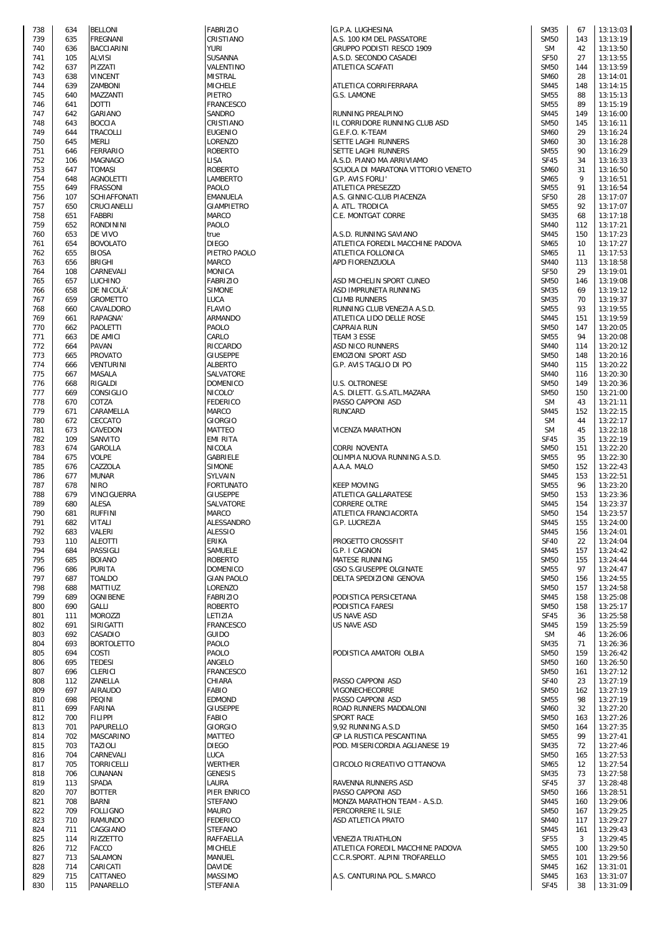| 738 | 634 | <b>BELLONI</b>                 |
|-----|-----|--------------------------------|
| 739 | 635 | FREGNANI                       |
| 740 | 636 | BACCIARINI                     |
| 741 | 105 | ALVISI                         |
| 742 | 637 | PIZZATI                        |
|     |     |                                |
| 743 | 638 | VINCENT                        |
| 744 | 639 | ZAMBONI                        |
| 745 | 640 | MAZZANTI                       |
| 746 | 641 | DOTTI                          |
| 747 | 642 | GARIANO                        |
| 748 | 643 | <b>BOCCIA</b>                  |
| 749 | 644 | TRACOLLI                       |
| 750 | 645 | MERLI                          |
| 751 | 646 | FERRARIO                       |
| 752 | 106 | MAGNAGO                        |
| 753 | 647 | <b>TOMASI</b>                  |
| 754 | 648 | <b>AGNOLETTI</b>               |
| 755 | 649 | FRASSONI                       |
| 756 | 107 | SCHIAFFONATI                   |
| 757 | 650 | CRUCIANELLI                    |
| 758 | 651 | FABBRI                         |
| 759 | 652 | RONDININI                      |
| 760 | 653 | DE VIVO                        |
| 761 | 654 | <b>BOVOLATO</b>                |
| 762 | 655 | <b>BIOSA</b>                   |
| 763 | 656 | BRIGHI                         |
| 764 | 108 | CARNEVALI                      |
|     |     | LUCHINO                        |
| 765 | 657 |                                |
| 766 | 658 | DE NICOLĂ'                     |
| 767 | 659 | GROMETTO                       |
| 768 | 660 | CAVALDORO                      |
| 769 | 661 | RAPAGNA'                       |
| 770 | 662 | PAOLETTI                       |
| 771 | 663 | DE AMICI                       |
| 772 | 664 | PAVAN                          |
| 773 | 665 | PROVATO                        |
| 774 | 666 | VENTURINI                      |
| 775 | 667 | MASALA                         |
| 776 | 668 | RIGALDI                        |
| 777 | 669 | CONSIGLIO                      |
| 778 | 670 | COTZA                          |
| 779 | 671 | CARAMELLA                      |
| 780 | 672 | CECCATO                        |
| 781 | 673 | CAVEDON                        |
| 782 | 109 | SANVITO                        |
| 783 | 674 | GAROLLA                        |
| 784 | 675 | VOLPE                          |
| 785 | 676 | CAZZOLA                        |
| 786 | 677 | MUNAR                          |
| 787 | 678 | <b>NIRO</b>                    |
| 788 | 679 | VINCIGUERRA                    |
| 789 | 680 | ALESA                          |
| 790 | 681 | <b>RUFFINI</b>                 |
| 791 |     | VIIALI                         |
| 792 | 682 | VALERI                         |
| 793 | 683 |                                |
|     | 110 | <b>ALEOTTI</b>                 |
| 794 | 684 | PASSIGLI                       |
| 795 | 685 | <b>BOIANO</b><br><b>PURITA</b> |
| 796 | 686 |                                |
| 797 | 687 | <b>TOALDO</b>                  |
| 798 | 688 | MATTIUZ                        |
| 799 | 689 | OGNIBENE                       |
| 800 | 690 | GALLI                          |
| 801 | 111 | MOROZZI                        |
| 802 | 691 | SIRIGATTI                      |
| 803 | 692 | CASADIO                        |
| 804 | 693 | <b>BORTOLETTO</b>              |
| 805 | 694 | COSTI                          |
| 806 | 695 | TEDESI                         |
| 807 | 696 | CLERICI                        |
| 808 | 112 | ZANELLA                        |
| 809 | 697 | AIRAUDO                        |
| 810 | 698 | PEQINI                         |
| 811 | 699 | FARINA                         |
| 812 | 700 | FILIPPI                        |
| 813 | 701 | PAPURELLO                      |
| 814 | 702 | MASCARINO                      |
| 815 | 703 | TAZIOLI                        |
| 816 | 704 | CARNEVALI                      |
| 817 | 705 | TORRICELLI                     |
| 818 | 706 | CUNANAN                        |
| 819 | 113 | SPADA                          |
| 820 | 707 | <b>BOTTER</b>                  |
| 821 | 708 | BARNI                          |
| 822 | 709 | FOLLIGNO                       |
| 823 | 710 | RAMUNDO                        |
| 824 | 711 | CAGGIANO                       |
| 825 | 114 | RIZZETTO                       |
| 826 | 712 | FACCO                          |
| 827 | 713 | SALAMON                        |
| 828 | 714 | CARICATI                       |
| 829 | 715 | CATTANEO                       |
|     |     | <b>PANAPELIO</b>               |

| <b>FABRIZIO</b>                                                                            |  |
|--------------------------------------------------------------------------------------------|--|
| CRISTIANO                                                                                  |  |
| <b>YURI</b>                                                                                |  |
| SUSANNA                                                                                    |  |
| VALENTINO                                                                                  |  |
| MISTRAL                                                                                    |  |
| MICHELE                                                                                    |  |
| PIETRO                                                                                     |  |
| FRANCESCO                                                                                  |  |
| Sandro                                                                                     |  |
| CRISTIANO                                                                                  |  |
| EUGENIO                                                                                    |  |
| LORENZO                                                                                    |  |
| ROBERTO                                                                                    |  |
| <b>LISA</b>                                                                                |  |
| ROBERTO                                                                                    |  |
| LAMBERTO                                                                                   |  |
| PAOLO                                                                                      |  |
| EMANUELA                                                                                   |  |
| GIAMPIETRO                                                                                 |  |
| <b>MARCO</b>                                                                               |  |
| PAOLO                                                                                      |  |
| true                                                                                       |  |
| DIEGO                                                                                      |  |
| PIETRO PAOLO                                                                               |  |
| MARCO                                                                                      |  |
| MONICA                                                                                     |  |
| FABRIZIO                                                                                   |  |
| <b>SIMONE</b>                                                                              |  |
| LUCA                                                                                       |  |
| FLAVIO                                                                                     |  |
| ARMANDO                                                                                    |  |
| PAOLO                                                                                      |  |
|                                                                                            |  |
| CARLO<br>RICCARDO                                                                          |  |
| GIUSEPPE                                                                                   |  |
| ALBERTO                                                                                    |  |
| SALVATORE                                                                                  |  |
|                                                                                            |  |
| DOMENICO                                                                                   |  |
| NICOLO'                                                                                    |  |
| FEDERICO                                                                                   |  |
| MARCO                                                                                      |  |
| GIORGIO                                                                                    |  |
| MATTEO                                                                                     |  |
| EMI RITA<br>NICOLA                                                                         |  |
|                                                                                            |  |
|                                                                                            |  |
| GABRIELE                                                                                   |  |
| SIMONE                                                                                     |  |
| SYLVAIN                                                                                    |  |
| FORTUNATO                                                                                  |  |
| GIUSEPPE                                                                                   |  |
| SALVATORE                                                                                  |  |
|                                                                                            |  |
| MARCO<br>ALESSANDRO                                                                        |  |
| <b>ALESSIO</b>                                                                             |  |
| ERIKA                                                                                      |  |
| SAMUELE                                                                                    |  |
| ROBERTO                                                                                    |  |
| DOMENICO                                                                                   |  |
| <b>GIAN PAOLO</b>                                                                          |  |
| LORENZO                                                                                    |  |
|                                                                                            |  |
|                                                                                            |  |
|                                                                                            |  |
|                                                                                            |  |
| FABRIZIO<br>ROBERTO<br>LETIZIA<br>FRANCESCO<br>GUIDO<br>PAOLO                              |  |
|                                                                                            |  |
|                                                                                            |  |
| PAOLO<br>ANGELO                                                                            |  |
| FRANCESCO                                                                                  |  |
| CHIARA                                                                                     |  |
| FABIO<br>EDMOND                                                                            |  |
|                                                                                            |  |
| GIUSEPPE<br>FABIO                                                                          |  |
| GIORGIO                                                                                    |  |
| MATTEO                                                                                     |  |
| DIEGO                                                                                      |  |
| LUCA                                                                                       |  |
| WERTHER                                                                                    |  |
| GENESIS                                                                                    |  |
| LAURA                                                                                      |  |
| PIER ENRICO                                                                                |  |
| STEFANO                                                                                    |  |
|                                                                                            |  |
|                                                                                            |  |
|                                                                                            |  |
|                                                                                            |  |
|                                                                                            |  |
|                                                                                            |  |
| MAURO<br>FEDERICO<br>STEFANO<br>RAFFAELLA<br><b>MICHELE</b><br>MANUEL<br>DAVIDE<br>MASSIMO |  |

| 738 | 634 | <b>BELLONI</b>     | <b>FABRIZIO</b>   | G.P.A. LUGHESINA                   | <b>SM35</b>      | 67  | 13:13:03 |
|-----|-----|--------------------|-------------------|------------------------------------|------------------|-----|----------|
| 739 | 635 | <b>FREGNANI</b>    | CRISTIANO         | A.S. 100 KM DEL PASSATORE          | <b>SM50</b>      | 143 | 13:13:19 |
|     |     |                    |                   |                                    |                  |     |          |
| 740 | 636 | <b>BACCIARINI</b>  | <b>YURI</b>       | GRUPPO PODISTI RESCO 1909          | <b>SM</b>        | 42  | 13:13:50 |
| 741 | 105 | <b>ALVISI</b>      | SUSANNA           | A.S.D. SECONDO CASADEI             | <b>SF50</b>      | 27  | 13:13:55 |
| 742 | 637 | PIZZATI            | VALENTINO         | ATLETICA SCAFATI                   | <b>SM50</b>      | 144 | 13:13:59 |
| 743 | 638 | <b>VINCENT</b>     | <b>MISTRAL</b>    |                                    | <b>SM60</b>      | 28  | 13:14:01 |
| 744 | 639 | <b>ZAMBONI</b>     | <b>MICHELE</b>    | ATLETICA CORRIFERRARA              | <b>SM45</b>      | 148 | 13:14:15 |
| 745 | 640 | MAZZANTI           | PIETRO            | G.S. LAMONE                        | <b>SM55</b>      | 88  | 13:15:13 |
|     |     |                    |                   |                                    |                  |     |          |
| 746 | 641 | <b>DOTTI</b>       | <b>FRANCESCO</b>  |                                    | <b>SM55</b>      | 89  | 13:15:19 |
| 747 | 642 | <b>GARIANO</b>     | SANDRO            | RUNNING PREALPINO                  | <b>SM45</b>      | 149 | 13:16:00 |
| 748 | 643 | <b>BOCCIA</b>      | CRISTIANO         | IL CORRIDORE RUNNING CLUB ASD      | <b>SM50</b>      | 145 | 13:16:11 |
| 749 | 644 | TRACOLLI           | EUGENIO           | G.E.F.O. K-TEAM                    | <b>SM60</b>      | 29  | 13:16:24 |
|     |     |                    |                   |                                    |                  |     |          |
| 750 | 645 | MERLI              | LORENZO           | SETTE LAGHI RUNNERS                | <b>SM60</b>      | 30  | 13:16:28 |
| 751 | 646 | <b>FERRARIO</b>    | ROBERTO           | SETTE LAGHI RUNNERS                | <b>SM55</b>      | 90  | 13:16:29 |
| 752 | 106 | <b>MAGNAGO</b>     | LISA              | A.S.D. PIANO MA ARRIVIAMO          | <b>SF45</b>      | 34  | 13:16:33 |
| 753 | 647 | <b>TOMASI</b>      | ROBERTO           | SCUOLA DI MARATONA VITTORIO VENETO | <b>SM60</b>      | 31  | 13:16:50 |
| 754 | 648 | <b>AGNOLETTI</b>   | <b>LAMBERTO</b>   | G.P. AVIS FORLI'                   | <b>SM65</b>      | 9   | 13:16:51 |
|     |     |                    |                   |                                    |                  |     |          |
| 755 | 649 | <b>FRASSONI</b>    | PAOLO             | ATLETICA PRESEZZO                  | <b>SM55</b>      | 91  | 13:16:54 |
| 756 | 107 | SCHIAFFONATI       | <b>EMANUELA</b>   | A.S. GINNIC-CLUB PIACENZA          | <b>SF50</b>      | 28  | 13:17:07 |
| 757 | 650 | CRUCIANELLI        | <b>GIAMPIETRO</b> | A. ATL. TRODICA                    | <b>SM55</b>      | 92  | 13:17:07 |
| 758 | 651 | <b>FABBRI</b>      | MARCO             | C.E. MONTGAT CORRE                 | <b>SM35</b>      | 68  | 13:17:18 |
|     |     |                    |                   |                                    |                  |     |          |
| 759 | 652 | RONDININI          | PAOLO             |                                    | <b>SM40</b>      | 112 | 13:17:21 |
| 760 | 653 | DE VIVO            | true              | A.S.D. RUNNING SAVIANO             | <b>SM45</b>      | 150 | 13:17:23 |
| 761 | 654 | <b>BOVOLATO</b>    | <b>DIEGO</b>      | ATLETICA FOREDIL MACCHINE PADOVA   | <b>SM65</b>      | 10  | 13:17:27 |
| 762 | 655 | <b>BIOSA</b>       | PIETRO PAOLO      | ATLETICA FOLLONICA                 | <b>SM65</b>      | 11  | 13:17:53 |
| 763 | 656 | BRIGHI             | <b>MARCO</b>      | APD FIORENZUOLA                    | <b>SM40</b>      | 113 | 13:18:58 |
|     |     |                    |                   |                                    |                  |     |          |
| 764 | 108 | CARNEVALI          | MONICA            |                                    | <b>SF50</b>      | 29  | 13:19:01 |
| 765 | 657 | <b>LUCHINO</b>     | <b>FABRIZIO</b>   | ASD MICHELIN SPORT CUNEO           | <b>SM50</b>      | 146 | 13:19:08 |
| 766 | 658 | DE NICOLÃ'         | <b>SIMONE</b>     | ASD IMPRUNETA RUNNING              | <b>SM35</b>      | 69  | 13:19:12 |
| 767 | 659 | <b>GROMETTO</b>    | LUCA              | <b>CLIMB RUNNERS</b>               | <b>SM35</b>      | 70  | 13:19:37 |
|     |     |                    |                   |                                    |                  |     |          |
| 768 | 660 | CAVALDORO          | <b>FLAVIO</b>     | RUNNING CLUB VENEZIA A.S.D.        | <b>SM55</b>      | 93  | 13:19:55 |
| 769 | 661 | RAPAGNA'           | ARMANDO           | ATLETICA LIDO DELLE ROSE           | <b>SM45</b>      | 151 | 13:19:59 |
| 770 | 662 | <b>PAOLETTI</b>    | PAOLO             | CAPRAIA RUN                        | <b>SM50</b>      | 147 | 13:20:05 |
| 771 | 663 | <b>DE AMICI</b>    | CARLO             | TEAM 3 ESSE                        | <b>SM55</b>      | 94  | 13:20:08 |
|     |     |                    |                   |                                    |                  |     |          |
| 772 | 664 | PAVAN              | RICCARDO          | <b>ASD NICO RUNNERS</b>            | <b>SM40</b>      | 114 | 13:20:12 |
| 773 | 665 | <b>PROVATO</b>     | <b>GIUSEPPE</b>   | <b>EMOZIONI SPORT ASD</b>          | <b>SM50</b>      | 148 | 13:20:16 |
| 774 | 666 | <b>VENTURINI</b>   | ALBERTO           | G.P. AVIS TAGLIO DI PO             | <b>SM40</b>      | 115 | 13:20:22 |
| 775 | 667 | MASALA             | SALVATORE         |                                    | <b>SM40</b>      | 116 | 13:20:30 |
| 776 | 668 | RIGALDI            | <b>DOMENICO</b>   | <b>U.S. OLTRONESE</b>              | <b>SM50</b>      | 149 | 13:20:36 |
|     |     |                    |                   |                                    |                  |     |          |
| 777 | 669 | CONSIGLIO          | NICOLO'           | A.S. DILETT. G.S.ATL.MAZARA        | <b>SM50</b>      | 150 | 13:21:00 |
| 778 | 670 | COTZA              | FEDERICO          | PASSO CAPPONI ASD                  | <b>SM</b>        | 43  | 13:21:11 |
| 779 | 671 | CARAMELLA          | MARCO             | <b>RUNCARD</b>                     | <b>SM45</b>      | 152 | 13:22:15 |
| 780 | 672 | CECCATO            | GIORGIO           |                                    | <b>SM</b>        | 44  | 13:22:17 |
| 781 | 673 | CAVEDON            | MATTEO            | <b>VICENZA MARATHON</b>            | <b>SM</b>        | 45  | 13:22:18 |
|     |     |                    |                   |                                    |                  |     |          |
| 782 | 109 | SANVITO            | EMI RITA          |                                    | <b>SF45</b>      | 35  | 13:22:19 |
| 783 | 674 | <b>GAROLLA</b>     | NICOLA            | <b>CORRI NOVENTA</b>               | <b>SM50</b>      | 151 | 13:22:20 |
| 784 | 675 | <b>VOLPE</b>       | GABRIELE          | OLIMPIA NUOVA RUNNING A.S.D.       | <b>SM55</b>      | 95  | 13:22:30 |
| 785 | 676 | CAZZOLA            | <b>SIMONE</b>     | A.A.A. MALO                        | <b>SM50</b>      | 152 | 13:22:43 |
|     |     |                    |                   |                                    |                  |     |          |
| 786 | 677 | <b>MUNAR</b>       | SYLVAIN           |                                    | <b>SM45</b>      | 153 | 13:22:51 |
| 787 | 678 | <b>NIRO</b>        | <b>FORTUNATO</b>  | <b>KEEP MOVING</b>                 | <b>SM55</b>      | 96  | 13:23:20 |
| 788 | 679 | <b>VINCIGUERRA</b> | GIUSEPPE          | ATLETICA GALLARATESE               | <b>SM50</b>      | 153 | 13:23:36 |
| 789 | 680 | ALESA              | SALVATORE         | CORRERE OLTRE                      | <b>SM45</b>      | 154 | 13:23:37 |
|     |     |                    |                   |                                    |                  |     |          |
| 790 | 681 | <b>RUFFINI</b>     | MARCO             | ATLETICA FRANCIACORTA              | <b>SM50</b>      | 154 | 13:23:57 |
| 791 | 682 | VITALI             | ALESSANDRO        | G.P. LUCREZIA                      | <b>SM45</b>      | 155 | 13:24:00 |
| 792 | 683 | VALERI             | ALESSIO           |                                    | <b>SM45</b>      | 156 | 13:24:01 |
| 793 | 110 | <b>ALEOTTI</b>     | ERIKA             | PROGETTO CROSSFIT                  | <b>SF40</b>      | 22  | 13:24:04 |
| 794 | 684 | PASSIGLI           | <b>SAMUELE</b>    | G.P. I CAGNON                      | <b>SM45</b>      | 157 | 13:24:42 |
|     |     |                    |                   |                                    |                  |     |          |
| 795 | 685 | <b>BOIANO</b>      | ROBERTO           | <b>MATESE RUNNING</b>              | <b>SM50</b>      | 155 | 13:24:44 |
| 796 | 686 | <b>PURITA</b>      | <b>DOMENICO</b>   | GSO S.GIUSEPPE OLGINATE            | <b>SM55</b>      | 97  | 13:24:47 |
| 797 | 687 | <b>TOALDO</b>      | <b>GIAN PAOLO</b> | DELTA SPEDIZIONI GENOVA            | <b>SM50</b>      | 156 | 13:24:55 |
| 798 | 688 | <b>MATTIUZ</b>     | LORENZO           |                                    | <b>SM50</b>      | 157 | 13:24:58 |
|     |     |                    |                   |                                    |                  |     |          |
| 799 | 689 | <b>OGNIBENE</b>    | <b>FABRIZIO</b>   | PODISTICA PERSICETANA              | <b>SM45</b>      | 158 | 13:25:08 |
| 800 | 690 | GALLI              | ROBERTO           | PODISTICA FARESI                   | <b>SM50</b>      | 158 | 13:25:17 |
| 801 | 111 | <b>MOROZZI</b>     | LETIZIA           | <b>US NAVE ASD</b>                 | <b>SF45</b>      | 36  | 13:25:58 |
| 802 | 691 | SIRIGATTI          | FRANCESCO         | US NAVE ASD                        | <b>SM45</b>      | 159 | 13:25:59 |
| 803 | 692 | CASADIO            | <b>GUIDO</b>      |                                    | <b>SM</b>        | 46  | 13:26:06 |
|     |     |                    |                   |                                    |                  |     |          |
| 804 | 693 | <b>BORTOLETTO</b>  | PAOLO             |                                    | <b>SM35</b>      | 71  | 13:26:36 |
| 805 | 694 | COSTI              | PAOLO             | PODISTICA AMATORI OLBIA            | <b>SM50</b>      | 159 | 13:26:42 |
| 806 | 695 | <b>TEDESI</b>      | ANGELO            |                                    | <b>SM50</b>      | 160 | 13:26:50 |
| 807 | 696 | <b>CLERICI</b>     | FRANCESCO         |                                    | <b>SM50</b>      | 161 | 13:27:12 |
| 808 | 112 | ZANELLA            | CHIARA            | PASSO CAPPONI ASD                  | <b>SF40</b>      | 23  | 13:27:19 |
|     |     |                    |                   |                                    |                  |     |          |
| 809 | 697 | <b>AIRAUDO</b>     | FABIO             | VIGONECHECORRE                     | <b>SM50</b>      | 162 | 13:27:19 |
| 810 | 698 | <b>PEQINI</b>      | EDMOND            | PASSO CAPPONI ASD                  | <b>SM55</b>      | 98  | 13:27:19 |
| 811 | 699 | <b>FARINA</b>      | <b>GIUSEPPE</b>   | ROAD RUNNERS MADDALONI             | <b>SM60</b>      | 32  | 13:27:20 |
| 812 | 700 | <b>FILIPPI</b>     | FABIO             | <b>SPORT RACE</b>                  | <b>SM50</b>      | 163 | 13:27:26 |
|     |     |                    |                   |                                    |                  | 164 |          |
| 813 | 701 | <b>PAPURELLO</b>   | GIORGIO           | 9,92 RUNNING A.S.D                 | <b>SM50</b>      |     | 13:27:35 |
| 814 | 702 | MASCARINO          | MATTEO            | GP LA RUSTICA PESCANTINA           | <b>SM55</b>      | 99  | 13:27:41 |
| 815 | 703 | <b>TAZIOLI</b>     | <b>DIEGO</b>      | POD. MISERICORDIA AGLIANESE 19     | <b>SM35</b>      | 72  | 13:27:46 |
| 816 | 704 | CARNEVALI          | LUCA              |                                    | <b>SM50</b>      | 165 | 13:27:53 |
| 817 | 705 | <b>TORRICELLI</b>  | WERTHER           | CIRCOLO RICREATIVO CITTANOVA       | <b>SM65</b>      | 12  | 13:27:54 |
|     |     |                    |                   |                                    |                  |     |          |
| 818 | 706 | CUNANAN            | GENESIS           |                                    | <b>SM35</b>      | 73  | 13:27:58 |
| 819 | 113 | <b>SPADA</b>       | LAURA             | RAVENNA RUNNERS ASD                | <b>SF45</b>      | 37  | 13:28:48 |
| 820 | 707 | <b>BOTTER</b>      | PIER ENRICO       | PASSO CAPPONI ASD                  | <b>SM50</b>      | 166 | 13:28:51 |
| 821 | 708 | <b>BARNI</b>       | <b>STEFANO</b>    | MONZA MARATHON TEAM - A.S.D.       | <b>SM45</b>      | 160 | 13:29:06 |
|     | 709 | <b>FOLLIGNO</b>    |                   |                                    | <b>SM50</b>      | 167 | 13:29:25 |
| 822 |     |                    | MAURO             | PERCORRERE IL SILE                 |                  |     |          |
| 823 | 710 | <b>RAMUNDO</b>     | FEDERICO          | ASD ATLETICA PRATO                 | <b>SM40</b>      | 117 | 13:29:27 |
| 824 | 711 | CAGGIANO           | <b>STEFANO</b>    |                                    | <b>SM45</b>      | 161 | 13:29:43 |
| 825 | 114 | <b>RIZZETTO</b>    | RAFFAELLA         | VENEZIA TRIATHLON                  | SF <sub>55</sub> | 3   | 13:29:45 |
| 826 | 712 | <b>FACCO</b>       | <b>MICHELE</b>    | ATLETICA FOREDIL MACCHINE PADOVA   | <b>SM55</b>      | 100 | 13:29:50 |
|     |     |                    |                   |                                    |                  |     |          |
| 827 | 713 | SALAMON            | MANUEL            | C.C.R.SPORT. ALPINI TROFARELLO     | <b>SM55</b>      | 101 | 13:29:56 |
| 828 | 714 | CARICATI           | DAVIDE            |                                    | <b>SM45</b>      | 162 | 13:31:01 |
| 829 | 715 | CATTANEO           | MASSIMO           | A.S. CANTURINA POL. S.MARCO        | <b>SM45</b>      | 163 | 13:31:07 |
| 830 | 115 | PANARELLO          | STEFANIA          |                                    | SF45             | 38  | 13:31:09 |
|     |     |                    |                   |                                    |                  |     |          |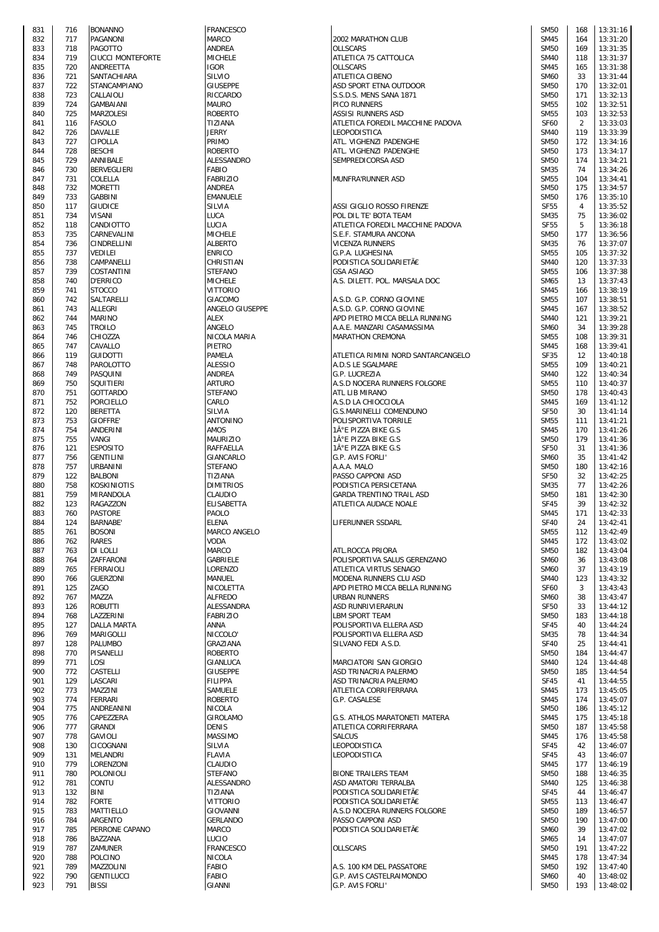| 831        | 716        | <b>BONANNO</b>                      |
|------------|------------|-------------------------------------|
| 832<br>833 | 717<br>718 | PAGANONI<br>PAGOTTO                 |
| 834        | 719        | <b>CIUCCI MONTEFOR</b>              |
| 835        | 720        | ANDREETTA                           |
| 836<br>837 | 721<br>722 | SANTACHIARA<br>STANCAMPIANO         |
| 838        | 723        | CALLAIOLI                           |
| 839        | 724        | GAMBAIANI                           |
| 840<br>841 | 725<br>116 | MARZOLESI<br>FASOLO                 |
| 842        | 726        | DAVALLE                             |
| 843        | 727        | CIPOLLA                             |
| 844<br>845 | 728<br>729 | <b>BESCHI</b><br>ANNIBALE           |
| 846        | 730        | BERVEGLIERI                         |
| 847        | 731        | COLELLA                             |
| 848<br>849 | 732<br>733 | MORETTI<br>GABBINI                  |
| 850        | 117        | GIUDICE                             |
| 851        | 734        | VISANI                              |
| 852<br>853 | 118<br>735 | CANDIOTTO<br>CARNEVALINI            |
| 854        | 736        | CINDRELLINI                         |
| 855        | 737        | VEDILEI                             |
| 856<br>857 | 738<br>739 | CAMPANELLI<br>COSTANTINI            |
| 858        | 740        | <b>D'ERRICO</b>                     |
| 859        | 741        | STOCCO                              |
| 860<br>861 | 742<br>743 | SALTARELLI<br>ALLEGRI               |
| 862        | 744        | MARINO                              |
| 863        | 745        | <b>TROILO</b>                       |
| 864<br>865 | 746<br>747 | CHIOZZA<br>CAVALLO                  |
| 866        | 119        | GUIDOTTI                            |
| 867        | 748        | PAROLOTTO                           |
| 868<br>869 | 749<br>750 | PASQUINI<br>SQUITIERI               |
| 870        | 751        | <b>GOTTARDO</b>                     |
| 871        | 752        | PORCIELLO                           |
| 872<br>873 | 120<br>753 | <b>BERETTA</b><br>GIOFFRE'          |
| 874        | 754        | ANDERINI                            |
| 875        | 755        | VANGI                               |
| 876<br>877 | 121<br>756 | <b>ESPOSITO</b><br><b>GENTILINI</b> |
| 878        | 757        | URBANINI                            |
| 879        | 122        | BALBONI                             |
| 880<br>881 | 758<br>759 | KOSKINIOTIS<br>MIRANDOLA            |
| 882        | 123        | RAGAZZON                            |
| 883<br>884 | 760<br>124 | <b>PASTORE</b><br><b>BARNABE</b>    |
| 885        | 761        | <b>BOSONI</b>                       |
| 886        | 762        | RARES                               |
| 887<br>888 | 763<br>764 | DI LOLLI<br>ZAFFARONI               |
| 889        | 765        | FERRAIOLI                           |
| 890        | 766        | <b>GUERZONI</b>                     |
| 891<br>892 | 125<br>767 | ZAGO<br>MAZZA                       |
| 893        | 126        | ROBUTTI                             |
| 894        | 768        | LAZZERINI                           |
| 895<br>896 | 127<br>769 | <b>DALLA MARTA</b><br>MARIGOLLI     |
| 897        | 128        | PALUMBO                             |
| 898        | 770        | PISANELLI                           |
| 899<br>900 | 771<br>772 | LOSI<br>CASTELLI                    |
| 901        | 129        | LASCARI                             |
| 902        | 773        | MAZZINI                             |
| 903<br>904 | 774<br>775 | FERRARI<br>ANDREANINI               |
| 905        | 776        | CAPEZZERA                           |
| 906<br>907 | 777<br>778 | <b>GRANDI</b><br><b>GAVIOLI</b>     |
| 908        | 130        | CICOGNANI                           |
| 909        | 131        | MELANDRI                            |
| 910<br>911 | 779<br>780 | LORENZONI<br>POLONIOLI              |
| 912        | 781        | CONTU                               |
| 913        | 132        | BINI                                |
| 914<br>915 | 782<br>783 | <b>FORTE</b><br>MATTIELLO           |
| 916        | 784        | ARGENTO                             |
| 917        | 785        | PERRONE CAPANO                      |
| 918<br>919 | 786<br>787 | BAZZANA<br>ZAMUNER                  |
| 920        | 788        | POLCINO                             |
| 921        | 789        | MAZZOLINI                           |
| 922<br>923 | 790<br>791 | GENTILUCCI<br>BISSI                 |
|            |            |                                     |

| 831<br>832<br>833<br>834 | 716        |                                   |                  |                                                     |
|--------------------------|------------|-----------------------------------|------------------|-----------------------------------------------------|
|                          |            | <b>BONANNO</b>                    | <b>FRANCESCO</b> |                                                     |
|                          | 717        | <b>PAGANONI</b>                   | MARCO            | 2002 MARATHON CLUB                                  |
|                          |            |                                   |                  |                                                     |
|                          | 718        | <b>PAGOTTO</b>                    | ANDREA           | <b>OLLSCARS</b>                                     |
|                          | 719        | <b>CIUCCI MONTEFORTE</b>          | <b>MICHELE</b>   | ATLETICA 75 CATTOLICA                               |
|                          |            |                                   |                  |                                                     |
| 835                      | 720        | ANDREETTA                         | <b>IGOR</b>      | <b>OLLSCARS</b>                                     |
| 836                      | 721        | SANTACHIARA                       | SILVIO           | <b>ATLETICA CIBENO</b>                              |
|                          |            |                                   |                  |                                                     |
| 837                      | 722        | STANCAMPIANO                      | <b>GIUSEPPE</b>  | ASD SPORT ETNA OUTDOOR                              |
| 838                      | 723        | CALLAIOLI                         | RICCARDO         | S.S.D.S. MENS SANA 1871                             |
|                          |            |                                   |                  |                                                     |
| 839                      | 724        | <b>GAMBAIANI</b>                  | <b>MAURO</b>     | PICO RUNNERS                                        |
| 840                      | 725        | <b>MARZOLESI</b>                  | <b>ROBERTO</b>   | ASSISI RUNNERS ASD                                  |
|                          |            |                                   |                  |                                                     |
| 841                      | 116        | <b>FASOLO</b>                     | TIZIANA          | ATLETICA FOREDIL MACCHINE PADOVA                    |
|                          | 726        | <b>DAVALLE</b>                    | <b>JERRY</b>     | <b>LEOPODISTICA</b>                                 |
| 842                      |            |                                   |                  |                                                     |
| 843                      | 727        | CIPOLLA                           | PRIMO            | ATL. VIGHENZI PADENGHE                              |
|                          |            |                                   |                  |                                                     |
| 844                      | 728        | <b>BESCHI</b>                     | <b>ROBERTO</b>   | ATL. VIGHENZI PADENGHE                              |
| 845                      | 729        | ANNIBALE                          | ALESSANDRO       | SEMPREDICORSA ASD                                   |
|                          |            |                                   |                  |                                                     |
| 846                      | 730        | BERVEGLIERI                       | FABIO            |                                                     |
| 847                      | 731        | COLELLA                           | <b>FABRIZIO</b>  | MUNFRA'RUNNER ASD                                   |
|                          |            |                                   |                  |                                                     |
| 848                      | 732        | <b>MORETTI</b>                    | ANDREA           |                                                     |
| 849                      | 733        | <b>GABBINI</b>                    | <b>EMANUELE</b>  |                                                     |
|                          |            |                                   |                  |                                                     |
| 850                      | 117        | <b>GIUDICE</b>                    | SILVIA           | ASSI GIGLIO ROSSO FIRENZE                           |
| 851                      | 734        | <b>VISANI</b>                     | LUCA             | POL DIL TE' BOTA TEAM                               |
|                          |            |                                   |                  |                                                     |
| 852                      | 118        | CANDIOTTO                         | LUCIA            | ATLETICA FOREDIL MACCHINE PADOVA                    |
| 853                      | 735        | CARNEVALINI                       | <b>MICHELE</b>   | S.E.F. STAMURA ANCONA                               |
|                          |            |                                   |                  |                                                     |
| 854                      | 736        | CINDRELLINI                       | ALBERTO          | <b>VICENZA RUNNERS</b>                              |
| 855                      | 737        | <b>VEDILEI</b>                    | <b>ENRICO</b>    | G.P.A. LUGHESINA                                    |
|                          |            |                                   |                  |                                                     |
| 856                      | 738        | CAMPANELLI                        | CHRISTIAN        | PODISTICA SOLIDARIETÀ                               |
| 857                      | 739        | <b>COSTANTINI</b>                 | <b>STEFANO</b>   | <b>GSA ASIAGO</b>                                   |
|                          |            |                                   |                  |                                                     |
| 858                      | 740        | <b>D'ERRICO</b>                   | <b>MICHELE</b>   | A.S. DILETT. POL. MARSALA DOC                       |
|                          | 741        | <b>STOCCO</b>                     | <b>VITTORIO</b>  |                                                     |
| 859                      |            |                                   |                  |                                                     |
| 860                      | 742        | SALTARELLI                        | GIACOMO          | A.S.D. G.P. CORNO GIOVINE                           |
|                          |            | <b>ALLEGRI</b>                    |                  |                                                     |
| 861                      | 743        |                                   | ANGELO GIUSEPPE  | A.S.D. G.P. CORNO GIOVINE                           |
| 862                      | 744        | <b>MARINO</b>                     | ALEX             | APD PIETRO MICCA BELLA RUNNING                      |
|                          |            |                                   |                  |                                                     |
| 863                      | 745        | <b>TROILO</b>                     | ANGELO           | A.A.E. MANZARI CASAMASSIMA                          |
| 864                      | 746        | CHIOZZA                           | NICOLA MARIA     | <b>MARATHON CREMONA</b>                             |
|                          |            |                                   |                  |                                                     |
| 865                      | 747        | CAVALLO                           | PIETRO           |                                                     |
| 866                      | 119        | <b>GUIDOTTI</b>                   | PAMELA           | ATLETICA RIMINI NORD SANTARCANGELO                  |
|                          |            |                                   |                  |                                                     |
| 867                      | 748        | PAROLOTTO                         | <b>ALESSIO</b>   | A.D.S LE SGALMARE                                   |
| 868                      | 749        | PASQUINI                          | ANDREA           | G.P. LUCREZIA                                       |
|                          |            |                                   |                  |                                                     |
| 869                      | 750        | <b>SQUITIERI</b>                  | <b>ARTURO</b>    | A.S.D NOCERA RUNNERS FOLGORE                        |
| 870                      | 751        | <b>GOTTARDO</b>                   | <b>STEFANO</b>   | ATL LIB MIRANO                                      |
|                          |            |                                   |                  |                                                     |
| 871                      | 752        | <b>PORCIELLO</b>                  | CARLO            | A.S.D LA CHIOCCIOLA                                 |
| 872                      | 120        | <b>BERETTA</b>                    | SILVIA           | G.S.MARINELLI COMENDUNO                             |
|                          |            |                                   |                  |                                                     |
| 873                      | 753        | <b>GIOFFRE</b>                    | ANTONINO         | POLISPORTIVA TORRILE                                |
| 874                      | 754        | <b>ANDERINI</b>                   | <b>AMOS</b>      | 1°E PIZZA BIKE G.S                                  |
|                          |            |                                   |                  |                                                     |
| 875                      | 755        | VANGI                             | MAURIZIO         | 1°E PIZZA BIKE G.S                                  |
| 876                      | 121        | <b>ESPOSITO</b>                   | RAFFAELLA        | 1ŰE PIZZA BIKE G.S                                  |
|                          |            |                                   |                  |                                                     |
| 877                      | 756        | <b>GENTILINI</b>                  | GIANCARLO        | G.P. AVIS FORLI'                                    |
| 878                      | 757        | <b>URBANINI</b>                   | <b>STEFANO</b>   | A.A.A. MALO                                         |
|                          |            |                                   |                  |                                                     |
|                          |            | <b>BALBONI</b>                    | TIZIANA          | PASSO CAPPONI ASD                                   |
| 879                      | 122        |                                   |                  |                                                     |
|                          |            |                                   |                  |                                                     |
| 880                      | 758        | <b>KOSKINIOTIS</b>                | <b>DIMITRIOS</b> | PODISTICA PERSICETANA                               |
|                          | 759        |                                   | CLAUDIO          | GARDA TRENTINO TRAIL ASD                            |
| 881                      |            | MIRANDOLA                         |                  |                                                     |
| 882                      | 123        | <b>RAGAZZON</b>                   | ELISABETTA       | ATLETICA AUDACE NOALE                               |
|                          |            |                                   | PAOLO            |                                                     |
| 883                      | 760        | <b>PASTORE</b>                    |                  |                                                     |
| 884                      | 124        | <b>BARNABE</b>                    | ELENA            | LIFERUNNER SSDARL                                   |
|                          |            |                                   |                  |                                                     |
| 885                      | 761        | <b>BOSONI</b>                     | MARCO ANGELO     |                                                     |
| 886                      | 762        | <b>RARES</b>                      | VODA             |                                                     |
|                          |            |                                   |                  |                                                     |
| 887                      | 763        | DI LOLLI                          | MARCO            | ATL.ROCCA PRIORA                                    |
| 888                      | 764        | ZAFFARONI                         | GABRIELE         | POLISPORTIVA SALUS GERENZANO                        |
|                          |            |                                   |                  |                                                     |
| 889                      | 765        | <b>FERRAIOLI</b>                  | LORENZO          | ATLETICA VIRTUS SENAGO                              |
| 890                      | 766        | <b>GUERZONI</b>                   | MANUEL           | MODENA RUNNERS CLU ASD                              |
|                          |            |                                   |                  |                                                     |
| 891                      | 125        | ZAGO                              | NICOLETTA        | APD PIETRO MICCA BELLA RUNNING                      |
| 892                      | 767        | MAZZA                             | <b>ALFREDO</b>   | <b>URBAN RUNNERS</b>                                |
|                          |            |                                   |                  |                                                     |
| 893                      | 126        | ROBUTTI                           | ALESSANDRA       | <b>ASD RUNRIVIERARUN</b>                            |
| 894                      | 768        | LAZZERINI                         | <b>FABRIZIO</b>  | <b>LBM SPORT TEAM</b>                               |
|                          |            |                                   |                  |                                                     |
| 895                      | 127        | <b>DALLA MARTA</b>                | ANNA             | POLISPORTIVA ELLERA ASD                             |
| 896                      | 769        | MARIGOLLI                         | NICCOLO'         | POLISPORTIVA ELLERA ASD                             |
|                          | 128        |                                   | <b>GRAZIANA</b>  | SILVANO FEDI A.S.D.                                 |
| 897                      |            | PALUMBO                           |                  |                                                     |
| 898                      | 770        | PISANELLI                         | ROBERTO          |                                                     |
|                          |            |                                   |                  |                                                     |
| 899                      | 771        | LOSI                              | GIANLUCA         | MARCIATORI SAN GIORGIO                              |
| 900                      | 772        | CASTELLI                          | <b>GIUSEPPE</b>  | ASD TRINACRIA PALERMO                               |
|                          |            |                                   |                  |                                                     |
| 901                      | 129        | LASCARI                           | <b>FILIPPA</b>   | ASD TRINACRIA PALERMO                               |
| 902                      | 773        | MAZZINI                           | SAMUELE          | ATLETICA CORRIFERRARA                               |
|                          |            |                                   |                  |                                                     |
| 903                      | 774        | <b>FERRARI</b>                    | <b>ROBERTO</b>   | G.P. CASALESE                                       |
| 904                      | 775        | ANDREANINI                        | NICOLA           |                                                     |
|                          |            |                                   |                  |                                                     |
| 905                      | 776        | CAPEZZERA                         | GIROLAMO         | G.S. ATHLOS MARATONETI MATERA                       |
| 906                      | 777        | <b>GRANDI</b>                     | DENIS            | ATLETICA CORRIFERRARA                               |
|                          |            |                                   |                  |                                                     |
| 907                      | 778        | GAVIOLI                           | MASSIMO          | <b>SALCUS</b>                                       |
| 908                      | 130        | CICOGNANI                         | SILVIA           | LEOPODISTICA                                        |
|                          |            |                                   |                  |                                                     |
| 909                      | 131        | <b>MELANDRI</b>                   | FLAVIA           | LEOPODISTICA                                        |
| 910                      | 779        | LORENZONI                         | CLAUDIO          |                                                     |
|                          |            |                                   |                  |                                                     |
| 911                      | 780        | <b>POLONIOLI</b>                  | <b>STEFANO</b>   | <b>BIONE TRAILERS TEAM</b>                          |
|                          |            |                                   |                  |                                                     |
| 912                      | 781        | CONTU                             | ALESSANDRO       | ASD AMATORI TERRALBA                                |
| 913                      | 132        | BINI                              | TIZIANA          | PODISTICA SOLIDARIETÀ                               |
| 914                      | 782        | <b>FORTE</b>                      | <b>VITTORIO</b>  | PODISTICA SOLIDARIETÀ                               |
|                          |            |                                   |                  |                                                     |
| 915                      | 783        | MATTIELLO                         | GIOVANNI         | A.S.D NOCERA RUNNERS FOLGORE                        |
|                          |            |                                   |                  |                                                     |
| 916                      | 784        | <b>ARGENTO</b>                    | GERLANDO         | PASSO CAPPONI ASD                                   |
| 917                      | 785        | PERRONE CAPANO                    | MARCO            | PODISTICA SOLIDARIETÀ                               |
|                          |            |                                   |                  |                                                     |
| 918                      | 786        | BAZZANA                           | LUCIO            |                                                     |
| 919                      | 787        | ZAMUNER                           | FRANCESCO        | OLLSCARS                                            |
|                          |            |                                   |                  |                                                     |
| 920                      | 788        | <b>POLCINO</b>                    | <b>NICOLA</b>    |                                                     |
| 921                      | 789        | MAZZOLINI                         | FABIO            | A.S. 100 KM DEL PASSATORE                           |
|                          |            |                                   |                  |                                                     |
| 922<br>923               | 790<br>791 | <b>GENTILUCCI</b><br><b>BISSI</b> | FABIO<br>GIANNI  | <b>G.P. AVIS CASTELRAIMONDO</b><br>G.P. AVIS FORLI' |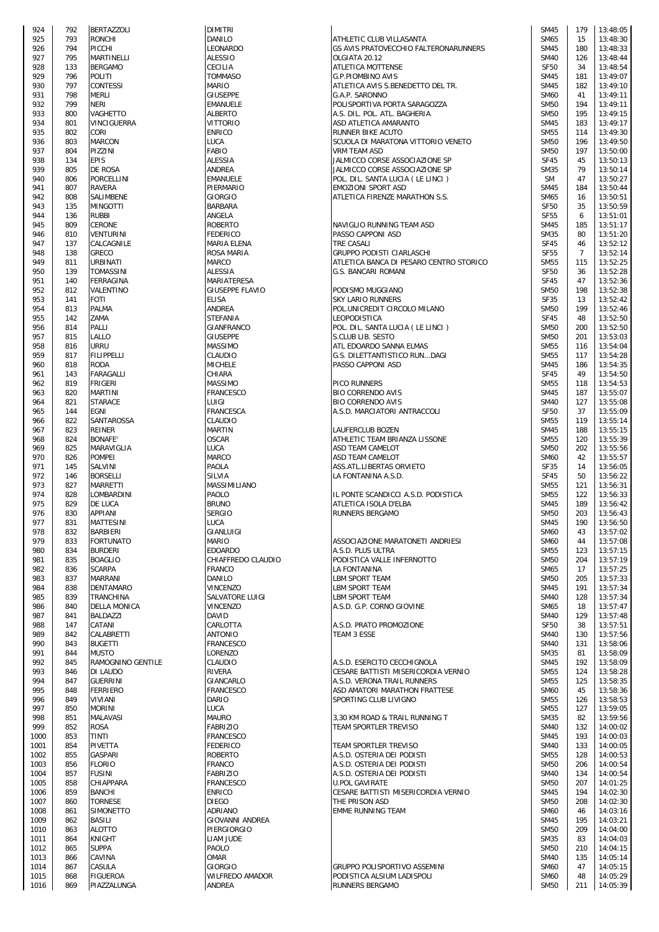| 924          | 792        | BERTAZZOLI                  |
|--------------|------------|-----------------------------|
| 925          | 793        | RONCHI                      |
| 926<br>927   | 794<br>795 | PICCHI                      |
| 928          | 133        | MARTINELLI<br>BERGAMO       |
| 929          | 796        | POLITI                      |
| 930          | 797        | CONTESSI                    |
| 931          | 798        | MERLI                       |
| 932          | 799        | NERI                        |
| 933          | 800        | VAGHETTO                    |
| 934<br>935   | 801<br>802 | VINCIGUERRA<br>CORI         |
| 936          | 803        | MARCON                      |
| 937          | 804        | PIZZINI                     |
| 938          | 134        | <b>EPIS</b>                 |
| 939          | 805        | DE ROSA                     |
| 940          | 806        | PORCELLINI                  |
| 941<br>942   | 807<br>808 | RAVERA<br>SALIMBENE         |
| 943          | 135        | MINGOTTI                    |
| 944          | 136        | RUBBI                       |
| 945          | 809        | CERONE                      |
| 946          | 810        | VENTURINI                   |
| 947          | 137        | CALCAGNILE                  |
| 948<br>949   | 138<br>811 | GRECO<br>URBINATI           |
| 950          | 139        | TOMASSINI                   |
| 951          | 140        | FERRAGINA                   |
| 952          | 812        | VALENTINO                   |
| 953          | 141        | <b>FOTI</b>                 |
| 954          | 813        | PALMA                       |
| 955<br>956   | 142<br>814 | ZAMA<br>PALLI               |
| 957          | 815        | LALLO                       |
| 958          | 816        | URRU                        |
| 959          | 817        | FILIPPELLI                  |
| 960          | 818        | roda                        |
| 961<br>962   | 143<br>819 | FARAGALLI<br>FRIGERI        |
| 963          | 820        | MARTINI                     |
| 964          | 821        | STARACE                     |
| 965          | 144        | EGNI                        |
| 966<br>967   | 822<br>823 | SANTAROSSA<br>REINER        |
| 968          | 824        | BONAFE'                     |
| 969          | 825        | MARAVIGLIA                  |
| 970          | 826<br>145 | POMPEI                      |
| 971<br>972   | 146        | SALVINI<br>BORSELLI         |
| 973          | 827        | <b>MARRETTI</b>             |
| 974          | 828        | LOMBARDINI                  |
| 975          | 829        | de Luca                     |
| 976<br>977   | 830<br>831 | <b>APPIANI</b><br>MATTESINI |
| 978          | 832        | BARBIERI                    |
| 979          | 833        | FORTUNATO                   |
| 980          | 834        | <b>BURDERI</b>              |
| 981<br>982   | 835<br>836 | BOAGLIO<br>SCARPA           |
| 983          | 837        | <b>MARRANI</b>              |
| 984          | 838        | DENTAMARO                   |
| 985          | 839        | TRANCHINA                   |
| 986          | 840        | DELLA MONICA                |
| 987<br>988   | 841<br>147 | BALDAZZI<br>CATANI          |
| 989          | 842        | CALABRETTI                  |
| 990          | 843        | <b>BUGETTI</b>              |
| 991          | 844        | MUSTO                       |
| 992<br>993   | 845<br>846 | RAMOGNINO GEN<br>DI LAUDO   |
| 994          | 847        | GUERRINI                    |
| 995          | 848        | FERRIERO                    |
| 996          | 849        | VIVIANI                     |
| 997<br>998   | 850<br>851 | MORINI<br>MALAVASI          |
| 999          | 852        | rosa                        |
| 1000         | 853        | TINTI                       |
| 1001         | 854        | PIVETTA                     |
| 1002         | 855        | GASPARI                     |
| 1003<br>1004 | 856<br>857 | <b>FLORIO</b><br>FUSINI     |
| 1005         | 858        | CHIAPPARA                   |
| 1006         | 859        | BANCHI                      |
| 1007         | 860        | <b>TORNESE</b>              |
| 1008<br>1009 | 861<br>862 | SIMONETTO<br>BASILI         |
| 1010         | 863        | ALOTTO                      |
| 1011         | 864        | KNIGHT                      |
| 1012         | 865        | <b>SUPPA</b>                |
| 1013<br>1014 | 866<br>867 | CAVINA<br>CASULA            |
| 1015         | 868        | FIGUEROA                    |
| 1016         | 869        | PIAZZALUNGA                 |

| 924  | 792 | <b>BERTAZZOLI</b>   | <b>DIMITRI</b>         |                                         | <b>SM45</b> | 179            | 13:48:05 |
|------|-----|---------------------|------------------------|-----------------------------------------|-------------|----------------|----------|
| 925  | 793 | <b>RONCHI</b>       | DANILO                 | ATHLETIC CLUB VILLASANTA                | SM65        | 15             | 13:48:30 |
| 926  | 794 | PICCHI              | LEONARDO               | GS AVIS PRATOVECCHIO FALTERONARUNNERS   | <b>SM45</b> | 180            | 13:48:33 |
| 927  | 795 | <b>MARTINELLI</b>   |                        | OLGIATA 20.12                           | <b>SM40</b> | 126            |          |
|      |     |                     | <b>ALESSIO</b>         |                                         |             |                | 13:48:44 |
| 928  | 133 | <b>BERGAMO</b>      | CECILIA                | ATLETICA MOTTENSE                       | <b>SF50</b> | 34             | 13:48:54 |
| 929  | 796 | <b>POLITI</b>       | <b>TOMMASO</b>         | <b>G.P.PIOMBINO AVIS</b>                | <b>SM45</b> | 181            | 13:49:07 |
| 930  | 797 | <b>CONTESSI</b>     | <b>MARIO</b>           | ATLETICA AVIS S.BENEDETTO DEL TR.       | <b>SM45</b> | 182            | 13:49:10 |
| 931  | 798 | <b>MERLI</b>        | <b>GIUSEPPE</b>        | G.A.P. SARONNO                          | <b>SM60</b> | 41             | 13:49:11 |
| 932  | 799 | <b>NERI</b>         | <b>EMANUELE</b>        | POLISPORTIVA PORTA SARAGOZZA            | <b>SM50</b> | 194            | 13:49:11 |
| 933  | 800 | VAGHETTO            | <b>ALBERTO</b>         | A.S. DIL. POL. ATL. BAGHERIA            | <b>SM50</b> | 195            | 13:49:15 |
| 934  | 801 | <b>VINCIGUERRA</b>  | <b>VITTORIO</b>        | ASD ATLETICA AMARANTO                   | <b>SM45</b> | 183            | 13:49:17 |
| 935  | 802 | CORI                | <b>ENRICO</b>          | RUNNER BIKE ACUTO                       | <b>SM55</b> | 114            | 13:49:30 |
|      |     |                     |                        |                                         |             |                |          |
| 936  | 803 | <b>MARCON</b>       | LUCA                   | SCUOLA DI MARATONA VITTORIO VENETO      | <b>SM50</b> | 196            | 13:49:50 |
| 937  | 804 | PIZZINI             | <b>FABIO</b>           | <b>VRM TEAM ASD</b>                     | <b>SM50</b> | 197            | 13:50:00 |
| 938  | 134 | <b>EPIS</b>         | <b>ALESSIA</b>         | JALMICCO CORSE ASSOCIAZIONE SP          | <b>SF45</b> | 45             | 13:50:13 |
| 939  | 805 | <b>DE ROSA</b>      | <b>ANDREA</b>          | JALMICCO CORSE ASSOCIAZIONE SP          | <b>SM35</b> | 79             | 13:50:14 |
| 940  | 806 | <b>PORCELLINI</b>   | <b>EMANUELE</b>        | POL. DIL. SANTA LUCIA (LE LINCI)        | <b>SM</b>   | 47             | 13:50:27 |
| 941  | 807 | <b>RAVERA</b>       | PIERMARIO              | EMOZIONI SPORT ASD                      | <b>SM45</b> | 184            | 13:50:44 |
| 942  | 808 |                     | <b>GIORGIO</b>         | ATLETICA FIRENZE MARATHON S.S.          | <b>SM65</b> | 16             | 13:50:51 |
|      |     | SALIMBENE           |                        |                                         |             |                |          |
| 943  | 135 | <b>MINGOTTI</b>     | <b>BARBARA</b>         |                                         | <b>SF50</b> | 35             | 13:50:59 |
| 944  | 136 | <b>RUBBI</b>        | ANGELA                 |                                         | <b>SF55</b> | 6              | 13:51:01 |
| 945  | 809 | <b>CERONE</b>       | <b>ROBERTO</b>         | NAVIGLIO RUNNING TEAM ASD               | <b>SM45</b> | 185            | 13:51:17 |
| 946  | 810 | <b>VENTURINI</b>    | <b>FEDERICO</b>        | PASSO CAPPONI ASD                       | <b>SM35</b> | 80             | 13:51:20 |
| 947  | 137 | CALCAGNILE          | MARIA ELENA            | TRE CASALI                              | <b>SF45</b> | 46             | 13:52:12 |
| 948  | 138 | <b>GRECO</b>        | ROSA MARIA             | GRUPPO PODISTI CIARLASCHI               | <b>SF55</b> | $\overline{7}$ | 13:52:14 |
| 949  | 811 | <b>URBINATI</b>     | <b>MARCO</b>           |                                         | <b>SM55</b> |                | 13:52:25 |
|      |     |                     |                        | ATLETICA BANCA DI PESARO CENTRO STORICO |             | 115            |          |
| 950  | 139 | TOMASSINI           | <b>ALESSIA</b>         | G.S. BANCARI ROMANI                     | <b>SF50</b> | 36             | 13:52:28 |
| 951  | 140 | <b>FERRAGINA</b>    | MARIATERESA            |                                         | <b>SF45</b> | 47             | 13:52:36 |
| 952  | 812 | VALENTINO           | <b>GIUSEPPE FLAVIO</b> | PODISMO MUGGIANO                        | <b>SM50</b> | 198            | 13:52:38 |
| 953  | 141 | <b>FOTI</b>         | <b>ELISA</b>           | <b>SKY LARIO RUNNERS</b>                | <b>SF35</b> | 13             | 13:52:42 |
| 954  | 813 | PALMA               | ANDREA                 | POL.UNICREDIT CIRCOLO MILANO            | <b>SM50</b> | 199            | 13:52:46 |
| 955  | 142 | ZAMA                | <b>STEFANIA</b>        | LEOPODISTICA                            | <b>SF45</b> | 48             | 13:52:50 |
|      |     |                     |                        |                                         |             |                |          |
| 956  | 814 | PALLI               | GIANFRANCO             | POL. DIL. SANTA LUCIA (LE LINCI)        | <b>SM50</b> | 200            | 13:52:50 |
| 957  | 815 | LALLO               | <b>GIUSEPPE</b>        | S.CLUB LIB. SESTO                       | <b>SM50</b> | 201            | 13:53:03 |
| 958  | 816 | <b>URRU</b>         | <b>MASSIMO</b>         | ATL EDOARDO SANNA ELMAS                 | <b>SM55</b> | 116            | 13:54:04 |
| 959  | 817 | <b>FILIPPELLI</b>   | CLAUDIO                | G.S. DILETTANTISTICO RUNDAGI            | <b>SM55</b> | 117            | 13:54:28 |
| 960  | 818 | <b>RODA</b>         | <b>MICHELE</b>         | PASSO CAPPONI ASD                       | <b>SM45</b> | 186            | 13:54:35 |
| 961  | 143 | <b>FARAGALLI</b>    | CHIARA                 |                                         | <b>SF45</b> | 49             | 13:54:50 |
|      |     |                     |                        |                                         |             |                |          |
| 962  | 819 | <b>FRIGERI</b>      | MASSIMO                | PICO RUNNERS                            | <b>SM55</b> | 118            | 13:54:53 |
| 963  | 820 | <b>MARTINI</b>      | <b>FRANCESCO</b>       | <b>BIO CORRENDO AVIS</b>                | <b>SM45</b> | 187            | 13:55:07 |
| 964  | 821 | <b>STARACE</b>      | LUIGI                  | <b>BIO CORRENDO AVIS</b>                | <b>SM40</b> | 127            | 13:55:08 |
| 965  | 144 | <b>EGNI</b>         | <b>FRANCESCA</b>       | A.S.D. MARCIATORI ANTRACCOLI            | <b>SF50</b> | 37             | 13:55:09 |
| 966  | 822 | SANTAROSSA          | CLAUDIO                |                                         | <b>SM55</b> | 119            | 13:55:14 |
| 967  | 823 | <b>REINER</b>       | <b>MARTIN</b>          | LAUFERCLUB BOZEN                        | <b>SM45</b> | 188            | 13:55:15 |
| 968  | 824 | <b>BONAFE</b>       | <b>OSCAR</b>           | ATHLETIC TEAM BRIANZA LISSONE           | <b>SM55</b> | 120            | 13:55:39 |
|      |     |                     |                        |                                         |             |                |          |
| 969  | 825 | MARAVIGLIA          | LUCA                   | ASD TEAM CAMELOT                        | <b>SM50</b> | 202            | 13:55:56 |
| 970  | 826 | <b>POMPEI</b>       | <b>MARCO</b>           | ASD TEAM CAMELOT                        | <b>SM60</b> | 42             | 13:55:57 |
| 971  | 145 | <b>SALVINI</b>      | PAOLA                  | <b>ASS.ATL.LIBERTAS ORVIETO</b>         | <b>SF35</b> | 14             | 13:56:05 |
| 972  | 146 | <b>BORSELLI</b>     | SILVIA                 | LA FONTANINA A.S.D.                     | <b>SF45</b> | 50             | 13:56:22 |
| 973  | 827 | <b>MARRETTI</b>     | MASSIMILIANO           |                                         | <b>SM55</b> | 121            | 13:56:31 |
| 974  | 828 | LOMBARDINI          | PAOLO                  | IL PONTE SCANDICCI A.S.D. PODISTICA     | <b>SM55</b> | 122            | 13:56:33 |
| 975  | 829 | DE LUCA             | <b>BRUNO</b>           | ATLETICA ISOLA D'ELBA                   | <b>SM45</b> | 189            | 13:56:42 |
|      |     |                     |                        |                                         |             |                |          |
| 976  | 830 | <b>APPIANI</b>      | <b>SERGIO</b>          | <b>RUNNERS BERGAMO</b>                  | <b>SM50</b> | 203            | 13:56:43 |
| 977  | 831 | <b>MATTESINI</b>    | LUCA                   |                                         | <b>SM45</b> | 190            | 13:56:50 |
| 978  | 832 | <b>BARBIERI</b>     | GIANLUIGI              |                                         | <b>SM60</b> | 43             | 13:57:02 |
| 979  | 833 | <b>FORTUNATO</b>    | <b>MARIO</b>           | ASSOCIAZIONE MARATONETI ANDRIESI        | <b>SM60</b> | 44             | 13:57:08 |
| 980  | 834 | <b>BURDERI</b>      | <b>EDOARDO</b>         | A.S.D. PLUS ULTRA                       | <b>SM55</b> | 123            | 13:57:15 |
| 981  | 835 | <b>BOAGLIO</b>      | CHIAFFREDO CLAUDIO     | PODISTICA VALLE INFERNOTTO              | <b>SM50</b> | 204            | 13:57:19 |
| 982  | 836 | <b>SCARPA</b>       | <b>FRANCO</b>          | LA FONTANINA                            | SM65        | 17             | 13:57:25 |
|      |     |                     |                        |                                         |             |                |          |
| 983  | 837 | <b>MARRANI</b>      | DANILO                 | LBM SPORT TEAM                          | <b>SM50</b> | 205            | 13:57:33 |
| 984  | 838 | <b>DENTAMARO</b>    | VINCENZO               | LBM SPORT TEAM                          | <b>SM45</b> | 191            | 13:57:34 |
| 985  | 839 | TRANCHINA           | SALVATORE LUIGI        | LBM SPORT TEAM                          | <b>SM40</b> | 128            | 13:57:34 |
| 986  | 840 | <b>DELLA MONICA</b> | VINCENZO               | A.S.D. G.P. CORNO GIOVINE               | <b>SM65</b> | 18             | 13:57:47 |
| 987  | 841 | <b>BALDAZZI</b>     | <b>DAVID</b>           |                                         | <b>SM40</b> | 129            | 13:57:48 |
| 988  | 147 | CATANI              | CARLOTTA               | A.S.D. PRATO PROMOZIONE                 | <b>SF50</b> | 38             | 13:57:51 |
| 989  | 842 | CALABRETTI          | <b>ANTONIO</b>         | TEAM 3 ESSE                             | <b>SM40</b> | 130            | 13:57:56 |
| 990  | 843 | <b>BUGETTI</b>      | <b>FRANCESCO</b>       |                                         | <b>SM40</b> | 131            | 13:58:06 |
|      |     | <b>MUSTO</b>        |                        |                                         | <b>SM35</b> |                |          |
| 991  | 844 |                     | LORENZO                |                                         |             | 81             | 13:58:09 |
| 992  | 845 | RAMOGNINO GENTILE   | CLAUDIO                | A.S.D. ESERCITO CECCHIGNOLA             | <b>SM45</b> | 192            | 13:58:09 |
| 993  | 846 | DI LAUDO            | RIVERA                 | CESARE BATTISTI MISERICORDIA VERNIO     | <b>SM55</b> | 124            | 13:58:28 |
| 994  | 847 | <b>GUERRINI</b>     | GIANCARLO              | A.S.D. VERONA TRAIL RUNNERS             | <b>SM55</b> | 125            | 13:58:35 |
| 995  | 848 | <b>FERRIERO</b>     | <b>FRANCESCO</b>       | ASD AMATORI MARATHON FRATTESE           | <b>SM60</b> | 45             | 13:58:36 |
| 996  | 849 | <b>VIVIANI</b>      | DARIO                  | SPORTING CLUB LIVIGNO                   | <b>SM55</b> | 126            | 13:58:53 |
| 997  | 850 | <b>MORINI</b>       | LUCA                   |                                         | <b>SM55</b> | 127            | 13:59:05 |
| 998  | 851 | MALAVASI            | <b>MAURO</b>           | 3,30 KM ROAD & TRAIL RUNNING T          | <b>SM35</b> | 82             | 13:59:56 |
|      |     |                     |                        |                                         |             |                |          |
| 999  | 852 | <b>ROSA</b>         | <b>FABRIZIO</b>        | TEAM SPORTLER TREVISO                   | <b>SM40</b> | 132            | 14:00:02 |
| 1000 | 853 | <b>TINTI</b>        | <b>FRANCESCO</b>       |                                         | <b>SM45</b> | 193            | 14:00:03 |
| 1001 | 854 | <b>PIVETTA</b>      | <b>FEDERICO</b>        | TEAM SPORTLER TREVISO                   | <b>SM40</b> | 133            | 14:00:05 |
| 1002 | 855 | <b>GASPARI</b>      | <b>ROBERTO</b>         | A.S.D. OSTERIA DEI PODISTI              | <b>SM55</b> | 128            | 14:00:53 |
| 1003 | 856 | <b>FLORIO</b>       | <b>FRANCO</b>          | A.S.D. OSTERIA DEI PODISTI              | <b>SM50</b> | 206            | 14:00:54 |
| 1004 | 857 | <b>FUSINI</b>       | <b>FABRIZIO</b>        | A.S.D. OSTERIA DEI PODISTI              | <b>SM40</b> | 134            | 14:00:54 |
| 1005 | 858 | CHIAPPARA           | <b>FRANCESCO</b>       | <b>U.POL GAVIRATE</b>                   | <b>SM50</b> | 207            | 14:01:25 |
|      | 859 |                     |                        |                                         |             | 194            |          |
| 1006 |     | <b>BANCHI</b>       | <b>ENRICO</b>          | CESARE BATTISTI MISERICORDIA VERNIO     | <b>SM45</b> |                | 14:02:30 |
| 1007 | 860 | <b>TORNESE</b>      | <b>DIEGO</b>           | THE PRISON ASD                          | <b>SM50</b> | 208            | 14:02:30 |
| 1008 | 861 | <b>SIMONETTO</b>    | ADRIANO                | <b>EMME RUNNING TEAM</b>                | <b>SM60</b> | 46             | 14:03:16 |
| 1009 | 862 | BASILI              | <b>GIOVANNI ANDREA</b> |                                         | <b>SM45</b> | 195            | 14:03:21 |
| 1010 | 863 | <b>ALOTTO</b>       | PIERGIORGIO            |                                         | <b>SM50</b> | 209            | 14:04:00 |
| 1011 | 864 | <b>KNIGHT</b>       | LIAM JUDE              |                                         | <b>SM35</b> | 83             | 14:04:03 |
| 1012 | 865 | <b>SUPPA</b>        | PAOLO                  |                                         | <b>SM50</b> | 210            | 14:04:15 |
|      |     |                     | OMAR                   |                                         |             |                |          |
| 1013 | 866 | CAVINA              |                        |                                         | <b>SM40</b> | 135            | 14:05:14 |
| 1014 | 867 | CASULA              | <b>GIORGIO</b>         | GRUPPO POLISPORTIVO ASSEMINI            | <b>SM60</b> | 47             | 14:05:15 |
| 1015 | 868 | <b>FIGUEROA</b>     | WILFREDO AMADOR        | PODISTICA ALSIUM LADISPOLI              | <b>SM60</b> | 48             | 14:05:29 |
| 1016 | 869 | PIAZZALUNGA         | <b>ANDREA</b>          | RUNNERS BERGAMO                         | <b>SM50</b> | 211            | 14:05:39 |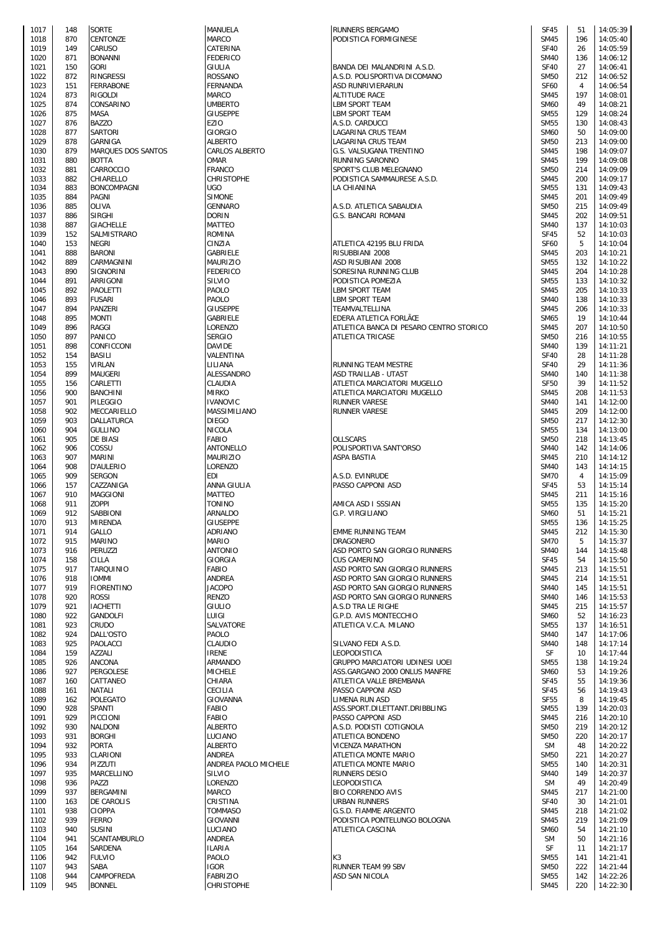| 1017         | 148        | <b>SORTE</b>       |
|--------------|------------|--------------------|
| 1018         | 870        | CENTONZE           |
| 1019         | 149        | CARUSO             |
| 1020         | 871        | <b>BONANNI</b>     |
| 1021         | 150        | <b>GORI</b>        |
| 1022         | 872        | RINGRESSI          |
| 1023         | 151        | FERRABONE          |
| 1024         | 873        | <b>RIGOLDI</b>     |
| 1025         | 874        | CONSARINO          |
| 1026         | 875        | MASA               |
| 1027         | 876        | <b>BAZZO</b>       |
| 1028         | 877        | SARTORI            |
| 1029         | 878        | GARNIGA            |
| 1030         | 879        | MARQUES DOS SANT   |
| 1031         | 880        | BOTTA              |
| 1032         | 881        | CARROCCIO          |
| 1033         | 882        | CHIARELLO          |
| 1034         | 883        | BONCOMPAGNI        |
| 1035<br>1036 | 884<br>885 | PAGNI<br>OLIVA     |
| 1037         | 886        | SIRGHI             |
| 1038         | 887        | <b>GIACHELLE</b>   |
| 1039         | 152        | SALMISTRARO        |
| 1040         | 153        | NEGRI              |
| 1041         | 888        | <b>BARONI</b>      |
| 1042         | 889        | CARMAGNINI         |
| 1043         | 890        | SIGNORINI          |
| 1044         | 891        | ARRIGONI           |
| 1045         | 892        | PAOLETTI           |
| 1046         | 893        | <b>FUSARI</b>      |
| 1047         | 894        | PANZERI            |
| 1048         | 895        | MONTI              |
| 1049         | 896        | RAGGI              |
| 1050         | 897        | PANICO             |
| 1051         | 898        | CONFICCONI         |
| 1052         | 154        | BASILI             |
| 1053         | 155        | VIRLAN             |
| 1054         | 899        | MAUGERI            |
| 1055         | 156        | CARLETTI           |
| 1056         | 900        | <b>BANCHINI</b>    |
| 1057         | 901        | PILEGGIO           |
| 1058         | 902        | MECCARIELLO        |
| 1059         | 903        | DALLATURCA         |
| 1060         | 904        | <b>GULLINO</b>     |
| 1061         | 905        | DE BIASI           |
| 1062<br>1063 | 906<br>907 | COSSU<br>MARINI    |
| 1064         | 908        | D'AULERIO          |
| 1065         | 909        | <b>SERGON</b>      |
| 1066         | 157        | CAZZANIGA          |
| 1067         | 910        | MAGGIONI           |
| 1068         | 911        | <b>ZOPPI</b>       |
| 1069         | 912        | SABBIONI           |
| 1070         | 913        | MIRENDA            |
| 1071         | 914        | GALLO              |
| 1072         | 915        | MARINO             |
| 1073         | 916        | PERUZZI            |
| 1074         | 158        | CILLA              |
| 1075         | 917        | TARQUINIO          |
| 1076         | 918        | <b>IOMMI</b>       |
| 1077         | 919        | <b>FIORENTINO</b>  |
| 1078         | 920        | ROSSI              |
| 1079         | 921        | <b>IACHETTI</b>    |
| 1080         | 922        | <b>GANDOLFI</b>    |
| 1081         | 923        | CRUDO              |
| 1082         | 924        | DALL'OSTO          |
| 1083         | 925        | PAOLACCI           |
| 1084         | 159        | AZZALI             |
| 1085         | 926        | <b>ANCONA</b>      |
| 1086         | 927        | PERGOLESE          |
| 1087<br>1088 | 160<br>161 | CATTANEO<br>NATALI |
| 1089         | 162        | POLEGATO           |
| 1090         | 928        | SPANTI             |
| 1091         | 929        | PICCIONI           |
| 1092         | 930        | NALDONI            |
| 1093         | 931        | <b>BORGHI</b>      |
| 1094         | 932        | <b>PORTA</b>       |
| 1095         | 933        | CLARIONI           |
| 1096         | 934        | PIZZUTI            |
| 1097         | 935        | MARCELLINO         |
| 1098         | 936        | PAZZI              |
| 1099         | 937        | BERGAMINI          |
| 1100         | 163        | DE CAROLIS         |
| 1101         | 938        | CIOPPA             |
| 1102         | 939        | FERRO              |
| 1103         | 940        | SUSINI             |
| 1104         | 941        | SCANTAMBURLO       |
| 1105         | 164        | SARDENA            |
| 1106         | 942        | <b>FULVIO</b>      |
| 1107         | 943        | SABA               |
| 1108         | 944        | CAMPOFREDA         |
| 1109         | 945        | <b>BONNEL</b>      |

| 1017         | 148        | <b>SORTE</b>                  | <b>MANUELA</b>                 | <b>RUNNERS BERGAMO</b>                       | SF45                       | 51           | 14:05:39             |
|--------------|------------|-------------------------------|--------------------------------|----------------------------------------------|----------------------------|--------------|----------------------|
| 1018         | 870        | CENTONZE                      | <b>MARCO</b>                   | PODISTICA FORMIGINESE                        | <b>SM45</b>                | 196          | 14:05:40             |
| 1019         | 149        | CARUSO                        | CATERINA                       |                                              | <b>SF40</b>                | 26           | 14:05:59             |
| 1020         | 871        | <b>BONANNI</b>                | <b>FEDERICO</b>                |                                              | <b>SM40</b>                | 136          | 14:06:12             |
| 1021         | 150        | <b>GORI</b>                   | <b>GIULIA</b>                  | BANDA DEI MALANDRINI A.S.D.                  | <b>SF40</b>                | 27           | 14:06:41             |
| 1022         | 872        | RINGRESSI                     | <b>ROSSANO</b>                 | A.S.D. POLISPORTIVA DICOMANO                 | <b>SM50</b>                | 212          | 14:06:52             |
| 1023         | 151        | <b>FERRABONE</b>              | <b>FERNANDA</b>                | <b>ASD RUNRIVIERARUN</b>                     | <b>SF60</b>                | 4            | 14:06:54             |
| 1024         | 873        | <b>RIGOLDI</b>                | <b>MARCO</b>                   | <b>ALTITUDE RACE</b>                         | <b>SM45</b>                | 197          | 14:08:01             |
| 1025         | 874        | CONSARINO                     | <b>UMBERTO</b>                 | <b>LBM SPORT TEAM</b>                        | <b>SM60</b>                | 49           | 14:08:21             |
| 1026         | 875        | MASA                          | <b>GIUSEPPE</b>                | <b>LBM SPORT TEAM</b>                        | <b>SM55</b>                | 129          | 14:08:24             |
| 1027         | 876        | <b>BAZZO</b>                  | <b>EZIO</b>                    | A.S.D. CARDUCCI                              | <b>SM55</b>                | 130          | 14:08:43             |
| 1028         | 877        | SARTORI                       | <b>GIORGIO</b>                 | LAGARINA CRUS TEAM                           | <b>SM60</b>                | 50           | 14:09:00             |
| 1029         | 878        | <b>GARNIGA</b>                | <b>ALBERTO</b>                 | LAGARINA CRUS TEAM                           | <b>SM50</b>                | 213          | 14:09:00             |
| 1030         | 879        | MARQUES DOS SANTOS            | <b>CARLOS ALBERTO</b>          | G.S. VALSUGANA TRENTINO                      | <b>SM45</b>                | 198          | 14:09:07             |
| 1031         | 880        | <b>BOTTA</b>                  | <b>OMAR</b>                    | RUNNING SARONNO                              | <b>SM45</b>                | 199          | 14:09:08             |
| 1032         | 881        | CARROCCIO                     | <b>FRANCO</b>                  | SPORT'S CLUB MELEGNANO                       | <b>SM50</b>                | 214          | 14:09:09             |
| 1033         | 882        | CHIARELLO                     | <b>CHRISTOPHE</b>              | PODISTICA SAMMAURESE A.S.D.                  | <b>SM45</b>                | 200          | 14:09:17             |
| 1034         | 883        | <b>BONCOMPAGNI</b>            | <b>UGO</b>                     | LA CHIANINA                                  | <b>SM55</b>                | 131          | 14:09:43             |
| 1035         | 884        | PAGNI                         | <b>SIMONE</b>                  |                                              | <b>SM45</b>                | 201          | 14:09:49             |
| 1036         | 885        | <b>OLIVA</b>                  | <b>GENNARO</b>                 | A.S.D. ATLETICA SABAUDIA                     | <b>SM50</b>                | 215          | 14:09:49             |
| 1037         | 886        | <b>SIRGHI</b>                 | <b>DORIN</b>                   | <b>G.S. BANCARI ROMANI</b>                   | <b>SM45</b>                | 202          | 14:09:51             |
| 1038         | 887        | <b>GIACHELLE</b>              | <b>MATTEO</b>                  |                                              | <b>SM40</b>                | 137          | 14:10:03             |
| 1039         | 152        | SALMISTRARO                   | <b>ROMINA</b>                  |                                              | <b>SF45</b>                | 52           | 14:10:03             |
| 1040         | 153        | <b>NEGRI</b>                  | CINZIA                         | ATLETICA 42195 BLU FRIDA                     | <b>SF60</b>                | 5            | 14:10:04             |
| 1041         | 888        | <b>BARONI</b>                 | GABRIELE                       | RISUBBIANI 2008                              | <b>SM45</b>                | 203          | 14:10:21             |
| 1042         | 889        | CARMAGNINI                    | <b>MAURIZIO</b>                | ASD RISUBIANI 2008                           | <b>SM55</b>                | 132          | 14:10:22             |
| 1043         | 890        | SIGNORINI                     | <b>FEDERICO</b>                | SORESINA RUNNING CLUB                        | <b>SM45</b>                | 204          | 14:10:28             |
| 1044         | 891        | ARRIGONI                      | SILVIO                         | PODISTICA POMEZIA                            | <b>SM55</b>                | 133          | 14:10:32             |
| 1045         | 892        | PAOLETTI                      | PAOLO                          | <b>LBM SPORT TEAM</b>                        | <b>SM45</b>                | 205          | 14:10:33             |
| 1046         | 893        | <b>FUSARI</b>                 | PAOLO                          | LBM SPORT TEAM                               | <b>SM40</b>                | 138          | 14:10:33             |
| 1047         | 894        | <b>PANZERI</b>                | <b>GIUSEPPE</b>                | TEAMVALTELLINA                               | <b>SM45</b>                | 206          | 14:10:33             |
| 1048         | 895        | <b>MONTI</b>                  | GABRIELE                       | EDERA ATLETICA FORLÃŒ                        | <b>SM65</b>                | 19           | 14:10:44             |
| 1049         | 896        | RAGGI                         | LORENZO                        | ATLETICA BANCA DI PESARO CENTRO STORICO      | <b>SM45</b>                | 207          | 14:10:50             |
| 1050         | 897        | PANICO                        | <b>SERGIO</b>                  | <b>ATLETICA TRICASE</b>                      | <b>SM50</b>                | 216          | 14:10:55             |
| 1051         | 898        | CONFICCONI                    | <b>DAVIDE</b>                  |                                              | <b>SM40</b>                | 139          | 14:11:21             |
| 1052         | 154        | <b>BASILI</b>                 | VALENTINA                      |                                              | <b>SF40</b>                | 28           | 14:11:28             |
| 1053         | 155        | <b>VIRLAN</b>                 | LILIANA                        | RUNNING TEAM MESTRE                          | <b>SF40</b>                | 29           | 14:11:36             |
| 1054         | 899        | <b>MAUGERI</b>                | ALESSANDRO                     | ASD TRAILLAB - UTA5T                         | <b>SM40</b>                | 140          | 14:11:38             |
| 1055         | 156        | CARLETTI                      | CLAUDIA                        | ATLETICA MARCIATORI MUGELLO                  | <b>SF50</b>                | 39           | 14:11:52             |
| 1056         | 900        | <b>BANCHINI</b>               | <b>MIRKO</b>                   | ATLETICA MARCIATORI MUGELLO                  | <b>SM45</b>                | 208          | 14:11:53             |
| 1057         | 901        | <b>PILEGGIO</b>               | <b>IVANOVIC</b>                | <b>RUNNER VARESE</b>                         | <b>SM40</b>                | 141          | 14:12:00             |
| 1058         | 902        | MECCARIELLO                   | MASSIMILIANO                   | <b>RUNNER VARESE</b>                         | <b>SM45</b>                | 209          | 14:12:00             |
| 1059         | 903        | <b>DALLATURCA</b>             | <b>DIEGO</b>                   |                                              | <b>SM50</b>                | 217          | 14:12:30             |
| 1060         | 904        | <b>GULLINO</b>                | <b>NICOLA</b>                  |                                              | <b>SM55</b>                | 134          | 14:13:00             |
| 1061         | 905        | <b>DE BIASI</b>               | <b>FABIO</b>                   | <b>OLLSCARS</b>                              | <b>SM50</b>                | 218          | 14:13:45             |
| 1062         | 906        | COSSU                         | <b>ANTONELLO</b>               | POLISPORTIVA SANT'ORSO                       | <b>SM40</b>                | 142          | 14:14:06             |
| 1063         | 907        | <b>MARINI</b>                 | <b>MAURIZIO</b>                | ASPA BASTIA                                  | <b>SM45</b>                | 210          | 14:14:12             |
| 1064         | 908        | <b>D'AULERIO</b>              | <b>LORENZO</b>                 |                                              | <b>SM40</b>                | 143          | 14:14:15             |
| 1065         | 909        | <b>SERGON</b>                 | <b>EDI</b>                     | A.S.D. EVINRUDE                              | <b>SM70</b>                | 4            | 14:15:09             |
| 1066         | 157<br>910 | CAZZANIGA                     | ANNA GIULIA                    | PASSO CAPPONI ASD                            | SF45                       | 53           | 14:15:14             |
| 1067         | 911        | <b>MAGGIONI</b>               | <b>MATTEO</b><br><b>TONINO</b> | AMICA ASD I SSSIAN                           | <b>SM45</b><br><b>SM55</b> | 211          | 14:15:16             |
| 1068         | 912        | ZOPPI<br>SABBIONI             |                                |                                              | <b>SM60</b>                | 135<br>51    | 14:15:20             |
|              |            |                               | <b>ARNALDO</b>                 | G.P. VIRGILIANO                              |                            |              | 14:15:21             |
| 1069         |            |                               |                                |                                              |                            |              |                      |
| 1070         | 913        | <b>MIRENDA</b>                | <b>GIUSEPPE</b>                |                                              | <b>SM55</b>                | 136 14:15:25 |                      |
| 1071         | 914        | GALLO                         | <b>ADRIANO</b>                 | <b>EMME RUNNING TEAM</b>                     | <b>SM45</b>                | 212          | 14:15:30             |
| 1072         | 915        | <b>MARINO</b>                 | <b>MARIO</b>                   | <b>DRAGONERO</b>                             | <b>SM70</b>                | 5            | 14:15:37             |
| 1073         | 916        | PERUZZI                       | <b>ANTONIO</b>                 | ASD PORTO SAN GIORGIO RUNNERS                | <b>SM40</b>                | 144          | 14:15:48             |
| 1074         | 158        | CILLA                         | GIORGIA                        | <b>CUS CAMERINO</b>                          | <b>SF45</b>                | 54           | 14:15:50             |
| 1075         | 917        | TARQUINIO                     | <b>FABIO</b>                   | ASD PORTO SAN GIORGIO RUNNERS                | <b>SM45</b>                | 213          | 14:15:51             |
| 1076         | 918        | <b>IOMMI</b>                  | <b>ANDREA</b>                  | ASD PORTO SAN GIORGIO RUNNERS                | <b>SM45</b>                | 214          | 14:15:51             |
| 1077         | 919        | <b>FIORENTINO</b>             | <b>JACOPO</b>                  | ASD PORTO SAN GIORGIO RUNNERS                | <b>SM40</b>                | 145          | 14:15:51             |
| 1078         | 920        | ROSSI                         | <b>RENZO</b>                   | ASD PORTO SAN GIORGIO RUNNERS                | <b>SM40</b>                | 146          | 14:15:53             |
| 1079         | 921        | <b>IACHETTI</b>               | <b>GIULIO</b>                  | A.S.D TRA LE RIGHE                           | <b>SM45</b>                | 215          | 14:15:57             |
| 1080         | 922        | <b>GANDOLFI</b>               | LUIGI                          | G.P.D. AVIS MONTECCHIO                       | <b>SM60</b>                | 52           | 14:16:23             |
| 1081         | 923        | CRUDO                         | SALVATORE                      | ATLETICA V.C.A. MILANO                       | <b>SM55</b>                | 137          | 14:16:51             |
| 1082         | 924        | DALL'OSTO                     | PAOLO                          |                                              | <b>SM40</b>                | 147          | 14:17:06             |
| 1083         | 925        | PAOLACCI                      | <b>CLAUDIO</b>                 | SILVANO FEDI A.S.D.                          | <b>SM40</b>                | 148          | 14:17:14             |
| 1084         | 159        | AZZALI                        | <b>IRENE</b>                   | LEOPODISTICA                                 | SF                         | 10           | 14:17:44             |
| 1085         | 926        | <b>ANCONA</b>                 | <b>ARMANDO</b>                 | GRUPPO MARCIATORI UDINESI UOEI               | <b>SM55</b>                | 138          | 14:19:24             |
| 1086         | 927        | PERGOLESE                     | <b>MICHELE</b>                 | ASS.GARGANO 2000 ONLUS MANFRE                | <b>SM60</b>                | 53           | 14:19:26             |
| 1087         | 160        | CATTANEO                      | CHIARA                         | ATLETICA VALLE BREMBANA                      | <b>SF45</b>                | 55           | 14:19:36             |
| 1088         | 161        | NATALI                        | CECILIA                        | PASSO CAPPONI ASD                            | <b>SF45</b>                | 56           | 14:19:43             |
| 1089         | 162        | <b>POLEGATO</b>               | GIOVANNA                       | LIMENA RUN ASD                               | <b>SF55</b>                | 8            | 14:19:45             |
| 1090         | 928        | SPANTI                        | <b>FABIO</b>                   | ASS.SPORT.DILETTANT.DRIBBLING                | <b>SM55</b>                | 139          | 14:20:03             |
| 1091         | 929        | <b>PICCIONI</b>               | <b>FABIO</b>                   | PASSO CAPPONI ASD                            | <b>SM45</b>                | 216          | 14:20:10             |
| 1092         | 930        | <b>NALDONI</b>                | <b>ALBERTO</b>                 | A.S.D. PODISTI COTIGNOLA                     | <b>SM50</b>                | 219          | 14:20:12             |
| 1093         | 931        | <b>BORGHI</b>                 | LUCIANO                        | ATLETICA BONDENO                             | <b>SM50</b>                | 220<br>48    | 14:20:17             |
| 1094         | 932<br>933 | <b>PORTA</b>                  | <b>ALBERTO</b><br>ANDREA       | <b>VICENZA MARATHON</b>                      | <b>SM</b><br><b>SM50</b>   | 221          | 14:20:22             |
| 1095         |            | CLARIONI                      |                                | ATLETICA MONTE MARIO                         |                            |              | 14:20:27             |
| 1096<br>1097 | 934<br>935 | PIZZUTI<br>MARCELLINO         | ANDREA PAOLO MICHELE<br>SILVIO | ATLETICA MONTE MARIO<br><b>RUNNERS DESIO</b> | <b>SM55</b><br><b>SM40</b> | 140<br>149   | 14:20:31             |
|              |            |                               |                                |                                              |                            | 49           | 14:20:37             |
| 1098         | 936<br>937 | PAZZI                         | LORENZO                        | LEOPODISTICA                                 | <b>SM</b>                  |              | 14:20:49             |
| 1099         |            | BERGAMINI                     | <b>MARCO</b>                   | <b>BIO CORRENDO AVIS</b>                     | <b>SM45</b>                | 217          | 14:21:00             |
| 1100         | 163        | <b>DE CAROLIS</b>             | CRISTINA                       | <b>URBAN RUNNERS</b>                         | <b>SF40</b>                | 30           | 14:21:01             |
| 1101<br>1102 | 938<br>939 | <b>CIOPPA</b><br><b>FERRO</b> | <b>TOMMASO</b>                 | G.S.D. FIAMME ARGENTO                        | <b>SM45</b><br><b>SM45</b> | 218<br>219   | 14:21:02             |
|              |            |                               | <b>GIOVANNI</b>                | PODISTICA PONTELUNGO BOLOGNA                 |                            |              | 14:21:09             |
| 1103         | 940<br>941 | <b>SUSINI</b>                 | LUCIANO<br>ANDREA              | ATLETICA CASCINA                             | <b>SM60</b><br><b>SM</b>   | 54<br>50     | 14:21:10             |
| 1104         |            | SCANTAMBURLO                  |                                |                                              |                            |              | 14:21:16             |
| 1105         | 164<br>942 | SARDENA<br><b>FULVIO</b>      | <b>ILARIA</b><br>PAOLO         | K3                                           | SF<br><b>SM55</b>          | 11<br>141    | 14:21:17             |
| 1106<br>1107 | 943        | SABA                          | <b>IGOR</b>                    | RUNNER TEAM 99 SBV                           | <b>SM50</b>                | 222          | 14:21:41             |
| 1108         | 944        |                               | <b>FABRIZIO</b>                |                                              | <b>SM55</b>                | 142          | 14:21:44             |
| 1109         | 945        | CAMPOFREDA<br><b>BONNEL</b>   | <b>CHRISTOPHE</b>              | ASD SAN NICOLA                               | <b>SM45</b>                | 220          | 14:22:26<br>14:22:30 |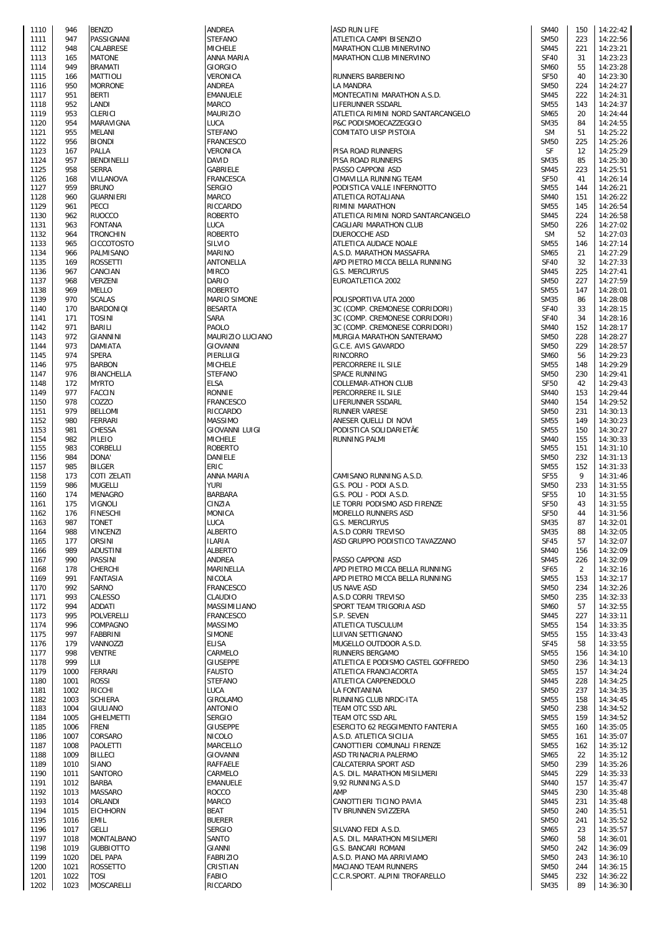| 1110         | 946          | <b>BENZO</b>                   |
|--------------|--------------|--------------------------------|
| 1111         | 947          | PASSIGNANI                     |
| 1112         | 948          | CALABRESE                      |
| 1113         | 165          | <b>MATONE</b>                  |
| 1114         | 949          | <b>BRAMATI</b>                 |
| 1115<br>1116 | 166<br>950   | MATTIOLI<br>MORRONE            |
| 1117         | 951          | <b>BERTI</b>                   |
| 1118         | 952          | LANDI                          |
| 1119         | 953          | CLERICI                        |
| 1120         | 954          | MARAVIGNA                      |
| 1121         | 955          | MELANI                         |
| 1122         | 956          | <b>BIONDI</b>                  |
| 1123         | 167          | PALLA                          |
| 1124         | 957          | <b>BENDINELLI</b>              |
| 1125<br>1126 | 958<br>168   | <b>SERRA</b><br>VILLANOVA      |
| 1127         | 959          | <b>BRUNO</b>                   |
| 1128         | 960          | <b>GUARNIERI</b>               |
| 1129         | 961          | PECCI                          |
| 1130         | 962          | RUOCCO                         |
| 1131         | 963          | <b>FONTANA</b>                 |
| 1132         | 964          | TRONCHIN                       |
| 1133         | 965          | CICCOTOSTO                     |
| 1134         | 966          | PALMISANO                      |
| 1135<br>1136 | 169<br>967   | <b>ROSSETTI</b><br>CANCIAN     |
| 1137         | 968          | VERZENI                        |
| 1138         | 969          | MELLO                          |
| 1139         | 970          | <b>SCALAS</b>                  |
| 1140         | 170          | BARDONIQI                      |
| 1141         | 171          | TOSINI                         |
| 1142         | 971          | BARILI                         |
| 1143         | 972          | GIANNINI                       |
| 1144         | 973          | DAMIATA                        |
| 1145         | 974          | <b>SPERA</b>                   |
| 1146<br>1147 | 975<br>976   | BARBON<br>BIANCHELLA           |
| 1148         | 172          | MYRTO                          |
| 1149         | 977          | <b>FACCIN</b>                  |
| 1150         | 978          | COZZO                          |
| 1151         | 979          | <b>BELLOMI</b>                 |
| 1152         | 980          | FERRARI                        |
| 1153         | 981          | CHESSA                         |
| 1154         | 982          | PILEIO                         |
| 1155         | 983          | CORBELLI                       |
| 1156         | 984          | DONA'                          |
| 1157<br>1158 | 985<br>173   | BILGER<br>COTI ZELATI          |
| 1159         | 986          | <b>MUGELLI</b>                 |
| 1160         | 174          | MENAGRO                        |
| 1161         | 175          | VIGNOLI                        |
| 1162         | 176          | <b>FINESCHI</b>                |
| 1163         | 98 I         | <b>TONET</b>                   |
| 1164         | 988          | VINCENZI                       |
| 1165         | 177          | ORSINI                         |
| 1166<br>1167 | 989<br>990   | ADUSTINI<br>PASSINI            |
| 1168         | 178          | CHERCHI                        |
| 1169         | 991          | FANTASIA                       |
| 1170         | 992          | SARNO                          |
| 1171         | 993          | CALESSO                        |
| 1172         | 994          | <b>ADDATI</b>                  |
| 1173         | 995          | POLVERELLI                     |
| 1174         | 996          | COMPAGNO                       |
| 1175         | 997          | FABBRINI                       |
| 1176<br>1177 | 179<br>998   | VANNOZZI<br><b>VENTRE</b>      |
| 1178         | 999          | LUI                            |
| 1179         | 1000         | FERRARI                        |
| 1180         | 1001         | <b>ROSSI</b>                   |
| 1181         | 1002         | RICCHI                         |
| 1182         | 1003         | SCHIERA                        |
| 1183         | 1004         | GIULIANO                       |
| 1184         | 1005         | <b>GHIELMETTI</b>              |
| 1185         | 1006         | FRENI                          |
| 1186<br>1187 | 1007<br>1008 | CORSARO<br>PAOLETTI            |
| 1188         | 1009         | BILLECI                        |
| 1189         | 1010         | SIANO                          |
| 1190         | 1011         | SANTORO                        |
| 1191         | 1012         | BARBA                          |
| 1192         | 1013         | MASSARO                        |
| 1193         | 1014         | ORLANDI                        |
| 1194         | 1015         | <b>EICHHORN</b>                |
| 1195         | 1016         | EMIL                           |
| 1196         | 1017         | GELLI                          |
| 1197<br>1198 | 1018         | MONTALBANO<br><b>GUBBIOTTO</b> |
| 1199         | 1019<br>1020 | DEL PAPA                       |
| 1200         |              |                                |
|              | 1021         | ROSSETTO                       |
| 1201         | 1022         | TOSI                           |

| 1110         | 946  | <b>BENZO</b>      | <b>ANDREA</b>                    | <b>ASD RUN LIFE</b>                | <b>SM40</b>                | 150 | 14:22:42 |
|--------------|------|-------------------|----------------------------------|------------------------------------|----------------------------|-----|----------|
| 1111         | 947  | PASSIGNANI        | <b>STEFANO</b>                   | ATLETICA CAMPI BISENZIO            | <b>SM50</b>                | 223 | 14:22:56 |
| 1112         | 948  | CALABRESE         | <b>MICHELE</b>                   | MARATHON CLUB MINERVINO            | <b>SM45</b>                | 221 | 14:23:21 |
| 1113         | 165  | <b>MATONE</b>     | ANNA MARIA                       | MARATHON CLUB MINERVINO            | <b>SF40</b>                | 31  | 14:23:23 |
| 1114         | 949  | <b>BRAMATI</b>    | <b>GIORGIO</b>                   |                                    | <b>SM60</b>                | 55  | 14:23:28 |
| 1115         | 166  | <b>MATTIOLI</b>   | VERONICA                         | RUNNERS BARBERINO                  | <b>SF50</b>                | 40  | 14:23:30 |
| 1116         | 950  | <b>MORRONE</b>    | ANDREA                           | <b>LA MANDRA</b>                   | <b>SM50</b>                | 224 | 14:24:27 |
| 1117         | 951  | <b>BERTI</b>      | <b>EMANUELE</b>                  | MONTECATINI MARATHON A.S.D.        | <b>SM45</b>                | 222 | 14:24:31 |
| 1118         | 952  | LANDI             | <b>MARCO</b>                     | LIFERUNNER SSDARL                  | <b>SM55</b>                | 143 | 14:24:37 |
| 1119         | 953  | <b>CLERICI</b>    | <b>MAURIZIO</b>                  | ATLETICA RIMINI NORD SANTARCANGELO | <b>SM65</b>                | 20  | 14:24:44 |
| 1120         | 954  | MARAVIGNA         | LUCA                             | P&C PODISMOECAZZEGGIO              | <b>SM35</b>                | 84  | 14:24:55 |
| 1121         | 955  | <b>MELANI</b>     | <b>STEFANO</b>                   | COMITATO UISP PISTOIA              | <b>SM</b>                  | 51  | 14:25:22 |
| 1122         | 956  | <b>BIONDI</b>     | <b>FRANCESCO</b>                 |                                    | <b>SM50</b>                | 225 | 14:25:26 |
| 1123         | 167  | PALLA             | VERONICA                         | PISA ROAD RUNNERS                  | SF                         | 12  | 14:25:29 |
| 1124         | 957  | <b>BENDINELLI</b> | <b>DAVID</b>                     | PISA ROAD RUNNERS                  | <b>SM35</b>                | 85  | 14:25:30 |
|              |      | <b>SERRA</b>      | GABRIELE                         |                                    |                            |     |          |
| 1125         | 958  |                   |                                  | PASSO CAPPONI ASD                  | <b>SM45</b>                | 223 | 14:25:51 |
| 1126         | 168  | VILLANOVA         | <b>FRANCESCA</b>                 | CIMAVILLA RUNNING TEAM             | <b>SF50</b>                | 41  | 14:26:14 |
| 1127         | 959  | <b>BRUNO</b>      | <b>SERGIO</b>                    | PODISTICA VALLE INFERNOTTO         | <b>SM55</b>                | 144 | 14:26:21 |
| 1128         | 960  | <b>GUARNIERI</b>  | <b>MARCO</b>                     | ATLETICA ROTALIANA                 | <b>SM40</b>                | 151 | 14:26:22 |
| 1129         | 961  | <b>PECCI</b>      | RICCARDO                         | RIMINI MARATHON                    | <b>SM55</b>                | 145 | 14:26:54 |
| 1130         | 962  | <b>RUOCCO</b>     | <b>ROBERTO</b>                   | ATLETICA RIMINI NORD SANTARCANGELO | <b>SM45</b>                | 224 | 14:26:58 |
| 1131         | 963  | <b>FONTANA</b>    | LUCA                             | CAGLIARI MARATHON CLUB             | <b>SM50</b>                | 226 | 14:27:02 |
| 1132         | 964  | <b>TRONCHIN</b>   | <b>ROBERTO</b>                   | DUEROCCHE ASD                      | <b>SM</b>                  | 52  | 14:27:03 |
| 1133         | 965  | <b>CICCOTOSTO</b> | SILVIO                           | ATLETICA AUDACE NOALE              | <b>SM55</b>                | 146 | 14:27:14 |
| 1134         | 966  | PALMISANO         | <b>MARINO</b>                    | A.S.D. MARATHON MASSAFRA           | <b>SM65</b>                | 21  | 14:27:29 |
| 1135         | 169  | <b>ROSSETTI</b>   | <b>ANTONELLA</b>                 | APD PIETRO MICCA BELLA RUNNING     | <b>SF40</b>                | 32  | 14:27:33 |
| 1136         | 967  | CANCIAN           | <b>MIRCO</b>                     | <b>G.S. MERCURYUS</b>              | <b>SM45</b>                | 225 | 14:27:41 |
| 1137         | 968  | <b>VERZENI</b>    | <b>DARIO</b>                     | EUROATLETICA 2002                  | <b>SM50</b>                | 227 | 14:27:59 |
| 1138         | 969  | <b>MELLO</b>      | <b>ROBERTO</b>                   |                                    | <b>SM55</b>                | 147 | 14:28:01 |
| 1139         | 970  | <b>SCALAS</b>     | <b>MARIO SIMONE</b>              | POLISPORTIVA UTA 2000              | <b>SM35</b>                | 86  | 14:28:08 |
| 1140         | 170  | <b>BARDONIQI</b>  | <b>BESARTA</b>                   | 3C (COMP. CREMONESE CORRIDORI)     | <b>SF40</b>                | 33  | 14:28:15 |
| 1141         | 171  | <b>TOSINI</b>     | SARA                             | 3C (COMP. CREMONESE CORRIDORI)     | <b>SF40</b>                | 34  | 14:28:16 |
| 1142         | 971  | BARILI            | PAOLO                            | 3C (COMP. CREMONESE CORRIDORI)     | <b>SM40</b>                | 152 | 14:28:17 |
| 1143         | 972  | <b>GIANNINI</b>   | MAURIZIO LUCIANO                 | MURGIA MARATHON SANTERAMO          | <b>SM50</b>                | 228 | 14:28:27 |
| 1144         | 973  | <b>DAMIATA</b>    | <b>GIOVANNI</b>                  | G.C.E. AVIS GAVARDO                | <b>SM50</b>                | 229 | 14:28:57 |
| 1145         | 974  | <b>SPERA</b>      | PIERLUIGI                        | RINCORRO                           | <b>SM60</b>                | 56  | 14:29:23 |
| 1146         | 975  | <b>BARBON</b>     | <b>MICHELE</b>                   | PERCORRERE IL SILE                 | <b>SM55</b>                | 148 | 14:29:29 |
| 1147         | 976  | <b>BIANCHELLA</b> | <b>STEFANO</b>                   | SPACE RUNNING                      | <b>SM50</b>                | 230 | 14:29:41 |
| 1148         | 172  | <b>MYRTO</b>      | <b>ELSA</b>                      | COLLEMAR-ATHON CLUB                | <b>SF50</b>                | 42  | 14:29:43 |
| 1149         | 977  | <b>FACCIN</b>     | <b>RONNIE</b>                    | PERCORRERE IL SILE                 | <b>SM40</b>                | 153 | 14:29:44 |
| 1150         | 978  | COZZO             | <b>FRANCESCO</b>                 | LIFERUNNER SSDARL                  | <b>SM40</b>                | 154 | 14:29:52 |
| 1151         | 979  | <b>BELLOMI</b>    | <b>RICCARDO</b>                  | <b>RUNNER VARESE</b>               | <b>SM50</b>                | 231 | 14:30:13 |
|              | 980  | <b>FERRARI</b>    | <b>MASSIMO</b>                   |                                    | <b>SM55</b>                | 149 | 14:30:23 |
| 1152         |      |                   |                                  | ANESER QUELLI DI NOVI              |                            |     |          |
| 1153         | 981  | <b>CHESSA</b>     | <b>GIOVANNI LUIGI</b>            | PODISTICA SOLIDARIETÀ              | <b>SM55</b>                | 150 | 14:30:27 |
| 1154         | 982  | PILEIO            | <b>MICHELE</b>                   | RUNNING PALMI                      | <b>SM40</b>                | 155 | 14:30:33 |
| 1155         | 983  | CORBELLI          | <b>ROBERTO</b>                   |                                    | <b>SM55</b>                | 151 | 14:31:10 |
| 1156         | 984  | DONA'             | DANIELE                          |                                    | <b>SM50</b>                | 232 | 14:31:13 |
| 1157         | 985  | <b>BILGER</b>     | <b>ERIC</b>                      |                                    | <b>SM55</b>                | 152 | 14:31:33 |
| 1158         | 173  | COTI ZELATI       | ANNA MARIA                       | CAMISANO RUNNING A.S.D.            | <b>SF55</b>                | 9   | 14:31:46 |
| 1159         | 986  | <b>MUGELLI</b>    | <b>YURI</b>                      | G.S. POLI - PODI A.S.D.            | <b>SM50</b>                | 233 | 14:31:55 |
| 1160         | 174  | <b>MENAGRO</b>    | <b>BARBARA</b>                   | G.S. POLI - PODI A.S.D.            | <b>SF55</b>                | 10  | 14:31:55 |
| 1161         | 175  | <b>VIGNOLI</b>    | CINZIA                           | LE TORRI PODISMO ASD FIRENZE       | <b>SF50</b>                | 43  | 14:31:55 |
| 1162         | 176  | <b>FINESCHI</b>   | <b>MONICA</b>                    | <b>MORELLO RUNNERS ASD</b>         | <b>SF50</b>                | 44  | 14:31:56 |
| 1163         | 987  | TONET             | LUCA                             | G.S. MERCURYUS                     | <b>SM35</b>                | 87  | 14:32:01 |
| 1164         | 988  | <b>VINCENZI</b>   | ALBERTO                          | A.S.D CORRI TREVISO                | <b>SM35</b>                | 88  | 14:32:05 |
| 1165         | 177  | ORSINI            | ILARIA                           | ASD GRUPPO PODISTICO TAVAZZANO     | SF45                       | 57  | 14:32:07 |
| 1166         | 989  | <b>ADUSTINI</b>   | <b>ALBERTO</b>                   |                                    | <b>SM40</b>                | 156 | 14:32:09 |
| 1167         | 990  | <b>PASSINI</b>    | <b>ANDREA</b>                    | PASSO CAPPONI ASD                  | <b>SM45</b>                | 226 | 14:32:09 |
| 1168         | 178  | <b>CHERCHI</b>    | <b>MARINELLA</b>                 | APD PIETRO MICCA BELLA RUNNING     | <b>SF65</b>                | 2   | 14:32:16 |
| 1169         | 991  | <b>FANTASIA</b>   | <b>NICOLA</b>                    | APD PIETRO MICCA BELLA RUNNING     | <b>SM55</b>                | 153 | 14:32:17 |
| 1170         | 992  | <b>SARNO</b>      | <b>FRANCESCO</b>                 | <b>US NAVE ASD</b>                 | <b>SM50</b>                | 234 | 14:32:26 |
| 1171         | 993  | CALESSO           | <b>CLAUDIO</b>                   | A.S.D CORRI TREVISO                | <b>SM50</b>                | 235 | 14:32:33 |
| 1172         | 994  | <b>ADDATI</b>     | MASSIMILIANO                     | SPORT TEAM TRIGORIA ASD            | <b>SM60</b>                | 57  | 14:32:55 |
| 1173         | 995  | <b>POLVERELLI</b> | <b>FRANCESCO</b>                 | S.P. SEVEN                         | <b>SM45</b>                | 227 | 14:33:11 |
| 1174         | 996  | COMPAGNO          | <b>MASSIMO</b>                   | ATLETICA TUSCULUM                  | <b>SM55</b>                | 154 | 14:33:35 |
| 1175         | 997  | <b>FABBRINI</b>   | <b>SIMONE</b>                    | LUIVAN SETTIGNANO                  | <b>SM55</b>                | 155 | 14:33:43 |
| 1176         | 179  | VANNOZZI          | <b>ELISA</b>                     | MUGELLO OUTDOOR A.S.D.             | <b>SF45</b>                | 58  | 14:33:55 |
| 1177         | 998  | <b>VENTRE</b>     | CARMELO                          | RUNNERS BERGAMO                    | <b>SM55</b>                | 156 | 14:34:10 |
| 1178         | 999  | LUI               | <b>GIUSEPPE</b>                  | ATLETICA E PODISMO CASTEL GOFFREDO | <b>SM50</b>                | 236 | 14:34:13 |
| 1179         | 1000 | <b>FERRARI</b>    | <b>FAUSTO</b>                    | ATLETICA FRANCIACORTA              | <b>SM55</b>                | 157 | 14:34:24 |
| 1180         | 1001 | <b>ROSSI</b>      | <b>STEFANO</b>                   | ATLETICA CARPENEDOLO               | <b>SM45</b>                | 228 | 14:34:25 |
| 1181         | 1002 | RICCHI            | LUCA                             | LA FONTANINA                       | <b>SM50</b>                | 237 | 14:34:35 |
| 1182         | 1003 | <b>SCHIERA</b>    | <b>GIROLAMO</b>                  | RUNNING CLUB NRDC-ITA              | <b>SM55</b>                | 158 | 14:34:45 |
| 1183         | 1004 | <b>GIULIANO</b>   | <b>ANTONIO</b>                   | TEAM OTC SSD ARL                   | <b>SM50</b>                | 238 | 14:34:52 |
| 1184         | 1005 | <b>GHIELMETTI</b> | <b>SERGIO</b>                    | TEAM OTC SSD ARL                   | <b>SM55</b>                | 159 | 14:34:52 |
| 1185         | 1006 | <b>FRENI</b>      | <b>GIUSEPPE</b>                  | ESERCITO 62 REGGIMENTO FANTERIA    | <b>SM55</b>                | 160 | 14:35:05 |
| 1186         | 1007 | <b>CORSARO</b>    | <b>NICOLO</b>                    | A.S.D. ATLETICA SICILIA            | <b>SM55</b>                | 161 | 14:35:07 |
| 1187         | 1008 | <b>PAOLETTI</b>   | <b>MARCELLO</b>                  | CANOTTIERI COMUNALI FIRENZE        | <b>SM55</b>                | 162 | 14:35:12 |
| 1188         | 1009 | <b>BILLECI</b>    | <b>GIOVANNI</b>                  | ASD TRINACRIA PALERMO              | SM65                       | 22  | 14:35:12 |
| 1189         | 1010 | <b>SIANO</b>      | <b>RAFFAELE</b>                  | CALCATERRA SPORT ASD               | <b>SM50</b>                | 239 | 14:35:26 |
| 1190         | 1011 | <b>SANTORO</b>    | CARMELO                          | A.S. DIL. MARATHON MISILMERI       | <b>SM45</b>                | 229 | 14:35:33 |
| 1191         | 1012 | <b>BARBA</b>      | <b>EMANUELE</b>                  | 9,92 RUNNING A.S.D                 | <b>SM40</b>                | 157 | 14:35:47 |
| 1192         | 1013 | <b>MASSARO</b>    | <b>ROCCO</b>                     | AMP                                | <b>SM45</b>                | 230 | 14:35:48 |
| 1193         | 1014 | ORLANDI           | <b>MARCO</b>                     | CANOTTIERI TICINO PAVIA            | <b>SM45</b>                | 231 | 14:35:48 |
| 1194         | 1015 | <b>EICHHORN</b>   | BEAT                             | TV BRUNNEN SVIZZERA                | <b>SM50</b>                | 240 | 14:35:51 |
| 1195         | 1016 | <b>EMIL</b>       | <b>BUERER</b>                    |                                    | <b>SM50</b>                | 241 | 14:35:52 |
| 1196         | 1017 | <b>GELLI</b>      | <b>SERGIO</b>                    | SILVANO FEDI A.S.D.                | SM65                       | 23  | 14:35:57 |
| 1197         | 1018 | <b>MONTALBANO</b> | SANTO                            | A.S. DIL. MARATHON MISILMERI       | <b>SM60</b>                | 58  | 14:36:01 |
|              | 1019 | <b>GUBBIOTTO</b>  |                                  | G.S. BANCARI ROMANI                |                            | 242 | 14:36:09 |
| 1198<br>1199 | 1020 | <b>DEL PAPA</b>   | <b>GIANNI</b><br><b>FABRIZIO</b> | A.S.D. PIANO MA ARRIVIAMO          | <b>SM50</b><br><b>SM50</b> | 243 | 14:36:10 |
| 1200         | 1021 | <b>ROSSETTO</b>   |                                  |                                    | <b>SM50</b>                | 244 |          |
|              |      |                   | CRISTIAN<br><b>FABIO</b>         | MACIANO TEAM RUNNERS               |                            |     | 14:36:15 |
| 1201         | 1022 | <b>TOSI</b>       |                                  | C.C.R.SPORT. ALPINI TROFARELLO     | <b>SM45</b>                | 232 | 14:36:22 |
| 1202         | 1023 | MOSCARELLI        | <b>RICCARDO</b>                  |                                    | <b>SM35</b>                | 89  | 14:36:30 |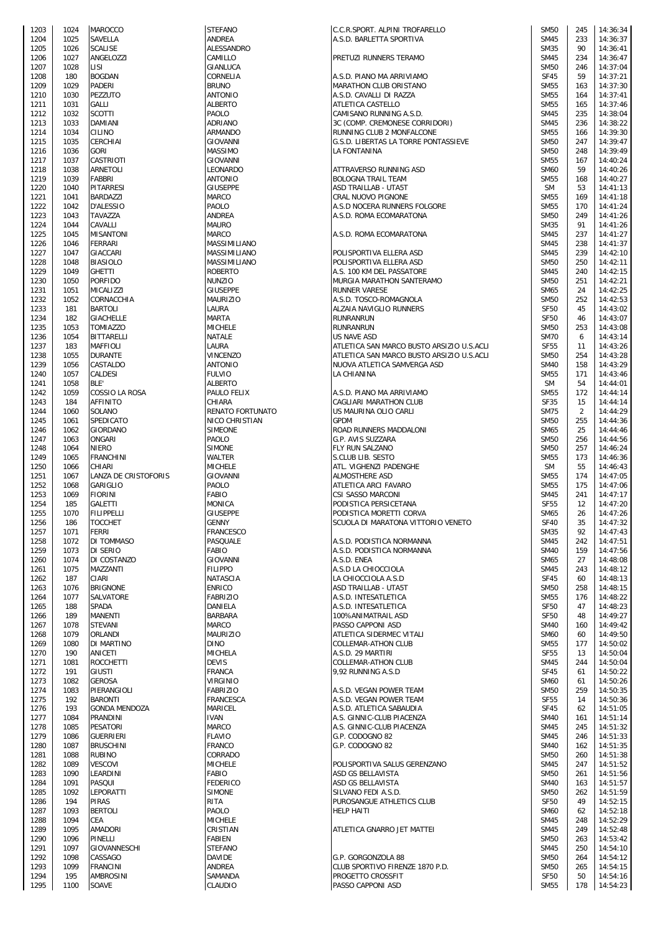| 1203         | 1024         | MAROCCO                       |
|--------------|--------------|-------------------------------|
| 1204         | 1025         | SAVELLA                       |
| 1205         | 1026         | <b>SCALISE</b>                |
| 1206         | 1027         | ANGELOZZI                     |
| 1207         | 1028         | LISI                          |
| 1208         | 180          | BOGDAN<br>PADERI              |
| 1209<br>1210 | 1029<br>1030 | PEZZUTO                       |
| 1211         | 1031         | GALLI                         |
| 1212         | 1032         | <b>SCOTTI</b>                 |
| 1213         | 1033         | DAMIANI                       |
| 1214         | 1034         | CILINO                        |
| 1215         | 1035         | CERCHIAI                      |
| 1216         | 1036         | <b>GORI</b>                   |
| 1217         | 1037         | CASTRIOTI                     |
| 1218         | 1038         | ARNETOLI                      |
| 1219         | 1039         | FABBRI                        |
| 1220         | 1040         | PITARRESI                     |
| 1221         | 1041         | BARDAZZI                      |
| 1222         | 1042         | D'ALESSIO                     |
| 1223<br>1224 | 1043<br>1044 | TAVAZZA<br>CAVALLI            |
| 1225         | 1045         | <b>MISANTONI</b>              |
| 1226         | 1046         | FERRARI                       |
| 1227         | 1047         | GIACCARI                      |
| 1228         | 1048         | BIASIOLO                      |
| 1229         | 1049         | <b>GHETTI</b>                 |
| 1230         | 1050         | <b>PORFIDO</b>                |
| 1231         | 1051         | MICALIZZI                     |
| 1232         | 1052         | CORNACCHIA                    |
| 1233         | 181          | BARTOLI                       |
| 1234         | 182          | <b>GIACHELLE</b>              |
| 1235<br>1236 | 1053<br>1054 | <b>TOMIAZZO</b><br>BITTARELLI |
| 1237         | 183          | MAFFIOLI                      |
| 1238         | 1055         | DURANTE                       |
| 1239         | 1056         | CASTALDO                      |
| 1240         | 1057         | CALDESI                       |
| 1241         | 1058         | BLE'                          |
| 1242         | 1059         | COSSIO LA ROSA                |
| 1243         | 184          | AFFINITO                      |
| 1244         | 1060         | SOLANO                        |
| 1245         | 1061         | SPEDICATO                     |
| 1246<br>1247 | 1062<br>1063 | GIORDANO<br>ONGARI            |
| 1248         | 1064         | NIERO                         |
| 1249         | 1065         | FRANCHINI                     |
| 1250         | 1066         | CHIARI                        |
| 1251         | 1067         | LANZA DE CRISTOFOR            |
| 1252         | 1068         | GARIGLIO                      |
| 1253         | 1069         | <b>FIORINI</b>                |
| 1254         | 185          | GALETTI                       |
| 1255         | 1070         | FILIPPELLI                    |
| 1256         | 186          | TOCCHET                       |
| 1257         | 1071         | FERRI<br>DI TOMMASO           |
| 1258<br>1259 | 1072<br>1073 | DI SERIO                      |
| 1260         | 1074         | DI COSTANZO                   |
| 1261         | 1075         | MAZZANTI                      |
| 1262         | 187          | CIARI                         |
| 1263         | 1076         | <b>BRIGNONE</b>               |
| 1264         | 1077         | SALVATORE                     |
| 1265         | 188          | <b>SPADA</b>                  |
| 1266         | 189          | MANENTI                       |
| 1267         | 1078         | STEVANI                       |
| 1268         | 1079         | ORLANDI                       |
| 1269<br>1270 | 1080<br>190  | DI MARTINO<br>ANICETI         |
| 1271         | 1081         | ROCCHETTI                     |
| 1272         | 191          | <b>GIUSTI</b>                 |
| 1273         | 1082         | <b>GEROSA</b>                 |
| 1274         | 1083         | PIERANGIOLI                   |
| 1275         | 192          | <b>BARONTI</b>                |
| 1276         | 193          | GONDA MENDOZA                 |
| 1277         | 1084         | PRANDINI                      |
| 1278         | 1085         | PESATORI                      |
| 1279         | 1086         | <b>GUERRIERI</b><br>BRUSCHINI |
| 1280<br>1281 |              |                               |
| 1282         | 1087         |                               |
|              | 1088<br>1089 | RUBINO<br>VESCOVI             |
| 1283         | 1090         | LEARDINI                      |
| 1284         | 1091         | PASQUI                        |
| 1285         | 1092         | LEPORATTI                     |
| 1286         | 194          | PIRAS                         |
| 1287         | 1093         | <b>BERTOLI</b>                |
| 1288         | 1094         | CEA                           |
| 1289         | 1095         | AMADORI                       |
| 1290         | 1096         | PINELLI                       |
| 1291         | 1097         | GIOVANNESCHI                  |
| 1292         | 1098         | CASSAGO                       |
| 1293<br>1294 | 1099<br>195  | FRANCINI<br>AMBROSINI         |

| 1203 | 1024 | <b>MAROCCO</b>       | <b>STEFANO</b>        | C.C.R.SPORT. ALPINI TROFARELLO            | <b>SM50</b> | 245 | 14:36:34 |
|------|------|----------------------|-----------------------|-------------------------------------------|-------------|-----|----------|
| 1204 | 1025 | SAVELLA              | ANDREA                | A.S.D. BARLETTA SPORTIVA                  | <b>SM45</b> | 233 | 14:36:37 |
| 1205 | 1026 | <b>SCALISE</b>       | ALESSANDRO            |                                           | <b>SM35</b> | 90  | 14:36:41 |
| 1206 | 1027 | ANGELOZZI            | CAMILLO               | PRETUZI RUNNERS TERAMO                    | <b>SM45</b> | 234 | 14:36:47 |
| 1207 | 1028 | LISI                 | GIANLUCA              |                                           | <b>SM50</b> | 246 | 14:37:04 |
| 1208 | 180  | <b>BOGDAN</b>        | CORNELIA              | A.S.D. PIANO MA ARRIVIAMO                 | <b>SF45</b> | 59  | 14:37:21 |
| 1209 | 1029 | <b>PADERI</b>        | <b>BRUNO</b>          | MARATHON CLUB ORISTANO                    | <b>SM55</b> | 163 | 14:37:30 |
| 1210 | 1030 | <b>PEZZUTO</b>       | <b>ANTONIO</b>        | A.S.D. CAVALLI DI RAZZA                   | <b>SM55</b> | 164 | 14:37:41 |
| 1211 | 1031 | GALLI                | <b>ALBERTO</b>        | ATLETICA CASTELLO                         | <b>SM55</b> | 165 | 14:37:46 |
| 1212 | 1032 | <b>SCOTTI</b>        | <b>PAOLO</b>          | CAMISANO RUNNING A.S.D.                   | <b>SM45</b> | 235 | 14:38:04 |
| 1213 | 1033 | <b>DAMIANI</b>       | ADRIANO               | 3C (COMP. CREMONESE CORRIDORI)            | <b>SM45</b> | 236 | 14:38:22 |
| 1214 | 1034 | <b>CILINO</b>        | <b>ARMANDO</b>        | RUNNING CLUB 2 MONFALCONE                 | <b>SM55</b> | 166 | 14:39:30 |
| 1215 | 1035 | <b>CERCHIAI</b>      | <b>GIOVANNI</b>       | G.S.D. LIBERTAS LA TORRE PONTASSIEVE      | <b>SM50</b> | 247 | 14:39:47 |
| 1216 | 1036 | <b>GORI</b>          | <b>MASSIMO</b>        | LA FONTANINA                              | <b>SM50</b> | 248 | 14:39:49 |
| 1217 | 1037 | CASTRIOTI            | GIOVANNI              |                                           | <b>SM55</b> | 167 | 14:40:24 |
| 1218 | 1038 | ARNETOLI             | <b>LEONARDO</b>       | ATTRAVERSO RUNNING ASD                    | <b>SM60</b> | 59  | 14:40:26 |
| 1219 | 1039 | FABBRI               | <b>ANTONIO</b>        | <b>BOLOGNA TRAIL TEAM</b>                 | <b>SM55</b> | 168 | 14:40:27 |
| 1220 | 1040 | PITARRESI            | <b>GIUSEPPE</b>       | ASD TRAILLAB - UTA5T                      | <b>SM</b>   | 53  | 14:41:13 |
| 1221 | 1041 | BARDAZZI             | <b>MARCO</b>          | CRAL NUOVO PIGNONE                        | <b>SM55</b> | 169 | 14:41:18 |
| 1222 | 1042 | D'ALESSIO            | <b>PAOLO</b>          | A.S.D NOCERA RUNNERS FOLGORE              | <b>SM55</b> | 170 | 14:41:24 |
| 1223 | 1043 | <b>TAVAZZA</b>       | <b>ANDREA</b>         | A.S.D. ROMA ECOMARATONA                   | <b>SM50</b> | 249 | 14:41:26 |
| 1224 | 1044 | CAVALLI              | <b>MAURO</b>          |                                           | <b>SM35</b> | 91  | 14:41:26 |
| 1225 | 1045 | <b>MISANTONI</b>     | <b>MARCO</b>          | A.S.D. ROMA ECOMARATONA                   | <b>SM45</b> | 237 | 14:41:27 |
| 1226 | 1046 | <b>FERRARI</b>       | MASSIMILIANO          |                                           | <b>SM45</b> | 238 | 14:41:37 |
|      |      |                      |                       |                                           |             |     |          |
| 1227 | 1047 | GIACCARI             | MASSIMILIANO          | POLISPORTIVA ELLERA ASD                   | <b>SM45</b> | 239 | 14:42:10 |
| 1228 | 1048 | <b>BIASIOLO</b>      | MASSIMILIANO          | POLISPORTIVA ELLERA ASD                   | <b>SM50</b> | 250 | 14:42:11 |
| 1229 | 1049 | <b>GHETTI</b>        | <b>ROBERTO</b>        | A.S. 100 KM DEL PASSATORE                 | <b>SM45</b> | 240 | 14:42:15 |
| 1230 | 1050 | <b>PORFIDO</b>       | <b>NUNZIO</b>         | MURGIA MARATHON SANTERAMO                 | <b>SM50</b> | 251 | 14:42:21 |
| 1231 | 1051 | MICALIZZI            | <b>GIUSEPPE</b>       | <b>RUNNER VARESE</b>                      | <b>SM65</b> | 24  | 14:42:25 |
| 1232 | 1052 | CORNACCHIA           | <b>MAURIZIO</b>       | A.S.D. TOSCO-ROMAGNOLA                    | <b>SM50</b> | 252 | 14:42:53 |
| 1233 | 181  | <b>BARTOLI</b>       | LAURA                 | ALZAIA NAVIGLIO RUNNERS                   | <b>SF50</b> | 45  | 14:43:02 |
| 1234 | 182  | <b>GIACHELLE</b>     | MARTA                 | <b>RUNRANRUN</b>                          | <b>SF50</b> | 46  | 14:43:07 |
| 1235 | 1053 | <b>TOMIAZZO</b>      | <b>MICHELE</b>        | <b>RUNRANRUN</b>                          | <b>SM50</b> | 253 | 14:43:08 |
| 1236 | 1054 | BITTARELLI           | <b>NATALE</b>         | <b>US NAVE ASD</b>                        | <b>SM70</b> | 6   | 14:43:14 |
| 1237 | 183  | <b>MAFFIOLI</b>      | LAURA                 | ATLETICA SAN MARCO BUSTO ARSIZIO U.S.ACLI | <b>SF55</b> | 11  | 14:43:26 |
| 1238 | 1055 | <b>DURANTE</b>       | <b>VINCENZO</b>       | ATLETICA SAN MARCO BUSTO ARSIZIO U.S.ACLI | <b>SM50</b> | 254 | 14:43:28 |
| 1239 | 1056 | CASTALDO             | <b>ANTONIO</b>        | NUOVA ATLETICA SAMVERGA ASD               | <b>SM40</b> | 158 | 14:43:29 |
| 1240 | 1057 | CALDESI              | <b>FULVIO</b>         | LA CHIANINA                               | <b>SM55</b> | 171 | 14:43:46 |
| 1241 | 1058 | BLE'                 | <b>ALBERTO</b>        |                                           | <b>SM</b>   | 54  | 14:44:01 |
| 1242 | 1059 | COSSIO LA ROSA       | PAULO FELIX           | A.S.D. PIANO MA ARRIVIAMO                 | <b>SM55</b> | 172 | 14:44:14 |
| 1243 | 184  | <b>AFFINITO</b>      | CHIARA                | CAGLIARI MARATHON CLUB                    | SF35        | 15  | 14:44:14 |
| 1244 | 1060 | SOLANO               | RENATO FORTUNATO      | US MAURINA OLIO CARLI                     | <b>SM75</b> | 2   | 14:44:29 |
| 1245 | 1061 | SPEDICATO            | <b>NICO CHRISTIAN</b> | <b>GPDM</b>                               | <b>SM50</b> | 255 | 14:44:36 |
| 1246 | 1062 | <b>GIORDANO</b>      | <b>SIMEONE</b>        | ROAD RUNNERS MADDALONI                    | <b>SM65</b> | 25  | 14:44:46 |
| 1247 | 1063 | <b>ONGARI</b>        | PAOLO                 | G.P. AVIS SUZZARA                         | <b>SM50</b> | 256 | 14:44:56 |
|      | 1064 | <b>NIERO</b>         | <b>SIMONE</b>         | <b>FLY RUN SALZANO</b>                    | <b>SM50</b> | 257 | 14:46:24 |
| 1248 | 1065 | <b>FRANCHINI</b>     |                       |                                           | <b>SM55</b> | 173 | 14:46:36 |
| 1249 |      |                      | WALTER                | S.CLUB LIB. SESTO                         |             |     |          |
| 1250 | 1066 | CHIARI               | <b>MICHELE</b>        | ATL. VIGHENZI PADENGHE                    | <b>SM</b>   | 55  | 14:46:43 |
| 1251 | 1067 | LANZA DE CRISTOFORIS | <b>GIOVANNI</b>       | <b>ALMOSTHERE ASD</b>                     | <b>SM55</b> | 174 | 14:47:05 |
| 1252 | 1068 | <b>GARIGLIO</b>      | PAOLO                 | ATLETICA ARCI FAVARO                      | <b>SM55</b> | 175 | 14:47:06 |
| 1253 | 1069 | <b>FIORINI</b>       | <b>FABIO</b>          | CSI SASSO MARCONI                         | <b>SM45</b> | 241 | 14:47:17 |
| 1254 | 185  | GALETTI              | <b>MONICA</b>         | PODISTICA PERSICETANA                     | <b>SF55</b> | 12  | 14:47:20 |
| 1255 | 1070 | <b>FILIPPELLI</b>    | <b>GIUSEPPE</b>       | PODISTICA MORETTI CORVA                   | SM65        | 26  | 14:47:26 |
| 1256 | 186  | <b>TOCCHET</b>       | <b>GENNY</b>          | SCUOLA DI MARATONA VITTORIO VENETO        | SF40        | 35  | 14:47:32 |
| 1257 | 1071 | <b>FERRI</b>         | <b>FRANCESCO</b>      |                                           | <b>SM35</b> | 92  | 14:47:43 |
| 1258 | 1072 | DI TOMMASO           | PASQUALE              | A.S.D. PODISTICA NORMANNA                 | <b>SM45</b> | 242 | 14:47:51 |
| 1259 | 1073 | DI SERIO             | <b>FABIO</b>          | A.S.D. PODISTICA NORMANNA                 | <b>SM40</b> | 159 | 14:47:56 |
| 1260 | 1074 | DI COSTANZO          | GIOVANNI              | A.S.D. ENEA                               | SM65        | 27  | 14:48:08 |
| 1261 | 1075 | MAZZANTI             | <b>FILIPPO</b>        | A.S.D LA CHIOCCIOLA                       | <b>SM45</b> | 243 | 14:48:12 |
| 1262 | 187  | CIARI                | NATASCIA              | LA CHIOCCIOLA A.S.D                       | <b>SF45</b> | 60  | 14:48:13 |
| 1263 | 1076 | <b>BRIGNONE</b>      | <b>ENRICO</b>         | ASD TRAILLAB - UTA5T                      | <b>SM50</b> | 258 | 14:48:15 |
| 1264 | 1077 | SALVATORE            | <b>FABRIZIO</b>       | A.S.D. INTESATLETICA                      | <b>SM55</b> | 176 | 14:48:22 |
| 1265 | 188  | SPADA                | DANIELA               | A.S.D. INTESATLETICA                      | <b>SF50</b> | 47  | 14:48:23 |
| 1266 | 189  | <b>MANENTI</b>       | <b>BARBARA</b>        | 100%ANIMATRAIL ASD                        | <b>SF50</b> | 48  | 14:49:27 |
| 1267 | 1078 | <b>STEVANI</b>       | MARCO                 | PASSO CAPPONI ASD                         | <b>SM40</b> | 160 | 14:49:42 |
| 1268 | 1079 | ORLANDI              | <b>MAURIZIO</b>       | ATLETICA SIDERMEC VITALI                  | <b>SM60</b> | 60  | 14:49:50 |
| 1269 | 1080 | DI MARTINO           | <b>DINO</b>           | <b>COLLEMAR-ATHON CLUB</b>                | <b>SM55</b> | 177 | 14:50:02 |
| 1270 | 190  | ANICETI              | MICHELA               | A.S.D. 29 MARTIRI                         | <b>SF55</b> | 13  | 14:50:04 |
| 1271 | 1081 | <b>ROCCHETTI</b>     | <b>DEVIS</b>          | COLLEMAR-ATHON CLUB                       | <b>SM45</b> | 244 | 14:50:04 |
| 1272 | 191  | <b>GIUSTI</b>        | <b>FRANCA</b>         | 9,92 RUNNING A.S.D                        | <b>SF45</b> | 61  | 14:50:22 |
| 1273 | 1082 | <b>GEROSA</b>        | <b>VIRGINIO</b>       |                                           | <b>SM60</b> | 61  | 14:50:26 |
| 1274 | 1083 | PIERANGIOLI          | <b>FABRIZIO</b>       | A.S.D. VEGAN POWER TEAM                   | <b>SM50</b> | 259 | 14:50:35 |
| 1275 | 192  | <b>BARONTI</b>       | <b>FRANCESCA</b>      | A.S.D. VEGAN POWER TEAM                   | <b>SF55</b> | 14  | 14:50:36 |
| 1276 | 193  | <b>GONDA MENDOZA</b> | MARICEL               | A.S.D. ATLETICA SABAUDIA                  | <b>SF45</b> | 62  | 14:51:05 |
|      | 1084 | <b>PRANDINI</b>      | <b>IVAN</b>           |                                           | <b>SM40</b> | 161 |          |
| 1277 | 1085 | PESATORI             | <b>MARCO</b>          | A.S. GINNIC-CLUB PIACENZA                 | <b>SM45</b> | 245 | 14:51:14 |
| 1278 |      |                      |                       | A.S. GINNIC-CLUB PIACENZA                 |             |     | 14:51:32 |
| 1279 | 1086 | <b>GUERRIERI</b>     | <b>FLAVIO</b>         | G.P. CODOGNO 82                           | <b>SM45</b> | 246 | 14:51:33 |
| 1280 | 1087 | <b>BRUSCHINI</b>     | <b>FRANCO</b>         | G.P. CODOGNO 82                           | <b>SM40</b> | 162 | 14:51:35 |
| 1281 | 1088 | <b>RUBINO</b>        | CORRADO               |                                           | <b>SM50</b> | 260 | 14:51:38 |
| 1282 | 1089 | <b>VESCOVI</b>       | <b>MICHELE</b>        | POLISPORTIVA SALUS GERENZANO              | <b>SM45</b> | 247 | 14:51:52 |
| 1283 | 1090 | LEARDINI             | <b>FABIO</b>          | ASD GS BELLAVISTA                         | <b>SM50</b> | 261 | 14:51:56 |
| 1284 | 1091 | PASQUI               | <b>FEDERICO</b>       | ASD GS BELLAVISTA                         | <b>SM40</b> | 163 | 14:51:57 |
| 1285 | 1092 | <b>LEPORATTI</b>     | SIMONE                | SILVANO FEDI A.S.D.                       | <b>SM50</b> | 262 | 14:51:59 |
| 1286 | 194  | <b>PIRAS</b>         | <b>RITA</b>           | PUROSANGUE ATHLETICS CLUB                 | <b>SF50</b> | 49  | 14:52:15 |
| 1287 | 1093 | <b>BERTOLI</b>       | PAOLO                 | <b>HELP HAITI</b>                         | <b>SM60</b> | 62  | 14:52:18 |
| 1288 | 1094 | CEA                  | <b>MICHELE</b>        |                                           | <b>SM45</b> | 248 | 14:52:29 |
| 1289 | 1095 | <b>AMADORI</b>       | CRISTIAN              | ATLETICA GNARRO JET MATTEI                | <b>SM45</b> | 249 | 14:52:48 |
| 1290 | 1096 | PINELLI              | <b>FABIEN</b>         |                                           | <b>SM50</b> | 263 | 14:53:42 |
| 1291 | 1097 | <b>GIOVANNESCHI</b>  | <b>STEFANO</b>        |                                           | <b>SM45</b> | 250 | 14:54:10 |
| 1292 | 1098 | CASSAGO              | <b>DAVIDE</b>         | G.P. GORGONZOLA 88                        | <b>SM50</b> | 264 | 14:54:12 |
| 1293 | 1099 | <b>FRANCINI</b>      | ANDREA                | CLUB SPORTIVO FIRENZE 1870 P.D.           | <b>SM50</b> | 265 | 14:54:15 |
| 1294 | 195  | <b>AMBROSINI</b>     | SAMANDA               | PROGETTO CROSSFIT                         | <b>SF50</b> | 50  | 14:54:16 |
| 1295 | 1100 | SOAVE                | CLAUDIO               | PASSO CAPPONI ASD                         | <b>SM55</b> | 178 | 14:54:23 |
|      |      |                      |                       |                                           |             |     |          |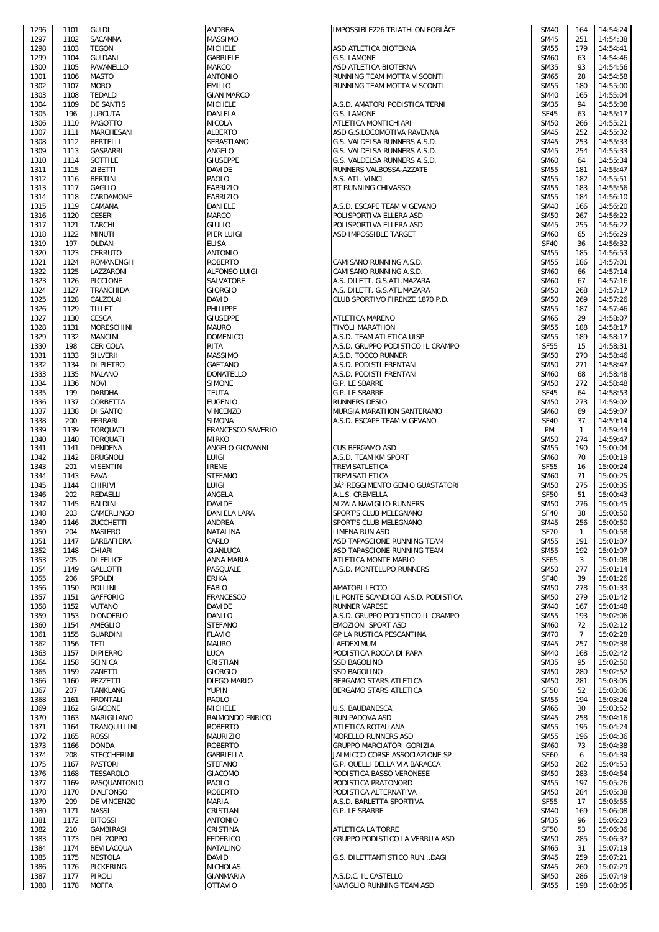| 1296         | 1101 | <b>GUIDI</b>    |
|--------------|------|-----------------|
| 1297         | 1102 | SACANNA         |
|              |      |                 |
| 1298         | 1103 | TEGON           |
| 1299         | 1104 | GUIDANI         |
| 1300         | 1105 | PAVANELLO       |
| 1301         | 1106 | <b>MASTO</b>    |
| 1302         | 1107 | Moro            |
| 1303         | 1108 | TEDALDI         |
| 1304         | 1109 | DE SANTIS       |
| 1305         | 196  | JURCUTA         |
| 1306         | 1110 | PAGOTTO         |
| 1307         | 1111 | MARCHESANI      |
| 1308         | 1112 | BERTELLI        |
| 1309         | 1113 | GASPARRI        |
| 1310         | 1114 | SOTTILE         |
| 1311         | 1115 | ZIBETTI         |
| 1312         | 1116 | <b>BERTINI</b>  |
|              |      |                 |
| 1313         | 1117 | GAGLIO          |
| 1314         | 1118 | CARDAMONE       |
| 1315         | 1119 | CAMANA          |
| 1316         | 1120 | <b>CESERI</b>   |
| 1317         | 1121 | TARCHI          |
| 1318         | 1122 | MINUTI          |
| 1319         | 197  | OLDANI          |
| 1320         | 1123 | CERRUTO         |
| 1321         | 1124 | ROMANENGHI      |
| 1322         | 1125 | LAZZARONI       |
| 1323         | 1126 | <b>PICCIONE</b> |
| 1324         | 1127 | TRANCHIDA       |
| 1325         | 1128 | CALZOLAI        |
| 1326         | 1129 | <b>TILLET</b>   |
| 1327         | 1130 | CESCA           |
|              |      | MORESCHINI      |
| 1328         | 1131 |                 |
| 1329         | 1132 | <b>MANCINI</b>  |
| 1330         | 198  | CERICOLA        |
| 1331         | 1133 | SILVERII        |
| 1332         | 1134 | DI PIETRO       |
| 1333         | 1135 | MALANO          |
| 1334         | 1136 | NOVI            |
| 1335         | 199  | DARDHA          |
| 1336         | 1137 | CORBETTA        |
| 1337         | 1138 | DI SANTO        |
| 1338         | 200  | FERRARI         |
| 1339         | 1139 | TORQUATI        |
| 1340         | 1140 | TORQUATI        |
| 1341         | 1141 | DENDENA         |
| 1342         | 1142 | <b>BRUGNOLI</b> |
| 1343         | 201  | VISENTIN        |
| 1344         | 1143 | <b>FAVA</b>     |
|              |      |                 |
| 1345         | 1144 | CHIRIVI'        |
| 1346         | 202  | REDAELLI        |
| 1347         | 1145 | <b>BALDINI</b>  |
| 1348         | 203  | CAMERLINGO      |
| 1349         | 1146 | ZUCCHETTI       |
| 1350         | 204  | MASIERO         |
| 1351         | 1147 | BARBAFIERA      |
| 1352         | 1148 | CHIARI          |
| 1353         | 205  | DI FELICE       |
| 1354         | 1149 | GALLOTTI        |
| 1355         | 206  | SPOLDI          |
| 1356         | 1150 | POLLINI         |
| 1357         | 1151 | <b>GAFFORIO</b> |
| 1358         | 1152 | VUTANO          |
| 1359         | 1153 | D'ONOFRIO       |
| 1360         | 1154 | AMEGLIO         |
| 1361         | 1155 | <b>GUARDINI</b> |
| 1362         | 1156 | <b>TETI</b>     |
|              |      | <b>DIPIERRO</b> |
| 1363<br>1364 | 1157 | SCINICA         |
|              | 1158 |                 |
| 1365         | 1159 | ZANETTI         |
| 1366         | 1160 | PEZZETTI        |
| 1367         | 207  | TANKLANG        |
| 1368         | 1161 | FRONTALI        |
| 1369         | 1162 | <b>GIACONE</b>  |
| 1370         | 1163 | MARIGLIANO      |
| 1371         | 1164 | TRANQUILLINI    |
| 1372         | 1165 | <b>ROSSI</b>    |
| 1373         | 1166 | DONDA           |
| 1374         | 208  | STECCHERINI     |
| 1375         | 1167 | PASTORI         |
| 1376         | 1168 | TESSAROLO       |
| 1377         | 1169 | PASQUANTONIC    |
| 1378         | 1170 | D'ALFONSO       |
|              |      | DE VINCENZO     |
| 1379         | 209  |                 |
| 1380         | 1171 | NASSI           |
| 1381         | 1172 | <b>BITOSSI</b>  |
| 1382         | 210  | GAMBIRASI       |
| 1383         | 1173 | DEL ZOPPO       |
| 1384         | 1174 | BEVILACQUA      |
| 1385         | 1175 | NESTOLA         |
| 1386         | 1176 | PICKERING       |
|              |      | PIROLI          |
| 1387         | 1177 |                 |

| 1296 | 1101 | <b>GUIDI</b>       | ANDREA              | IMPOSSIBLE226 TRIATHLON FORLÃŒ      | <b>SM40</b> | 164            | 14:54:24 |
|------|------|--------------------|---------------------|-------------------------------------|-------------|----------------|----------|
| 1297 | 1102 | <b>SACANNA</b>     | <b>MASSIMO</b>      |                                     | <b>SM45</b> | 251            | 14:54:38 |
| 1298 | 1103 | <b>TEGON</b>       | <b>MICHELE</b>      | ASD ATLETICA BIOTEKNA               | <b>SM55</b> | 179            | 14:54:41 |
| 1299 | 1104 | <b>GUIDANI</b>     | <b>GABRIELE</b>     | G.S. LAMONE                         | <b>SM60</b> | 63             | 14:54:46 |
| 1300 | 1105 | PAVANELLO          | <b>MARCO</b>        | ASD ATLETICA BIOTEKNA               | <b>SM35</b> | 93             | 14:54:56 |
| 1301 | 1106 | <b>MASTO</b>       | <b>ANTONIO</b>      | RUNNING TEAM MOTTA VISCONTI         | SM65        | 28             | 14:54:58 |
| 1302 | 1107 | <b>MORO</b>        | <b>EMILIO</b>       | RUNNING TEAM MOTTA VISCONTI         | <b>SM55</b> | 180            | 14:55:00 |
| 1303 | 1108 | <b>TEDALDI</b>     | <b>GIAN MARCO</b>   |                                     | <b>SM40</b> | 165            | 14:55:04 |
| 1304 | 1109 | <b>DE SANTIS</b>   | <b>MICHELE</b>      | A.S.D. AMATORI PODISTICA TERNI      | <b>SM35</b> | 94             | 14:55:08 |
| 1305 | 196  | <b>JURCUTA</b>     | DANIELA             | G.S. LAMONE                         | <b>SF45</b> | 63             | 14:55:17 |
|      |      |                    |                     |                                     |             |                |          |
| 1306 | 1110 | <b>PAGOTTO</b>     | <b>NICOLA</b>       | ATLETICA MONTICHIARI                | <b>SM50</b> | 266            | 14:55:21 |
| 1307 | 1111 | MARCHESANI         | <b>ALBERTO</b>      | ASD G.S.LOCOMOTIVA RAVENNA          | <b>SM45</b> | 252            | 14:55:32 |
| 1308 | 1112 | <b>BERTELLI</b>    | SEBASTIANO          | G.S. VALDELSA RUNNERS A.S.D.        | <b>SM45</b> | 253            | 14:55:33 |
| 1309 | 1113 | <b>GASPARRI</b>    | ANGELO              | G.S. VALDELSA RUNNERS A.S.D.        | <b>SM45</b> | 254            | 14:55:33 |
| 1310 | 1114 | SOTTILE            | <b>GIUSEPPE</b>     | G.S. VALDELSA RUNNERS A.S.D.        | <b>SM60</b> | 64             | 14:55:34 |
| 1311 | 1115 | <b>ZIBETTI</b>     | <b>DAVIDE</b>       | RUNNERS VALBOSSA-AZZATE             | <b>SM55</b> | 181            | 14:55:47 |
| 1312 | 1116 | <b>BERTINI</b>     | PAOLO               | A.S. ATL. VINCI                     | <b>SM55</b> | 182            | 14:55:51 |
|      |      |                    |                     |                                     |             |                |          |
| 1313 | 1117 | <b>GAGLIO</b>      | <b>FABRIZIO</b>     | BT RUNNING CHIVASSO                 | <b>SM55</b> | 183            | 14:55:56 |
| 1314 | 1118 | CARDAMONE          | <b>FABRIZIO</b>     |                                     | <b>SM55</b> | 184            | 14:56:10 |
| 1315 | 1119 | CAMANA             | DANIELE             | A.S.D. ESCAPE TEAM VIGEVANO         | <b>SM40</b> | 166            | 14:56:20 |
| 1316 | 1120 | <b>CESERI</b>      | MARCO               | POLISPORTIVA ELLERA ASD             | <b>SM50</b> | 267            | 14:56:22 |
| 1317 | 1121 | <b>TARCHI</b>      | <b>GIULIO</b>       | POLISPORTIVA ELLERA ASD             | <b>SM45</b> | 255            | 14:56:22 |
| 1318 | 1122 | <b>MINUTI</b>      | PIER LUIGI          | ASD IMPOSSIBLE TARGET               | <b>SM60</b> | 65             | 14:56:29 |
|      |      |                    |                     |                                     | <b>SF40</b> |                |          |
| 1319 | 197  | <b>OLDANI</b>      | <b>ELISA</b>        |                                     |             | 36             | 14:56:32 |
| 1320 | 1123 | <b>CERRUTO</b>     | <b>ANTONIO</b>      |                                     | <b>SM55</b> | 185            | 14:56:53 |
| 1321 | 1124 | <b>ROMANENGHI</b>  | <b>ROBERTO</b>      | CAMISANO RUNNING A.S.D.             | <b>SM55</b> | 186            | 14:57:01 |
| 1322 | 1125 | LAZZARONI          | ALFONSO LUIGI       | CAMISANO RUNNING A.S.D.             | <b>SM60</b> | 66             | 14:57:14 |
| 1323 | 1126 | <b>PICCIONE</b>    | SALVATORE           | A.S. DILETT. G.S.ATL.MAZARA         | <b>SM60</b> | 67             | 14:57:16 |
| 1324 | 1127 | <b>TRANCHIDA</b>   | <b>GIORGIO</b>      | A.S. DILETT. G.S.ATL.MAZARA         | <b>SM50</b> | 268            | 14:57:17 |
| 1325 | 1128 | CALZOLAI           | <b>DAVID</b>        | CLUB SPORTIVO FIRENZE 1870 P.D.     | <b>SM50</b> | 269            | 14:57:26 |
|      |      |                    |                     |                                     |             |                |          |
| 1326 | 1129 | <b>TILLET</b>      | PHILIPPE            |                                     | <b>SM55</b> | 187            | 14:57:46 |
| 1327 | 1130 | <b>CESCA</b>       | <b>GIUSEPPE</b>     | <b>ATLETICA MARENO</b>              | SM65        | 29             | 14:58:07 |
| 1328 | 1131 | <b>MORESCHINI</b>  | <b>MAURO</b>        | <b>TIVOLI MARATHON</b>              | <b>SM55</b> | 188            | 14:58:17 |
| 1329 | 1132 | <b>MANCINI</b>     | <b>DOMENICO</b>     | A.S.D. TEAM ATLETICA UISP           | <b>SM55</b> | 189            | 14:58:17 |
| 1330 | 198  | <b>CERICOLA</b>    | <b>RITA</b>         | A.S.D. GRUPPO PODISTICO IL CRAMPO   | <b>SF55</b> | 15             | 14:58:31 |
| 1331 | 1133 | <b>SILVERII</b>    | <b>MASSIMO</b>      | A.S.D. TOCCO RUNNER                 | <b>SM50</b> | 270            | 14:58:46 |
| 1332 | 1134 | <b>DI PIETRO</b>   | GAETANO             | A.S.D. PODISTI FRENTANI             | <b>SM50</b> | 271            | 14:58:47 |
|      |      |                    |                     |                                     |             |                |          |
| 1333 | 1135 | <b>MALANO</b>      | <b>DONATELLO</b>    | A.S.D. PODISTI FRENTANI             | <b>SM60</b> | 68             | 14:58:48 |
| 1334 | 1136 | <b>NOVI</b>        | <b>SIMONE</b>       | G.P. LE SBARRE                      | <b>SM50</b> | 272            | 14:58:48 |
| 1335 | 199  | <b>DARDHA</b>      | <b>TEUTA</b>        | G.P. LE SBARRE                      | <b>SF45</b> | 64             | 14:58:53 |
| 1336 | 1137 | CORBETTA           | <b>EUGENIO</b>      | <b>RUNNERS DESIO</b>                | <b>SM50</b> | 273            | 14:59:02 |
| 1337 | 1138 | DI SANTO           | VINCENZO            | MURGIA MARATHON SANTERAMO           | <b>SM60</b> | 69             | 14:59:07 |
| 1338 | 200  | <b>FERRARI</b>     | <b>SIMONA</b>       | A.S.D. ESCAPE TEAM VIGEVANO         | <b>SF40</b> | 37             | 14:59:14 |
| 1339 | 1139 | <b>TORQUATI</b>    | FRANCESCO SAVERIO   |                                     | <b>PM</b>   | $\mathbf{1}$   | 14:59:44 |
|      |      |                    |                     |                                     |             |                |          |
| 1340 | 1140 | <b>TORQUATI</b>    | <b>MIRKO</b>        |                                     | <b>SM50</b> | 274            | 14:59:47 |
| 1341 | 1141 | <b>DENDENA</b>     | ANGELO GIOVANNI     | <b>CUS BERGAMO ASD</b>              | <b>SM55</b> | 190            | 15:00:04 |
| 1342 | 1142 | <b>BRUGNOLI</b>    | LUIGI               | A.S.D. TEAM KM SPORT                | <b>SM60</b> | 70             | 15:00:19 |
| 1343 | 201  | <b>VISENTIN</b>    | <b>IRENE</b>        | TREVISATLETICA                      | <b>SF55</b> | 16             | 15:00:24 |
| 1344 | 1143 | <b>FAVA</b>        | <b>STEFANO</b>      | <b>TREVISATLETICA</b>               | <b>SM60</b> | 71             | 15:00:25 |
| 1345 | 1144 | <b>CHIRIVI'</b>    | LUIGI               | 3° REGGIMENTO GENIO GUASTATORI      | <b>SM50</b> | 275            | 15:00:35 |
|      |      |                    |                     |                                     |             |                |          |
| 1346 | 202  | REDAELLI           | ANGELA              | A.L.S. CREMELLA                     | <b>SF50</b> | 51             | 15:00:43 |
| 1347 | 1145 | <b>BALDINI</b>     | <b>DAVIDE</b>       | ALZAIA NAVIGLIO RUNNERS             | <b>SM50</b> | 276            | 15:00:45 |
| 1348 | 203  | CAMERLINGO         | <b>DANIELA LARA</b> | SPORT'S CLUB MELEGNANO              | <b>SF40</b> | 38             | 15:00:50 |
| 1349 | 1146 | <b>ZUCCHETTI</b>   | ANDREA              | SPORT'S CLUB MELEGNANO              | <b>SM45</b> | 256            | 15:00:50 |
| 1350 | 204  | <b>MASIERO</b>     | <b>NATALINA</b>     | LIMENA RUN ASD                      | <b>SF70</b> | $\mathbf{1}$   | 15:00:58 |
| 1351 | 1147 | BARBAFIERA         | CARLO               | ASD TAPASCIONE RUNNING TEAM         | <b>SM55</b> | 191            | 15:01:07 |
| 1352 | 1148 | CHIARI             | GIANLUCA            | ASD TAPASCIONE RUNNING TEAM         | <b>SM55</b> | 192            | 15:01:07 |
|      | 205  | <b>DI FELICE</b>   | ANNA MARIA          |                                     |             |                | 15:01:08 |
| 1353 |      |                    |                     |                                     |             |                |          |
| 1354 | 1149 |                    |                     | ATLETICA MONTE MARIO                | <b>SF65</b> | 3              |          |
| 1355 | 206  | <b>GALLOTTI</b>    | PASQUALE            | A.S.D. MONTELUPO RUNNERS            | <b>SM50</b> | 277            | 15:01:14 |
| 1356 |      | <b>SPOLDI</b>      | ERIKA               |                                     | <b>SF40</b> | 39             | 15:01:26 |
|      | 1150 | <b>POLLINI</b>     | FABIO               | <b>AMATORI LECCO</b>                | <b>SM50</b> | 278            | 15:01:33 |
| 1357 | 1151 | <b>GAFFORIO</b>    | FRANCESCO           | IL PONTE SCANDICCI A.S.D. PODISTICA | <b>SM50</b> | 279            | 15:01:42 |
| 1358 | 1152 | <b>VUTANO</b>      | <b>DAVIDE</b>       | <b>RUNNER VARESE</b>                | <b>SM40</b> | 167            | 15:01:48 |
| 1359 | 1153 | D'ONOFRIO          | DANILO              |                                     | <b>SM55</b> | 193            |          |
|      |      |                    |                     | A.S.D. GRUPPO PODISTICO IL CRAMPO   |             |                | 15:02:06 |
| 1360 | 1154 | <b>AMEGLIO</b>     | <b>STEFANO</b>      | <b>EMOZIONI SPORT ASD</b>           | <b>SM60</b> | 72             | 15:02:12 |
| 1361 | 1155 | <b>GUARDINI</b>    | <b>FLAVIO</b>       | GP LA RUSTICA PESCANTINA            | <b>SM70</b> | $\overline{7}$ | 15:02:28 |
| 1362 | 1156 | <b>TETI</b>        | <b>MAURO</b>        | LAEDEXIMUM                          | <b>SM45</b> | 257            | 15:02:38 |
| 1363 | 1157 | <b>DIPIERRO</b>    | <b>LUCA</b>         | PODISTICA ROCCA DI PAPA             | <b>SM40</b> | 168            | 15:02:42 |
| 1364 | 1158 | <b>SCINICA</b>     | CRISTIAN            | <b>SSD BAGOLINO</b>                 | <b>SM35</b> | 95             | 15:02:50 |
| 1365 | 1159 | ZANETTI            | GIORGIO             | <b>SSD BAGOLINO</b>                 | <b>SM50</b> | 280            | 15:02:52 |
| 1366 | 1160 | PEZZETTI           | DIEGO MARIO         | BERGAMO STARS ATLETICA              | <b>SM50</b> | 281            | 15:03:05 |
| 1367 | 207  | <b>TANKLANG</b>    | <b>YUPIN</b>        | BERGAMO STARS ATLETICA              | <b>SF50</b> | 52             | 15:03:06 |
|      |      |                    |                     |                                     |             |                |          |
| 1368 | 1161 | <b>FRONTALI</b>    | PAOLO               |                                     | <b>SM55</b> | 194            | 15:03:24 |
| 1369 | 1162 | <b>GIACONE</b>     | <b>MICHELE</b>      | U.S. BAUDANESCA                     | SM65        | 30             | 15:03:52 |
| 1370 | 1163 | MARIGLIANO         | RAIMONDO ENRICO     | <b>RUN PADOVA ASD</b>               | <b>SM45</b> | 258            | 15:04:16 |
| 1371 | 1164 | TRANQUILLINI       | <b>ROBERTO</b>      | ATLETICA ROTALIANA                  | <b>SM55</b> | 195            | 15:04:24 |
| 1372 | 1165 | <b>ROSSI</b>       | <b>MAURIZIO</b>     | MORELLO RUNNERS ASD                 | <b>SM55</b> | 196            | 15:04:36 |
| 1373 | 1166 | <b>DONDA</b>       | <b>ROBERTO</b>      | GRUPPO MARCIATORI GORIZIA           | <b>SM60</b> | 73             | 15:04:38 |
| 1374 | 208  | <b>STECCHERINI</b> | GABRIELLA           | JALMICCO CORSE ASSOCIAZIONE SP      | <b>SF60</b> | 6              | 15:04:39 |
| 1375 | 1167 | <b>PASTORI</b>     | <b>STEFANO</b>      | G.P. QUELLI DELLA VIA BARACCA       | <b>SM50</b> | 282            | 15:04:53 |
|      |      |                    |                     |                                     |             |                |          |
| 1376 | 1168 | <b>TESSAROLO</b>   | GIACOMO             | PODISTICA BASSO VERONESE            | <b>SM50</b> | 283            | 15:04:54 |
| 1377 | 1169 | PASQUANTONIO       | PAOLO               | PODISTICA PRATONORD                 | <b>SM55</b> | 197            | 15:05:26 |
| 1378 | 1170 | <b>D'ALFONSO</b>   | <b>ROBERTO</b>      | PODISTICA ALTERNATIVA               | <b>SM50</b> | 284            | 15:05:38 |
| 1379 | 209  | DE VINCENZO        | MARIA               | A.S.D. BARLETTA SPORTIVA            | <b>SF55</b> | 17             | 15:05:55 |
| 1380 | 1171 | <b>NASSI</b>       | CRISTIAN            | G.P. LE SBARRE                      | <b>SM40</b> | 169            | 15:06:08 |
| 1381 | 1172 | <b>BITOSSI</b>     | <b>ANTONIO</b>      |                                     | <b>SM35</b> | 96             | 15:06:23 |
| 1382 | 210  | <b>GAMBIRASI</b>   | CRISTINA            | ATLETICA LA TORRE                   | <b>SF50</b> | 53             | 15:06:36 |
|      |      |                    |                     |                                     |             |                |          |
| 1383 | 1173 | <b>DEL ZOPPO</b>   | <b>FEDERICO</b>     | GRUPPO PODISTICO LA VERRU'A ASD     | <b>SM50</b> | 285            | 15:06:37 |
| 1384 | 1174 | <b>BEVILACQUA</b>  | <b>NATALINO</b>     |                                     | SM65        | 31             | 15:07:19 |
| 1385 | 1175 | <b>NESTOLA</b>     | DAVID               | G.S. DILETTANTISTICO RUNDAGI        | <b>SM45</b> | 259            | 15:07:21 |
| 1386 | 1176 | PICKERING          | <b>NICHOLAS</b>     |                                     | <b>SM45</b> | 260            | 15:07:29 |
| 1387 | 1177 | <b>PIROLI</b>      | <b>GIANMARIA</b>    | A.S.D.C. IL CASTELLO                | <b>SM50</b> | 286            | 15:07:49 |
| 1388 | 1178 | <b>MOFFA</b>       | <b>OTTAVIO</b>      | NAVIGLIO RUNNING TEAM ASD           | <b>SM55</b> | 198            | 15:08:05 |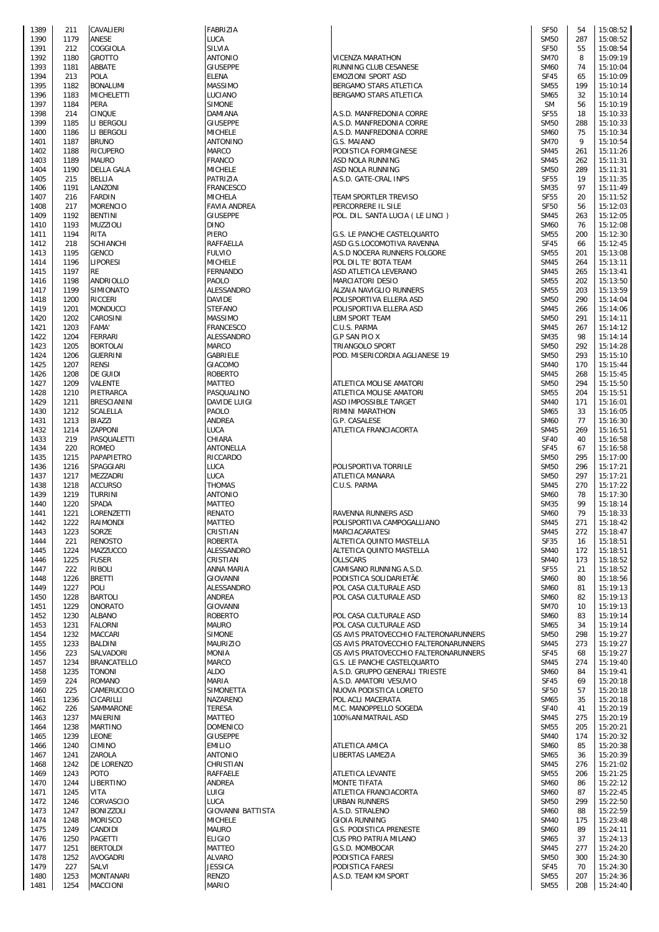| 1389 | 211  | CAVALIERI        |
|------|------|------------------|
| 1390 | 1179 | ANESE            |
| 1391 | 212  | COGGIOLA         |
| 1392 | 1180 |                  |
|      |      | GROTTO           |
| 1393 | 1181 | ABBATE           |
| 1394 | 213  | POLA             |
| 1395 | 1182 | BONALUMI         |
| 1396 | 1183 | MICHELETTI       |
|      |      |                  |
| 1397 | 1184 | PERA             |
| 1398 | 214  | <b>CINQUE</b>    |
| 1399 | 1185 | li bergoli       |
| 1400 | 1186 | LI BERGOLI       |
| 1401 | 1187 | <b>BRUNO</b>     |
|      |      |                  |
| 1402 | 1188 | RICUPERO         |
| 1403 | 1189 | MAURO            |
| 1404 | 1190 | DELLA GALA       |
| 1405 | 215  | <b>BELLIA</b>    |
|      |      |                  |
| 1406 | 1191 | LANZONI          |
| 1407 | 216  | <b>FARDIN</b>    |
| 1408 | 217  | MORENCIO         |
| 1409 | 1192 | <b>BENTINI</b>   |
| 1410 | 1193 | MUZZIOLI         |
|      |      |                  |
| 1411 | 1194 | RITA             |
| 1412 | 218  | <b>SCHIANCHI</b> |
| 1413 | 1195 | GENCO            |
| 1414 | 1196 | LIPORESI         |
|      |      |                  |
| 1415 | 1197 | RE               |
| 1416 | 1198 | ANDRIOLLO        |
| 1417 | 1199 | SIMIONATO        |
| 1418 | 1200 | <b>RICCERI</b>   |
| 1419 | 1201 | MONDUCCI         |
|      |      |                  |
| 1420 | 1202 | CAROSINI         |
| 1421 | 1203 | <b>FAMA'</b>     |
| 1422 | 1204 | FERRARI          |
| 1423 | 1205 | <b>BORTOLAI</b>  |
| 1424 | 1206 | <b>GUERRINI</b>  |
| 1425 | 1207 | <b>RENSI</b>     |
|      |      | DE GUIDI         |
| 1426 | 1208 |                  |
| 1427 | 1209 | VALENTE          |
| 1428 | 1210 | PIETRARCA        |
| 1429 | 1211 | BRESCIANINI      |
| 1430 | 1212 | SCALELLA         |
| 1431 | 1213 | BIAZZI           |
| 1432 | 1214 | ZAPPONI          |
| 1433 | 219  | PASQUALETTI      |
| 1434 | 220  | ROMEO            |
|      |      |                  |
| 1435 | 1215 | PAPAPIETRO       |
| 1436 | 1216 | SPAGGIARI        |
| 1437 | 1217 | MEZZADRI         |
| 1438 | 1218 | <b>ACCURSO</b>   |
| 1439 | 1219 | TURRINI          |
| 1440 | 1220 | Spada            |
| 1441 | 1221 | LORENZETTI       |
| 1442 | 1222 | RAIMONDI         |
|      |      |                  |
| 1443 | 1223 | SORZE            |
| 1444 | 221  | RENOSTO          |
| 1445 | 1224 | MAZZUCCO         |
| 1446 | 1225 | FUSER            |
| 1447 | 222  | RIBOLI           |
| 1448 | 1226 | <b>BRETTI</b>    |
|      |      |                  |
| 1449 | 1227 | POLI             |
| 1450 | 1228 | BARTOLI          |
| 1451 | 1229 | ONORATO          |
| 1452 | 1230 | ALBANO           |
| 1453 | 1231 | <b>FALORNI</b>   |
| 1454 | 1232 | MACCARI          |
| 1455 | 1233 | BALDINI          |
| 1456 | 223  | SALVADORI        |
| 1457 | 1234 | BRANCATELLO      |
|      |      |                  |
| 1458 | 1235 | TONONI           |
| 1459 | 224  | ROMANO           |
| 1460 | 225  | CAMERUCCIO       |
| 1461 | 1236 | CICARILLI        |
| 1462 | 226  | Sammarone        |
| 1463 | 1237 | MAIERINI         |
| 1464 | 1238 | <b>MARTINO</b>   |
| 1465 | 1239 | LEONE            |
| 1466 | 1240 | CIMINO           |
|      |      |                  |
| 1467 | 1241 | ZAROLA           |
| 1468 | 1242 | DE LORENZO       |
| 1469 | 1243 | POTO             |
| 1470 | 1244 | LIBERTINO        |
| 1471 | 1245 | VITA             |
| 1472 | 1246 | CORVASCIO        |
| 1473 | 1247 | BONIZZOLI        |
| 1474 | 1248 | <b>MORISCO</b>   |
|      |      |                  |
|      |      |                  |
| 1475 | 1249 | CANDIDI          |
| 1476 | 1250 | PAGETTI          |
| 1477 | 1251 | <b>BERTOLDI</b>  |
| 1478 | 1252 | AVOGADRI         |
| 1479 | 227  | SALVI            |
| 1480 | 1253 | <b>MONTANARI</b> |

| 1389 | 211  | CAVALIERI          | <b>FABRIZIA</b>          |                                       | <b>SF50</b>      | 54  | 15:08:52 |
|------|------|--------------------|--------------------------|---------------------------------------|------------------|-----|----------|
| 1390 | 1179 | ANESE              | LUCA                     |                                       | <b>SM50</b>      | 287 | 15:08:52 |
| 1391 | 212  | COGGIOLA           | SILVIA                   |                                       | <b>SF50</b>      | 55  | 15:08:54 |
| 1392 | 1180 | <b>GROTTO</b>      | <b>ANTONIO</b>           | <b>VICENZA MARATHON</b>               | <b>SM70</b>      | 8   | 15:09:19 |
| 1393 | 1181 | ABBATE             | <b>GIUSEPPE</b>          | RUNNING CLUB CESANESE                 | <b>SM60</b>      | 74  | 15:10:04 |
|      |      | <b>POLA</b>        | <b>ELENA</b>             | <b>EMOZIONI SPORT ASD</b>             | <b>SF45</b>      |     | 15:10:09 |
| 1394 | 213  |                    |                          |                                       |                  | 65  |          |
| 1395 | 1182 | <b>BONALUMI</b>    | <b>MASSIMO</b>           | BERGAMO STARS ATLETICA                | <b>SM55</b>      | 199 | 15:10:14 |
| 1396 | 1183 | <b>MICHELETTI</b>  | LUCIANO                  | BERGAMO STARS ATLETICA                | <b>SM65</b>      | 32  | 15:10:14 |
| 1397 | 1184 | PERA               | <b>SIMONE</b>            |                                       | <b>SM</b>        | 56  | 15:10:19 |
| 1398 | 214  | <b>CINQUE</b>      | DAMIANA                  | A.S.D. MANFREDONIA CORRE              | <b>SF55</b>      | 18  | 15:10:33 |
|      |      |                    |                          |                                       |                  |     |          |
| 1399 | 1185 | LI BERGOLI         | <b>GIUSEPPE</b>          | A.S.D. MANFREDONIA CORRE              | <b>SM50</b>      | 288 | 15:10:33 |
| 1400 | 1186 | LI BERGOLI         | <b>MICHELE</b>           | A.S.D. MANFREDONIA CORRE              | <b>SM60</b>      | 75  | 15:10:34 |
| 1401 | 1187 | <b>BRUNO</b>       | ANTONINO                 | G.S. MAIANO                           | <b>SM70</b>      | 9   | 15:10:54 |
| 1402 | 1188 | <b>RICUPERO</b>    | <b>MARCO</b>             | PODISTICA FORMIGINESE                 | <b>SM45</b>      | 261 | 15:11:26 |
|      |      |                    |                          |                                       |                  |     |          |
| 1403 | 1189 | <b>MAURO</b>       | <b>FRANCO</b>            | ASD NOLA RUNNING                      | <b>SM45</b>      | 262 | 15:11:31 |
| 1404 | 1190 | <b>DELLA GALA</b>  | <b>MICHELE</b>           | ASD NOLA RUNNING                      | <b>SM50</b>      | 289 | 15:11:31 |
| 1405 | 215  | BELLIA             | PATRIZIA                 | A.S.D. GATE-CRAL INPS                 | SF <sub>55</sub> | 19  | 15:11:35 |
|      | 1191 | LANZONI            | <b>FRANCESCO</b>         |                                       | <b>SM35</b>      | 97  | 15:11:49 |
| 1406 |      |                    |                          |                                       |                  |     |          |
| 1407 | 216  | <b>FARDIN</b>      | MICHELA                  | TEAM SPORTLER TREVISO                 | <b>SF55</b>      | 20  | 15:11:52 |
| 1408 | 217  | <b>MORENCIO</b>    | <b>FAVIA ANDREA</b>      | PERCORRERE IL SILE                    | <b>SF50</b>      | 56  | 15:12:03 |
| 1409 | 1192 | <b>BENTINI</b>     | <b>GIUSEPPE</b>          | POL. DIL. SANTA LUCIA (LE LINCI)      | <b>SM45</b>      | 263 | 15:12:05 |
|      | 1193 |                    | <b>DINO</b>              |                                       | <b>SM60</b>      | 76  | 15:12:08 |
| 1410 |      | <b>MUZZIOLI</b>    |                          |                                       |                  |     |          |
| 1411 | 1194 | <b>RITA</b>        | PIERO                    | G.S. LE PANCHE CASTELQUARTO           | <b>SM55</b>      | 200 | 15:12:30 |
| 1412 | 218  | <b>SCHIANCHI</b>   | RAFFAELLA                | ASD G.S.LOCOMOTIVA RAVENNA            | <b>SF45</b>      | 66  | 15:12:45 |
| 1413 | 1195 | <b>GENCO</b>       | <b>FULVIO</b>            | A.S.D NOCERA RUNNERS FOLGORE          | <b>SM55</b>      | 201 | 15:13:08 |
|      | 1196 | <b>LIPORESI</b>    | <b>MICHELE</b>           | POL DIL TE' BOTA TEAM                 | <b>SM45</b>      | 264 | 15:13:11 |
| 1414 |      |                    |                          |                                       |                  |     |          |
| 1415 | 1197 | RE                 | <b>FERNANDO</b>          | ASD ATLETICA LEVERANO                 | <b>SM45</b>      | 265 | 15:13:41 |
| 1416 | 1198 | ANDRIOLLO          | PAOLO                    | <b>MARCIATORI DESIO</b>               | <b>SM55</b>      | 202 | 15:13:50 |
| 1417 | 1199 | <b>SIMIONATO</b>   | ALESSANDRO               | ALZAIA NAVIGLIO RUNNERS               | <b>SM55</b>      | 203 | 15:13:59 |
|      | 1200 | <b>RICCERI</b>     | <b>DAVIDE</b>            |                                       | <b>SM50</b>      | 290 | 15:14:04 |
| 1418 |      |                    |                          | POLISPORTIVA ELLERA ASD               |                  |     |          |
| 1419 | 1201 | <b>MONDUCCI</b>    | <b>STEFANO</b>           | POLISPORTIVA ELLERA ASD               | <b>SM45</b>      | 266 | 15:14:06 |
| 1420 | 1202 | CAROSINI           | MASSIMO                  | <b>LBM SPORT TEAM</b>                 | <b>SM50</b>      | 291 | 15:14:11 |
| 1421 | 1203 | <b>FAMA'</b>       | <b>FRANCESCO</b>         | C.U.S. PARMA                          | <b>SM45</b>      | 267 | 15:14:12 |
| 1422 | 1204 | <b>FERRARI</b>     | ALESSANDRO               | <b>G.P SAN PIO X</b>                  | <b>SM35</b>      | 98  | 15:14:14 |
|      |      |                    |                          |                                       |                  |     |          |
| 1423 | 1205 | <b>BORTOLAI</b>    | <b>MARCO</b>             | TRIANGOLO SPORT                       | <b>SM50</b>      | 292 | 15:14:28 |
| 1424 | 1206 | <b>GUERRINI</b>    | GABRIELE                 | POD. MISERICORDIA AGLIANESE 19        | <b>SM50</b>      | 293 | 15:15:10 |
| 1425 | 1207 | <b>RENSI</b>       | <b>GIACOMO</b>           |                                       | <b>SM40</b>      | 170 | 15:15:44 |
|      | 1208 | DE GUIDI           | <b>ROBERTO</b>           |                                       | <b>SM45</b>      | 268 | 15:15:45 |
| 1426 |      |                    |                          |                                       |                  |     |          |
| 1427 | 1209 | VALENTE            | <b>MATTEO</b>            | ATLETICA MOLISE AMATORI               | <b>SM50</b>      | 294 | 15:15:50 |
| 1428 | 1210 | PIETRARCA          | PASQUALINO               | ATLETICA MOLISE AMATORI               | <b>SM55</b>      | 204 | 15:15:51 |
| 1429 | 1211 | <b>BRESCIANINI</b> | <b>DAVIDE LUIGI</b>      | ASD IMPOSSIBLE TARGET                 | <b>SM40</b>      | 171 | 15:16:01 |
| 1430 | 1212 | <b>SCALELLA</b>    | PAOLO                    | RIMINI MARATHON                       | SM65             | 33  | 15:16:05 |
|      |      |                    |                          |                                       |                  |     |          |
| 1431 | 1213 | BIAZZI             | <b>ANDREA</b>            | G.P. CASALESE                         | <b>SM60</b>      | 77  | 15:16:30 |
| 1432 | 1214 | <b>ZAPPONI</b>     | LUCA                     | ATLETICA FRANCIACORTA                 | <b>SM45</b>      | 269 | 15:16:51 |
| 1433 | 219  | PASQUALETTI        | CHIARA                   |                                       | <b>SF40</b>      | 40  | 15:16:58 |
| 1434 | 220  | <b>ROMEO</b>       | ANTONELLA                |                                       | <b>SF45</b>      | 67  | 15:16:58 |
|      |      |                    |                          |                                       |                  |     |          |
| 1435 | 1215 | <b>PAPAPIETRO</b>  | RICCARDO                 |                                       | <b>SM50</b>      | 295 | 15:17:00 |
| 1436 | 1216 | SPAGGIARI          | LUCA                     | POLISPORTIVA TORRILE                  | <b>SM50</b>      | 296 | 15:17:21 |
| 1437 | 1217 | MEZZADRI           | LUCA                     | ATLETICA MANARA                       | <b>SM50</b>      | 297 | 15:17:21 |
| 1438 | 1218 | <b>ACCURSO</b>     | THOMAS                   | C.U.S. PARMA                          | <b>SM45</b>      | 270 | 15:17:22 |
|      |      |                    |                          |                                       |                  |     |          |
| 1439 | 1219 | <b>TURRINI</b>     | <b>ANTONIO</b>           |                                       | <b>SM60</b>      | 78  | 15:17:30 |
| 1440 | 1220 | <b>SPADA</b>       | <b>MATTEO</b>            |                                       | <b>SM35</b>      | 99  | 15:18:14 |
| 1441 | 1221 | LORENZETTI         | <b>RENATO</b>            | <b>RAVENNA RUNNERS ASD</b>            | <b>SM60</b>      | 79  | 15:18:33 |
| 1442 | 1222 | RAIMONDI           | MATTEO                   | POLISPORTIVA CAMPOGALLIANO            | <b>SM45</b>      | 271 | 15:18:42 |
|      |      |                    |                          |                                       |                  |     |          |
| 1443 | 1223 | SORZE              | CRISTIAN                 | MARCIACARATESI                        | <b>SM45</b>      | 272 | 15:18:47 |
| 1444 | 221  | <b>RENOSTO</b>     | <b>ROBERTA</b>           | ALTETICA QUINTO MASTELLA              | <b>SF35</b>      | 16  | 15:18:51 |
| 1445 | 1224 | MAZZUCCO           | ALESSANDRO               | ALTETICA QUINTO MASTELLA              | <b>SM40</b>      | 172 | 15:18:51 |
| 1446 | 1225 | <b>FUSER</b>       | CRISTIAN                 | <b>OLLSCARS</b>                       | <b>SM40</b>      | 173 | 15:18:52 |
| 1447 | 222  | <b>RIBOLI</b>      | ANNA MARIA               | CAMISANO RUNNING A.S.D.               | <b>SF55</b>      | 21  |          |
|      |      |                    |                          |                                       |                  |     | 15:18:52 |
| 1448 | 1226 | <b>BRETTI</b>      | <b>GIOVANNI</b>          | PODISTICA SOLIDARIETÃE                | <b>SM60</b>      | 80  | 15:18:56 |
| 1449 | 1227 | <b>POLI</b>        | ALESSANDRO               | POL CASA CULTURALE ASD                | <b>SM60</b>      | 81  | 15:19:13 |
| 1450 | 1228 | <b>BARTOLI</b>     | ANDREA                   | POL CASA CULTURALE ASD                | <b>SM60</b>      | 82  | 15:19:13 |
| 1451 | 1229 | <b>ONORATO</b>     | <b>GIOVANNI</b>          |                                       | <b>SM70</b>      | 10  | 15:19:13 |
|      |      |                    |                          |                                       |                  |     |          |
| 1452 | 1230 | <b>ALBANO</b>      | <b>ROBERTO</b>           | POL CASA CULTURALE ASD                | <b>SM60</b>      | 83  | 15:19:14 |
| 1453 | 1231 | <b>FALORNI</b>     | <b>MAURO</b>             | POL CASA CULTURALE ASD                | SM65             | 34  | 15:19:14 |
| 1454 | 1232 | <b>MACCARI</b>     | <b>SIMONE</b>            | GS AVIS PRATOVECCHIO FALTERONARUNNERS | <b>SM50</b>      | 298 | 15:19:27 |
| 1455 | 1233 | <b>BALDINI</b>     | <b>MAURIZIO</b>          | GS AVIS PRATOVECCHIO FALTERONARUNNERS | <b>SM45</b>      | 273 | 15:19:27 |
| 1456 | 223  | SALVADORI          | <b>MONIA</b>             | GS AVIS PRATOVECCHIO FALTERONARUNNERS | <b>SF45</b>      | 68  | 15:19:27 |
|      |      |                    |                          |                                       |                  |     |          |
| 1457 | 1234 | <b>BRANCATELLO</b> | <b>MARCO</b>             | G.S. LE PANCHE CASTELQUARTO           | <b>SM45</b>      | 274 | 15:19:40 |
| 1458 | 1235 | TONONI             | <b>ALDO</b>              | A.S.D. GRUPPO GENERALI TRIESTE        | <b>SM60</b>      | 84  | 15:19:41 |
| 1459 | 224  | <b>ROMANO</b>      | <b>MARIA</b>             | A.S.D. AMATORI VESUVIO                | <b>SF45</b>      | 69  | 15:20:18 |
|      | 225  | CAMERUCCIO         | SIMONETTA                | NUOVA PODISTICA LORETO                | <b>SF50</b>      | 57  | 15:20:18 |
| 1460 |      |                    |                          |                                       |                  |     |          |
| 1461 | 1236 | CICARILLI          | NAZARENO                 | POL ACLI MACERATA                     | SM65             | 35  | 15:20:18 |
| 1462 | 226  | SAMMARONE          | <b>TERESA</b>            | M.C. MANOPPELLO SOGEDA                | <b>SF40</b>      | 41  | 15:20:19 |
| 1463 | 1237 | <b>MAIERINI</b>    | <b>MATTEO</b>            | 100%ANIMATRAIL ASD                    | <b>SM45</b>      | 275 | 15:20:19 |
| 1464 | 1238 | <b>MARTINO</b>     | <b>DOMENICO</b>          |                                       | <b>SM55</b>      | 205 | 15:20:21 |
|      |      | <b>LEONE</b>       | <b>GIUSEPPE</b>          |                                       |                  |     |          |
| 1465 | 1239 |                    |                          |                                       | <b>SM40</b>      | 174 | 15:20:32 |
| 1466 | 1240 | <b>CIMINO</b>      | <b>EMILIO</b>            | ATLETICA AMICA                        | <b>SM60</b>      | 85  | 15:20:38 |
| 1467 | 1241 | ZAROLA             | <b>ANTONIO</b>           | LIBERTAS LAMEZIA                      | SM65             | 36  | 15:20:39 |
| 1468 | 1242 | <b>DE LORENZO</b>  | CHRISTIAN                |                                       | <b>SM45</b>      | 276 | 15:21:02 |
| 1469 | 1243 | <b>POTO</b>        | <b>RAFFAELE</b>          | ATLETICA LEVANTE                      | <b>SM55</b>      | 206 | 15:21:25 |
|      |      |                    |                          |                                       |                  |     |          |
| 1470 | 1244 | <b>LIBERTINO</b>   | ANDREA                   | <b>MONTE TIFATA</b>                   | <b>SM60</b>      | 86  | 15:22:12 |
| 1471 | 1245 | VITA               | LUIGI                    | ATLETICA FRANCIACORTA                 | <b>SM60</b>      | 87  | 15:22:45 |
| 1472 | 1246 | <b>CORVASCIO</b>   | LUCA                     | <b>URBAN RUNNERS</b>                  | <b>SM50</b>      | 299 | 15:22:50 |
|      |      | <b>BONIZZOLI</b>   |                          |                                       |                  | 88  |          |
| 1473 | 1247 |                    | <b>GIOVANNI BATTISTA</b> | A.S.D. STRALENO                       | <b>SM60</b>      |     | 15:22:59 |
| 1474 | 1248 | <b>MORISCO</b>     | <b>MICHELE</b>           | <b>GIOIA RUNNING</b>                  | <b>SM40</b>      | 175 | 15:23:48 |
| 1475 | 1249 | CANDIDI            | <b>MAURO</b>             | <b>G.S. PODISTICA PRENESTE</b>        | <b>SM60</b>      | 89  | 15:24:11 |
| 1476 | 1250 | PAGETTI            | <b>ELIGIO</b>            | <b>CUS PRO PATRIA MILANO</b>          | SM65             | 37  | 15:24:13 |
| 1477 | 1251 | <b>BERTOLDI</b>    | <b>MATTEO</b>            | G.S.D. MOMBOCAR                       | <b>SM45</b>      | 277 | 15:24:20 |
|      |      |                    |                          |                                       |                  |     |          |
| 1478 | 1252 | <b>AVOGADRI</b>    | <b>ALVARO</b>            | PODISTICA FARESI                      | <b>SM50</b>      | 300 | 15:24:30 |
| 1479 | 227  | SALVI              | <b>JESSICA</b>           | PODISTICA FARESI                      | <b>SF45</b>      | 70  | 15:24:30 |
| 1480 | 1253 | <b>MONTANARI</b>   | <b>RENZO</b>             | A.S.D. TEAM KM SPORT                  | <b>SM55</b>      | 207 | 15:24:36 |
| 1481 | 1254 | <b>MACCIONI</b>    | <b>MARIO</b>             |                                       | <b>SM55</b>      | 208 | 15:24:40 |
|      |      |                    |                          |                                       |                  |     |          |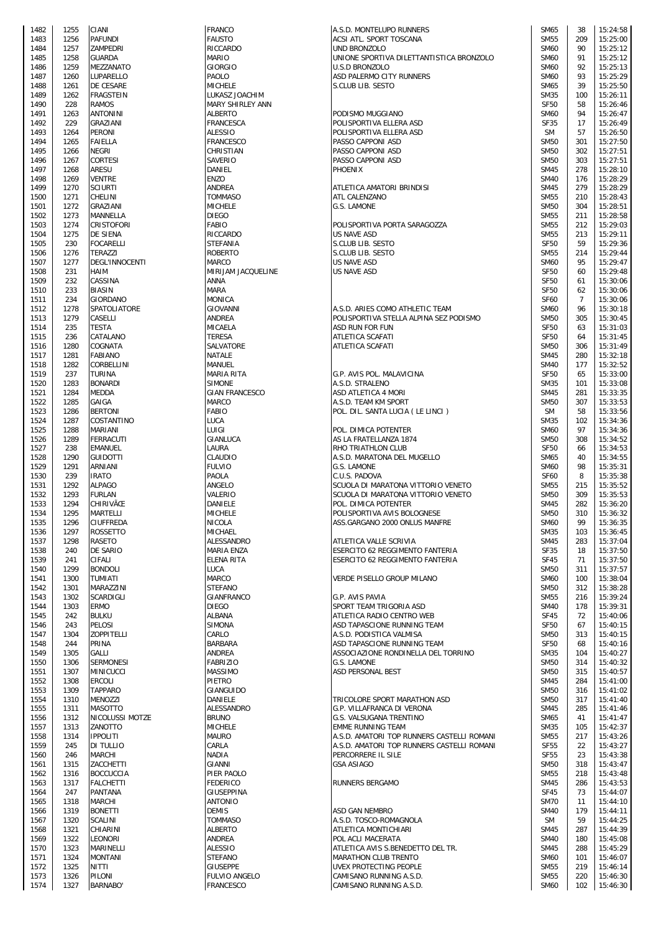| 1482         | 1255         | CIANI                                   | <b>FRANCO</b>                   | A.S.D. MONTELUPO RUNNER                                   |
|--------------|--------------|-----------------------------------------|---------------------------------|-----------------------------------------------------------|
| 1483<br>1484 | 1256<br>1257 | <b>PAFUNDI</b><br>ZAMPEDRI              | <b>FAUSTO</b><br>RICCARDO       | ACSI ATL. SPORT TOSCANA<br>UND BRONZOLO                   |
| 1485         | 1258         | <b>GUARDA</b>                           | <b>MARIO</b>                    | UNIONE SPORTIVA DILETTA                                   |
| 1486         | 1259         | MEZZANATO                               | <b>GIORGIO</b>                  | U.S.D BRONZOLO                                            |
| 1487<br>1488 | 1260<br>1261 | LUPARELLO<br>DE CESARE                  | PAOLO<br><b>MICHELE</b>         | ASD PALERMO CITY RUNNEI<br>S.CLUB LIB. SESTO              |
| 1489         | 1262         | <b>FRAGSTEIN</b>                        | LUKASZ JOACHIM                  |                                                           |
| 1490         | 228          | <b>RAMOS</b>                            | MARY SHIRLEY ANN                |                                                           |
| 1491         | 1263         | <b>ANTONINI</b>                         | <b>ALBERTO</b>                  | PODISMO MUGGIANO                                          |
| 1492<br>1493 | 229<br>1264  | GRAZIANI<br><b>PERONI</b>               | FRANCESCA<br>ALESSIO            | POLISPORTIVA ELLERA ASD<br>POLISPORTIVA ELLERA ASD        |
| 1494         | 1265         | <b>FAIELLA</b>                          | FRANCESCO                       | PASSO CAPPONI ASD                                         |
| 1495         | 1266         | <b>NEGRI</b>                            | CHRISTIAN                       | PASSO CAPPONI ASD                                         |
| 1496         | 1267         | CORTESI<br><b>ARESU</b>                 | SAVERIO<br><b>DANIEL</b>        | PASSO CAPPONI ASD                                         |
| 1497<br>1498 | 1268<br>1269 | <b>VENTRE</b>                           | <b>ENZO</b>                     | PHOENIX                                                   |
| 1499         | 1270         | <b>SCIURTI</b>                          | ANDREA                          | ATLETICA AMATORI BRINDI                                   |
| 1500         | 1271         | CHELINI                                 | <b>TOMMASO</b>                  | ATL CALENZANO                                             |
| 1501         | 1272         | GRAZIANI                                | MICHELE                         | G.S. LAMONE                                               |
| 1502<br>1503 | 1273<br>1274 | MANNELLA<br>CRISTOFORI                  | <b>DIEGO</b><br><b>FABIO</b>    | POLISPORTIVA PORTA SARA                                   |
| 1504         | 1275         | DE SIENA                                | RICCARDO                        | US NAVE ASD                                               |
| 1505         | 230          | <b>FOCARELLI</b>                        | STEFANIA                        | S.CLUB LIB. SESTO                                         |
| 1506<br>1507 | 1276<br>1277 | <b>TERAZZI</b><br><b>DEGL'INNOCENTI</b> | <b>ROBERTO</b><br><b>MARCO</b>  | S.CLUB LIB. SESTO<br>US NAVE ASD                          |
| 1508         | 231          | <b>HAIM</b>                             | MIRIJAM JACQUELINE              | <b>US NAVE ASD</b>                                        |
| 1509         | 232          | CASSINA                                 | <b>ANNA</b>                     |                                                           |
| 1510         | 233          | <b>BIASIN</b>                           | <b>MARA</b>                     |                                                           |
| 1511<br>1512 | 234<br>1278  | GIORDANO<br>SPATOLIATORE                | <b>MONICA</b><br>GIOVANNI       | A.S.D. ARIES COMO ATHLET                                  |
| 1513         | 1279         | CASELLI                                 | ANDREA                          | POLISPORTIVA STELLA ALPI                                  |
| 1514         | 235          | <b>TESTA</b>                            | MICAELA                         | ASD RUN FOR FUN                                           |
| 1515         | 236          | CATALANO                                | <b>TERESA</b>                   | ATLETICA SCAFATI                                          |
| 1516<br>1517 | 1280<br>1281 | COGNATA<br><b>FABIANO</b>               | SALVATORE<br><b>NATALE</b>      | ATLETICA SCAFATI                                          |
| 1518         | 1282         | CORBELLINI                              | MANUEL                          |                                                           |
| 1519         | 237          | <b>TURINA</b>                           | MARIA RITA                      | G.P. AVIS POL. MALAVICINA                                 |
| 1520<br>1521 | 1283<br>1284 | <b>BONARDI</b><br><b>MEDDA</b>          | SIMONE<br><b>GIAN FRANCESCO</b> | A.S.D. STRALENO<br>ASD ATLETICA 4 MORI                    |
| 1522         | 1285         | GAIGA                                   | <b>MARCO</b>                    | A.S.D. TEAM KM SPORT                                      |
| 1523         | 1286         | <b>BERTONI</b>                          | <b>FABIO</b>                    | POL. DIL. SANTA LUCIA (LE                                 |
| 1524<br>1525 | 1287<br>1288 | COSTANTINO<br>MARIANI                   | LUCA<br>LUIGI                   | POL. DIMICA POTENTER                                      |
| 1526         | 1289         | <b>FERRACUTI</b>                        | GIANLUCA                        | AS LA FRATELLANZA 1874                                    |
| 1527         | 238          | <b>EMANUEL</b>                          | LAURA                           | RHO TRIATHLON CLUB                                        |
| 1528         | 1290         | <b>GUIDOTTI</b>                         | CLAUDIO                         | A.S.D. MARATONA DEL MUG                                   |
| 1529<br>1530 | 1291<br>239  | ARNIANI<br><b>IRATO</b>                 | <b>FULVIO</b><br>PAOLA          | G.S. LAMONE<br>C.U.S. PADOVA                              |
| 1531         | 1292         | ALPAGO                                  | ANGELO                          | SCUOLA DI MARATONA VITT                                   |
| 1532         | 1293         | <b>FURLAN</b>                           | VALERIO                         | SCUOLA DI MARATONA VITT                                   |
| 1533<br>1534 | 1294<br>1295 | CHIRIVÃŒ<br><b>MARTELLI</b>             | DANIELE<br><b>MICHELE</b>       | POL. DIMICA POTENTER<br>POLISPORTIVA AVIS BOLOG           |
| 1535         |              | 1296 CIUFFREDA                          | <b>NICOLA</b>                   | ASS.GARGANO 2000 ONLUS                                    |
| 1536         | 1297         | <b>ROSSETTO</b>                         | MICHAEL                         |                                                           |
| 1537         | 1298         | RASETO                                  | ALESSANDRO                      | ATLETICA VALLE SCRIVIA                                    |
| 1538<br>1539 | 240<br>241   | DE SARIO<br>CIFALI                      | MARIA ENZA<br>ELENA RITA        | ESERCITO 62 REGGIMENTO<br>ESERCITO 62 REGGIMENTO          |
| 1540         | 1299         | <b>BONDOLI</b>                          | LUCA                            |                                                           |
| 1541         | 1300         | <b>TUMIATI</b>                          | <b>MARCO</b>                    | VERDE PISELLO GROUP MIL                                   |
| 1542<br>1543 | 1301<br>1302 | MARAZZINI<br>SCARDIGLI                  | <b>STEFANO</b><br>GIANFRANCO    |                                                           |
| 1544         | 1303         | <b>ERMO</b>                             | <b>DIEGO</b>                    | G.P. AVIS PAVIA<br>SPORT TEAM TRIGORIA ASD                |
| 1545         | 242          | <b>BULKU</b>                            | ALBANA                          | ATLETICA RADIO CENTRO V                                   |
| 1546         | 243          | <b>PELOSI</b>                           | SIMONA                          | ASD TAPASCIONE RUNNING                                    |
| 1547<br>1548 | 1304<br>244  | <b>ZOPPITELLI</b><br>PRINA              | CARLO<br>BARBARA                | A.S.D. PODISTICA VALMISA<br><b>ASD TAPASCIONE RUNNING</b> |
| 1549         | 1305         | GALLI                                   | ANDREA                          | ASSOCIAZIONE RONDINELL                                    |
| 1550         | 1306         | <b>SERMONESI</b>                        | <b>FABRIZIO</b>                 | G.S. LAMONE                                               |
| 1551         | 1307         | <b>MINICUCCI</b>                        | <b>MASSIMO</b>                  | ASD PERSONAL BEST                                         |
| 1552<br>1553 | 1308<br>1309 | <b>ERCOLI</b><br><b>TAPPARO</b>         | PIETRO<br>GIANGUIDO             |                                                           |
| 1554         | 1310         | MENOZZI                                 | DANIELE                         | TRICOLORE SPORT MARATH                                    |
| 1555         | 1311         | <b>MASOTTO</b>                          | ALESSANDRO                      | G.P. VILLAFRANCA DI VERO                                  |
| 1556<br>1557 | 1312<br>1313 | NICOLUSSI MOTZE<br>ZANOTTO              | <b>BRUNO</b><br>MICHELE         | G.S. VALSUGANA TRENTINO<br>EMME RUNNING TEAM              |
| 1558         | 1314         | <b>IPPOLITI</b>                         | <b>MAURO</b>                    | A.S.D. AMATORI TOP RUNNI                                  |
| 1559         | 245          | DI TULLIO                               | CARLA                           | A.S.D. AMATORI TOP RUNNI                                  |
| 1560         | 246          | <b>MARCHI</b>                           | NADIA                           | PERCORRERE IL SILE                                        |
| 1561<br>1562 | 1315<br>1316 | ZACCHETTI<br><b>BOCCUCCIA</b>           | GIANNI<br>PIER PAOLO            | <b>GSA ASIAGO</b>                                         |
| 1563         | 1317         | <b>FALCHETTI</b>                        | <b>FEDERICO</b>                 | RUNNERS BERGAMO                                           |
| 1564         | 247          | PANTANA                                 | GIUSEPPINA                      |                                                           |
| 1565         | 1318         | <b>MARCHI</b>                           | <b>ANTONIO</b>                  |                                                           |
| 1566<br>1567 | 1319<br>1320 | <b>BONETTI</b><br>SCALINI               | <b>DEMIS</b><br>TOMMASO         | ASD GAN NEMBRO<br>A.S.D. TOSCO-ROMAGNOLA                  |
| 1568         | 1321         | CHIARINI                                | ALBERTO                         | ATLETICA MONTICHIARI                                      |
| 1569         | 1322         | LEONORI                                 | ANDREA                          | POL ACLI MACERATA                                         |
| 1570<br>1571 | 1323<br>1324 | MARINELLI<br>MONTANI                    | ALESSIO<br>STEFANO              | ATLETICA AVIS S.BENEDETT<br>MARATHON CLUB TRENTO          |
| 1572         | 1325         | <b>NITTI</b>                            | <b>GIUSEPPE</b>                 | UVEX PROTECTING PEOPLE                                    |
| 1573         | 1326         | PILONI                                  | FULVIO ANGELO                   | CAMISANO RUNNING A.S.D.                                   |
| 1574         | 1327         | <b>BARNABO'</b>                         | <b>FRANCESCO</b>                | CAMISANO RUNNING A.S.D.                                   |

| 1482 | 1255 | CIANI                 | <b>FRANCO</b>         | A.S.D. MONTELUPO RUNNERS                   | SM65        | 38             | 15:24:58 |
|------|------|-----------------------|-----------------------|--------------------------------------------|-------------|----------------|----------|
|      |      |                       |                       |                                            |             |                |          |
| 1483 | 1256 | <b>PAFUNDI</b>        | <b>FAUSTO</b>         | ACSI ATL. SPORT TOSCANA                    | <b>SM55</b> | 209            | 15:25:00 |
| 1484 | 1257 | ZAMPEDRI              | RICCARDO              | UND BRONZOLO                               | <b>SM60</b> | 90             | 15:25:12 |
| 1485 | 1258 | <b>GUARDA</b>         | <b>MARIO</b>          | UNIONE SPORTIVA DILETTANTISTICA BRONZOLO   | <b>SM60</b> | 91             | 15:25:12 |
|      |      |                       |                       |                                            |             |                |          |
| 1486 | 1259 | <b>MEZZANATO</b>      | <b>GIORGIO</b>        | <b>U.S.D BRONZOLO</b>                      | <b>SM60</b> | 92             | 15:25:13 |
| 1487 | 1260 | <b>LUPARELLO</b>      | PAOLO                 | ASD PALERMO CITY RUNNERS                   | <b>SM60</b> | 93             | 15:25:29 |
| 1488 | 1261 | DE CESARE             | <b>MICHELE</b>        | S.CLUB LIB. SESTO                          | <b>SM65</b> | 39             | 15:25:50 |
|      |      |                       |                       |                                            |             |                |          |
| 1489 | 1262 | <b>FRAGSTEIN</b>      | LUKASZ JOACHIM        |                                            | <b>SM35</b> | 100            | 15:26:11 |
| 1490 | 228  | <b>RAMOS</b>          | MARY SHIRLEY ANN      |                                            | <b>SF50</b> | 58             | 15:26:46 |
|      |      |                       |                       |                                            |             | 94             |          |
| 1491 | 1263 | <b>ANTONINI</b>       | <b>ALBERTO</b>        | PODISMO MUGGIANO                           | <b>SM60</b> |                | 15:26:47 |
| 1492 | 229  | <b>GRAZIANI</b>       | <b>FRANCESCA</b>      | POLISPORTIVA ELLERA ASD                    | <b>SF35</b> | 17             | 15:26:49 |
| 1493 | 1264 | <b>PERONI</b>         | <b>ALESSIO</b>        | POLISPORTIVA ELLERA ASD                    | <b>SM</b>   | 57             | 15:26:50 |
|      |      |                       |                       |                                            |             |                |          |
| 1494 | 1265 | <b>FAIELLA</b>        | <b>FRANCESCO</b>      | PASSO CAPPONI ASD                          | <b>SM50</b> | 301            | 15:27:50 |
| 1495 | 1266 | <b>NEGRI</b>          | CHRISTIAN             | PASSO CAPPONI ASD                          | <b>SM50</b> | 302            | 15:27:51 |
|      |      |                       |                       |                                            |             |                |          |
| 1496 | 1267 | <b>CORTESI</b>        | SAVERIO               | PASSO CAPPONI ASD                          | <b>SM50</b> | 303            | 15:27:51 |
| 1497 | 1268 | <b>ARESU</b>          | DANIEL                | <b>PHOENIX</b>                             | <b>SM45</b> | 278            | 15:28:10 |
| 1498 | 1269 | <b>VENTRE</b>         | <b>ENZO</b>           |                                            | <b>SM40</b> | 176            | 15:28:29 |
|      |      |                       |                       |                                            |             |                |          |
| 1499 | 1270 | <b>SCIURTI</b>        | ANDREA                | ATLETICA AMATORI BRINDISI                  | <b>SM45</b> | 279            | 15:28:29 |
| 1500 | 1271 | <b>CHELINI</b>        | <b>TOMMASO</b>        | ATL CALENZANO                              | <b>SM55</b> | 210            | 15:28:43 |
|      |      |                       |                       |                                            |             |                |          |
| 1501 | 1272 | GRAZIANI              | <b>MICHELE</b>        | G.S. LAMONE                                | <b>SM50</b> | 304            | 15:28:51 |
| 1502 | 1273 | MANNELLA              | <b>DIEGO</b>          |                                            | <b>SM55</b> | 211            | 15:28:58 |
| 1503 | 1274 | <b>CRISTOFORI</b>     | <b>FABIO</b>          | POLISPORTIVA PORTA SARAGOZZA               | <b>SM55</b> | 212            | 15:29:03 |
|      |      |                       |                       |                                            |             |                |          |
| 1504 | 1275 | <b>DE SIENA</b>       | RICCARDO              | <b>US NAVE ASD</b>                         | <b>SM55</b> | 213            | 15:29:11 |
| 1505 | 230  | <b>FOCARELLI</b>      | <b>STEFANIA</b>       | S.CLUB LIB. SESTO                          | <b>SF50</b> | 59             | 15:29:36 |
|      |      |                       |                       |                                            |             |                |          |
| 1506 | 1276 | <b>TERAZZI</b>        | <b>ROBERTO</b>        | S.CLUB LIB. SESTO                          | <b>SM55</b> | 214            | 15:29:44 |
| 1507 | 1277 | <b>DEGL'INNOCENTI</b> | <b>MARCO</b>          | <b>US NAVE ASD</b>                         | <b>SM60</b> | 95             | 15:29:47 |
| 1508 | 231  | HAIM                  | MIRIJAM JACQUELINE    | <b>US NAVE ASD</b>                         | <b>SF50</b> | 60             | 15:29:48 |
|      |      |                       |                       |                                            |             |                |          |
| 1509 | 232  | CASSINA               | ANNA                  |                                            | <b>SF50</b> | 61             | 15:30:06 |
| 1510 | 233  | <b>BIASIN</b>         | <b>MARA</b>           |                                            | <b>SF50</b> | 62             | 15:30:06 |
|      |      |                       |                       |                                            |             |                |          |
| 1511 | 234  | <b>GIORDANO</b>       | <b>MONICA</b>         |                                            | <b>SF60</b> | $\overline{7}$ | 15:30:06 |
| 1512 | 1278 | SPATOLIATORE          | <b>GIOVANNI</b>       | A.S.D. ARIES COMO ATHLETIC TEAM            | <b>SM60</b> | 96             | 15:30:18 |
| 1513 | 1279 | CASELLI               | <b>ANDREA</b>         | POLISPORTIVA STELLA ALPINA SEZ PODISMO     | <b>SM50</b> | 305            | 15:30:45 |
|      |      |                       |                       |                                            |             |                |          |
| 1514 | 235  | TESTA                 | <b>MICAELA</b>        | <b>ASD RUN FOR FUN</b>                     | <b>SF50</b> | 63             | 15:31:03 |
| 1515 | 236  | CATALANO              | <b>TERESA</b>         | ATLETICA SCAFATI                           | <b>SF50</b> | 64             | 15:31:45 |
|      |      |                       |                       |                                            |             |                |          |
| 1516 | 1280 | COGNATA               | SALVATORE             | ATLETICA SCAFATI                           | <b>SM50</b> | 306            | 15:31:49 |
| 1517 | 1281 | <b>FABIANO</b>        | <b>NATALE</b>         |                                            | <b>SM45</b> | 280            | 15:32:18 |
| 1518 | 1282 | CORBELLINI            | MANUEL                |                                            | <b>SM40</b> | 177            | 15:32:52 |
|      |      |                       |                       |                                            |             |                |          |
| 1519 | 237  | <b>TURINA</b>         | <b>MARIA RITA</b>     | G.P. AVIS POL. MALAVICINA                  | <b>SF50</b> | 65             | 15:33:00 |
| 1520 | 1283 | <b>BONARDI</b>        | <b>SIMONE</b>         | A.S.D. STRALENO                            | <b>SM35</b> | 101            | 15:33:08 |
|      |      |                       |                       |                                            |             |                |          |
| 1521 | 1284 | <b>MEDDA</b>          | <b>GIAN FRANCESCO</b> | ASD ATLETICA 4 MORI                        | <b>SM45</b> | 281            | 15:33:35 |
| 1522 | 1285 | GAIGA                 | MARCO                 | A.S.D. TEAM KM SPORT                       | <b>SM50</b> | 307            | 15:33:53 |
| 1523 | 1286 | <b>BERTONI</b>        | <b>FABIO</b>          | POL. DIL. SANTA LUCIA (LE LINCI )          | <b>SM</b>   | 58             | 15:33:56 |
|      |      |                       |                       |                                            |             |                |          |
| 1524 | 1287 | COSTANTINO            | LUCA                  |                                            | <b>SM35</b> | 102            | 15:34:36 |
| 1525 | 1288 | <b>MARIANI</b>        | LUIGI                 | POL. DIMICA POTENTER                       | <b>SM60</b> | 97             | 15:34:36 |
|      |      | <b>FERRACUTI</b>      | GIANLUCA              | AS LA FRATELLANZA 1874                     | <b>SM50</b> | 308            | 15:34:52 |
| 1526 | 1289 |                       |                       |                                            |             |                |          |
| 1527 | 238  | <b>EMANUEL</b>        | LAURA                 | RHO TRIATHLON CLUB                         | <b>SF50</b> | 66             | 15:34:53 |
| 1528 | 1290 | <b>GUIDOTTI</b>       | <b>CLAUDIO</b>        | A.S.D. MARATONA DEL MUGELLO                | SM65        | 40             | 15:34:55 |
|      |      |                       |                       |                                            |             |                |          |
| 1529 | 1291 | <b>ARNIANI</b>        | <b>FULVIO</b>         | G.S. LAMONE                                | <b>SM60</b> | 98             | 15:35:31 |
| 1530 | 239  | <b>IRATO</b>          | PAOLA                 | C.U.S. PADOVA                              | <b>SF60</b> | 8              | 15:35:38 |
| 1531 | 1292 | <b>ALPAGO</b>         | ANGELO                | SCUOLA DI MARATONA VITTORIO VENETO         | <b>SM55</b> | 215            | 15:35:52 |
|      |      |                       |                       |                                            |             |                |          |
| 1532 | 1293 | <b>FURLAN</b>         | VALERIO               | SCUOLA DI MARATONA VITTORIO VENETO         | <b>SM50</b> | 309            | 15:35:53 |
| 1533 | 1294 | <b>CHIRIVÌ</b>        | DANIELE               | POL. DIMICA POTENTER                       | <b>SM45</b> | 282            | 15:36:20 |
|      |      |                       |                       |                                            |             |                |          |
| 1534 | 1295 | <b>MARTELLI</b>       | <b>MICHELE</b>        | POLISPORTIVA AVIS BOLOGNESE                | <b>SM50</b> | 310            | 15:36:32 |
| 1535 | 1296 | CIUFFREDA             | <b>NICOLA</b>         | ASS.GARGANO 2000 ONLUS MANFRE              | <b>SM60</b> | 99             | 15:36:35 |
| 1536 | 1297 | <b>ROSSETTO</b>       | MICHAEL               |                                            | <b>SM35</b> | 103            | 15:36:45 |
|      |      |                       |                       |                                            |             |                |          |
| 1537 | 1298 | <b>RASETO</b>         | ALESSANDRO            | ATLETICA VALLE SCRIVIA                     | <b>SM45</b> | 283            | 15:37:04 |
| 1538 | 240  | DE SARIO              | <b>MARIA ENZA</b>     | ESERCITO 62 REGGIMENTO FANTERIA            | <b>SF35</b> | 18             | 15:37:50 |
|      |      |                       | <b>ELENA RITA</b>     |                                            |             |                |          |
| 1539 | 241  | CIFALI                |                       | ESERCITO 62 REGGIMENTO FANTERIA            | <b>SF45</b> | 71             | 15:37:50 |
| 1540 | 1299 | <b>BONDOLI</b>        | LUCA                  |                                            | <b>SM50</b> | 311            | 15:37:57 |
| 1541 | 1300 | <b>TUMIATI</b>        | <b>MARCO</b>          | VERDE PISELLO GROUP MILANO                 | <b>SM60</b> | 100            | 15:38:04 |
|      |      |                       |                       |                                            |             |                |          |
| 1542 | 1301 | MARAZZINI             | <b>STEFANO</b>        |                                            | <b>SM50</b> | 312            | 15:38:28 |
| 1543 | 1302 | SCARDIGLI             | GIANFRANCO            | G.P. AVIS PAVIA                            | <b>SM55</b> | 216            | 15:39:24 |
|      | 1303 | <b>ERMO</b>           | <b>DIEGO</b>          |                                            | <b>SM40</b> | 178            | 15:39:31 |
| 1544 |      |                       |                       | SPORT TEAM TRIGORIA ASD                    |             |                |          |
| 1545 | 242  | <b>BULKU</b>          | <b>ALBANA</b>         | ATLETICA RADIO CENTRO WEB                  | <b>SF45</b> | 72             | 15:40:06 |
| 1546 | 243  | <b>PELOSI</b>         | <b>SIMONA</b>         | ASD TAPASCIONE RUNNING TEAM                | <b>SF50</b> | 67             | 15:40:15 |
|      |      |                       |                       |                                            |             |                |          |
| 1547 | 1304 | <b>ZOPPITELLI</b>     | CARLO                 | A.S.D. PODISTICA VALMISA                   | <b>SM50</b> | 313            | 15:40:15 |
| 1548 | 244  | PRINA                 | <b>BARBARA</b>        | ASD TAPASCIONE RUNNING TEAM                | <b>SF50</b> | 68             | 15:40:16 |
| 1549 | 1305 | GALLI                 | ANDREA                | ASSOCIAZIONE RONDINELLA DEL TORRINO        | <b>SM35</b> | 104            | 15:40:27 |
|      |      |                       |                       |                                            |             |                |          |
| 1550 | 1306 | <b>SERMONESI</b>      | <b>FABRIZIO</b>       | G.S. LAMONE                                | <b>SM50</b> | 314            | 15:40:32 |
| 1551 | 1307 | <b>MINICUCCI</b>      | <b>MASSIMO</b>        | ASD PERSONAL BEST                          | <b>SM50</b> | 315            | 15:40:57 |
| 1552 | 1308 | <b>ERCOLI</b>         | PIETRO                |                                            | <b>SM45</b> | 284            | 15:41:00 |
|      |      |                       |                       |                                            |             |                |          |
| 1553 | 1309 | <b>TAPPARO</b>        | <b>GIANGUIDO</b>      |                                            | <b>SM50</b> | 316            | 15:41:02 |
| 1554 | 1310 | <b>MENOZZI</b>        | DANIELE               | TRICOLORE SPORT MARATHON ASD               | <b>SM50</b> | 317            | 15:41:40 |
| 1555 | 1311 | <b>MASOTTO</b>        | ALESSANDRO            | G.P. VILLAFRANCA DI VERONA                 | <b>SM45</b> | 285            | 15:41:46 |
|      |      |                       |                       |                                            |             |                |          |
| 1556 | 1312 | NICOLUSSI MOTZE       | <b>BRUNO</b>          | G.S. VALSUGANA TRENTINO                    | SM65        | 41             | 15:41:47 |
| 1557 | 1313 | ZANOTTO               | MICHELE               | <b>EMME RUNNING TEAM</b>                   | <b>SM35</b> | 105            | 15:42:37 |
|      |      |                       |                       |                                            |             |                |          |
| 1558 | 1314 | <b>IPPOLITI</b>       | <b>MAURO</b>          | A.S.D. AMATORI TOP RUNNERS CASTELLI ROMANI | <b>SM55</b> | 217            | 15:43:26 |
| 1559 | 245  | <b>DI TULLIO</b>      | CARLA                 | A.S.D. AMATORI TOP RUNNERS CASTELLI ROMANI | <b>SF55</b> | 22             | 15:43:27 |
| 1560 | 246  | <b>MARCHI</b>         | <b>NADIA</b>          | PERCORRERE IL SILE                         | <b>SF55</b> | 23             | 15:43:38 |
|      |      |                       |                       |                                            |             |                |          |
| 1561 | 1315 | ZACCHETTI             | GIANNI                | <b>GSA ASIAGO</b>                          | <b>SM50</b> | 318            | 15:43:47 |
| 1562 | 1316 | <b>BOCCUCCIA</b>      | PIER PAOLO            |                                            | <b>SM55</b> | 218            | 15:43:48 |
| 1563 | 1317 | <b>FALCHETTI</b>      | <b>FEDERICO</b>       | <b>RUNNERS BERGAMO</b>                     | <b>SM45</b> | 286            | 15:43:53 |
|      |      |                       |                       |                                            |             |                |          |
| 1564 | 247  | PANTANA               | GIUSEPPINA            |                                            | <b>SF45</b> | 73             | 15:44:07 |
| 1565 | 1318 | <b>MARCHI</b>         | <b>ANTONIO</b>        |                                            | <b>SM70</b> | 11             | 15:44:10 |
|      |      |                       |                       |                                            |             |                |          |
| 1566 | 1319 | <b>BONETTI</b>        | <b>DEMIS</b>          | ASD GAN NEMBRO                             | <b>SM40</b> | 179            | 15:44:11 |
| 1567 | 1320 | SCALINI               | <b>TOMMASO</b>        | A.S.D. TOSCO-ROMAGNOLA                     | <b>SM</b>   | 59             | 15:44:25 |
|      |      |                       |                       |                                            |             |                |          |
| 1568 | 1321 | CHIARINI              | <b>ALBERTO</b>        | ATLETICA MONTICHIARI                       | <b>SM45</b> | 287            | 15:44:39 |
| 1569 | 1322 | LEONORI               | ANDREA                | POL ACLI MACERATA                          | <b>SM40</b> | 180            | 15:45:08 |
| 1570 | 1323 | MARINELLI             | <b>ALESSIO</b>        | ATLETICA AVIS S.BENEDETTO DEL TR.          | <b>SM45</b> | 288            | 15:45:29 |
|      |      |                       |                       |                                            |             |                |          |
| 1571 | 1324 | <b>MONTANI</b>        | STEFANO               | MARATHON CLUB TRENTO                       | <b>SM60</b> | 101            | 15:46:07 |
| 1572 | 1325 | NITTI                 | <b>GIUSEPPE</b>       | UVEX PROTECTING PEOPLE                     | <b>SM55</b> | 219            | 15:46:14 |
| 1573 | 1326 | <b>PILONI</b>         | <b>FULVIO ANGELO</b>  | CAMISANO RUNNING A.S.D.                    | <b>SM55</b> | 220            | 15:46:30 |
|      |      |                       |                       |                                            |             |                |          |
| 1574 | 1327 | <b>BARNABO'</b>       | <b>FRANCESCO</b>      | CAMISANO RUNNING A.S.D.                    | <b>SM60</b> | 102            | 15:46:30 |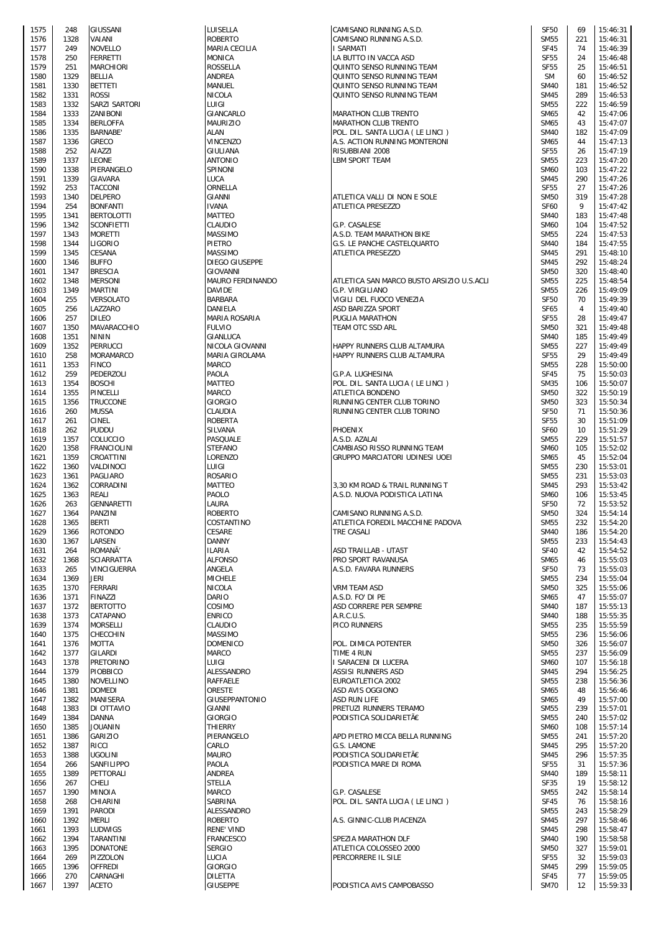| 1575         | 248  | GIUSSANI                 | LUISELLA                   |
|--------------|------|--------------------------|----------------------------|
| 1576         | 1328 | VAIANI                   | <b>ROBERTO</b>             |
| 1577         | 249  | NOVELLO                  | MARIA CE                   |
| 1578         | 250  | <b>FERRETTI</b>          | MONICA                     |
| 1579         | 251  | <b>MARCHIORI</b>         | <b>ROSSELLA</b>            |
| 1580         | 1329 | BELLIA                   | ANDREA                     |
| 1581         | 1330 | BETTETI                  | MANUEL                     |
|              |      |                          |                            |
| 1582         | 1331 | <b>ROSSI</b>             | <b>NICOLA</b>              |
| 1583         | 1332 | SARZI SARTORI            | LUIGI                      |
| 1584         | 1333 | ZANIBONI                 | GIANCARL                   |
| 1585         | 1334 | <b>BERLOFFA</b>          | MAURIZIO                   |
| 1586         | 1335 | BARNABE'                 | ALAN                       |
| 1587         | 1336 | GRECO                    | VINCENZC                   |
| 1588         | 252  | AIAZZI                   | GIULIANA                   |
|              | 1337 | LEONE                    | <b>ANTONIO</b>             |
| 1589         |      |                          |                            |
| 1590         | 1338 | PIERANGELO               | SPINONI                    |
| 1591         | 1339 | GIAVARA                  | LUCA                       |
| 1592         | 253  | TACCONI                  | ORNELLA                    |
| 1593         | 1340 | DELPERO                  | GIANNI                     |
| 1594         | 254  | <b>BONFANTI</b>          | <b>IVANA</b>               |
| 1595         | 1341 | BERTOLOTTI               | MATTEO                     |
| 1596         | 1342 | SCONFIETTI               | CLAUDIO                    |
|              |      |                          |                            |
| 1597         | 1343 | MORETTI                  | <b>MASSIMO</b>             |
| 1598         | 1344 | LIGORIO                  | PIETRO                     |
| 1599         | 1345 | CESANA                   | <b>MASSIMO</b>             |
| 1600         | 1346 | <b>BUFFO</b>             | DIEGO GII                  |
| 1601         | 1347 | <b>BRESCIA</b>           | <b>GIOVANNI</b>            |
| 1602         | 1348 | MERSONI                  | <b>MAURO FE</b>            |
| 1603         | 1349 | MARTINI                  | <b>DAVIDE</b>              |
| 1604         | 255  | VERSOLATO                | BARBARA                    |
|              |      |                          |                            |
| 1605         | 256  | LAZZARO                  | DANIELA                    |
| 1606         | 257  | DILEO                    | <b>MARIA RO</b>            |
| 1607         | 1350 | MAVARACCHIO              | <b>FULVIO</b>              |
| 1608         | 1351 | <b>NININ</b>             | GIANLUCA                   |
| 1609         | 1352 | PERRUCCI                 | NICOLA G                   |
| 1610         | 258  | MORAMARCO                | MARIA GII                  |
| 1611         | 1353 | FINCO                    | MARCO                      |
| 1612         | 259  | PEDERZOLI                | PAOLA                      |
|              |      |                          |                            |
| 1613         | 1354 | <b>BOSCHI</b>            | MATTEO                     |
| 1614         | 1355 | PINCELLI                 | <b>MARCO</b>               |
| 1615         | 1356 | TRUCCONE                 | GIORGIO                    |
| 1616         | 260  | MUSSA                    | CLAUDIA                    |
| 1617         | 261  | CINEL                    | ROBERTA                    |
| 1618         | 262  | Puddu                    | SILVANA                    |
| 1619         | 1357 | COLUCCIO                 | PASQUALE                   |
| 1620         | 1358 | FRANCIOLINI              | STEFANO                    |
| 1621         | 1359 | CROATTINI                | LORENZO                    |
|              |      |                          |                            |
| 1622         | 1360 | VALDINOCI                | LUIGI                      |
| 1623         | 1361 | PAGLIARO                 | ROSARIO                    |
| 1624         | 1362 | CORRADINI                | MATTEO                     |
| 1625         | 1363 | REALI                    | PAOLO                      |
| 1626         | 263  | GENNARETTI               | LAURA                      |
| 1627         | 1364 | PANZINI                  | <b>ROBERTO</b>             |
| 1628         | 1365 | BERTI                    | COSTANTI                   |
| 1629         | 1366 | <b>ROTONDO</b>           | <b>CESARE</b>              |
|              | 1367 | LARSEN                   | <b>DANNY</b>               |
| 1630         |      |                          |                            |
| 1631         | 264  | ROMANÃ'                  | ILARIA                     |
| 1632         | 1368 | SCIARRATTA               | <b>ALFONSO</b>             |
| 1633         | 265  | VINCIGUERRA              | ANGELA                     |
| 1634         | 1369 | JERI                     | <b>MICHELE</b>             |
| 1635         | 1370 | FERRARI                  | <b>NICOLA</b>              |
| 1636         | 1371 | <b>FINAZZI</b>           | DARIO                      |
| 1637         | 1372 | <b>BERTOTTO</b>          | COSIMO                     |
| 1638         | 1373 | CATAPANO                 | <b>ENRICO</b>              |
| 1639         | 1374 | <b>MORSELLI</b>          | CLAUDIO                    |
| 1640         | 1375 | CHECCHIN                 | MASSIMO                    |
|              |      |                          |                            |
| 1641         | 1376 | MOTTA                    | <b>DOMENIC</b>             |
| 1642         | 1377 | GILARDI                  | <b>MARCO</b>               |
| 1643         | 1378 | PRETORINO                | LUIGI                      |
| 1644         | 1379 | PIOBBICO                 | ALESSAND                   |
| 1645         | 1380 | NOVELLINO                | RAFFAELE                   |
| 1646         | 1381 | DOMEDI                   | ORESTE                     |
| 1647         | 1382 | MANISERA                 | GIUSEPPA                   |
| 1648         | 1383 | DI OTTAVIO               | GIANNI                     |
| 1649         | 1384 | DANNA                    | GIORGIO                    |
| 1650         | 1385 | JOUANIN                  | THIERRY                    |
|              |      |                          |                            |
| 1651         | 1386 | GARIZIO                  | PIERANGE                   |
| 1652         | 1387 | RICCI                    | CARLO                      |
| 1653         | 1388 | UGOLINI                  | <b>MAURO</b>               |
| 1654         | 266  | SANFILIPPO               | PAOLA                      |
| 1655         | 1389 | PETTORALI                | ANDREA                     |
| 1656         | 267  | CHELI                    | STELLA                     |
| 1657         | 1390 | MINOIA                   | MARCO                      |
| 1658         | 268  | CHIARINI                 | SABRINA                    |
| 1659         | 1391 | PARODI                   | ALESSAND                   |
|              |      | MERLI                    |                            |
| 1660         | 1392 |                          | ROBERTO                    |
| 1661         | 1393 | LUDWIGS                  | <b>RENE' VIN</b>           |
| 1662         | 1394 | TARANTINI                | <b>FRANCESC</b>            |
| 1663         | 1395 | <b>DONATONE</b>          | <b>SERGIO</b>              |
| 1664         | 269  | PIZZOLON                 | LUCIA                      |
| 1665         | 1396 | OFFREDI                  | GIORGIO                    |
|              |      |                          |                            |
|              | 270  |                          |                            |
| 1666<br>1667 | 1397 | CARNAGHI<br><b>ACETO</b> | DILETTA<br><b>GIUSEPPE</b> |

| 1575         | 248          | GIUSSANI           | LUISELLA              | CAMISANO RUNNING A.S.D.                   | <b>SF50</b> | 69         | 15:46:31 |
|--------------|--------------|--------------------|-----------------------|-------------------------------------------|-------------|------------|----------|
| 1576         | 1328         | <b>VAIANI</b>      | <b>ROBERTO</b>        | CAMISANO RUNNING A.S.D.                   | <b>SM55</b> | 221        | 15:46:31 |
| 1577         | 249          | <b>NOVELLO</b>     | MARIA CECILIA         | I SARMATI                                 | <b>SF45</b> | 74         | 15:46:39 |
| 1578         | 250          | <b>FERRETTI</b>    | <b>MONICA</b>         | LA BUTTO IN VACCA ASD                     | <b>SF55</b> | 24         | 15:46:48 |
| 1579         | 251          | <b>MARCHIORI</b>   | ROSSELLA              | QUINTO SENSO RUNNING TEAM                 | <b>SF55</b> | 25         | 15:46:51 |
|              |              |                    |                       |                                           |             |            |          |
| 1580         | 1329         | <b>BELLIA</b>      | ANDREA                | QUINTO SENSO RUNNING TEAM                 | <b>SM</b>   | 60         | 15:46:52 |
| 1581         | 1330         | <b>BETTETI</b>     | MANUEL                | QUINTO SENSO RUNNING TEAM                 | <b>SM40</b> | 181        | 15:46:52 |
| 1582         | 1331         | <b>ROSSI</b>       | <b>NICOLA</b>         | QUINTO SENSO RUNNING TEAM                 | <b>SM45</b> | 289        | 15:46:53 |
| 1583         | 1332         | SARZI SARTORI      | LUIGI                 |                                           | <b>SM55</b> | 222        | 15:46:59 |
| 1584         | 1333         | ZANIBONI           | GIANCARLO             | MARATHON CLUB TRENTO                      | <b>SM65</b> | 42         | 15:47:06 |
| 1585         | 1334         | <b>BERLOFFA</b>    | <b>MAURIZIO</b>       | MARATHON CLUB TRENTO                      | SM65        | 43         | 15:47:07 |
| 1586         | 1335         | <b>BARNABE</b>     | ALAN                  | POL. DIL. SANTA LUCIA (LE LINCI)          | <b>SM40</b> | 182        | 15:47:09 |
| 1587         | 1336         | <b>GRECO</b>       | <b>VINCENZO</b>       | A.S. ACTION RUNNING MONTERONI             | <b>SM65</b> | 44         | 15:47:13 |
| 1588         | 252          | AIAZZI             | GIULIANA              | RISUBBIANI 2008                           | <b>SF55</b> | 26         | 15:47:19 |
| 1589         | 1337         | <b>LEONE</b>       | <b>ANTONIO</b>        | <b>LBM SPORT TEAM</b>                     | <b>SM55</b> | 223        | 15:47:20 |
| 1590         | 1338         | PIERANGELO         | SPINONI               |                                           | <b>SM60</b> | 103        | 15:47:22 |
|              | 1339         | <b>GIAVARA</b>     | <b>LUCA</b>           |                                           | <b>SM45</b> | 290        | 15:47:26 |
| 1591         |              |                    |                       |                                           |             |            |          |
| 1592         | 253          | <b>TACCONI</b>     | ORNELLA               |                                           | <b>SF55</b> | 27         | 15:47:26 |
| 1593         | 1340         | <b>DELPERO</b>     | GIANNI                | ATLETICA VALLI DI NON E SOLE              | <b>SM50</b> | 319        | 15:47:28 |
| 1594         | 254          | <b>BONFANTI</b>    | <b>IVANA</b>          | ATLETICA PRESEZZO                         | <b>SF60</b> | 9          | 15:47:42 |
| 1595         | 1341         | <b>BERTOLOTTI</b>  | <b>MATTEO</b>         |                                           | <b>SM40</b> | 183        | 15:47:48 |
| 1596         | 1342         | <b>SCONFIETTI</b>  | <b>CLAUDIO</b>        | G.P. CASALESE                             | <b>SM60</b> | 104        | 15:47:52 |
| 1597         | 1343         | <b>MORETTI</b>     | <b>MASSIMO</b>        | A.S.D. TEAM MARATHON BIKE                 | <b>SM55</b> | 224        | 15:47:53 |
| 1598         | 1344         | LIGORIO            | <b>PIETRO</b>         | G.S. LE PANCHE CASTELQUARTO               | <b>SM40</b> | 184        | 15:47:55 |
| 1599         | 1345         | CESANA             | <b>MASSIMO</b>        | <b>ATLETICA PRESEZZO</b>                  | <b>SM45</b> | 291        | 15:48:10 |
| 1600         | 1346         | <b>BUFFO</b>       | DIEGO GIUSEPPE        |                                           | <b>SM45</b> | 292        | 15:48:24 |
| 1601         | 1347         | <b>BRESCIA</b>     | <b>GIOVANNI</b>       |                                           | <b>SM50</b> | 320        | 15:48:40 |
|              |              |                    |                       |                                           |             |            |          |
| 1602         | 1348         | <b>MERSONI</b>     | MAURO FERDINANDO      | ATLETICA SAN MARCO BUSTO ARSIZIO U.S.ACLI | <b>SM55</b> | 225        | 15:48:54 |
| 1603         | 1349         | <b>MARTINI</b>     | <b>DAVIDE</b>         | G.P. VIRGILIANO                           | <b>SM55</b> | 226        | 15:49:09 |
| 1604         | 255          | <b>VERSOLATO</b>   | <b>BARBARA</b>        | VIGILI DEL FUOCO VENEZIA                  | <b>SF50</b> | 70         | 15:49:39 |
| 1605         | 256          | LAZZARO            | DANIELA               | ASD BARIZZA SPORT                         | <b>SF65</b> | 4          | 15:49:40 |
| 1606         | 257          | <b>DILEO</b>       | MARIA ROSARIA         | PUGLIA MARATHON                           | <b>SF55</b> | 28         | 15:49:47 |
| 1607         | 1350         | MAVARACCHIO        | <b>FULVIO</b>         | TEAM OTC SSD ARL                          | <b>SM50</b> | 321        | 15:49:48 |
| 1608         | 1351         | <b>NININ</b>       | GIANLUCA              |                                           | <b>SM40</b> | 185        | 15:49:49 |
| 1609         | 1352         | <b>PERRUCCI</b>    | NICOLA GIOVANNI       | HAPPY RUNNERS CLUB ALTAMURA               | <b>SM55</b> | 227        | 15:49:49 |
| 1610         | 258          | MORAMARCO          | MARIA GIROLAMA        | HAPPY RUNNERS CLUB ALTAMURA               | <b>SF55</b> | 29         | 15:49:49 |
| 1611         | 1353         | <b>FINCO</b>       | <b>MARCO</b>          |                                           | <b>SM55</b> | 228        | 15:50:00 |
| 1612         | 259          | PEDERZOLI          | PAOLA                 | G.P.A. LUGHESINA                          | <b>SF45</b> | 75         | 15:50:03 |
|              |              |                    |                       |                                           |             |            |          |
| 1613         | 1354         | <b>BOSCHI</b>      | <b>MATTEO</b>         | POL. DIL. SANTA LUCIA (LE LINCI)          | <b>SM35</b> | 106        | 15:50:07 |
| 1614         | 1355         | PINCELLI           | <b>MARCO</b>          | ATLETICA BONDENO                          | <b>SM50</b> | 322        | 15:50:19 |
| 1615         | 1356         | <b>TRUCCONE</b>    | <b>GIORGIO</b>        | RUNNING CENTER CLUB TORINO                | <b>SM50</b> | 323        | 15:50:34 |
| 1616         | 260          | <b>MUSSA</b>       | CLAUDIA               | RUNNING CENTER CLUB TORINO                | <b>SF50</b> | 71         | 15:50:36 |
| 1617         | 261          | <b>CINEL</b>       | <b>ROBERTA</b>        |                                           | <b>SF55</b> | 30         | 15:51:09 |
| 1618         | 262          | <b>PUDDU</b>       | SILVANA               | <b>PHOENIX</b>                            | <b>SF60</b> | 10         | 15:51:29 |
| 1619         | 1357         | COLUCCIO           | PASQUALE              | A.S.D. AZALAI                             | <b>SM55</b> | 229        | 15:51:57 |
| 1620         | 1358         | <b>FRANCIOLINI</b> | <b>STEFANO</b>        | CAMBIASO RISSO RUNNING TEAM               | <b>SM60</b> | 105        | 15:52:02 |
| 1621         | 1359         | CROATTINI          | LORENZO               | GRUPPO MARCIATORI UDINESI UOEI            | <b>SM65</b> | 45         | 15:52:04 |
| 1622         | 1360         | VALDINOCI          | LUIGI                 |                                           | <b>SM55</b> | 230        | 15:53:01 |
| 1623         | 1361         | PAGLIARO           | <b>ROSARIO</b>        |                                           | <b>SM55</b> | 231        | 15:53:03 |
|              |              |                    |                       |                                           |             |            |          |
| 1624         | 1362         | CORRADINI          | <b>MATTEO</b>         | 3,30 KM ROAD & TRAIL RUNNING T            | <b>SM45</b> | 293        | 15:53:42 |
| 1625         | 1363         | <b>REALI</b>       | PAOLO                 | A.S.D. NUOVA PODISTICA LATINA             | <b>SM60</b> | 106        | 15:53:45 |
| 1626         | 263          | <b>GENNARETTI</b>  | LAURA                 |                                           | <b>SF50</b> | 72         | 15:53:52 |
| 1627         | 1364         | PANZINI            | <b>ROBERTO</b>        | CAMISANO RUNNING A.S.D.                   | <b>SM50</b> | 324        | 15:54:14 |
| 1628         | 1365         | <b>BERTI</b>       | COSTANTINO            | ATLETICA FOREDIL MACCHINE PADOVA          | <b>SM55</b> | 232        | 15:54:20 |
| 1629         | 1366         | <b>ROTONDO</b>     | <b>CESARE</b>         | TRE CASALI                                | <b>SM40</b> | 186        | 15:54:20 |
| 1630         | 1367         | LARSEN             | <b>DANNY</b>          |                                           | <b>SM55</b> | 233        | 15:54:43 |
| 1631         | 264          | ROMANÃ'            | <b>ILARIA</b>         | ASD TRAILLAB - UTA5T                      | <b>SF40</b> | 42         | 15:54:52 |
| 1632         | 1368         | <b>SCIARRATTA</b>  | <b>ALFONSO</b>        | PRO SPORT RAVANUSA                        | <b>SM65</b> | 46         | 15:55:03 |
| 1633         | 265          | <b>VINCIGUERRA</b> | ANGELA                | A.S.D. FAVARA RUNNERS                     | <b>SF50</b> | 73         | 15:55:03 |
|              |              | JERI               | <b>MICHELE</b>        |                                           | <b>SM55</b> |            | 15:55:04 |
| 1634<br>1635 | 1369<br>1370 | <b>FERRARI</b>     | <b>NICOLA</b>         | VRM TEAM ASD                              | <b>SM50</b> | 234<br>325 | 15:55:06 |
|              |              |                    |                       |                                           |             |            |          |
| 1636         | 1371         | <b>FINAZZI</b>     | <b>DARIO</b>          | A.S.D. FO' DI PE                          | <b>SM65</b> | 47         | 15:55:07 |
| 1637         | 1372         | <b>BERTOTTO</b>    | COSIMO                | ASD CORRERE PER SEMPRE                    | <b>SM40</b> | 187        | 15:55:13 |
| 1638         | 1373         | CATAPANO           | <b>ENRICO</b>         | A.R.C.U.S.                                | <b>SM40</b> | 188        | 15:55:35 |
| 1639         | 1374         | <b>MORSELLI</b>    | <b>CLAUDIO</b>        | PICO RUNNERS                              | <b>SM55</b> | 235        | 15:55:59 |
| 1640         | 1375         | CHECCHIN           | <b>MASSIMO</b>        |                                           | <b>SM55</b> | 236        | 15:56:06 |
| 1641         | 1376         | <b>MOTTA</b>       | <b>DOMENICO</b>       | POL. DIMICA POTENTER                      | <b>SM50</b> | 326        | 15:56:07 |
| 1642         | 1377         | <b>GILARDI</b>     | <b>MARCO</b>          | TIME 4 RUN                                | <b>SM55</b> | 237        | 15:56:09 |
| 1643         | 1378         | <b>PRETORINO</b>   | LUIGI                 | I SARACENI DI LUCERA                      | <b>SM60</b> | 107        | 15:56:18 |
| 1644         | 1379         | PIOBBICO           | ALESSANDRO            | ASSISI RUNNERS ASD                        | <b>SM45</b> | 294        | 15:56:25 |
| 1645         | 1380         | <b>NOVELLINO</b>   | RAFFAELE              | EUROATLETICA 2002                         | <b>SM55</b> | 238        | 15:56:36 |
| 1646         | 1381         | <b>DOMEDI</b>      | ORESTE                | ASD AVIS OGGIONO                          | <b>SM65</b> | 48         | 15:56:46 |
| 1647         | 1382         | <b>MANISERA</b>    | <b>GIUSEPPANTONIO</b> | <b>ASD RUN LIFE</b>                       | <b>SM65</b> | 49         | 15:57:00 |
|              |              | DI OTTAVIO         |                       |                                           | <b>SM55</b> |            |          |
| 1648         | 1383         |                    | GIANNI                | PRETUZI RUNNERS TERAMO                    |             | 239        | 15:57:01 |
| 1649         | 1384         | <b>DANNA</b>       | <b>GIORGIO</b>        | PODISTICA SOLIDARIETÀ                     | <b>SM55</b> | 240        | 15:57:02 |
| 1650         | 1385         | <b>JOUANIN</b>     | <b>THIERRY</b>        |                                           | <b>SM60</b> | 108        | 15:57:14 |
| 1651         | 1386         | <b>GARIZIO</b>     | PIERANGELO            | APD PIETRO MICCA BELLA RUNNING            | <b>SM55</b> | 241        | 15:57:20 |
| 1652         | 1387         | RICCI              | CARLO                 | G.S. LAMONE                               | <b>SM45</b> | 295        | 15:57:20 |
| 1653         | 1388         | <b>UGOLINI</b>     | <b>MAURO</b>          | PODISTICA SOLIDARIETÀ                     | <b>SM45</b> | 296        | 15:57:35 |
| 1654         | 266          | SANFILIPPO         | <b>PAOLA</b>          | PODISTICA MARE DI ROMA                    | <b>SF55</b> | 31         | 15:57:36 |
| 1655         | 1389         | PETTORALI          | <b>ANDREA</b>         |                                           | <b>SM40</b> | 189        | 15:58:11 |
| 1656         | 267          | CHELI              | <b>STELLA</b>         |                                           | <b>SF35</b> | 19         | 15:58:12 |
| 1657         | 1390         | <b>MINOIA</b>      | <b>MARCO</b>          | G.P. CASALESE                             | <b>SM55</b> | 242        | 15:58:14 |
| 1658         | 268          | CHIARINI           | SABRINA               | POL. DIL. SANTA LUCIA (LE LINCI)          | <b>SF45</b> | 76         | 15:58:16 |
|              |              | <b>PARODI</b>      | ALESSANDRO            |                                           | <b>SM55</b> | 243        | 15:58:29 |
| 1659         | 1391         |                    |                       |                                           |             |            |          |
| 1660         | 1392         | <b>MERLI</b>       | <b>ROBERTO</b>        | A.S. GINNIC-CLUB PIACENZA                 | <b>SM45</b> | 297        | 15:58:46 |
| 1661         | 1393         | LUDWIGS            | <b>RENE' VIND</b>     |                                           | <b>SM45</b> | 298        | 15:58:47 |
| 1662         | 1394         | <b>TARANTINI</b>   | <b>FRANCESCO</b>      | SPEZIA MARATHON DLF                       | <b>SM40</b> | 190        | 15:58:58 |
| 1663         | 1395         | <b>DONATONE</b>    | <b>SERGIO</b>         | ATLETICA COLOSSEO 2000                    | <b>SM50</b> | 327        | 15:59:01 |
| 1664         | 269          | PIZZOLON           | LUCIA                 | PERCORRERE IL SILE                        | <b>SF55</b> | 32         | 15:59:03 |
| 1665         | 1396         | <b>OFFREDI</b>     | <b>GIORGIO</b>        |                                           | <b>SM45</b> | 299        | 15:59:05 |
| 1666         | 270          | CARNAGHI           | <b>DILETTA</b>        |                                           | <b>SF45</b> | 77         | 15:59:05 |
| 1667         | 1397         | <b>ACETO</b>       | <b>GIUSEPPE</b>       | PODISTICA AVIS CAMPOBASSO                 | <b>SM70</b> | 12         | 15:59:33 |
|              |              |                    |                       |                                           |             |            |          |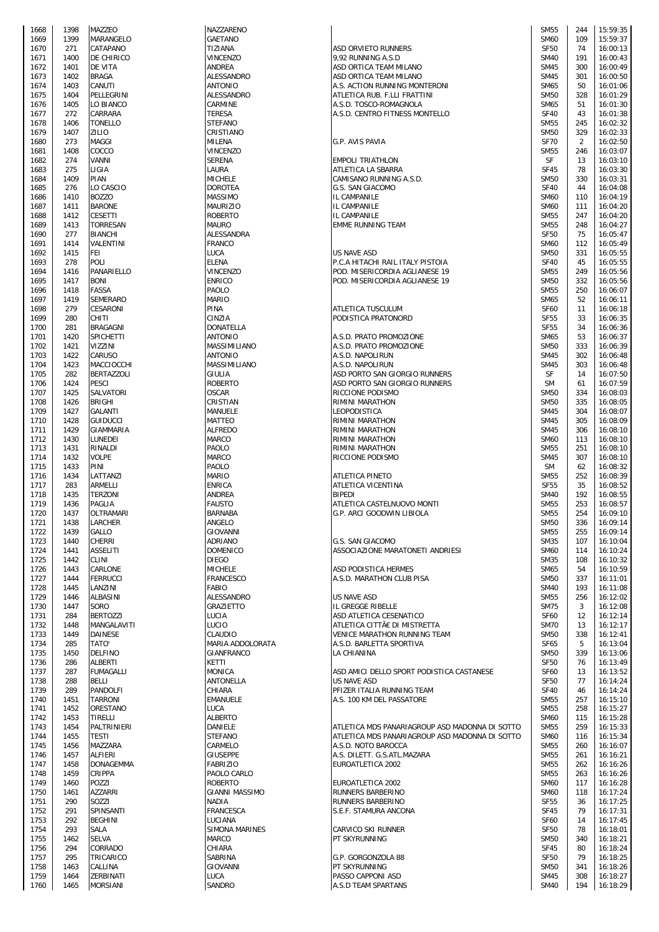| 1668         | 1398         | MAZZEO                       | NAZZARE         |
|--------------|--------------|------------------------------|-----------------|
| 1669         | 1399         | MARANGELO                    | <b>GAETAN</b>   |
| 1670         | 271          | CATAPANO                     | TIZIANA         |
| 1671         | 1400         | DE CHIRICO                   | VINCENZ         |
| 1672         | 1401         | DE VITA                      | ANDREA          |
| 1673         | 1402         | <b>BRAGA</b>                 | ALESSAN         |
| 1674         | 1403         | CANUTI                       | <b>ANTONIC</b>  |
| 1675         | 1404         | PELLEGRINI                   | ALESSAN         |
|              |              |                              |                 |
| 1676         | 1405         | LO BIANCO                    | CARMINE         |
| 1677         | 272          | CARRARA                      | TERESA          |
| 1678         | 1406         | TONELLO                      | STEFANC         |
| 1679         | 1407         | ZILIO                        | CRISTIAN        |
| 1680         | 273          | MAGGI                        | MILENA          |
| 1681         | 1408         | COCCO                        | VINCENZ         |
|              |              |                              |                 |
| 1682         | 274          | VANNI                        | SERENA          |
| 1683         | 275          | LIGIA                        | LAURA           |
| 1684         | 1409         | PIAN                         | <b>MICHELE</b>  |
| 1685         | 276          | LO CASCIO                    | DOROTE.         |
| 1686         | 1410         | <b>BOZZO</b>                 | MASSIMO         |
| 1687         | 1411         | BARONE                       | MAURIZI         |
|              |              | CESETTI                      |                 |
| 1688         | 1412         |                              | ROBERT          |
| 1689         | 1413         | TORRESAN                     | MAURO           |
| 1690         | 277          | BIANCHI                      | ALESSAN         |
| 1691         | 1414         | VALENTINI                    | FRANCO          |
| 1692         | 1415         | FEI                          | LUCA            |
| 1693         | 278          | POLI                         | ELENA           |
| 1694         | 1416         | PANARIELLO                   | VINCENZ         |
| 1695         | 1417         | <b>BONI</b>                  | <b>ENRICO</b>   |
|              |              |                              |                 |
| 1696         | 1418         | FASSA                        | PAOLO           |
| 1697         | 1419         | SEMERARO                     | <b>MARIO</b>    |
| 1698         | 279          | CESARONI                     | PINA            |
| 1699         | 280          | CHITI                        | CINZIA          |
| 1700         | 281          | BRAGAGNI                     | DONATEI         |
| 1701         | 1420         | SPICHETTI                    | ANTONIC         |
|              |              |                              |                 |
| 1702         | 1421         | VIZZINI                      | MASSIMI         |
| 1703         | 1422         | CARUSO                       | ANTONIC         |
| 1704         | 1423         | MACCIOCCHI                   | MASSIMI         |
| 1705         | 282          | BERTAZZOLI                   | GIULIA          |
| 1706         | 1424         | PESCI                        | ROBERT(         |
| 1707         | 1425         | SALVATORI                    | OSCAR           |
| 1708         | 1426         | BRIGHI                       | CRISTIAI        |
|              |              |                              |                 |
| 1709         | 1427         | GALANTI                      | MANUELI         |
| 1710         | 1428         | <b>GUIDUCCI</b>              | MATTEO          |
| 1711         | 1429         | GIAMMARIA                    | ALFREDC         |
| 1712         | 1430         | LUNEDEI                      | MARCO           |
| 1713         | 1431         | RINALDI                      | PAOLO           |
| 1714         | 1432         | Volpe                        | MARCO           |
| 1715         |              |                              |                 |
|              | 1433         | PINI                         | PAOLO           |
| 1716         | 1434         | LATTANZI                     | <b>MARIO</b>    |
| 1717         | 283          | ARMELLI                      | ENRICA          |
| 1718         | 1435         | <b>TERZONI</b>               | ANDREA          |
| 1719         | 1436         | PAGLIA                       | FAUSTO          |
| 1720         | 1437         | OLTRAMARI                    | <b>BARNABA</b>  |
| 1721         | 1438         | LARCHER                      | ANGELO          |
|              |              | GALLO                        |                 |
| 1722         | 1439         |                              | GIOVANN         |
| 1723         | 1440         | CHERRI                       | ADRIANO         |
| 1724         | 1441         | <b>ASSELITI</b>              | <b>DOMENI</b>   |
| 1725         | 1442         | CLINI                        | <b>DIEGO</b>    |
| 1726         | 1443         | CARLONE                      | <b>MICHELE</b>  |
| 1727         | 1444         | <b>FERRUCCI</b>              | <b>FRANCES</b>  |
| 1728         | 1445         | LANZINI                      | FABIO           |
|              |              |                              |                 |
| 1729         |              |                              |                 |
| 1730         | 1446         | ALBASINI                     | ALESSAN         |
|              | 1447         | SORO                         | <b>GRAZIET</b>  |
| 1731         | 284          | <b>BERTOZZI</b>              | LUCIA           |
| 1732         | 1448         | <b>MANGALAVITI</b>           | LUCIO           |
| 1733         | 1449         | <b>DAINESE</b>               | CLAUDIC         |
| 1734         | 285          | "TATO                        | MARIA A         |
|              | 1450         | <b>DELFINO</b>               | <b>GIANFRA</b>  |
| 1735         |              |                              | KETTI           |
| 1736         | 286          | ALBERTI                      |                 |
| 1737         | 287          | FUMAGALLI                    | MONICA          |
| 1738         | 288          | BELLI                        | <b>ANTONEI</b>  |
| 1739         | 289          | PANDOLFI                     | CHIARA          |
| 1740         | 1451         | TARRONI                      | <b>EMANUEI</b>  |
| 1741         | 1452         | ORESTANO                     | LUCA            |
| 1742         | 1453         | TIRELLI                      | ALBERTC         |
| 1743         | 1454         | PALTRINIERI                  | DANIELE         |
|              |              |                              |                 |
| 1744         | 1455         | <b>TESTI</b>                 | <b>STEFANC</b>  |
| 1745         | 1456         | MAZZARA                      | CARMELO         |
| 1746         | 1457         | ALFIERI                      | GIUSEPP         |
| 1747         | 1458         | DONAGEMMA                    | <b>FABRIZIO</b> |
| 1748         | 1459         | CRIPPA                       | PAOLO C         |
| 1749         | 1460         | POZZI                        | <b>ROBERT</b>   |
|              | 1461         | AZZARRI                      | <b>GIANNI M</b> |
| 1750         |              |                              |                 |
| 1751         | 290          | SOZZI                        | NADIA           |
| 1752         | 291          | SPINSANTI                    | <b>FRANCES</b>  |
| 1753         | 292          | <b>BEGHINI</b>               | LUCIANA         |
| 1754         | 293          | SALA                         | SIMONA          |
| 1755         | 1462         | <b>SELVA</b>                 | MARCO           |
| 1756         | 294          | CORRADO                      | CHIARA          |
| 1757         | 295          | TRICARICO                    | SABRINA         |
|              |              |                              |                 |
| 1758         | 1463         | CALLINA                      | <b>GIOVANN</b>  |
| 1759<br>1760 | 1464<br>1465 | ZERBINATI<br><b>MORSIANI</b> | LUCA<br>SANDRO  |

| 1668 | 1398 | <b>MAZZEO</b>     | NAZZARENO             |                                                | <b>SM55</b> | 244 | 15:59:35 |
|------|------|-------------------|-----------------------|------------------------------------------------|-------------|-----|----------|
|      | 1399 | MARANGELO         | <b>GAETANO</b>        |                                                | <b>SM60</b> | 109 | 15:59:37 |
| 1669 |      |                   |                       |                                                |             |     |          |
| 1670 | 271  | CATAPANO          | TIZIANA               | ASD ORVIETO RUNNERS                            | <b>SF50</b> | 74  | 16:00:13 |
| 1671 | 1400 | DE CHIRICO        | VINCENZO              | 9,92 RUNNING A.S.D                             | <b>SM40</b> | 191 | 16:00:43 |
| 1672 | 1401 | <b>DE VITA</b>    | ANDREA                | ASD ORTICA TEAM MILANO                         | <b>SM45</b> | 300 | 16:00:49 |
| 1673 | 1402 | <b>BRAGA</b>      | ALESSANDRO            | ASD ORTICA TEAM MILANO                         | <b>SM45</b> | 301 | 16:00:50 |
|      |      |                   | <b>ANTONIO</b>        |                                                |             | 50  |          |
| 1674 | 1403 | CANUTI            |                       | A.S. ACTION RUNNING MONTERONI                  | <b>SM65</b> |     | 16:01:06 |
| 1675 | 1404 | PELLEGRINI        | <b>ALESSANDRO</b>     | ATLETICA RUB. F.LLI FRATTINI                   | <b>SM50</b> | 328 | 16:01:29 |
| 1676 | 1405 | LO BIANCO         | CARMINE               | A.S.D. TOSCO-ROMAGNOLA                         | SM65        | 51  | 16:01:30 |
| 1677 | 272  | CARRARA           | <b>TERESA</b>         | A.S.D. CENTRO FITNESS MONTELLO                 | <b>SF40</b> | 43  | 16:01:38 |
|      | 1406 | <b>TONELLO</b>    | <b>STEFANO</b>        |                                                | <b>SM55</b> | 245 | 16:02:32 |
| 1678 |      |                   |                       |                                                |             |     |          |
| 1679 | 1407 | <b>ZILIO</b>      | CRISTIANO             |                                                | <b>SM50</b> | 329 | 16:02:33 |
| 1680 | 273  | <b>MAGGI</b>      | <b>MILENA</b>         | G.P. AVIS PAVIA                                | <b>SF70</b> | 2   | 16:02:50 |
| 1681 | 1408 | COCCO             | <b>VINCENZO</b>       |                                                | <b>SM55</b> | 246 | 16:03:07 |
| 1682 | 274  | <b>VANNI</b>      | <b>SERENA</b>         | <b>EMPOLI TRIATHLON</b>                        | SF          | 13  | 16:03:10 |
|      | 275  | LIGIA             | LAURA                 | ATLETICA LA SBARRA                             | <b>SF45</b> | 78  | 16:03:30 |
| 1683 |      |                   |                       |                                                |             |     |          |
| 1684 | 1409 | PIAN              | <b>MICHELE</b>        | CAMISANO RUNNING A.S.D.                        | <b>SM50</b> | 330 | 16:03:31 |
| 1685 | 276  | LO CASCIO         | <b>DOROTEA</b>        | G.S. SAN GIACOMO                               | <b>SF40</b> | 44  | 16:04:08 |
| 1686 | 1410 | <b>BOZZO</b>      | <b>MASSIMO</b>        | IL CAMPANILE                                   | <b>SM60</b> | 110 | 16:04:19 |
| 1687 | 1411 | <b>BARONE</b>     | <b>MAURIZIO</b>       | IL CAMPANILE                                   | <b>SM60</b> | 111 | 16:04:20 |
|      |      |                   |                       |                                                |             |     |          |
| 1688 | 1412 | <b>CESETTI</b>    | <b>ROBERTO</b>        | IL CAMPANILE                                   | <b>SM55</b> | 247 | 16:04:20 |
| 1689 | 1413 | <b>TORRESAN</b>   | <b>MAURO</b>          | <b>EMME RUNNING TEAM</b>                       | <b>SM55</b> | 248 | 16:04:27 |
| 1690 | 277  | <b>BIANCHI</b>    | ALESSANDRA            |                                                | <b>SF50</b> | 75  | 16:05:47 |
| 1691 | 1414 | VALENTINI         | <b>FRANCO</b>         |                                                | <b>SM60</b> | 112 | 16:05:49 |
| 1692 | 1415 | FEI               | LUCA                  | US NAVE ASD                                    | <b>SM50</b> | 331 | 16:05:55 |
|      |      |                   |                       |                                                |             |     |          |
| 1693 | 278  | <b>POLI</b>       | <b>ELENA</b>          | P.C.A HITACHI RAIL ITALY PISTOIA               | <b>SF40</b> | 45  | 16:05:55 |
| 1694 | 1416 | PANARIELLO        | <b>VINCENZO</b>       | POD. MISERICORDIA AGLIANESE 19                 | <b>SM55</b> | 249 | 16:05:56 |
| 1695 | 1417 | <b>BONI</b>       | <b>ENRICO</b>         | POD. MISERICORDIA AGLIANESE 19                 | <b>SM50</b> | 332 | 16:05:56 |
| 1696 | 1418 | <b>FASSA</b>      | PAOLO                 |                                                | <b>SM55</b> | 250 | 16:06:07 |
|      |      | <b>SEMERARO</b>   |                       |                                                |             |     |          |
| 1697 | 1419 |                   | <b>MARIO</b>          |                                                | SM65        | 52  | 16:06:11 |
| 1698 | 279  | CESARONI          | <b>PINA</b>           | <b>ATLETICA TUSCULUM</b>                       | <b>SF60</b> | 11  | 16:06:18 |
| 1699 | 280  | CHITI             | CINZIA                | PODISTICA PRATONORD                            | <b>SF55</b> | 33  | 16:06:35 |
| 1700 | 281  | <b>BRAGAGNI</b>   | <b>DONATELLA</b>      |                                                | <b>SF55</b> | 34  | 16:06:36 |
| 1701 | 1420 | <b>SPICHETTI</b>  | <b>ANTONIO</b>        | A.S.D. PRATO PROMOZIONE                        | SM65        | 53  | 16:06:37 |
|      |      |                   |                       |                                                |             |     |          |
| 1702 | 1421 | VIZZINI           | MASSIMILIANO          | A.S.D. PRATO PROMOZIONE                        | <b>SM50</b> | 333 | 16:06:39 |
| 1703 | 1422 | <b>CARUSO</b>     | <b>ANTONIO</b>        | A.S.D. NAPOLIRUN                               | <b>SM45</b> | 302 | 16:06:48 |
| 1704 | 1423 | MACCIOCCHI        | MASSIMILIANO          | A.S.D. NAPOLIRUN                               | <b>SM45</b> | 303 | 16:06:48 |
| 1705 | 282  | <b>BERTAZZOLI</b> | GIULIA                | ASD PORTO SAN GIORGIO RUNNERS                  | SF          | 14  | 16:07:50 |
|      | 1424 | <b>PESCI</b>      | <b>ROBERTO</b>        | ASD PORTO SAN GIORGIO RUNNERS                  | <b>SM</b>   | 61  | 16:07:59 |
| 1706 |      |                   |                       |                                                |             |     |          |
| 1707 | 1425 | SALVATORI         | <b>OSCAR</b>          | RICCIONE PODISMO                               | <b>SM50</b> | 334 | 16:08:03 |
| 1708 | 1426 | <b>BRIGHI</b>     | CRISTIAN              | RIMINI MARATHON                                | <b>SM50</b> | 335 | 16:08:05 |
| 1709 | 1427 | GALANTI           | MANUELE               | LEOPODISTICA                                   | <b>SM45</b> | 304 | 16:08:07 |
| 1710 | 1428 | <b>GUIDUCCI</b>   | <b>MATTEO</b>         | RIMINI MARATHON                                | <b>SM45</b> | 305 | 16:08:09 |
|      |      |                   |                       |                                                |             |     |          |
| 1711 | 1429 | GIAMMARIA         | <b>ALFREDO</b>        | RIMINI MARATHON                                | <b>SM45</b> | 306 | 16:08:10 |
| 1712 | 1430 | LUNEDEI           | <b>MARCO</b>          | RIMINI MARATHON                                | <b>SM60</b> | 113 | 16:08:10 |
| 1713 | 1431 | RINALDI           | PAOLO                 | RIMINI MARATHON                                | <b>SM55</b> | 251 | 16:08:10 |
| 1714 | 1432 | <b>VOLPE</b>      | <b>MARCO</b>          | RICCIONE PODISMO                               | <b>SM45</b> | 307 | 16:08:10 |
| 1715 | 1433 | PINI              | PAOLO                 |                                                | <b>SM</b>   | 62  | 16:08:32 |
|      |      |                   |                       |                                                |             |     |          |
| 1716 | 1434 | LATTANZI          | <b>MARIO</b>          | <b>ATLETICA PINETO</b>                         | <b>SM55</b> | 252 | 16:08:39 |
| 1717 | 283  | <b>ARMELLI</b>    | <b>ENRICA</b>         | <b>ATLETICA VICENTINA</b>                      | <b>SF55</b> | 35  | 16:08:52 |
| 1718 | 1435 | <b>TERZONI</b>    | <b>ANDREA</b>         | <b>BIPEDI</b>                                  | <b>SM40</b> | 192 | 16:08:55 |
| 1719 | 1436 | PAGLIA            | <b>FAUSTO</b>         | ATLETICA CASTELNUOVO MONTI                     | <b>SM55</b> | 253 | 16:08:57 |
|      |      | <b>OLTRAMARI</b>  | <b>BARNABA</b>        | G.P. ARCI GOODWIN LIBIOLA                      | <b>SM55</b> | 254 | 16:09:10 |
| 1720 | 1437 |                   |                       |                                                |             |     |          |
| 1721 | 1438 | LARCHER           | ANGELO                |                                                | <b>SM50</b> | 336 | 16:09:14 |
| 1722 | 1439 | <b>GALLO</b>      | <b>GIOVANNI</b>       |                                                | <b>SM55</b> | 255 | 16:09:14 |
| 1723 | 1440 | <b>CHERRI</b>     | ADRIANO               | G.S. SAN GIACOMO                               | <b>SM35</b> | 107 | 16:10:04 |
| 1724 | 1441 | <b>ASSELITI</b>   | <b>DOMENICO</b>       | ASSOCIAZIONE MARATONETI ANDRIESI               | <b>SM60</b> | 114 | 16:10:24 |
|      |      |                   |                       |                                                |             |     |          |
| 1725 | 1442 | CLINI             | <b>DIEGO</b>          |                                                | <b>SM35</b> | 108 | 16:10:32 |
| 1726 | 1443 | CARLONE           | <b>MICHELE</b>        | ASD PODISTICA HERMES                           | SM65        | 54  | 16:10:59 |
| 1727 | 1444 | FERRUCCI          | <b>FRANCESCO</b>      | A.S.D. MARATHON CLUB PISA                      | <b>SM50</b> | 337 | 16:11:01 |
| 1728 | 1445 | LANZINI           | <b>FABIO</b>          |                                                | <b>SM40</b> | 193 | 16:11:08 |
| 1729 | 1446 | ALBASINI          | ALESSANDRO            | <b>US NAVE ASD</b>                             | <b>SM55</b> | 256 | 16:12:02 |
|      |      |                   |                       |                                                |             |     |          |
| 1730 | 1447 | SORO              | <b>GRAZIETTO</b>      | IL GREGGE RIBELLE                              | <b>SM75</b> | 3   | 16:12:08 |
| 1731 | 284  | <b>BERTOZZI</b>   | LUCIA                 | ASD ATLETICA CESENATICO                        | <b>SF60</b> | 12  | 16:12:14 |
| 1732 | 1448 | MANGALAVITI       | LUCIO                 | ATLETICA CITTÀ DI MISTRETTA                    | <b>SM70</b> | 13  | 16:12:17 |
| 1733 | 1449 | <b>DAINESE</b>    | <b>CLAUDIO</b>        | <b>VENICE MARATHON RUNNING TEAM</b>            | <b>SM50</b> | 338 | 16:12:41 |
| 1734 | 285  | <b>TATO'</b>      | MARIA ADDOLORATA      | A.S.D. BARLETTA SPORTIVA                       | <b>SF65</b> | 5   | 16:13:04 |
|      | 1450 | <b>DELFINO</b>    | <b>GIANFRANCO</b>     | LA CHIANINA                                    | <b>SM50</b> | 339 | 16:13:06 |
| 1735 |      |                   |                       |                                                |             |     |          |
| 1736 | 286  | ALBERTI           | KETTI                 |                                                | <b>SF50</b> | 76  | 16:13:49 |
| 1737 | 287  | <b>FUMAGALLI</b>  | <b>MONICA</b>         | ASD AMICI DELLO SPORT PODISTICA CASTANESE      | <b>SF60</b> | 13  | 16:13:52 |
| 1738 | 288  | <b>BELLI</b>      | ANTONELLA             | US NAVE ASD                                    | <b>SF50</b> | 77  | 16:14:24 |
| 1739 | 289  | <b>PANDOLFI</b>   | CHIARA                | PFIZER ITALIA RUNNING TEAM                     | <b>SF40</b> | 46  | 16:14:24 |
|      |      | <b>TARRONI</b>    | <b>EMANUELE</b>       | A.S. 100 KM DEL PASSATORE                      | <b>SM55</b> | 257 | 16:15:10 |
| 1740 | 1451 |                   |                       |                                                |             |     |          |
| 1741 | 1452 | ORESTANO          | LUCA                  |                                                | <b>SM55</b> | 258 | 16:15:27 |
| 1742 | 1453 | <b>TIRELLI</b>    | <b>ALBERTO</b>        |                                                | <b>SM60</b> | 115 | 16:15:28 |
| 1743 | 1454 | PALTRINIERI       | DANIELE               | ATLETICA MDS PANARIAGROUP ASD MADONNA DI SOTTO | <b>SM55</b> | 259 | 16:15:33 |
| 1744 | 1455 | <b>TESTI</b>      | <b>STEFANO</b>        | ATLETICA MDS PANARIAGROUP ASD MADONNA DI SOTTO | <b>SM60</b> | 116 | 16:15:34 |
|      |      |                   |                       |                                                |             |     |          |
| 1745 | 1456 | MAZZARA           | CARMELO               | A.S.D. NOTO BAROCCA                            | <b>SM55</b> | 260 | 16:16:07 |
| 1746 | 1457 | ALFIERI           | <b>GIUSEPPE</b>       | A.S. DILETT. G.S.ATL.MAZARA                    | <b>SM55</b> | 261 | 16:16:21 |
| 1747 | 1458 | <b>DONAGEMMA</b>  | <b>FABRIZIO</b>       | EUROATLETICA 2002                              | <b>SM55</b> | 262 | 16:16:26 |
| 1748 | 1459 | <b>CRIPPA</b>     | PAOLO CARLO           |                                                | <b>SM55</b> | 263 | 16:16:26 |
| 1749 | 1460 | POZZI             | <b>ROBERTO</b>        | EUROATLETICA 2002                              | <b>SM60</b> | 117 | 16:16:28 |
|      |      |                   |                       |                                                |             |     |          |
| 1750 | 1461 | AZZARRI           | <b>GIANNI MASSIMO</b> | RUNNERS BARBERINO                              | <b>SM60</b> | 118 | 16:17:24 |
| 1751 | 290  | SOZZI             | <b>NADIA</b>          | RUNNERS BARBERINO                              | <b>SF55</b> | 36  | 16:17:25 |
| 1752 | 291  | SPINSANTI         | <b>FRANCESCA</b>      | S.E.F. STAMURA ANCONA                          | <b>SF45</b> | 79  | 16:17:31 |
| 1753 | 292  | <b>BEGHINI</b>    | LUCIANA               |                                                | <b>SF60</b> | 14  | 16:17:45 |
| 1754 | 293  | SALA              | <b>SIMONA MARINES</b> | CARVICO SKI RUNNER                             | <b>SF50</b> | 78  | 16:18:01 |
|      |      |                   |                       |                                                |             |     |          |
| 1755 | 1462 | SELVA             | <b>MARCO</b>          | PT SKYRUNNING                                  | <b>SM50</b> | 340 | 16:18:21 |
| 1756 | 294  | CORRADO           | CHIARA                |                                                | <b>SF45</b> | 80  | 16:18:24 |
| 1757 | 295  | TRICARICO         | SABRINA               | G.P. GORGONZOLA 88                             | <b>SF50</b> | 79  | 16:18:25 |
| 1758 | 1463 | CALLINA           | <b>GIOVANNI</b>       | PT SKYRUNNING                                  | <b>SM50</b> | 341 | 16:18:26 |
|      |      |                   |                       | PASSO CAPPONI ASD                              |             |     |          |
| 1759 | 1464 | ZERBINATI         | <b>LUCA</b>           |                                                | <b>SM45</b> | 308 | 16:18:27 |
| 1760 | 1465 | <b>MORSIANI</b>   | <b>SANDRO</b>         | A.S.D TEAM SPARTANS                            | <b>SM40</b> | 194 | 16:18:29 |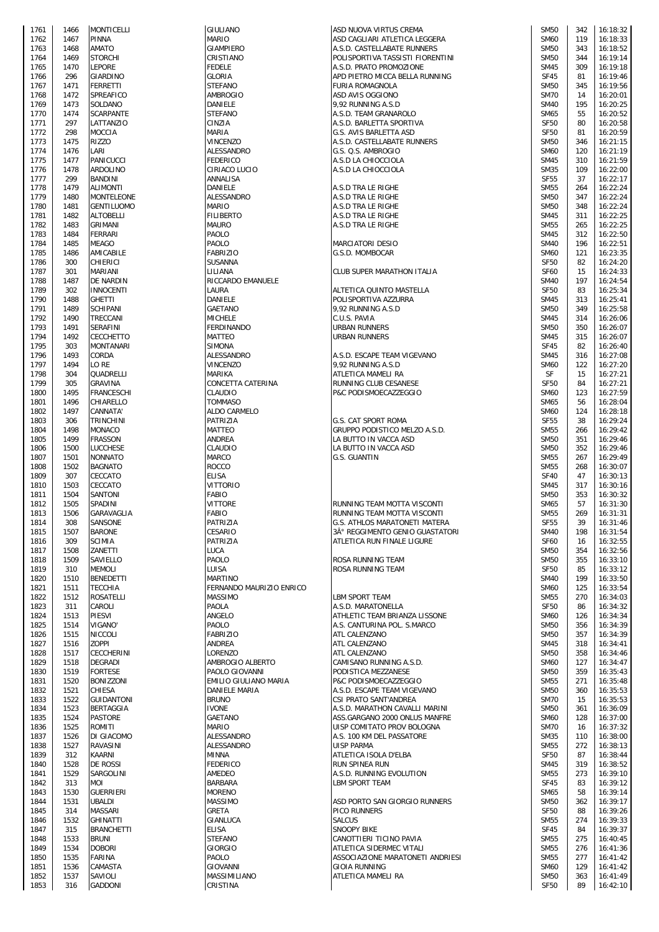| 1761         | 1466         | <b>MONTICELLI</b>          |
|--------------|--------------|----------------------------|
| 1762         | 1467         | PINNA                      |
| 1763         | 1468         | AMATO                      |
| 1764         | 1469         | STORCHI                    |
| 1765         | 1470         | Lepore                     |
| 1766         | 296          | GIARDINO                   |
| 1767         | 1471         | FERRETTI                   |
| 1768         | 1472         | SPREAFICO                  |
| 1769         | 1473<br>1474 | SOLDANO<br>SCARPANTE       |
| 1770<br>1771 | 297          | LATTANZIO                  |
| 1772         | 298          | MOCCIA                     |
| 1773         | 1475         | <b>RIZZO</b>               |
| 1774         | 1476         | LARI                       |
| 1775         | 1477         | PANICUCCI                  |
| 1776         | 1478         | ARDOLINO                   |
| 1777         | 299          | BANDINI                    |
| 1778         | 1479         | ALIMONTI                   |
| 1779         | 1480         | MONTELEONE                 |
| 1780         | 1481         | GENTILUOMO                 |
| 1781<br>1782 | 1482<br>1483 | ALTOBELLI<br>GRIMANI       |
| 1783         | 1484         | FERRARI                    |
| 1784         | 1485         | MEAGO                      |
| 1785         | 1486         | AMICABILE                  |
| 1786         | 300          | CHIERICI                   |
| 1787         | 301          | MARIANI                    |
| 1788         | 1487         | DE NARDIN                  |
| 1789<br>1790 | 302          | INNOCENTI                  |
| 1791         | 1488<br>1489 | <b>GHETTI</b><br>SCHIPANI  |
| 1792         | 1490         | TRECCANI                   |
| 1793         | 1491         | <b>SERAFINI</b>            |
| 1794         | 1492         | CECCHETTO                  |
| 1795         | 303          | MONTANARI                  |
| 1796         | 1493         | CORDA                      |
| 1797         | 1494         | LO RE                      |
| 1798<br>1799 | 304          | QUADRELLI                  |
| 1800         | 305<br>1495  | GRAVINA<br>FRANCESCHI      |
| 1801         | 1496         | CHIARELLO                  |
| 1802         | 1497         | CANNATA'                   |
| 1803         | 306          | TRINCHINI                  |
| 1804         | 1498         | MONACO                     |
| 1805         | 1499         | <b>FRASSON</b>             |
| 1806         | 1500         | LUCCHESE                   |
| 1807<br>1808 | 1501<br>1502 | NONNATO<br><b>BAGNATO</b>  |
| 1809         | 307          | CECCATO                    |
| 1810         | 1503         | CECCATO                    |
| 1811         | 1504         | SANTONI                    |
| 1812         | 1505         | SPADINI                    |
| 1813         | 1506         | GARAVAGLIA                 |
| 1814         | 308          | SANSONE                    |
| 1815<br>1816 | 1507<br>309  | <b>BARONE</b><br>SCIMIA    |
| 1817         | 1508         | ZANETTI                    |
| 1818         | 1509         | SAVIELLO                   |
| 1819         | 310          | MEMOLI                     |
| 1820         | 1510         | <b>BENEDETTI</b>           |
| 1821         | 1511         | TECCHIA                    |
| 1822         | 1512         | ROSATELLI                  |
| 1823<br>1824 | 311<br>1513  | CAROLI<br>PIESVI           |
| 1825         | 1514         | VIGANO'                    |
| 1826         | 1515         | NICCOLI                    |
| 1827         | 1516         | <b>ZOPPI</b>               |
| 1828         | 1517         | CECCHERINI                 |
| 1829         | 1518         | DEGRADI                    |
| 1830         | 1519         | <b>FORTESE</b>             |
| 1831<br>1832 | 1520<br>1521 | <b>BONIZZONI</b><br>CHIESA |
| 1833         | 1522         | <b>GUIDANTONI</b>          |
| 1834         | 1523         | BERTAGGIA                  |
| 1835         | 1524         | <b>PASTORE</b>             |
| 1836         | 1525         | ROMITI                     |
| 1837         | 1526         | DI GIACOMO                 |
| 1838         | 1527         | RAVASINI                   |
| 1839<br>1840 | 312<br>1528  | KAARNI<br>DE ROSSI         |
| 1841         | 1529         | SARGOLINI                  |
| 1842         | 313          | MOI                        |
| 1843         | 1530         | <b>GUERRIERI</b>           |
| 1844         | 1531         | UBALDI                     |
| 1845         | 314          | MASSARI                    |
| 1846         | 1532         | GHINATTI                   |
| 1847         | 315          | <b>BRANCHETTI</b>          |
| 1848         | 1533<br>1534 | <b>BRUNI</b>               |
| 1849<br>1850 | 1535         | <b>DOBORI</b><br>FARINA    |
| 1851         | 1536         | CAMASTA                    |
| 1852         | 1537         | SAVIOLI                    |
| 1952         | 216          | CADDONI                    |

| 1761 | 1466 | <b>MONTICELLI</b> | <b>GIULIANO</b>          | ASD NUOVA VIRTUS CREMA           | <b>SM50</b>      | 342 | 16:18:32 |
|------|------|-------------------|--------------------------|----------------------------------|------------------|-----|----------|
| 1762 | 1467 | <b>PINNA</b>      | <b>MARIO</b>             | ASD CAGLIARI ATLETICA LEGGERA    | <b>SM60</b>      | 119 | 16:18:33 |
| 1763 | 1468 | <b>AMATO</b>      | <b>GIAMPIERO</b>         | A.S.D. CASTELLABATE RUNNERS      | <b>SM50</b>      | 343 | 16:18:52 |
| 1764 | 1469 | <b>STORCHI</b>    | CRISTIANO                | POLISPORTIVA TASSISTI FIORENTINI | <b>SM50</b>      | 344 | 16:19:14 |
| 1765 | 1470 | <b>LEPORE</b>     | <b>FEDELE</b>            | A.S.D. PRATO PROMOZIONE          | <b>SM45</b>      | 309 | 16:19:18 |
| 1766 | 296  | <b>GIARDINO</b>   | <b>GLORIA</b>            | APD PIETRO MICCA BELLA RUNNING   | <b>SF45</b>      | 81  | 16:19:46 |
| 1767 | 1471 | FERRETTI          | <b>STEFANO</b>           | <b>FURIA ROMAGNOLA</b>           | <b>SM50</b>      | 345 | 16:19:56 |
|      |      |                   |                          |                                  |                  |     |          |
| 1768 | 1472 | <b>SPREAFICO</b>  | <b>AMBROGIO</b>          | ASD AVIS OGGIONO                 | <b>SM70</b>      | 14  | 16:20:01 |
| 1769 | 1473 | SOLDANO           | DANIELE                  | 9,92 RUNNING A.S.D               | <b>SM40</b>      | 195 | 16:20:25 |
| 1770 | 1474 | <b>SCARPANTE</b>  | <b>STEFANO</b>           | A.S.D. TEAM GRANAROLO            | SM65             | 55  | 16:20:52 |
| 1771 | 297  | LATTANZIO         | CINZIA                   | A.S.D. BARLETTA SPORTIVA         | <b>SF50</b>      | 80  | 16:20:58 |
| 1772 | 298  | <b>MOCCIA</b>     | MARIA                    | G.S. AVIS BARLETTA ASD           | <b>SF50</b>      | 81  | 16:20:59 |
| 1773 | 1475 | <b>RIZZO</b>      | VINCENZO                 | A.S.D. CASTELLABATE RUNNERS      | <b>SM50</b>      | 346 | 16:21:15 |
| 1774 | 1476 | LARI              | ALESSANDRO               | G.S. Q.S. AMBROGIO               | <b>SM60</b>      | 120 | 16:21:19 |
| 1775 | 1477 | <b>PANICUCCI</b>  | <b>FEDERICO</b>          | A.S.D LA CHIOCCIOLA              | <b>SM45</b>      | 310 | 16:21:59 |
| 1776 | 1478 | <b>ARDOLINO</b>   | CIRIACO LUCIO            | A.S.D LA CHIOCCIOLA              | <b>SM35</b>      | 109 | 16:22:00 |
|      |      |                   |                          |                                  |                  |     |          |
| 1777 | 299  | <b>BANDINI</b>    | ANNALISA                 |                                  | <b>SF55</b>      | 37  | 16:22:17 |
| 1778 | 1479 | <b>ALIMONTI</b>   | DANIELE                  | A.S.D TRA LE RIGHE               | <b>SM55</b>      | 264 | 16:22:24 |
| 1779 | 1480 | <b>MONTELEONE</b> | ALESSANDRO               | A.S.D TRA LE RIGHE               | <b>SM50</b>      | 347 | 16:22:24 |
| 1780 | 1481 | <b>GENTILUOMO</b> | <b>MARIO</b>             | A.S.D TRA LE RIGHE               | <b>SM50</b>      | 348 | 16:22:24 |
| 1781 | 1482 | <b>ALTOBELLI</b>  | <b>FILIBERTO</b>         | A.S.D TRA LE RIGHE               | <b>SM45</b>      | 311 | 16:22:25 |
| 1782 | 1483 | <b>GRIMANI</b>    | <b>MAURO</b>             | A.S.D TRA LE RIGHE               | <b>SM55</b>      | 265 | 16:22:25 |
| 1783 | 1484 | <b>FERRARI</b>    | PAOLO                    |                                  | <b>SM45</b>      | 312 | 16:22:50 |
| 1784 | 1485 | <b>MEAGO</b>      | PAOLO                    | MARCIATORI DESIO                 | <b>SM40</b>      | 196 | 16:22:51 |
| 1785 | 1486 | AMICABILE         | <b>FABRIZIO</b>          | G.S.D. MOMBOCAR                  | <b>SM60</b>      | 121 | 16:23:35 |
| 1786 | 300  | <b>CHIERICI</b>   | <b>SUSANNA</b>           |                                  | <b>SF50</b>      |     | 16:24:20 |
|      |      |                   |                          |                                  |                  | 82  |          |
| 1787 | 301  | <b>MARIANI</b>    | LILIANA                  | CLUB SUPER MARATHON ITALIA       | <b>SF60</b>      | 15  | 16:24:33 |
| 1788 | 1487 | <b>DE NARDIN</b>  | RICCARDO EMANUELE        |                                  | <b>SM40</b>      | 197 | 16:24:54 |
| 1789 | 302  | <b>INNOCENTI</b>  | LAURA                    | ALTETICA QUINTO MASTELLA         | <b>SF50</b>      | 83  | 16:25:34 |
| 1790 | 1488 | <b>GHETTI</b>     | DANIELE                  | POLISPORTIVA AZZURRA             | <b>SM45</b>      | 313 | 16:25:41 |
| 1791 | 1489 | <b>SCHIPANI</b>   | <b>GAETANO</b>           | 9,92 RUNNING A.S.D               | <b>SM50</b>      | 349 | 16:25:58 |
| 1792 | 1490 | TRECCANI          | <b>MICHELE</b>           | C.U.S. PAVIA                     | <b>SM45</b>      | 314 | 16:26:06 |
| 1793 | 1491 | <b>SERAFINI</b>   | <b>FERDINANDO</b>        | URBAN RUNNERS                    | <b>SM50</b>      | 350 | 16:26:07 |
| 1794 | 1492 | CECCHETTO         | <b>MATTEO</b>            | URBAN RUNNERS                    | <b>SM45</b>      | 315 | 16:26:07 |
|      | 303  | <b>MONTANARI</b>  | <b>SIMONA</b>            |                                  | <b>SF45</b>      | 82  | 16:26:40 |
| 1795 |      |                   |                          |                                  |                  |     |          |
| 1796 | 1493 | CORDA             | ALESSANDRO               | A.S.D. ESCAPE TEAM VIGEVANO      | <b>SM45</b>      | 316 | 16:27:08 |
| 1797 | 1494 | LO RE             | VINCENZO                 | 9,92 RUNNING A.S.D               | <b>SM60</b>      | 122 | 16:27:20 |
| 1798 | 304  | QUADRELLI         | MARIKA                   | ATLETICA MAMELI RA               | <b>SF</b>        | 15  | 16:27:21 |
| 1799 | 305  | <b>GRAVINA</b>    | CONCETTA CATERINA        | RUNNING CLUB CESANESE            | <b>SF50</b>      | 84  | 16:27:21 |
| 1800 | 1495 | FRANCESCHI        | CLAUDIO                  | P&C PODISMOECAZZEGGIO            | <b>SM60</b>      | 123 | 16:27:59 |
| 1801 | 1496 | CHIARELLO         | <b>TOMMASO</b>           |                                  | SM65             | 56  | 16:28:04 |
| 1802 | 1497 | CANNATA'          | ALDO CARMELO             |                                  | <b>SM60</b>      | 124 | 16:28:18 |
| 1803 | 306  | <b>TRINCHINI</b>  | PATRIZIA                 | G.S. CAT SPORT ROMA              | <b>SF55</b>      | 38  | 16:29:24 |
| 1804 | 1498 | <b>MONACO</b>     | MATTEO                   | GRUPPO PODISTICO MELZO A.S.D.    | <b>SM55</b>      | 266 | 16:29:42 |
|      |      |                   |                          |                                  |                  |     |          |
| 1805 | 1499 | <b>FRASSON</b>    | <b>ANDREA</b>            | LA BUTTO IN VACCA ASD            | <b>SM50</b>      | 351 | 16:29:46 |
| 1806 | 1500 | <b>LUCCHESE</b>   | CLAUDIO                  | LA BUTTO IN VACCA ASD            | <b>SM50</b>      | 352 | 16:29:46 |
| 1807 | 1501 | <b>NONNATO</b>    | <b>MARCO</b>             | <b>G.S. GUANTIN</b>              | <b>SM55</b>      | 267 | 16:29:49 |
| 1808 | 1502 | <b>BAGNATO</b>    | <b>ROCCO</b>             |                                  | <b>SM55</b>      | 268 | 16:30:07 |
| 1809 | 307  | CECCATO           | <b>ELISA</b>             |                                  | <b>SF40</b>      | 47  | 16:30:13 |
| 1810 | 1503 | CECCATO           | <b>VITTORIO</b>          |                                  | <b>SM45</b>      | 317 | 16:30:16 |
| 1811 | 1504 | <b>SANTONI</b>    | <b>FABIO</b>             |                                  | <b>SM50</b>      | 353 | 16:30:32 |
| 1812 | 1505 | SPADINI           | <b>VITTORE</b>           | RUNNING TEAM MOTTA VISCONTI      | SM65             | 57  | 16:31:30 |
| 1813 | 1506 | GARAVAGLIA        | <b>FABIO</b>             | RUNNING TEAM MOTTA VISCONTI      | <b>SM55</b>      | 269 | 16:31:31 |
| 1814 | 308  | SANSONE           | PATRIZIA                 | G.S. ATHLOS MARATONETI MATERA    | <b>SF55</b>      | 39  | 16:31:46 |
|      |      |                   | CESARIO                  |                                  | <b>SM40</b>      |     |          |
| 1815 | 1507 | <b>BARONE</b>     |                          | 3° REGGIMENTO GENIO GUASTATORI   |                  | 198 | 16:31:54 |
| 1816 | 309  | <b>SCIMIA</b>     | PATRIZIA                 | ATLETICA RUN FINALE LIGURE       | <b>SF60</b>      | 16  | 16:32:55 |
| 1817 | 1508 | ZANETTI           | LUCA                     |                                  | <b>SM50</b>      | 354 | 16:32:56 |
| 1818 | 1509 | SAVIELLO          | PAOLO                    | ROSA RUNNING TEAM                | <b>SM50</b>      | 355 | 16:33:10 |
| 1819 | 310  | <b>MEMOLI</b>     | LUISA                    | ROSA RUNNING TEAM                | <b>SF50</b>      | 85  | 16:33:12 |
| 1820 | 1510 | <b>BENEDETTI</b>  | <b>MARTINO</b>           |                                  | <b>SM40</b>      | 199 | 16:33:50 |
| 1821 | 1511 | <b>TECCHIA</b>    | FERNANDO MAURIZIO ENRICO |                                  | <b>SM60</b>      | 125 | 16:33:54 |
| 1822 | 1512 | <b>ROSATELLI</b>  | <b>MASSIMO</b>           | <b>LBM SPORT TEAM</b>            | <b>SM55</b>      | 270 | 16:34:03 |
| 1823 | 311  | CAROLI            | PAOLA                    | A.S.D. MARATONELLA               | <b>SF50</b>      | 86  | 16:34:32 |
| 1824 | 1513 | <b>PIESVI</b>     | ANGELO                   | ATHLETIC TEAM BRIANZA LISSONE    | <b>SM60</b>      | 126 | 16:34:34 |
| 1825 | 1514 | <b>VIGANO'</b>    | PAOLO                    | A.S. CANTURINA POL. S.MARCO      | <b>SM50</b>      | 356 | 16:34:39 |
| 1826 | 1515 | <b>NICCOLI</b>    | <b>FABRIZIO</b>          | ATL CALENZANO                    | <b>SM50</b>      | 357 | 16:34:39 |
|      |      |                   |                          | ATL CALENZANO                    |                  |     |          |
| 1827 | 1516 | <b>ZOPPI</b>      | ANDREA                   |                                  | <b>SM45</b>      | 318 | 16:34:41 |
| 1828 | 1517 | <b>CECCHERINI</b> | LORENZO                  | ATL CALENZANO                    | <b>SM50</b>      | 358 | 16:34:46 |
| 1829 | 1518 | <b>DEGRADI</b>    | AMBROGIO ALBERTO         | CAMISANO RUNNING A.S.D.          | <b>SM60</b>      | 127 | 16:34:47 |
| 1830 | 1519 | <b>FORTESE</b>    | PAOLO GIOVANNI           | PODISTICA MEZZANESE              | <b>SM50</b>      | 359 | 16:35:43 |
| 1831 | 1520 | <b>BONIZZONI</b>  | EMILIO GIULIANO MARIA    | P&C PODISMOECAZZEGGIO            | <b>SM55</b>      | 271 | 16:35:48 |
| 1832 | 1521 | <b>CHIESA</b>     | <b>DANIELE MARIA</b>     | A.S.D. ESCAPE TEAM VIGEVANO      | <b>SM50</b>      | 360 | 16:35:53 |
| 1833 | 1522 | <b>GUIDANTONI</b> | <b>BRUNO</b>             | CSI PRATO SANT'ANDREA            | <b>SM70</b>      | 15  | 16:35:53 |
| 1834 | 1523 | <b>BERTAGGIA</b>  | <b>IVONE</b>             | A.S.D. MARATHON CAVALLI MARINI   | <b>SM50</b>      | 361 | 16:36:09 |
| 1835 | 1524 | <b>PASTORE</b>    | GAETANO                  | ASS.GARGANO 2000 ONLUS MANFRE    | <b>SM60</b>      | 128 | 16:37:00 |
| 1836 | 1525 | ROMITI            | MARIO                    | UISP COMITATO PROV BOLOGNA       | <b>SM70</b>      | 16  | 16:37:32 |
| 1837 | 1526 | DI GIACOMO        | ALESSANDRO               | A.S. 100 KM DEL PASSATORE        | <b>SM35</b>      | 110 | 16:38:00 |
|      |      |                   |                          |                                  |                  |     |          |
| 1838 | 1527 | <b>RAVASINI</b>   | <b>ALESSANDRO</b>        | <b>UISP PARMA</b>                | <b>SM55</b>      | 272 | 16:38:13 |
| 1839 | 312  | <b>KAARNI</b>     | MINNA                    | ATLETICA ISOLA D'ELBA            | SF <sub>50</sub> | 87  | 16:38:44 |
| 1840 | 1528 | <b>DE ROSSI</b>   | <b>FEDERICO</b>          | RUN SPINEA RUN                   | <b>SM45</b>      | 319 | 16:38:52 |
| 1841 | 1529 | SARGOLINI         | AMEDEO                   | A.S.D. RUNNING EVOLUTION         | <b>SM55</b>      | 273 | 16:39:10 |
| 1842 | 313  | <b>MOI</b>        | <b>BARBARA</b>           | <b>LBM SPORT TEAM</b>            | <b>SF45</b>      | 83  | 16:39:12 |
| 1843 | 1530 | <b>GUERRIERI</b>  | <b>MORENO</b>            |                                  | <b>SM65</b>      | 58  | 16:39:14 |
| 1844 | 1531 | <b>UBALDI</b>     | <b>MASSIMO</b>           | ASD PORTO SAN GIORGIO RUNNERS    | <b>SM50</b>      | 362 | 16:39:17 |
| 1845 | 314  | <b>MASSARI</b>    | <b>GRETA</b>             | <b>PICO RUNNERS</b>              | <b>SF50</b>      | 88  | 16:39:26 |
| 1846 | 1532 | <b>GHINATTI</b>   | <b>GIANLUCA</b>          | <b>SALCUS</b>                    | <b>SM55</b>      | 274 | 16:39:33 |
| 1847 | 315  | <b>BRANCHETTI</b> | <b>ELISA</b>             | <b>SNOOPY BIKE</b>               | <b>SF45</b>      | 84  | 16:39:37 |
|      |      | <b>BRUNI</b>      | <b>STEFANO</b>           |                                  | <b>SM55</b>      | 275 | 16:40:45 |
| 1848 | 1533 |                   |                          | CANOTTIERI TICINO PAVIA          |                  |     |          |
| 1849 | 1534 | <b>DOBORI</b>     | <b>GIORGIO</b>           | ATLETICA SIDERMEC VITALI         | <b>SM55</b>      | 276 | 16:41:36 |
| 1850 | 1535 | FARINA            | PAOLO                    | ASSOCIAZIONE MARATONETI ANDRIESI | <b>SM55</b>      | 277 | 16:41:42 |
| 1851 | 1536 | CAMASTA           | <b>GIOVANNI</b>          | <b>GIOIA RUNNING</b>             | <b>SM60</b>      | 129 | 16:41:42 |
| 1852 | 1537 | SAVIOLI           | <b>MASSIMILIANO</b>      | ATLETICA MAMELI RA               | <b>SM50</b>      | 363 | 16:41:49 |
| 1853 | 316  | <b>GADDONI</b>    | CRISTINA                 |                                  | <b>SF50</b>      | 89  | 16:42:10 |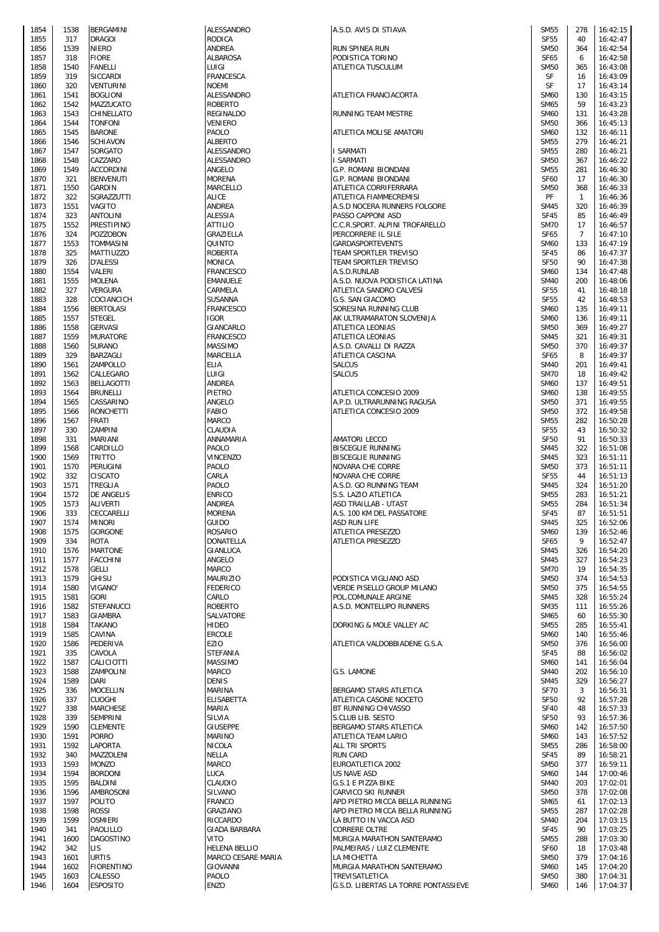| 1854 | 1538 | BERGAMINI         | <b>ALESSANDRO</b>    | A.S.D. AVIS DI STIAVA                                       | <b>SM55</b> | 278            | 16:42:15 |
|------|------|-------------------|----------------------|-------------------------------------------------------------|-------------|----------------|----------|
| 1855 | 317  | <b>DRAGOI</b>     | <b>RODICA</b>        |                                                             | <b>SF55</b> | 40             | 16:42:47 |
|      |      |                   |                      |                                                             |             |                |          |
| 1856 | 1539 | <b>NIERO</b>      | <b>ANDREA</b>        | <b>RUN SPINEA RUN</b>                                       | <b>SM50</b> | 364            | 16:42:54 |
| 1857 | 318  | <b>FIORE</b>      | <b>ALBAROSA</b>      | PODISTICA TORINO                                            | <b>SF65</b> | 6              | 16:42:58 |
| 1858 | 1540 | <b>FANELLI</b>    | LUIGI                | <b>ATLETICA TUSCULUM</b>                                    | <b>SM50</b> | 365            | 16:43:08 |
| 1859 | 319  | SICCARDI          | <b>FRANCESCA</b>     |                                                             | SF          | 16             | 16:43:09 |
| 1860 | 320  | <b>VENTURINI</b>  | <b>NOEMI</b>         |                                                             | SF          | 17             | 16:43:14 |
| 1861 | 1541 | <b>BOGLIONI</b>   | ALESSANDRO           | ATLETICA FRANCIACORTA                                       | <b>SM60</b> | 130            | 16:43:15 |
| 1862 | 1542 | MAZZUCATO         | <b>ROBERTO</b>       |                                                             | <b>SM65</b> | 59             | 16:43:23 |
| 1863 | 1543 | CHINELLATO        | <b>REGINALDO</b>     | RUNNING TEAM MESTRE                                         | <b>SM60</b> | 131            | 16:43:28 |
| 1864 | 1544 | <b>TONFONI</b>    | <b>VENIERO</b>       |                                                             | <b>SM50</b> | 366            | 16:45:13 |
|      |      | <b>BARONE</b>     |                      |                                                             |             |                |          |
| 1865 | 1545 |                   | PAOLO                | ATLETICA MOLISE AMATORI                                     | <b>SM60</b> | 132            | 16:46:11 |
| 1866 | 1546 | <b>SCHIAVON</b>   | <b>ALBERTO</b>       |                                                             | <b>SM55</b> | 279            | 16:46:21 |
| 1867 | 1547 | SORGATO           | ALESSANDRO           | I SARMATI                                                   | <b>SM55</b> | 280            | 16:46:21 |
| 1868 | 1548 | CAZZARO           | ALESSANDRO           | I SARMATI                                                   | <b>SM50</b> | 367            | 16:46:22 |
| 1869 | 1549 | <b>ACCORDINI</b>  | ANGELO               | <b>G.P. ROMANI BIONDANI</b>                                 | <b>SM55</b> | 281            | 16:46:30 |
| 1870 | 321  | <b>BENVENUTI</b>  | <b>MORENA</b>        | <b>G.P. ROMANI BIONDANI</b>                                 | <b>SF60</b> | 17             | 16:46:30 |
| 1871 | 1550 | <b>GARDIN</b>     | <b>MARCELLO</b>      | ATLETICA CORRIFERRARA                                       | <b>SM50</b> | 368            | 16:46:33 |
| 1872 | 322  |                   | <b>ALICE</b>         |                                                             | PF          | $\overline{1}$ | 16:46:36 |
|      |      | SGRAZZUTTI        |                      | ATLETICA FIAMMECREMISI                                      |             |                |          |
| 1873 | 1551 | VAGITO            | <b>ANDREA</b>        | A.S.D NOCERA RUNNERS FOLGORE                                | <b>SM45</b> | 320            | 16:46:39 |
| 1874 | 323  | <b>ANTOLINI</b>   | <b>ALESSIA</b>       | PASSO CAPPONI ASD                                           | <b>SF45</b> | 85             | 16:46:49 |
| 1875 | 1552 | <b>PRESTIPINO</b> | <b>ATTILIO</b>       | C.C.R.SPORT. ALPINI TROFARELLO                              | <b>SM70</b> | 17             | 16:46:57 |
| 1876 | 324  | <b>POZZOBON</b>   | GRAZIELLA            | PERCORRERE IL SILE                                          | <b>SF65</b> | $\overline{7}$ | 16:47:10 |
| 1877 | 1553 | <b>TOMMASINI</b>  | QUINTO               | GARDASPORTEVENTS                                            | <b>SM60</b> | 133            | 16:47:19 |
| 1878 | 325  | MATTIUZZO         | <b>ROBERTA</b>       | TEAM SPORTLER TREVISO                                       | <b>SF45</b> | 86             | 16:47:37 |
| 1879 | 326  | <b>D'ALESSI</b>   | <b>MONICA</b>        | TEAM SPORTLER TREVISO                                       | <b>SF50</b> | 90             | 16:47:38 |
| 1880 | 1554 | VALERI            | <b>FRANCESCO</b>     | A.S.D.RUNLAB                                                | <b>SM60</b> | 134            | 16:47:48 |
|      |      |                   |                      |                                                             |             |                |          |
| 1881 | 1555 | <b>MOLENA</b>     | <b>EMANUELE</b>      | A.S.D. NUOVA PODISTICA LATINA                               | <b>SM40</b> | 200            | 16:48:06 |
| 1882 | 327  | <b>VERGURA</b>    | CARMELA              | ATLETICA SANDRO CALVESI                                     | <b>SF55</b> | 41             | 16:48:18 |
| 1883 | 328  | COCIANCICH        | SUSANNA              | G.S. SAN GIACOMO                                            | <b>SF55</b> | 42             | 16:48:53 |
| 1884 | 1556 | <b>BERTOLASI</b>  | <b>FRANCESCO</b>     | SORESINA RUNNING CLUB                                       | <b>SM60</b> | 135            | 16:49:11 |
| 1885 | 1557 | <b>STEGEL</b>     | <b>IGOR</b>          | AK ULTRAMARATON SLOVENIJA                                   | <b>SM60</b> | 136            | 16:49:11 |
| 1886 | 1558 | <b>GERVASI</b>    | GIANCARLO            | ATLETICA LEONIAS                                            | <b>SM50</b> | 369            | 16:49:27 |
| 1887 | 1559 | <b>MURATORE</b>   | <b>FRANCESCO</b>     | ATLETICA LEONIAS                                            | <b>SM45</b> | 321            | 16:49:31 |
| 1888 | 1560 | <b>SURANO</b>     | <b>MASSIMO</b>       | A.S.D. CAVALLI DI RAZZA                                     | <b>SM50</b> | 370            | 16:49:37 |
|      |      |                   |                      |                                                             |             |                |          |
| 1889 | 329  | BARZAGLI          | <b>MARCELLA</b>      | ATLETICA CASCINA                                            | <b>SF65</b> | 8              | 16:49:37 |
| 1890 | 1561 | ZAMPOLLO          | ELIA                 | <b>SALCUS</b>                                               | <b>SM40</b> | 201            | 16:49:41 |
| 1891 | 1562 | CALLEGARO         | LUIGI                | <b>SALCUS</b>                                               | <b>SM70</b> | 18             | 16:49:42 |
| 1892 | 1563 | <b>BELLAGOTTI</b> | <b>ANDREA</b>        |                                                             | <b>SM60</b> | 137            | 16:49:51 |
| 1893 | 1564 | <b>BRUNELLI</b>   | <b>PIETRO</b>        | ATLETICA CONCESIO 2009                                      | <b>SM60</b> | 138            | 16:49:55 |
| 1894 | 1565 | CASSARINO         | ANGELO               | A.P.D. ULTRARUNNING RAGUSA                                  | <b>SM50</b> | 371            | 16:49:55 |
| 1895 | 1566 | <b>RONCHETTI</b>  | <b>FABIO</b>         | ATLETICA CONCESIO 2009                                      | <b>SM50</b> | 372            | 16:49:58 |
| 1896 |      |                   |                      |                                                             | <b>SM55</b> | 282            |          |
|      | 1567 | <b>FRATI</b>      | <b>MARCO</b>         |                                                             |             |                | 16:50:28 |
| 1897 | 330  | ZAMPINI           | CLAUDIA              |                                                             | <b>SF55</b> | 43             | 16:50:32 |
| 1898 | 331  | MARIANI           | ANNAMARIA            | <b>AMATORI LECCO</b>                                        | <b>SF50</b> | 91             | 16:50:33 |
| 1899 | 1568 | CARDILLO          | <b>PAOLO</b>         | <b>BISCEGLIE RUNNING</b>                                    | <b>SM45</b> | 322            | 16:51:08 |
| 1900 | 1569 | <b>TRITTO</b>     | <b>VINCENZO</b>      | <b>BISCEGLIE RUNNING</b>                                    | <b>SM45</b> | 323            | 16:51:11 |
| 1901 | 1570 | PERUGINI          | PAOLO                | NOVARA CHE CORRE                                            | <b>SM50</b> | 373            | 16:51:11 |
| 1902 | 332  | CISCATO           | CARLA                | NOVARA CHE CORRE                                            | <b>SF55</b> | 44             | 16:51:13 |
| 1903 | 1571 | TREGLIA           | PAOLO                | A.S.D. GO RUNNING TEAM                                      | <b>SM45</b> | 324            | 16:51:20 |
| 1904 | 1572 | DE ANGELIS        | <b>ENRICO</b>        | S.S. LAZIO ATLETICA                                         | <b>SM55</b> | 283            | 16:51:21 |
|      |      |                   |                      |                                                             |             |                |          |
| 1905 | 1573 | ALIVERTI          | <b>ANDREA</b>        | ASD TRAILLAB - UTA5T                                        | <b>SM55</b> | 284            | 16:51:34 |
| 1906 | 333  | CECCARELLI        | <b>MORENA</b>        | A.S. 100 KM DEL PASSATORE                                   | <b>SF45</b> | 87             | 16:51:51 |
| 1907 | 1574 | <b>MINORI</b>     | <b>GUIDO</b>         | <b>ASD RUN LIFE</b>                                         | <b>SM45</b> | 325            | 16:52:06 |
| 1908 | 1575 | <b>GORGONE</b>    | <b>ROSARIO</b>       | <b>ATLETICA PRESEZZO</b>                                    | <b>SM60</b> | 139            | 16:52:46 |
| 1909 | 334  | <b>ROTA</b>       | <b>DONATELLA</b>     | <b>ATLETICA PRESEZZO</b>                                    | <b>SF65</b> | 9              | 16:52:47 |
| 1910 | 1576 | <b>MARTONE</b>    | <b>GIANLUCA</b>      |                                                             | <b>SM45</b> | 326            | 16:54:20 |
| 1911 | 1577 | <b>FACCHINI</b>   | ANGELO               |                                                             | <b>SM45</b> | 327            | 16:54:23 |
| 1912 | 1578 | <b>GELLI</b>      | <b>MARCO</b>         |                                                             | <b>SM70</b> | 19             | 16:54:35 |
|      |      |                   |                      |                                                             |             |                |          |
| 1913 | 1579 | <b>GHISU</b>      | <b>MAURIZIO</b>      | PODISTICA VIGLIANO ASD<br><b>VERDE PISELLO GROUP MILANO</b> | <b>SM50</b> | 374            | 16:54:53 |
| 1914 | 1580 | <b>VIGANO</b>     | <b>FEDERICO</b>      |                                                             | <b>SM50</b> | 375            | 16:54:55 |
| 1915 | 1581 | <b>GORI</b>       | CARLO                | POL.COMUNALE ARGINE                                         | <b>SM45</b> | 328            | 16:55:24 |
| 1916 | 1582 | <b>STEFANUCCI</b> | <b>ROBERTO</b>       | A.S.D. MONTELUPO RUNNERS                                    | <b>SM35</b> | 111            | 16:55:26 |
| 1917 | 1583 | <b>GIAMBRA</b>    | SALVATORE            |                                                             | SM65        | 60             | 16:55:30 |
| 1918 | 1584 | <b>TAKANO</b>     | <b>HIDEO</b>         | DORKING & MOLE VALLEY AC                                    | <b>SM55</b> | 285            | 16:55:41 |
| 1919 | 1585 | CAVINA            | <b>ERCOLE</b>        |                                                             | <b>SM60</b> | 140            | 16:55:46 |
| 1920 | 1586 | PEDERIVA          | <b>EZIO</b>          | ATLETICA VALDOBBIADENE G.S.A.                               | <b>SM50</b> | 376            | 16:56:00 |
| 1921 | 335  | CAVOLA            | <b>STEFANIA</b>      |                                                             | <b>SF45</b> | 88             | 16:56:02 |
| 1922 | 1587 | CALICIOTTI        | <b>MASSIMO</b>       |                                                             | <b>SM60</b> | 141            | 16:56:04 |
| 1923 | 1588 | ZAMPOLINI         | <b>MARCO</b>         | G.S. LAMONE                                                 | <b>SM40</b> | 202            | 16:56:10 |
| 1924 | 1589 | <b>DARI</b>       | <b>DENIS</b>         |                                                             | <b>SM45</b> | 329            | 16:56:27 |
|      |      |                   |                      |                                                             |             |                |          |
| 1925 | 336  | <b>MOCELLIN</b>   | <b>MARINA</b>        | BERGAMO STARS ATLETICA                                      | <b>SF70</b> | 3              | 16:56:31 |
| 1926 | 337  | <b>CUOGHI</b>     | <b>ELISABETTA</b>    | ATLETICA CASONE NOCETO                                      | <b>SF50</b> | 92             | 16:57:28 |
| 1927 | 338  | <b>MARCHESE</b>   | <b>MARIA</b>         | BT RUNNING CHIVASSO                                         | <b>SF40</b> | 48             | 16:57:33 |
| 1928 | 339  | <b>SEMPRINI</b>   | <b>SILVIA</b>        | S.CLUB LIB. SESTO                                           | <b>SF50</b> | 93             | 16:57:36 |
| 1929 | 1590 | <b>CLEMENTE</b>   | <b>GIUSEPPE</b>      | BERGAMO STARS ATLETICA                                      | <b>SM60</b> | 142            | 16:57:50 |
| 1930 | 1591 | <b>PORRO</b>      | <b>MARINO</b>        | <b>ATLETICA TEAM LARIO</b>                                  | <b>SM60</b> | 143            | 16:57:52 |
| 1931 | 1592 | LAPORTA           | <b>NICOLA</b>        | ALL TRI SPORTS                                              | <b>SM55</b> | 286            | 16:58:00 |
| 1932 | 340  | MAZZOLENI         | <b>NELLA</b>         | <b>RUN CARD</b>                                             | <b>SF45</b> | 89             | 16:58:21 |
| 1933 | 1593 | <b>MONZO</b>      | <b>MARCO</b>         | EUROATLETICA 2002                                           | <b>SM50</b> | 377            | 16:59:11 |
|      |      |                   |                      |                                                             |             |                |          |
| 1934 | 1594 | <b>BORDONI</b>    | <b>LUCA</b>          | US NAVE ASD                                                 | <b>SM60</b> | 144            | 17:00:46 |
| 1935 | 1595 | <b>BALDINI</b>    | CLAUDIO              | G.S.1 E PIZZA BIKE                                          | <b>SM40</b> | 203            | 17:02:01 |
| 1936 | 1596 | <b>AMBROSONI</b>  | SILVANO              | CARVICO SKI RUNNER                                          | <b>SM50</b> | 378            | 17:02:08 |
| 1937 | 1597 | POLITO            | <b>FRANCO</b>        | APD PIETRO MICCA BELLA RUNNING                              | SM65        | 61             | 17:02:13 |
| 1938 | 1598 | <b>ROSSI</b>      | GRAZIANO             | APD PIETRO MICCA BELLA RUNNING                              | <b>SM55</b> | 287            | 17:02:28 |
| 1939 | 1599 | <b>OSMIERI</b>    | RICCARDO             | LA BUTTO IN VACCA ASD                                       | <b>SM40</b> | 204            | 17:03:15 |
| 1940 | 341  | PAOLILLO          | <b>GIADA BARBARA</b> | <b>CORRERE OLTRE</b>                                        | <b>SF45</b> | 90             | 17:03:25 |
| 1941 | 1600 | <b>DAGOSTINO</b>  | VITO                 | MURGIA MARATHON SANTERAMO                                   | <b>SM55</b> | 288            | 17:03:30 |
|      |      |                   |                      |                                                             |             |                |          |
| 1942 | 342  | LIS               | <b>HELENA BELLIO</b> | PALMEIRAS / LUIZ CLEMENTE                                   | <b>SF60</b> | 18             | 17:03:48 |
| 1943 | 1601 | <b>URTIS</b>      | MARCO CESARE MARIA   | LA MICHETTA                                                 | <b>SM50</b> | 379            | 17:04:16 |
| 1944 | 1602 | <b>FIORENTINO</b> | <b>GIOVANNI</b>      | MURGIA MARATHON SANTERAMO                                   | <b>SM60</b> | 145            | 17:04:20 |
| 1945 | 1603 | CALESSO           | PAOLO                | TREVISATLETICA                                              | <b>SM50</b> | 380            | 17:04:31 |
| 1946 | 1604 | <b>ESPOSITO</b>   | ENZO                 | G.S.D. LIBERTAS LA TORRE PONTASSIEVE                        | <b>SM60</b> | 146            | 17:04:37 |

| 5MD5                       | 218        | 16:42:15             |
|----------------------------|------------|----------------------|
| SF55                       | 40         | 16:42:47             |
| <b>SM50</b>                | 364        | 16:42:54             |
| <b>SF65</b>                | 6          | 16:42:58<br>16:43:08 |
| SM50<br>SF                 | 365        | 16:43:09             |
|                            | 16         |                      |
| SF                         | 17<br>130  | 16:43:14<br>16:43:15 |
| <b>SM60</b>                |            |                      |
| <b>SM65</b>                | 59         | 16:43:23             |
| SM60                       | 131        | 16:43:28             |
| <b>SM50</b>                | 366        | 16:45:13             |
| <b>SM60</b>                | 132        | 16:46:11<br>16:46:21 |
| <b>SM55</b>                | 279<br>280 |                      |
| <b>SM55</b>                |            | 16:46:21             |
| <b>SM50</b>                | 367        | 16:46:22             |
| <b>SM55</b>                | 281        | 16:46:30             |
| <b>SF60</b>                | 17         | 16:46:30             |
| <b>SM50</b>                | 368        | 16:46:33             |
| PF                         | 1          | 16:46:36             |
| <b>SM45</b>                | 320        | 16:46:39             |
| SF45                       | 85         | 16:46:49             |
| <b>SM70</b>                | 17         | 16:46:57             |
| <b>SF65</b>                | 7          | 16:47:10             |
| <b>SM60</b>                | 133        | 16:47:19             |
| SF45                       | 86         | 16:47:37             |
| SF50                       | 90         | 16:47:38             |
| <b>SM60</b>                | 134        | 16:47:48             |
| <b>SM40</b>                | 200        | 16:48:06             |
| <b>SF55</b>                | 41         | 16:48:18             |
| <b>SF55</b>                | 42         | 16:48:53             |
| SM60                       | 135        | 16:49:11             |
| <b>SM60</b>                | 136        | 16:49:11             |
| <b>SM50</b>                | 369        | 16:49:27             |
| <b>SM45</b>                | 321        | 16:49:31             |
| <b>SM50</b>                | 370        | 16:49:37             |
| SF65                       | 8          | 16:49:37             |
| <b>SM40</b>                | 201        | 16:49:41             |
| <b>SM70</b>                | 18         | 16:49:42             |
| <b>SM60</b>                | 137        | 16:49:51             |
| <b>SM60</b>                | 138        | 16:49:55             |
| <b>SM50</b>                | 371        | 16:49:55             |
| <b>SM50</b>                | 372        | 16:49:58             |
| <b>SM55</b>                | 282        | 16:50:28             |
| <b>SF55</b>                | 43         | 16:50:32             |
| <b>SF50</b>                | 91         | 16:50:33             |
| <b>SM45</b>                | 322        | 16:51:08             |
| <b>SM45</b>                | 323        | 16:51:11             |
| <b>SM50</b>                | 373        | 16:51:11             |
| <b>SF55</b>                | 44         | 16:51:13             |
| <b>SM45</b>                | 324        | 16:51:20             |
| <b>SM55</b>                | 283        | 16:51:21             |
| <b>SM55</b>                | 284        | 16:51:34             |
| SF45                       | 87         | 16:51:51             |
| <b>SM45</b>                | 325        | 16:52:06             |
| SM60                       | 139        | 16:52:46             |
| SF65                       | 9          | 16:52:47             |
|                            |            |                      |
| <b>SM45</b>                | 326        | 16:54:20             |
| <b>SM45</b>                | 327        | 16:54:23             |
| <b>SM70</b>                | 19         | 16:54:35             |
| <b>SM50</b>                | 374        | 16:54:53             |
| <b>SM50</b>                | 375        | 16:54:55             |
| <b>SM45</b>                | 328        | 16:55:24             |
| <b>SM35</b><br><b>SM65</b> | 111<br>60  | 16:55:26             |
|                            |            | 16:55:30             |
| <b>SM55</b><br>SM60        | 285        | 16:55:41             |
|                            | 140        | 16:55:46             |
| <b>SM50</b>                | 376        | 16:56:00             |
| <b>SF45</b>                | 88         | 16:56:02             |
| <b>SM60</b>                | 141        | 16:56:04             |
| <b>SM40</b>                | 202        | 16:56:10             |
| <b>SM45</b>                | 329        | 16:56:27             |
| <b>SF70</b>                | 3          | 16:56:31             |
| SF50                       | 92         | 16:57:28             |
| SF40                       | 48         | 16:57:33             |
| SF50                       | 93         | 16:57:36             |
| <b>SM60</b>                | 142        | 16:57:50             |
| <b>SM60</b>                | 143        | 16:57:52<br>16:58:00 |
| <b>SM55</b><br><b>SF45</b> | 286<br>89  | 16:58:21             |
|                            |            |                      |
| <b>SM50</b><br><b>SM60</b> | 377<br>144 | 16:59:11<br>17:00:46 |
|                            |            |                      |
| <b>SM40</b>                | 203        | 17:02:01             |
| <b>SM50</b>                | 378        | 17:02:08             |
| <b>SM65</b>                | 61         | 17:02:13             |
| <b>SM55</b>                | 287        | 17:02:28             |
| SM40                       | 204        | 17:03:15             |
| <b>SF45</b>                | 90         | 17:03:25             |
| <b>SM55</b>                | 288        | 17:03:30             |
| <b>SF60</b>                | 18         | 17:03:48             |
| <b>SM50</b>                | 379        | 17:04:16             |
| <b>SM60</b>                | 145        | 17:04:20             |
| <b>SM50</b>                | 380        | 17:04:31             |
| <b>SM60</b>                | 146        | 17:04:37             |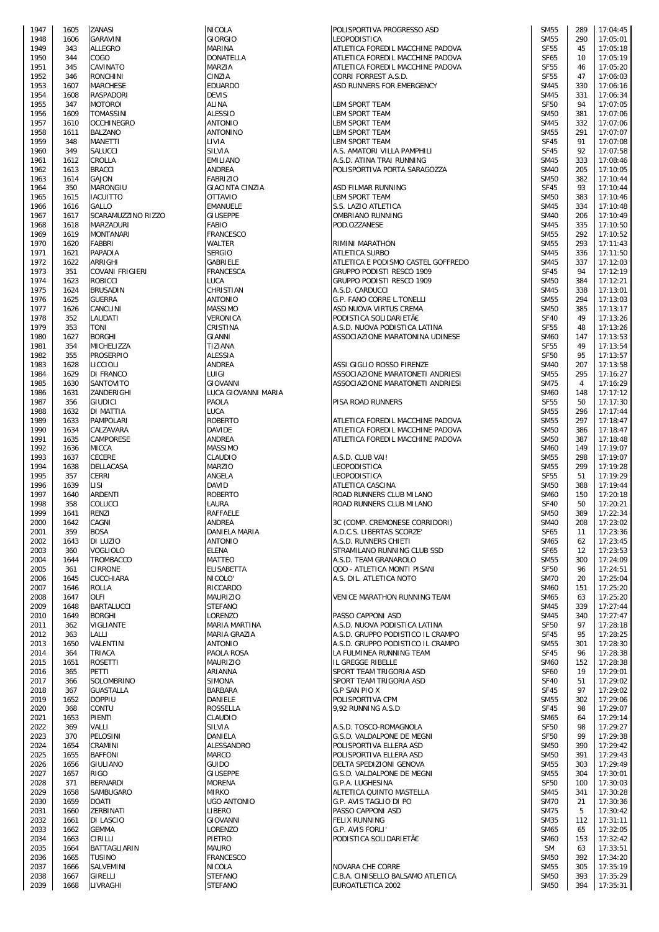| 1947         | 1605         | ZANASI                       |
|--------------|--------------|------------------------------|
| 1948<br>1949 | 1606<br>343  | <b>GARAVINI</b><br>ALLEGRO   |
| 1950         | 344          | COGO                         |
| 1951         | 345          | CAVINATO                     |
| 1952<br>1953 | 346<br>1607  | RONCHINI<br>MARCHESE         |
| 1954         | 1608         | RASPADORI                    |
| 1955         | 347          | MOTOROI                      |
| 1956         | 1609         | TOMASSINI                    |
| 1957<br>1958 | 1610<br>1611 | <b>OCCHINEGRO</b><br>BALZANO |
| 1959         | 348          | MANETTI                      |
| 1960         | 349          | SALUCCI                      |
| 1961<br>1962 | 1612<br>1613 | CROLLA<br><b>BRACCI</b>      |
| 1963         | 1614         | GAJON                        |
| 1964         | 350          | MARONGIU                     |
| 1965<br>1966 | 1615<br>1616 | <b>IACUITTO</b><br>GALLO     |
| 1967         | 1617         | <b>SCARAMUZZINO</b>          |
| 1968         | 1618         | MARZADURI                    |
| 1969<br>1970 | 1619<br>1620 | <b>MONTANARI</b><br>FABBRI   |
| 1971         | 1621         | PAPADIA                      |
| 1972         | 1622         | ARRIGHI                      |
| 1973<br>1974 | 351<br>1623  | COVANI FRIGIER<br>ROBICCI    |
| 1975         | 1624         | <b>BRUSADIN</b>              |
| 1976         | 1625         | <b>GUERRA</b>                |
| 1977         | 1626         | CANCLINI                     |
| 1978<br>1979 | 352<br>353   | LAUDATI<br>TONI              |
| 1980         | 1627         | <b>BORGHI</b>                |
| 1981         | 354          | MICHELIZZA                   |
| 1982<br>1983 | 355<br>1628  | PROSERPIO<br>LICCIOLI        |
| 1984         | 1629         | DI FRANCO                    |
| 1985         | 1630         | SANTOVITO                    |
| 1986<br>1987 | 1631<br>356  | ZANDERIGHI<br>GIUDICI        |
| 1988         | 1632         | DI MATTIA                    |
| 1989         | 1633         | PAMPOLARI                    |
| 1990<br>1991 | 1634<br>1635 | CALZAVARA<br>CAMPORESE       |
| 1992         | 1636         | MICCA                        |
| 1993         | 1637         | <b>CECERE</b>                |
| 1994<br>1995 | 1638<br>357  | DELLACASA<br>CERRI           |
| 1996         | 1639         | lisi                         |
| 1997         | 1640         | <b>ARDENTI</b>               |
| 1998<br>1999 | 358<br>1641  | COLUCCI<br>RENZI             |
| 2000         | 1642         | CAGNI                        |
| 2001         | 359          | <b>BOSA</b>                  |
| 2002<br>2003 | 1643<br>360  | DI LUZIO<br>VOGLIOLO         |
| 2004         | 1644         | TROMBACCO                    |
| 2005         | 361          | <b>CIRRONE</b>               |
| 2006<br>2007 | 1645<br>1646 | CUCCHIARA<br>ROLLA           |
| 2008         | 1647         | OLFI                         |
| 2009         | 1648         | BARTALUCCI                   |
| 2010<br>2011 | 1649<br>362  | <b>BORGHI</b><br>VIGLIANTE   |
| 2012         | 363          | LALLI                        |
| 2013         | 1650         | VALENTINI                    |
| 2014<br>2015 | 364<br>1651  | TRIACA<br><b>ROSETTI</b>     |
| 2016         | 365          | PETTI                        |
| 2017         | 366          | SOLOMBRINO                   |
| 2018         | 367          | <b>GUASTALLA</b>             |
| 2019<br>2020 | 1652<br>368  | DOPPIU<br>CONTU              |
| 2021         | 1653         | PIENTI                       |
| 2022         | 369          | VALLI                        |
| 2023<br>2024 | 370<br>1654  | PELOSINI<br>CRAMINI          |
| 2025         | 1655         | <b>BAFFONI</b>               |
| 2026         | 1656         | GIULIANO                     |
| 2027<br>2028 | 1657<br>371  | RIGO<br><b>BERNARDI</b>      |
| 2029         | 1658         | SAMBUGARO                    |
| 2030         | 1659         | DOATI                        |
| 2031<br>2032 | 1660<br>1661 | ZERBINATI<br>DI LASCIO       |
| 2033         | 1662         | <b>GEMMA</b>                 |
| 2034         | 1663         | CIRILLI                      |
| 2035<br>2036 | 1664<br>1665 | BATTAGLIARIN<br>TUSINO       |
| 2037         | 1666         | SALVEMINI                    |
| 2038<br>2030 | 1667         | GIRELLI<br><b>INDACHI</b>    |
|              | 1668         |                              |

| 1947 | 1605 | ZANASI             | <b>NICOLA</b>          | POLISPORTIVA PROGRESSO ASD         | <b>SM55</b> | 289 | 17:04:45 |
|------|------|--------------------|------------------------|------------------------------------|-------------|-----|----------|
| 1948 | 1606 | <b>GARAVINI</b>    | GIORGIO                | LEOPODISTICA                       | <b>SM55</b> | 290 | 17:05:01 |
| 1949 | 343  | <b>ALLEGRO</b>     | MARINA                 | ATLETICA FOREDIL MACCHINE PADOVA   | <b>SF55</b> | 45  | 17:05:18 |
| 1950 | 344  | COGO               | DONATELLA              | ATLETICA FOREDIL MACCHINE PADOVA   | <b>SF65</b> | 10  | 17:05:19 |
| 1951 | 345  | CAVINATO           | MARZIA                 | ATLETICA FOREDIL MACCHINE PADOVA   | <b>SF55</b> | 46  | 17:05:20 |
| 1952 | 346  | <b>RONCHINI</b>    | CINZIA                 | CORRI FORREST A.S.D.               | <b>SF55</b> | 47  | 17:06:03 |
| 1953 | 1607 | <b>MARCHESE</b>    | <b>EDUARDO</b>         | ASD RUNNERS FOR EMERGENCY          | <b>SM45</b> | 330 | 17:06:16 |
| 1954 | 1608 | <b>RASPADORI</b>   | <b>DEVIS</b>           |                                    | <b>SM45</b> | 331 | 17:06:34 |
| 1955 | 347  | <b>MOTOROI</b>     | ALINA                  | <b>LBM SPORT TEAM</b>              | <b>SF50</b> | 94  | 17:07:05 |
| 1956 | 1609 | <b>TOMASSINI</b>   | <b>ALESSIO</b>         | <b>LBM SPORT TEAM</b>              | <b>SM50</b> | 381 | 17:07:06 |
| 1957 | 1610 | <b>OCCHINEGRO</b>  | <b>ANTONIO</b>         | LBM SPORT TEAM                     | <b>SM45</b> | 332 | 17:07:06 |
| 1958 | 1611 | <b>BALZANO</b>     | ANTONINO               | LBM SPORT TEAM                     | <b>SM55</b> | 291 | 17:07:07 |
| 1959 | 348  | <b>MANETTI</b>     | LIVIA                  | <b>LBM SPORT TEAM</b>              | <b>SF45</b> | 91  | 17:07:08 |
| 1960 | 349  | SALUCCI            | SILVIA                 | A.S. AMATORI VILLA PAMPHILI        | <b>SF45</b> | 92  | 17:07:58 |
| 1961 | 1612 | CROLLA             | <b>EMILIANO</b>        | A.S.D. ATINA TRAI RUNNING          | <b>SM45</b> | 333 | 17:08:46 |
| 1962 | 1613 | <b>BRACCI</b>      | ANDREA                 | POLISPORTIVA PORTA SARAGOZZA       | <b>SM40</b> | 205 | 17:10:05 |
| 1963 | 1614 | <b>GAJON</b>       | <b>FABRIZIO</b>        |                                    | <b>SM50</b> | 382 | 17:10:44 |
| 1964 | 350  | <b>MARONGIU</b>    | <b>GIACINTA CINZIA</b> | ASD FILMAR RUNNING                 | <b>SF45</b> | 93  | 17:10:44 |
| 1965 | 1615 | <b>IACUITTO</b>    | <b>OTTAVIO</b>         | <b>LBM SPORT TEAM</b>              | <b>SM50</b> | 383 | 17:10:46 |
| 1966 | 1616 | GALLO              | EMANUELE               | S.S. LAZIO ATLETICA                | <b>SM45</b> | 334 | 17:10:48 |
| 1967 | 1617 | SCARAMUZZINO RIZZO | <b>GIUSEPPE</b>        | OMBRIANO RUNNING                   | <b>SM40</b> | 206 | 17:10:49 |
| 1968 | 1618 | <b>MARZADURI</b>   | FABIO                  | POD.OZZANESE                       | <b>SM45</b> | 335 | 17:10:50 |
| 1969 | 1619 | <b>MONTANARI</b>   | FRANCESCO              |                                    | <b>SM55</b> | 292 | 17:10:52 |
| 1970 | 1620 | FABBRI             | WALTER                 | RIMINI MARATHON                    | <b>SM55</b> | 293 | 17:11:43 |
| 1971 | 1621 | PAPADIA            | <b>SERGIO</b>          | <b>ATLETICA SURBO</b>              | <b>SM45</b> | 336 | 17:11:50 |
| 1972 | 1622 | ARRIGHI            | GABRIELE               | ATLETICA E PODISMO CASTEL GOFFREDO | <b>SM45</b> | 337 | 17:12:03 |
| 1973 | 351  | COVANI FRIGIERI    | <b>FRANCESCA</b>       | <b>GRUPPO PODISTI RESCO 1909</b>   | <b>SF45</b> | 94  | 17:12:19 |
| 1974 | 1623 | <b>ROBICCI</b>     | LUCA                   | <b>GRUPPO PODISTI RESCO 1909</b>   | <b>SM50</b> | 384 | 17:12:21 |
| 1975 | 1624 | <b>BRUSADIN</b>    | CHRISTIAN              | A.S.D. CARDUCCI                    | <b>SM45</b> | 338 | 17:13:01 |
| 1976 | 1625 | <b>GUERRA</b>      | <b>ANTONIO</b>         | G.P. FANO CORRE L.TONELLI          | <b>SM55</b> | 294 | 17:13:03 |
| 1977 | 1626 | CANCLINI           | <b>MASSIMO</b>         | ASD NUOVA VIRTUS CREMA             | <b>SM50</b> | 385 | 17:13:17 |
| 1978 | 352  | LAUDATI            | <b>VERONICA</b>        | PODISTICA SOLIDARIETÀ              | <b>SF40</b> | 49  | 17:13:26 |
| 1979 | 353  | <b>TONI</b>        | CRISTINA               | A.S.D. NUOVA PODISTICA LATINA      | <b>SF55</b> | 48  | 17:13:26 |
| 1980 | 1627 | <b>BORGHI</b>      | <b>GIANNI</b>          | ASSOCIAZIONE MARATONINA UDINESE    | <b>SM60</b> | 147 | 17:13:53 |
| 1981 | 354  | MICHELIZZA         | TIZIANA                |                                    | <b>SF55</b> | 49  | 17:13:54 |
| 1982 | 355  | <b>PROSERPIO</b>   | ALESSIA                |                                    | <b>SF50</b> | 95  | 17:13:57 |
| 1983 | 1628 | <b>LICCIOLI</b>    | <b>ANDREA</b>          | ASSI GIGLIO ROSSO FIRENZE          | <b>SM40</b> | 207 | 17:13:58 |
| 1984 | 1629 | <b>DI FRANCO</b>   | LUIGI                  | ASSOCIAZIONE MARATONETI ANDRIESI   | <b>SM55</b> | 295 | 17:16:27 |
| 1985 | 1630 | SANTOVITO          | GIOVANNI               | ASSOCIAZIONE MARATONETI ANDRIESI   | <b>SM75</b> | 4   | 17:16:29 |
| 1986 | 1631 | ZANDERIGHI         | LUCA GIOVANNI MARIA    |                                    | <b>SM60</b> | 148 | 17:17:12 |
| 1987 | 356  | <b>GIUDICI</b>     | PAOLA                  | PISA ROAD RUNNERS                  | <b>SF55</b> | 50  | 17:17:30 |
| 1988 | 1632 | DI MATTIA          | <b>LUCA</b>            |                                    | <b>SM55</b> | 296 | 17:17:44 |
| 1989 | 1633 | <b>PAMPOLARI</b>   | <b>ROBERTO</b>         | ATLETICA FOREDIL MACCHINE PADOVA   | <b>SM55</b> | 297 | 17:18:47 |
| 1990 | 1634 | CALZAVARA          | DAVIDE                 | ATLETICA FOREDIL MACCHINE PADOVA   | <b>SM50</b> | 386 | 17:18:47 |
| 1991 | 1635 | CAMPORESE          | ANDREA                 | ATLETICA FOREDIL MACCHINE PADOVA   | <b>SM50</b> | 387 | 17:18:48 |
| 1992 | 1636 | <b>MICCA</b>       | <b>MASSIMO</b>         |                                    | <b>SM60</b> | 149 | 17:19:07 |
| 1993 | 1637 | CECERE             | <b>CLAUDIO</b>         | A.S.D. CLUB VAI!                   | <b>SM55</b> | 298 | 17:19:07 |
| 1994 | 1638 | DELLACASA          | <b>MARZIO</b>          | LEOPODISTICA                       | <b>SM55</b> | 299 | 17:19:28 |
| 1995 | 357  | CERRI              | ANGELA                 | LEOPODISTICA                       | <b>SF55</b> | 51  | 17:19:29 |
| 1996 | 1639 | LISI               | <b>DAVID</b>           | <b>ATLETICA CASCINA</b>            | <b>SM50</b> | 388 | 17:19:44 |
| 1997 | 1640 | ARDENTI            | <b>ROBERTO</b>         | ROAD RUNNERS CLUB MILANO           | <b>SM60</b> | 150 | 17:20:18 |
| 1998 | 358  | COLUCCI            | LAURA                  | ROAD RUNNERS CLUB MILANO           | <b>SF40</b> | 50  | 17:20:21 |
| 1999 | 1641 | <b>RENZI</b>       | <b>RAFFAELE</b>        |                                    | <b>SM50</b> | 389 | 17:22:34 |
| 2000 | 1642 | CAGNI              | ANDREA                 | 3C (COMP. CREMONESE CORRIDORI)     | <b>SM40</b> | 208 | 17:23:02 |
| 2001 | 359  | <b>BOSA</b>        | <b>DANIELA MARIA</b>   | A.D.C.S. LIBERTAS SCORZE'          | <b>SF65</b> | 11  | 17:23:36 |
| 2002 | 1643 | DI LUZIO           | <b>ANTONIO</b>         | A.S.D. RUNNERS CHIETI              | SM65        | 62  | 17:23:45 |
| 2003 | 360  | <b>VOGLIOLO</b>    | <b>ELENA</b>           | STRAMILANO RUNNING CLUB SSD        | <b>SF65</b> | 12  | 17:23:53 |
| 2004 | 1644 | <b>TROMBACCO</b>   | MATTEO                 | A.S.D. TEAM GRANAROLO              | <b>SM55</b> | 300 | 17:24:09 |
| 2005 | 361  | <b>CIRRONE</b>     | <b>ELISABETTA</b>      | QDD - ATLETICA MONTI PISANI        | <b>SF50</b> | 96  | 17:24:51 |
| 2006 | 1645 | <b>CUCCHIARA</b>   | NICOLO'                | A.S. DIL. ATLETICA NOTO            | <b>SM70</b> | 20  | 17:25:04 |
| 2007 | 1646 | ROLLA              | RICCARDO               |                                    | <b>SM60</b> | 151 | 17:25:20 |
| 2008 | 1647 | OLFI               | <b>MAURIZIO</b>        | VENICE MARATHON RUNNING TEAM       | <b>SM65</b> | 63  | 17:25:20 |
| 2009 | 1648 | <b>BARTALUCCI</b>  | <b>STEFANO</b>         |                                    | <b>SM45</b> | 339 | 17:27:44 |
| 2010 | 1649 | <b>BORGHI</b>      | LORENZO                | PASSO CAPPONI ASD                  | <b>SM45</b> | 340 | 17:27:47 |
| 2011 | 362  | <b>VIGLIANTE</b>   | MARIA MARTINA          | A.S.D. NUOVA PODISTICA LATINA      | <b>SF50</b> | 97  | 17:28:18 |
| 2012 | 363  | LALLI              | MARIA GRAZIA           | A.S.D. GRUPPO PODISTICO IL CRAMPO  | <b>SF45</b> | 95  | 17:28:25 |
| 2013 | 1650 | VALENTINI          | <b>ANTONIO</b>         | A.S.D. GRUPPO PODISTICO IL CRAMPO  | <b>SM55</b> | 301 | 17:28:30 |
| 2014 | 364  | <b>TRIACA</b>      | PAOLA ROSA             | LA FULMINEA RUNNING TEAM           | <b>SF45</b> | 96  | 17:28:38 |
| 2015 | 1651 | ROSETTI            | <b>MAURIZIO</b>        | IL GREGGE RIBELLE                  | <b>SM60</b> | 152 | 17:28:38 |
| 2016 | 365  | <b>PETTI</b>       | ARIANNA                | SPORT TEAM TRIGORIA ASD            | <b>SF60</b> | 19  | 17:29:01 |
| 2017 | 366  | SOLOMBRINO         | SIMONA                 | SPORT TEAM TRIGORIA ASD            | <b>SF40</b> | 51  | 17:29:02 |
| 2018 | 367  | <b>GUASTALLA</b>   | <b>BARBARA</b>         | <b>G.P SAN PIO X</b>               | <b>SF45</b> | 97  | 17:29:02 |
| 2019 | 1652 | <b>DOPPIU</b>      | DANIELE                | POLISPORTIVA CPM                   | <b>SM55</b> | 302 | 17:29:06 |
| 2020 | 368  | CONTU              | ROSSELLA               | 9,92 RUNNING A.S.D                 | <b>SF45</b> | 98  | 17:29:07 |
| 2021 | 1653 | PIENTI             | CLAUDIO                |                                    | <b>SM65</b> | 64  | 17:29:14 |
| 2022 | 369  | VALLI              | SILVIA                 | A.S.D. TOSCO-ROMAGNOLA             | <b>SF50</b> | 98  | 17:29:27 |
| 2023 | 370  | PELOSINI           | DANIELA                | G.S.D. VALDALPONE DE MEGNI         | <b>SF50</b> | 99  | 17:29:38 |
| 2024 | 1654 | CRAMINI            | ALESSANDRO             | POLISPORTIVA ELLERA ASD            | <b>SM50</b> | 390 | 17:29:42 |
| 2025 | 1655 | <b>BAFFONI</b>     | MARCO                  | POLISPORTIVA ELLERA ASD            | <b>SM50</b> | 391 | 17:29:43 |
| 2026 | 1656 | GIULIANO           | <b>GUIDO</b>           | DELTA SPEDIZIONI GENOVA            | <b>SM55</b> | 303 | 17:29:49 |
| 2027 | 1657 | RIGO               | <b>GIUSEPPE</b>        | G.S.D. VALDALPONE DE MEGNI         | <b>SM55</b> | 304 | 17:30:01 |
| 2028 | 371  | <b>BERNARDI</b>    | <b>MORENA</b>          | G.P.A. LUGHESINA                   | <b>SF50</b> | 100 | 17:30:03 |
| 2029 | 1658 | SAMBUGARO          | <b>MIRKO</b>           | ALTETICA QUINTO MASTELLA           | <b>SM45</b> | 341 | 17:30:28 |
| 2030 | 1659 | <b>DOATI</b>       | <b>UGO ANTONIO</b>     | G.P. AVIS TAGLIO DI PO             | <b>SM70</b> | 21  | 17:30:36 |
| 2031 | 1660 | ZERBINATI          | LIBERO                 | PASSO CAPPONI ASD                  | <b>SM75</b> | 5   | 17:30:42 |
| 2032 | 1661 | DI LASCIO          | GIOVANNI               | <b>FELIX RUNNING</b>               | <b>SM35</b> | 112 | 17:31:11 |
| 2033 | 1662 | <b>GEMMA</b>       | LORENZO                | G.P. AVIS FORLI'                   | SM65        | 65  | 17:32:05 |
| 2034 | 1663 | CIRILLI            | PIETRO                 | PODISTICA SOLIDARIETÃE             | <b>SM60</b> | 153 | 17:32:42 |
| 2035 | 1664 | BATTAGLIARIN       | <b>MAURO</b>           |                                    | <b>SM</b>   | 63  | 17:33:51 |
| 2036 | 1665 | <b>TUSINO</b>      | FRANCESCO              |                                    | <b>SM50</b> | 392 | 17:34:20 |
| 2037 | 1666 | SALVEMINI          | <b>NICOLA</b>          | NOVARA CHE CORRE                   | <b>SM55</b> | 305 | 17:35:19 |
| 2038 | 1667 | <b>GIRELLI</b>     | <b>STEFANO</b>         | C.B.A. CINISELLO BALSAMO ATLETICA  | <b>SM50</b> | 393 | 17:35:29 |
| 2039 | 1668 | LIVRAGHI           | <b>STEFANO</b>         | EUROATLETICA 2002                  | <b>SM50</b> | 394 | 17:35:31 |
|      |      |                    |                        |                                    |             |     |          |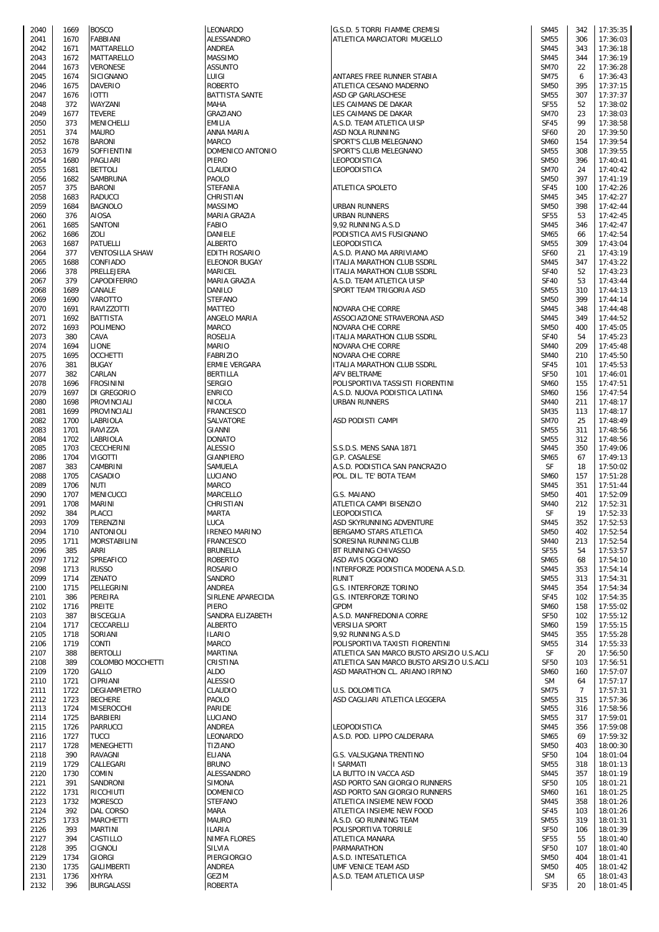| 2040         | 1669         | <b>BOSCO</b>                       | LEONARDO                          | G.S.D. 5 TORRI FIAMME CREMISI                            | <b>SM45</b>                | 342            | 17:35:35             |
|--------------|--------------|------------------------------------|-----------------------------------|----------------------------------------------------------|----------------------------|----------------|----------------------|
| 2041         | 1670         | <b>FABBIANI</b>                    | <b>ALESSANDRO</b>                 | ATLETICA MARCIATORI MUGELLO                              | <b>SM55</b>                | 306            | 17:36:03             |
| 2042         | 1671         | <b>MATTARELLO</b>                  | ANDREA                            |                                                          | <b>SM45</b>                | 343            | 17:36:18             |
| 2043         | 1672         | <b>MATTARELLO</b>                  | <b>MASSIMO</b>                    |                                                          | <b>SM45</b>                | 344            | 17:36:19             |
| 2044         | 1673         | <b>VERONESE</b>                    | <b>ASSUNTO</b>                    |                                                          | <b>SM70</b>                | 22             | 17:36:28             |
| 2045         | 1674         | SICIGNANO                          | LUIGI                             | ANTARES FREE RUNNER STABIA                               | <b>SM75</b>                | 6              | 17:36:43             |
| 2046         | 1675         | <b>DAVERIO</b>                     | <b>ROBERTO</b>                    | ATLETICA CESANO MADERNO                                  | <b>SM50</b>                | 395            | 17:37:15             |
| 2047         | 1676         | <b>IOTTI</b>                       | <b>BATTISTA SANTE</b>             | ASD GP GARLASCHESE                                       | <b>SM55</b>                | 307            | 17:37:37             |
| 2048         | 372          | WAYZANI                            | <b>MAHA</b>                       | LES CAIMANS DE DAKAR                                     | <b>SF55</b>                | 52             | 17:38:02             |
| 2049         | 1677         | <b>TEVERE</b>                      | GRAZIANO                          | LES CAIMANS DE DAKAR                                     | <b>SM70</b>                | 23             | 17:38:03             |
| 2050         | 373          | MENICHELLI                         | <b>EMILIA</b>                     | A.S.D. TEAM ATLETICA UISP                                | <b>SF45</b>                | 99             | 17:38:58             |
| 2051         | 374          | <b>MAURO</b>                       | ANNA MARIA                        | ASD NOLA RUNNING                                         | <b>SF60</b>                | 20             | 17:39:50             |
| 2052         | 1678         | <b>BARONI</b>                      | MARCO                             | SPORT'S CLUB MELEGNANO                                   | <b>SM60</b>                | 154            | 17:39:54             |
| 2053         | 1679         | SOFFIENTINI                        | DOMENICO ANTONIO                  | SPORT'S CLUB MELEGNANO                                   | <b>SM55</b>                | 308            | 17:39:55             |
| 2054         | 1680         | PAGLIARI                           | <b>PIERO</b>                      | <b>LEOPODISTICA</b>                                      | <b>SM50</b>                | 396            | 17:40:41             |
| 2055         | 1681         | <b>BETTOLI</b>                     | CLAUDIO                           | <b>LEOPODISTICA</b>                                      | <b>SM70</b>                | 24             | 17:40:42             |
| 2056         | 1682         | SAMBRUNA                           | PAOLO                             |                                                          | <b>SM50</b>                | 397            | 17:41:19             |
| 2057         | 375          | <b>BARONI</b><br><b>RADUCCI</b>    | <b>STEFANIA</b>                   | ATLETICA SPOLETO                                         | <b>SF45</b>                | 100            | 17:42:26             |
| 2058<br>2059 | 1683<br>1684 | <b>BAGNOLO</b>                     | CHRISTIAN                         |                                                          | <b>SM45</b><br><b>SM50</b> | 345<br>398     | 17:42:27             |
|              |              |                                    | MASSIMO                           | <b>URBAN RUNNERS</b>                                     | <b>SF55</b>                |                | 17:42:44<br>17:42:45 |
| 2060<br>2061 | 376<br>1685  | AIOSA<br>SANTONI                   | MARIA GRAZIA<br><b>FABIO</b>      | <b>URBAN RUNNERS</b>                                     | <b>SM45</b>                | 53<br>346      | 17:42:47             |
|              |              |                                    |                                   | 9,92 RUNNING A.S.D                                       |                            |                |                      |
| 2062         | 1686         | ZOLI<br><b>PATUELLI</b>            | DANIELE<br><b>ALBERTO</b>         | PODISTICA AVIS FUSIGNANO<br>LEOPODISTICA                 | <b>SM65</b>                | 66             | 17:42:54             |
| 2063         | 1687         |                                    | <b>EDITH ROSARIO</b>              |                                                          | <b>SM55</b>                | 309            | 17:43:04             |
| 2064         | 377          | <b>VENTOSILLA SHAW</b><br>CONFIADO | <b>ELEONOR BUGAY</b>              | A.S.D. PIANO MA ARRIVIAMO                                | <b>SF60</b>                | 21             | 17:43:19<br>17:43:22 |
| 2065<br>2066 | 1688<br>378  | PRELLEJERA                         | MARICEL                           | ITALIA MARATHON CLUB SSDRL<br>ITALIA MARATHON CLUB SSDRL | <b>SM45</b><br><b>SF40</b> | 347<br>52      | 17:43:23             |
|              |              |                                    |                                   |                                                          |                            |                |                      |
| 2067         | 379<br>1689  | CAPODIFERRO<br>CANALE              | MARIA GRAZIA<br><b>DANILO</b>     | A.S.D. TEAM ATLETICA UISP                                | <b>SF40</b>                | 53<br>310      | 17:43:44<br>17:44:13 |
| 2068<br>2069 | 1690         | VAROTTO                            | <b>STEFANO</b>                    | SPORT TEAM TRIGORIA ASD                                  | <b>SM55</b><br><b>SM50</b> | 399            | 17:44:14             |
|              |              | RAVIZZOTTI                         | MATTEO                            |                                                          |                            |                | 17:44:48             |
| 2070         | 1691         | <b>BATTISTA</b>                    |                                   | NOVARA CHE CORRE                                         | <b>SM45</b>                | 348            |                      |
| 2071<br>2072 | 1692<br>1693 | <b>POLIMENO</b>                    | ANGELO MARIA<br><b>MARCO</b>      | ASSOCIAZIONE STRAVERONA ASD<br>NOVARA CHE CORRE          | <b>SM45</b><br><b>SM50</b> | 349<br>400     | 17:44:52<br>17:45:05 |
|              | 380          | CAVA                               | <b>ROSELIA</b>                    |                                                          | <b>SF40</b>                | 54             | 17:45:23             |
| 2073         |              |                                    |                                   | ITALIA MARATHON CLUB SSDRL<br><b>NOVARA CHE CORRE</b>    |                            |                | 17:45:48             |
| 2074<br>2075 | 1694<br>1695 | <b>LIONE</b><br><b>OCCHETTI</b>    | MARIO<br><b>FABRIZIO</b>          |                                                          | <b>SM40</b><br><b>SM40</b> | 209<br>210     | 17:45:50             |
| 2076         | 381          | <b>BUGAY</b>                       | ERMIE VERGARA                     | NOVARA CHE CORRE<br>ITALIA MARATHON CLUB SSDRL           | <b>SF45</b>                | 101            | 17:45:53             |
| 2077         | 382          |                                    | <b>BERTILLA</b>                   | AFV BELTRAME                                             | <b>SF50</b>                | 101            | 17:46:01             |
| 2078         | 1696         | CARLAN<br><b>FROSININI</b>         | <b>SERGIO</b>                     | POLISPORTIVA TASSISTI FIORENTINI                         | <b>SM60</b>                | 155            | 17:47:51             |
| 2079         | 1697         | DI GREGORIO                        | <b>ENRICO</b>                     | A.S.D. NUOVA PODISTICA LATINA                            | <b>SM60</b>                | 156            | 17:47:54             |
| 2080         | 1698         | PROVINCIALI                        | <b>NICOLA</b>                     | <b>URBAN RUNNERS</b>                                     | <b>SM40</b>                | 211            | 17:48:17             |
| 2081         | 1699         | PROVINCIALI                        | <b>FRANCESCO</b>                  |                                                          | <b>SM35</b>                | 113            | 17:48:17             |
| 2082         | 1700         | LABRIOLA                           | SALVATORE                         | ASD PODISTI CAMPI                                        | <b>SM70</b>                | 25             | 17:48:49             |
| 2083         | 1701         | RAVIZZA                            | <b>GIANNI</b>                     |                                                          | <b>SM55</b>                | 311            | 17:48:56             |
| 2084         | 1702         | LABRIOLA                           | <b>DONATO</b>                     |                                                          | <b>SM55</b>                | 312            | 17:48:56             |
| 2085         | 1703         | CECCHERINI                         | <b>ALESSIO</b>                    | S.S.D.S. MENS SANA 1871                                  | <b>SM45</b>                | 350            | 17:49:06             |
| 2086         | 1704         | <b>VIGOTTI</b>                     | <b>GIANPIERO</b>                  | G.P. CASALESE                                            | <b>SM65</b>                | 67             | 17:49:13             |
| 2087         | 383          | CAMBRINI                           | SAMUELA                           | A.S.D. PODISTICA SAN PANCRAZIO                           | SF                         | 18             | 17:50:02             |
| 2088         | 1705         | CASADIO                            | LUCIANO                           | POL. DIL. TE' BOTA TEAM                                  | <b>SM60</b>                | 157            | 17:51:28             |
| 2089         | 1706         | NUTI                               | MARCO                             |                                                          | <b>SM45</b>                | 351            | 17:51:44             |
| 2090         | 1707         | MENICUCCI                          | MARCELLO                          | G.S. MAIANO                                              | <b>SM50</b>                | 401            | 17:52:09             |
| 2091         | 1708         | <b>MARINI</b>                      | CHRISTIAN                         | ATLETICA CAMPI BISENZIO                                  | <b>SM40</b>                | 212            | 17:52:31             |
| 2092         | 384          | <b>PLACCI</b>                      | <b>MARTA</b>                      | LEOPODISTICA                                             | SF                         | 19             | 17:52:33             |
| 2093         | 1709         | TERENZINI                          | LUCA                              | ASD SKYRUNNING ADVENTURE                                 | <b>SM45</b>                | 352            | 17:52:53             |
| 2094         | 1710         | <b>ANTONIOLI</b>                   | <b>IRENEO MARINO</b>              | BERGAMO STARS ATLETICA                                   | <b>SM50</b>                | 402            | 17:52:54             |
| 2095         | 1711         | MORSTABILINI                       | <b>FRANCESCO</b>                  | SORESINA RUNNING CLUB                                    | <b>SM40</b>                | 213            | 17:52:54             |
| 2096         | 385          | ARRI                               | <b>BRUNELLA</b>                   | BT RUNNING CHIVASSO                                      |                            |                |                      |
| 2097         |              |                                    |                                   |                                                          |                            |                |                      |
| 2098         |              |                                    |                                   |                                                          | <b>SF55</b>                | 54             | 17:53:57             |
| 2099         | 1712         | SPREAFICO                          | <b>ROBERTO</b>                    | ASD AVIS OGGIONO                                         | <b>SM65</b>                | 68             | 17:54:10             |
|              | 1713         | <b>RUSSO</b>                       | <b>ROSARIO</b>                    | INTERFORZE PODISTICA MODENA A.S.D.                       | <b>SM45</b>                | 353            | 17:54:14             |
|              | 1714         | ZENATO                             | <b>SANDRO</b>                     | <b>RUNIT</b>                                             | <b>SM55</b>                | 313            | 17:54:31             |
| 2100         | 1715         | PELLEGRINI                         | ANDREA                            | G.S. INTERFORZE TORINO                                   | <b>SM45</b>                | 354            | 17:54:34             |
| 2101         | 386<br>1716  | PEREIRA                            | SIRLENE APARECIDA<br><b>PIERO</b> | <b>G.S. INTERFORZE TORINO</b><br><b>GPDM</b>             | <b>SF45</b><br><b>SM60</b> | 102<br>158     | 17:54:35             |
| 2102<br>2103 | 387          | <b>PREITE</b><br><b>BISCEGLIA</b>  | SANDRA ELIZABETH                  | A.S.D. MANFREDONIA CORRE                                 | <b>SF50</b>                | 102            | 17:55:02<br>17:55:12 |
| 2104         | 1717         | CECCARELLI                         | <b>ALBERTO</b>                    | <b>VERSILIA SPORT</b>                                    | <b>SM60</b>                | 159            | 17:55:15             |
| 2105         | 1718         | SORIANI                            | <b>ILARIO</b>                     | 9,92 RUNNING A.S.D                                       | <b>SM45</b>                | 355            | 17:55:28             |
| 2106         | 1719         | CONTI                              | <b>MARCO</b>                      | POLISPORTIVA TAXISTI FIORENTINI                          | <b>SM55</b>                | 314            | 17:55:33             |
| 2107         | 388          | <b>BERTOLLI</b>                    | <b>MARTINA</b>                    | ATLETICA SAN MARCO BUSTO ARSIZIO U.S.ACLI                | SF                         | 20             | 17:56:50             |
| 2108         | 389          | COLOMBO MOCCHETTI                  | CRISTINA                          | ATLETICA SAN MARCO BUSTO ARSIZIO U.S.ACLI                | <b>SF50</b>                | 103            | 17:56:51             |
| 2109         | 1720         | GALLO                              | ALDO                              | ASD MARATHON CL. ARIANO IRPINO                           | <b>SM60</b>                | 160            | 17:57:07             |
| 2110         | 1721         | CIPRIANI                           | <b>ALESSIO</b>                    |                                                          | <b>SM</b>                  | 64             | 17:57:17             |
| 2111         | 1722         | <b>DEGIAMPIETRO</b>                | CLAUDIO                           | U.S. DOLOMITICA                                          | <b>SM75</b>                | $\overline{7}$ | 17:57:31             |
| 2112         | 1723         | <b>BECHERE</b>                     | PAOLO                             | ASD CAGLIARI ATLETICA LEGGERA                            | <b>SM55</b>                | 315            | 17:57:36             |
| 2113         | 1724         | <b>MISEROCCHI</b>                  | PARIDE                            |                                                          | <b>SM55</b>                | 316            | 17:58:56             |
| 2114         | 1725         | <b>BARBIERI</b>                    | LUCIANO                           |                                                          | <b>SM55</b>                | 317            | 17:59:01             |
| 2115         | 1726         | <b>PARRUCCI</b>                    | ANDREA                            | LEOPODISTICA                                             | <b>SM45</b>                | 356            | 17:59:08             |
| 2116         | 1727         | <b>TUCCI</b>                       | LEONARDO                          | A.S.D. POD. LIPPO CALDERARA                              | <b>SM65</b>                | 69             | 17:59:32             |
| 2117         | 1728         | <b>MENEGHETTI</b>                  | <b>TIZIANO</b>                    |                                                          | <b>SM50</b>                | 403            | 18:00:30             |
| 2118         | 390          | RAVAGNI                            | <b>ELIANA</b>                     | G.S. VALSUGANA TRENTINO                                  | <b>SF50</b>                | 104            | 18:01:04             |
| 2119         | 1729         | CALLEGARI                          | <b>BRUNO</b>                      | <b>I SARMATI</b>                                         | <b>SM55</b>                | 318            | 18:01:13             |
| 2120         | 1730         | COMIN                              | ALESSANDRO                        | LA BUTTO IN VACCA ASD                                    | <b>SM45</b>                | 357            | 18:01:19             |
| 2121         | 391          | SANDRONI                           | <b>SIMONA</b>                     | ASD PORTO SAN GIORGIO RUNNERS                            | <b>SF50</b>                | 105            | 18:01:21             |
| 2122         | 1731         | RICCHIUTI                          | <b>DOMENICO</b>                   | ASD PORTO SAN GIORGIO RUNNERS                            | <b>SM60</b>                | 161            | 18:01:25             |
| 2123         | 1732         | <b>MORESCO</b>                     | <b>STEFANO</b>                    | ATLETICA INSIEME NEW FOOD                                | <b>SM45</b>                | 358            | 18:01:26             |
| 2124         | 392          | DAL CORSO                          | MARA                              | ATLETICA INSIEME NEW FOOD                                | <b>SF45</b>                | 103            | 18:01:26             |
| 2125         | 1733         | <b>MARCHETTI</b>                   | <b>MAURO</b>                      | A.S.D. GO RUNNING TEAM                                   | <b>SM55</b>                | 319            | 18:01:31             |
| 2126         | 393          | <b>MARTINI</b>                     | <b>ILARIA</b>                     | POLISPORTIVA TORRILE                                     | <b>SF50</b>                | 106            | 18:01:39             |
| 2127         | 394          | CASTILLO                           | <b>NIMFA FLORES</b>               | ATLETICA MANARA                                          | <b>SF55</b>                | 55             | 18:01:40             |
| 2128         | 395          | <b>CIGNOLI</b>                     | SILVIA                            | PARMARATHON                                              | <b>SF50</b>                | 107            | 18:01:40             |
| 2129         | 1734         | <b>GIORGI</b>                      | PIERGIORGIO                       | A.S.D. INTESATLETICA                                     | <b>SM50</b>                | 404            | 18:01:41             |
| 2130         | 1735         | GALIMBERTI                         | <b>ANDREA</b>                     | UMF VENICE TEAM ASD                                      | <b>SM50</b>                | 405            | 18:01:42             |
| 2131<br>2132 | 1736<br>396  | <b>XHYRA</b><br><b>BURGALASSI</b>  | <b>GEZIM</b><br><b>ROBERTA</b>    | A.S.D. TEAM ATLETICA UISP                                | <b>SM</b><br><b>SF35</b>   | 65<br>20       | 18:01:43<br>18:01:45 |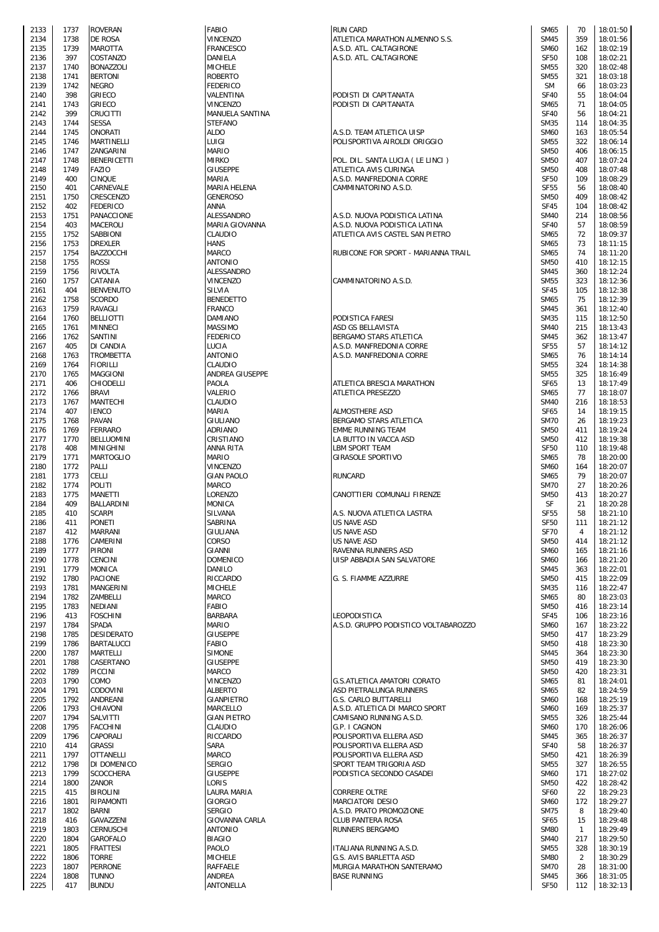| 2133         | 1737         | <b>ROVERAN</b>                    |
|--------------|--------------|-----------------------------------|
| 2134         | 1738<br>1739 | DE ROSA<br><b>MAROTTA</b>         |
| 2135<br>2136 | 397          | COSTANZO                          |
| 2137         | 1740         | <b>BONAZZOLI</b>                  |
| 2138         | 1741         | <b>BERTONI</b>                    |
| 2139         | 1742         | NEGRO                             |
| 2140<br>2141 | 398<br>1743  | GRIECO<br>GRIECO                  |
| 2142         | 399          | CRUCITTI                          |
| 2143         | 1744         | <b>SESSA</b>                      |
| 2144         | 1745         | ONORATI                           |
| 2145<br>2146 | 1746<br>1747 | MARTINELLI<br>ZANGARINI           |
| 2147         | 1748         | BENERICETTI                       |
| 2148         | 1749         | FAZIO                             |
| 2149         | 400          | <b>CINQUE</b>                     |
| 2150         | 401          | CARNEVALE                         |
| 2151<br>2152 | 1750<br>402  | CRESCENZO<br>FEDERICO             |
| 2153         | 1751         | PANACCIONE                        |
| 2154         | 403          | MACEROLI                          |
| 2155         | 1752         | SABBIONI                          |
| 2156<br>2157 | 1753<br>1754 | <b>DREXLER</b><br>BAZZOCCHI       |
| 2158         | 1755         | ROSSI                             |
| 2159         | 1756         | RIVOLTA                           |
| 2160         | 1757         | CATANIA                           |
| 2161<br>2162 | 404<br>1758  | <b>BENVENUTO</b><br><b>SCORDO</b> |
| 2163         | 1759         | RAVAGLI                           |
| 2164         | 1760         | BELLIOTTI                         |
| 2165         | 1761         | MINNECI                           |
| 2166         | 1762         | SANTINI                           |
| 2167<br>2168 | 405<br>1763  | DI CANDIA<br>TROMBETTA            |
| 2169         | 1764         | FIORILLI                          |
| 2170         | 1765         | MAGGIONI                          |
| 2171         | 406          | CHIODELLI                         |
| 2172<br>2173 | 1766<br>1767 | <b>BRAVI</b><br>MANTECHI          |
| 2174         | 407          | <b>IENCO</b>                      |
| 2175         | 1768         | PAVAN                             |
| 2176         | 1769         | FERRARO                           |
| 2177<br>2178 | 1770<br>408  | BELLUOMINI<br><b>MINIGHINI</b>    |
| 2179         | 1771         | MARTOGLIO                         |
| 2180         | 1772         | PALLI                             |
| 2181         | 1773         | CELLI                             |
| 2182<br>2183 | 1774<br>1775 | POLITI<br>MANETTI                 |
| 2184         | 409          | BALLARDINI                        |
| 2185         | 410          | <b>SCARPI</b>                     |
| 2186         | 411          | PONE I I                          |
| 2187<br>2188 | 412<br>1776  | MARRANI<br>CAMERINI               |
| 2189         | 1777         | PIRONI                            |
| 2190         | 1778         | CENCINI                           |
| 2191         | 1779         | MONICA                            |
| 2192<br>2193 | 1780<br>1781 | <b>PACIONE</b><br>MANGERINI       |
| 2194         | 1782         | ZAMBELLI                          |
| 2195         | 1783         | NEDIANI                           |
| 2196         | 413          | <b>FOSCHINI</b>                   |
| 2197<br>2198 | 1784<br>1785 | SPADA<br>DESIDERATO               |
| 2199         | 1786         | BARTALUCCI                        |
| 2200         | 1787         | MARTELLI                          |
| 2201         | 1788         | CASERTANO                         |
| 2202<br>2203 | 1789<br>1790 | PICCINI<br>COMO                   |
| 2204         | 1791         | CODOVINI                          |
| 2205         | 1792         | ANDREANI                          |
| 2206         | 1793         | CHIAVONI                          |
| 2207<br>2208 | 1794<br>1795 | SALVITTI<br>FACCHINI              |
| 2209         | 1796         | CAPORALI                          |
| 2210         | 414          | GRASSI                            |
| 2211         | 1797         | OTTANELLI                         |
| 2212<br>2213 | 1798<br>1799 | DI DOMENICO<br>SCOCCHERA          |
| 2214         | 1800         | ZANOR                             |
| 2215         | 415          | BIROLINI                          |
| 2216         | 1801         | RIPAMONTI                         |
| 2217<br>2218 | 1802<br>416  | BARNI<br>GAVAZZENI                |
| 2219         | 1803         | CERNUSCHI                         |
| 2220         | 1804         | GAROFALO                          |
| 2221         | 1805         | FRATTESI                          |
| 2222<br>2223 | 1806<br>1807 | TORRE<br>PERRONE                  |
| 2224         | 1808         | TUNNO                             |
|              |              |                                   |

| 2133 | 1737 | <b>ROVERAN</b>     | <b>FABIO</b>       | <b>RUN CARD</b>                      | <b>SM65</b>      | 70           | 18:01:50 |
|------|------|--------------------|--------------------|--------------------------------------|------------------|--------------|----------|
| 2134 | 1738 | DE ROSA            | VINCENZO           | ATLETICA MARATHON ALMENNO S.S.       | <b>SM45</b>      | 359          | 18:01:56 |
| 2135 | 1739 | <b>MAROTTA</b>     | FRANCESCO          | A.S.D. ATL. CALTAGIRONE              | <b>SM60</b>      | 162          | 18:02:19 |
| 2136 | 397  | COSTANZO           | DANIELA            | A.S.D. ATL. CALTAGIRONE              | <b>SF50</b>      | 108          | 18:02:21 |
| 2137 | 1740 | <b>BONAZZOLI</b>   | <b>MICHELE</b>     |                                      | <b>SM55</b>      | 320          | 18:02:48 |
|      |      |                    |                    |                                      |                  |              |          |
| 2138 | 1741 | <b>BERTONI</b>     | <b>ROBERTO</b>     |                                      | <b>SM55</b>      | 321          | 18:03:18 |
| 2139 | 1742 | <b>NEGRO</b>       | <b>FEDERICO</b>    |                                      | <b>SM</b>        | 66           | 18:03:23 |
| 2140 | 398  | <b>GRIECO</b>      | VALENTINA          | PODISTI DI CAPITANATA                | <b>SF40</b>      | 55           | 18:04:04 |
| 2141 | 1743 | <b>GRIECO</b>      | VINCENZO           | PODISTI DI CAPITANATA                | SM65             | 71           | 18:04:05 |
| 2142 | 399  | CRUCITTI           | MANUELA SANTINA    |                                      | <b>SF40</b>      | 56           | 18:04:21 |
| 2143 | 1744 | <b>SESSA</b>       | <b>STEFANO</b>     |                                      | <b>SM35</b>      | 114          | 18:04:35 |
| 2144 | 1745 | <b>ONORATI</b>     | <b>ALDO</b>        | A.S.D. TEAM ATLETICA UISP            | <b>SM60</b>      | 163          | 18:05:54 |
| 2145 | 1746 | <b>MARTINELLI</b>  | LUIGI              | POLISPORTIVA AIROLDI ORIGGIO         | <b>SM55</b>      | 322          | 18:06:14 |
| 2146 | 1747 | ZANGARINI          | <b>MARIO</b>       |                                      | <b>SM50</b>      | 406          | 18:06:15 |
| 2147 | 1748 | <b>BENERICETTI</b> | <b>MIRKO</b>       | POL. DIL. SANTA LUCIA (LE LINCI)     | <b>SM50</b>      | 407          | 18:07:24 |
| 2148 | 1749 | <b>FAZIO</b>       | <b>GIUSEPPE</b>    | ATLETICA AVIS CURINGA                | <b>SM50</b>      | 408          | 18:07:48 |
| 2149 | 400  | <b>CINQUE</b>      | MARIA              | A.S.D. MANFREDONIA CORRE             | <b>SF50</b>      | 109          | 18:08:29 |
| 2150 | 401  | CARNEVALE          | MARIA HELENA       | CAMMINATORINO A.S.D.                 | <b>SF55</b>      | 56           | 18:08:40 |
| 2151 | 1750 | CRESCENZO          | <b>GENEROSO</b>    |                                      | <b>SM50</b>      | 409          | 18:08:42 |
| 2152 | 402  | <b>FEDERICO</b>    | ANNA               |                                      | <b>SF45</b>      | 104          | 18:08:42 |
| 2153 | 1751 | PANACCIONE         | ALESSANDRO         | A.S.D. NUOVA PODISTICA LATINA        | <b>SM40</b>      | 214          | 18:08:56 |
| 2154 | 403  | <b>MACEROLI</b>    | MARIA GIOVANNA     | A.S.D. NUOVA PODISTICA LATINA        | <b>SF40</b>      | 57           | 18:08:59 |
| 2155 | 1752 | SABBIONI           | CLAUDIO            | ATLETICA AVIS CASTEL SAN PIETRO      | SM65             | 72           | 18:09:37 |
| 2156 | 1753 | <b>DREXLER</b>     | <b>HANS</b>        |                                      | <b>SM65</b>      | 73           | 18:11:15 |
| 2157 | 1754 | <b>BAZZOCCHI</b>   | <b>MARCO</b>       | RUBICONE FOR SPORT - MARIANNA TRAIL  | <b>SM65</b>      | 74           | 18:11:20 |
| 2158 | 1755 | ROSSI              | <b>ANTONIO</b>     |                                      | <b>SM50</b>      | 410          | 18:12:15 |
| 2159 | 1756 | <b>RIVOLTA</b>     | ALESSANDRO         |                                      | <b>SM45</b>      | 360          | 18:12:24 |
| 2160 | 1757 | CATANIA            | <b>VINCENZO</b>    | CAMMINATORINO A.S.D.                 | <b>SM55</b>      | 323          | 18:12:36 |
| 2161 | 404  | <b>BENVENUTO</b>   | SILVIA             |                                      | <b>SF45</b>      | 105          | 18:12:38 |
|      |      | <b>SCORDO</b>      | <b>BENEDETTO</b>   |                                      | <b>SM65</b>      | 75           |          |
| 2162 | 1758 |                    |                    |                                      |                  |              | 18:12:39 |
| 2163 | 1759 | RAVAGLI            | <b>FRANCO</b>      |                                      | <b>SM45</b>      | 361          | 18:12:40 |
| 2164 | 1760 | <b>BELLIOTTI</b>   | DAMIANO            | PODISTICA FARESI                     | <b>SM35</b>      | 115          | 18:12:50 |
| 2165 | 1761 | <b>MINNECI</b>     | <b>MASSIMO</b>     | ASD GS BELLAVISTA                    | <b>SM40</b>      | 215          | 18:13:43 |
| 2166 | 1762 | SANTINI            | <b>FEDERICO</b>    | BERGAMO STARS ATLETICA               | <b>SM45</b>      | 362          | 18:13:47 |
| 2167 | 405  | DI CANDIA          | LUCIA              | A.S.D. MANFREDONIA CORRE             | <b>SF55</b>      | 57           | 18:14:12 |
| 2168 | 1763 | <b>TROMBETTA</b>   | <b>ANTONIO</b>     | A.S.D. MANFREDONIA CORRE             | <b>SM65</b>      | 76           | 18:14:14 |
| 2169 | 1764 | <b>FIORILLI</b>    | CLAUDIO            |                                      | <b>SM55</b>      | 324          | 18:14:38 |
| 2170 | 1765 | <b>MAGGIONI</b>    | ANDREA GIUSEPPE    |                                      | <b>SM55</b>      | 325          | 18:16:49 |
| 2171 | 406  | <b>CHIODELLI</b>   | PAOLA              | ATLETICA BRESCIA MARATHON            | <b>SF65</b>      | 13           | 18:17:49 |
| 2172 | 1766 | <b>BRAVI</b>       | VALERIO            | ATLETICA PRESEZZO                    | <b>SM65</b>      | 77           | 18:18:07 |
| 2173 | 1767 | MANTECHI           | CLAUDIO            |                                      | <b>SM40</b>      | 216          | 18:18:53 |
| 2174 | 407  | <b>IENCO</b>       | MARIA              | ALMOSTHERE ASD                       | <b>SF65</b>      | 14           | 18:19:15 |
| 2175 | 1768 | <b>PAVAN</b>       | GIULIANO           | BERGAMO STARS ATLETICA               | <b>SM70</b>      | 26           | 18:19:23 |
| 2176 | 1769 | <b>FERRARO</b>     | ADRIANO            | EMME RUNNING TEAM                    | <b>SM50</b>      | 411          | 18:19:24 |
| 2177 | 1770 | <b>BELLUOMINI</b>  | CRISTIANO          | LA BUTTO IN VACCA ASD                | <b>SM50</b>      | 412          | 18:19:38 |
| 2178 | 408  | <b>MINIGHINI</b>   | ANNA RITA          | LBM SPORT TEAM                       | <b>SF50</b>      | 110          | 18:19:48 |
| 2179 | 1771 | <b>MARTOGLIO</b>   | MARIO              | GIRASOLE SPORTIVO                    | <b>SM65</b>      | 78           | 18:20:00 |
| 2180 | 1772 | PALLI              | <b>VINCENZO</b>    |                                      | <b>SM60</b>      | 164          | 18:20:07 |
| 2181 | 1773 | CELLI              | <b>GIAN PAOLO</b>  | <b>RUNCARD</b>                       | <b>SM65</b>      | 79           | 18:20:07 |
| 2182 | 1774 | POLITI             | <b>MARCO</b>       |                                      | <b>SM70</b>      | 27           | 18:20:26 |
| 2183 | 1775 | MANETTI            | LORENZO            | CANOTTIERI COMUNALI FIRENZE          | <b>SM50</b>      | 413          | 18:20:27 |
| 2184 | 409  | BALLARDINI         | MONICA             |                                      | SF               | 21           | 18:20:28 |
|      |      |                    |                    |                                      |                  |              |          |
| 2185 | 410  | <b>SCARPI</b>      | SILVANA            | A.S. NUOVA ATLETICA LASTRA           | <b>SF55</b>      | 58           | 18:21:10 |
| 2186 | 411  | <b>PONETI</b>      | SABRINA            | US NAVE ASD                          | SF <sub>50</sub> | 111          | 18:21:12 |
| 2187 | 412  | <b>MARRANI</b>     | GIULIANA           | US NAVE ASD                          | <b>SF70</b>      | 4            | 18:21:12 |
| 2188 | 1776 | CAMERINI           | CORSO              | US NAVE ASD                          | <b>SM50</b>      | 414          | 18:21:12 |
| 2189 | 1777 | <b>PIRONI</b>      | GIANNI             | RAVENNA RUNNERS ASD                  | <b>SM60</b>      | 165          | 18:21:16 |
| 2190 | 1778 | <b>CENCINI</b>     | <b>DOMENICO</b>    | UISP ABBADIA SAN SALVATORE           | <b>SM60</b>      | 166          | 18:21:20 |
| 2191 | 1779 | <b>MONICA</b>      | DANILO             |                                      | <b>SM45</b>      | 363          | 18:22:01 |
| 2192 | 1780 | <b>PACIONE</b>     | RICCARDO           | G. S. FIAMME AZZURRE                 | <b>SM50</b>      | 415          | 18:22:09 |
| 2193 | 1781 | MANGERINI          | <b>MICHELE</b>     |                                      | <b>SM35</b>      | 116          | 18:22:47 |
| 2194 | 1782 | ZAMBELLI           | MARCO              |                                      | <b>SM65</b>      | 80           | 18:23:03 |
| 2195 | 1783 | NEDIANI            | <b>FABIO</b>       |                                      | <b>SM50</b>      | 416          | 18:23:14 |
| 2196 | 413  | <b>FOSCHINI</b>    | <b>BARBARA</b>     | LEOPODISTICA                         | <b>SF45</b>      | 106          | 18:23:16 |
| 2197 | 1784 | <b>SPADA</b>       | <b>MARIO</b>       | A.S.D. GRUPPO PODISTICO VOLTABAROZZO | <b>SM60</b>      | 167          | 18:23:22 |
| 2198 | 1785 | <b>DESIDERATO</b>  | <b>GIUSEPPE</b>    |                                      | <b>SM50</b>      | 417          | 18:23:29 |
| 2199 | 1786 | <b>BARTALUCCI</b>  | <b>FABIO</b>       |                                      | <b>SM50</b>      | 418          | 18:23:30 |
| 2200 | 1787 | <b>MARTELLI</b>    | <b>SIMONE</b>      |                                      | <b>SM45</b>      | 364          | 18:23:30 |
| 2201 | 1788 | CASERTANO          | <b>GIUSEPPE</b>    |                                      | <b>SM50</b>      | 419          | 18:23:30 |
| 2202 | 1789 | <b>PICCINI</b>     | <b>MARCO</b>       |                                      | <b>SM50</b>      | 420          | 18:23:31 |
| 2203 | 1790 | COMO               | VINCENZO           | G.S.ATLETICA AMATORI CORATO          | <b>SM65</b>      | 81           | 18:24:01 |
| 2204 | 1791 | CODOVINI           | <b>ALBERTO</b>     | ASD PIETRALUNGA RUNNERS              | <b>SM65</b>      | 82           | 18:24:59 |
| 2205 | 1792 | ANDREANI           | <b>GIANPIETRO</b>  | G.S. CARLO BUTTARELLI                | <b>SM60</b>      | 168          | 18:25:19 |
| 2206 | 1793 | CHIAVONI           | MARCELLO           | A.S.D. ATLETICA DI MARCO SPORT       | <b>SM60</b>      | 169          | 18:25:37 |
| 2207 | 1794 | SALVITTI           | <b>GIAN PIETRO</b> | CAMISANO RUNNING A.S.D.              | <b>SM55</b>      | 326          | 18:25:44 |
| 2208 | 1795 | <b>FACCHINI</b>    | CLAUDIO            | G.P. I CAGNON                        | <b>SM60</b>      | 170          | 18:26:06 |
| 2209 | 1796 | CAPORALI           | RICCARDO           | POLISPORTIVA ELLERA ASD              | <b>SM45</b>      | 365          | 18:26:37 |
| 2210 | 414  | <b>GRASSI</b>      | SARA               | POLISPORTIVA ELLERA ASD              | <b>SF40</b>      | 58           | 18:26:37 |
| 2211 | 1797 | <b>OTTANELLI</b>   | <b>MARCO</b>       | POLISPORTIVA ELLERA ASD              | <b>SM50</b>      | 421          | 18:26:39 |
| 2212 | 1798 | DI DOMENICO        | <b>SERGIO</b>      | SPORT TEAM TRIGORIA ASD              | <b>SM55</b>      | 327          | 18:26:55 |
| 2213 | 1799 | <b>SCOCCHERA</b>   | <b>GIUSEPPE</b>    | PODISTICA SECONDO CASADEI            | <b>SM60</b>      | 171          | 18:27:02 |
| 2214 | 1800 | ZANOR              | LORIS              |                                      | <b>SM50</b>      | 422          | 18:28:42 |
| 2215 | 415  | <b>BIROLINI</b>    | LAURA MARIA        | <b>CORRERE OLTRE</b>                 | <b>SF60</b>      | 22           | 18:29:23 |
| 2216 | 1801 | RIPAMONTI          | GIORGIO            | MARCIATORI DESIO                     | <b>SM60</b>      | 172          | 18:29:27 |
| 2217 | 1802 | <b>BARNI</b>       | <b>SERGIO</b>      | A.S.D. PRATO PROMOZIONE              | <b>SM75</b>      | 8            | 18:29:40 |
| 2218 | 416  | GAVAZZENI          | GIOVANNA CARLA     | CLUB PANTERA ROSA                    | <b>SF65</b>      | 15           | 18:29:48 |
|      |      |                    |                    |                                      |                  |              |          |
| 2219 | 1803 | <b>CERNUSCHI</b>   | <b>ANTONIO</b>     | RUNNERS BERGAMO                      | <b>SM80</b>      | $\mathbf{1}$ | 18:29:49 |
| 2220 | 1804 | <b>GAROFALO</b>    | <b>BIAGIO</b>      |                                      | <b>SM40</b>      | 217          | 18:29:50 |
| 2221 | 1805 | <b>FRATTESI</b>    | PAOLO              | ITALIANA RUNNING A.S.D.              | <b>SM55</b>      | 328          | 18:30:19 |
| 2222 | 1806 | <b>TORRE</b>       | <b>MICHELE</b>     | G.S. AVIS BARLETTA ASD               | <b>SM80</b>      | 2            | 18:30:29 |
| 2223 | 1807 | <b>PERRONE</b>     | RAFFAELE           | MURGIA MARATHON SANTERAMO            | <b>SM70</b>      | 28           | 18:31:00 |
| 2224 | 1808 | <b>TUNNO</b>       | <b>ANDREA</b>      | <b>BASE RUNNING</b>                  | <b>SM45</b>      | 366          | 18:31:05 |
| 2225 | 417  | <b>BUNDU</b>       | ANTONELLA          |                                      | <b>SF50</b>      | 112          | 18:32:13 |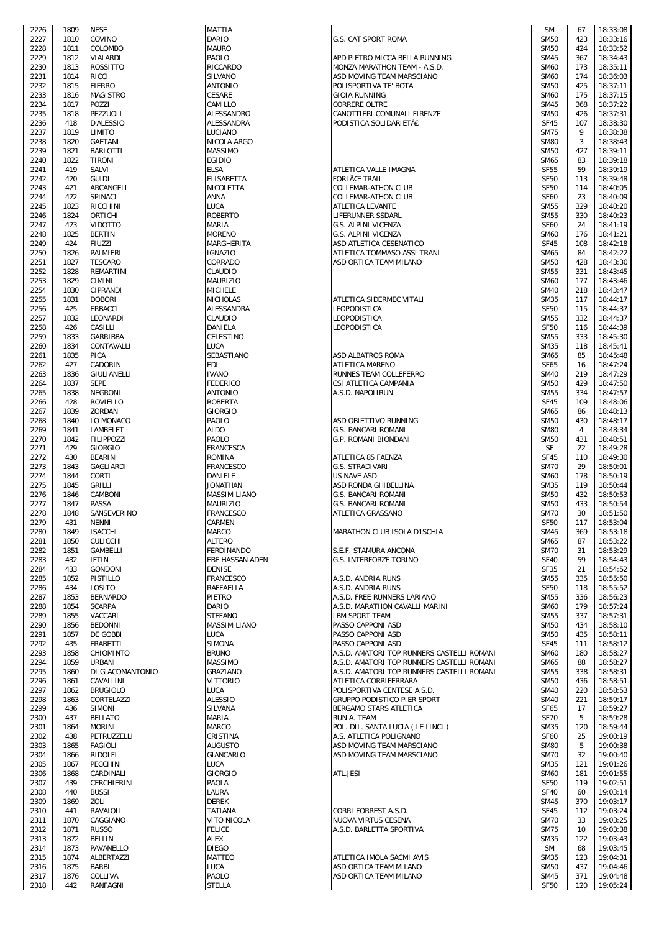| 2226         | 1809         | NESE                        |
|--------------|--------------|-----------------------------|
| 2227         | 1810         | COVINO                      |
| 2228         | 1811         | COLOMBO<br>VIALARDI         |
| 2229<br>2230 | 1812<br>1813 | <b>ROSSITTO</b>             |
| 2231         | 1814         | RICCI                       |
| 2232         | 1815         | <b>FIERRO</b>               |
| 2233         | 1816         | MAGISTRO                    |
| 2234         | 1817         | POZZI                       |
| 2235         | 1818         | PEZZUOLI                    |
| 2236         | 418          | D'ALESSIO                   |
| 2237         | 1819         | LIMITO                      |
| 2238         | 1820         | GAETANI                     |
| 2239<br>2240 | 1821<br>1822 | BARLOTTI<br>TIRONI          |
| 2241         | 419          | <b>SALVI</b>                |
| 2242         | 420          | GUIDI                       |
| 2243         | 421          | ARCANGELI                   |
| 2244         | 422          | SPINACI                     |
| 2245         | 1823         | RICCHINI                    |
| 2246         | 1824         | ORTICHI                     |
| 2247         | 423<br>1825  | VIDOTTO<br><b>BERTIN</b>    |
| 2248<br>2249 | 424          | FIUZZI                      |
| 2250         | 1826         | PALMIERI                    |
| 2251         | 1827         | <b>TESCARO</b>              |
| 2252         | 1828         | REMARTINI                   |
| 2253         | 1829         | CIMINI                      |
| 2254         | 1830         | CIPRANDI                    |
| 2255         | 1831         | <b>DOBORI</b>               |
| 2256<br>2257 | 425<br>1832  | ERBACCI<br>LEONARDI         |
| 2258         | 426          | CASILLI                     |
| 2259         | 1833         | GARRIBBA                    |
| 2260         | 1834         | CONTAVALLI                  |
| 2261         | 1835         | PICA                        |
| 2262         | 427          | CADORIN                     |
| 2263         | 1836         | GIULIANELLI                 |
| 2264         | 1837         | <b>SEPE</b>                 |
| 2265<br>2266 | 1838<br>428  | NEGRONI<br>ROVIELLO         |
| 2267         | 1839         | ZORDAN                      |
| 2268         | 1840         | LO MONACO                   |
| 2269         | 1841         | LAMBELET                    |
| 2270         | 1842         | <b>FILIPPOZZI</b>           |
| 2271         | 429          | <b>GIORGIO</b>              |
| 2272         | 430          | <b>BEARINI</b>              |
| 2273         | 1843         | <b>GAGLIARDI</b><br>CORTI   |
| 2274<br>2275 | 1844<br>1845 | GRILLI                      |
| 2276         | 1846         | CAMBONI                     |
| 2277         | 1847         | PASSA                       |
| 2278         | 1848         | SANSEVERINO                 |
| 2279         | 431          | NENNI                       |
| 2280         | 1849         | <b>ISACCHI</b>              |
| 2281         | 1850         | CULICCHI                    |
| 2282<br>2283 | 1851<br>432  | GAMBELLI<br><b>IFTIN</b>    |
| 2284         | 433          | <b>GONDONI</b>              |
| 2285         | 1852         | PISTILLO                    |
| 2286         | 434          | LOSITO                      |
| 2287         | 1853         | BERNARDO                    |
| 2288         | 1854         | <b>SCARPA</b>               |
| 2289         | 1855         | VACCARI                     |
| 2290<br>2291 | 1856<br>1857 | <b>BEDONNI</b><br>DE GOBBI  |
| 2292         | 435          | FRABETTI                    |
| 2293         | 1858         | CHIOMINTO                   |
| 2294         | 1859         | URBANI                      |
| 2295         | 1860         | DI GIACOMANTONIO            |
| 2296         | 1861         | CAVALLINI                   |
| 2297         | 1862         | <b>BRUGIOLO</b>             |
| 2298<br>2299 | 1863<br>436  | CORTELAZZI<br><b>SIMONI</b> |
| 2300         | 437          | <b>BELLATO</b>              |
| 2301         | 1864         | MORINI                      |
| 2302         | 438          | PETRUZZELLI                 |
| 2303         | 1865         | FAGIOLI                     |
| 2304         | 1866         | RIDOLFI                     |
| 2305         | 1867         | PECCHINI                    |
| 2306<br>2307 | 1868<br>439  | CARDINALI<br>CERCHIERINI    |
| 2308         | 440          | BUSSI                       |
| 2309         | 1869         | ZOLI                        |
| 2310         | 441          | RAVAIOLI                    |
| 2311         | 1870         | CAGGIANO                    |
| 2312         | 1871         | RUSSO                       |
| 2313         | 1872         | BELLIN                      |
| 2314         | 1873         | PAVANELLO<br>ALBERTAZZI     |
| 2315<br>2316 | 1874<br>1875 | BARBI                       |
| 2317         | 1876         | COLLIVA                     |
| 2318         | 442          | RANFAGNI                    |

| ARIO<br><b>AURO</b>                                                                                              |
|------------------------------------------------------------------------------------------------------------------|
| AOLO                                                                                                             |
| !ICCARDO                                                                                                         |
| <b>ILVANO</b>                                                                                                    |
| MTONIO                                                                                                           |
| ESARE                                                                                                            |
| AMILLO                                                                                                           |
| LESSANDRO                                                                                                        |
| LESSANDRA                                                                                                        |
| UCIANO                                                                                                           |
| <b>IICOLA ARGO</b>                                                                                               |
| <b>MASSIMO</b>                                                                                                   |
| GIDIO                                                                                                            |
| LSA                                                                                                              |
| LISABETTA                                                                                                        |
| <b>IICOLETTA</b>                                                                                                 |
| NNA                                                                                                              |
| UCA                                                                                                              |
| OBERTO                                                                                                           |
| 1ARIA                                                                                                            |
| <b>IORENO</b>                                                                                                    |
| 1ARGHERITA                                                                                                       |
| GNAZIO<br><b>ORRADO</b>                                                                                          |
| LAUDIO                                                                                                           |
| <b>AURIZIO</b>                                                                                                   |
| <b>IICHELE</b>                                                                                                   |
| IICHOLAS                                                                                                         |
| LESSANDRA                                                                                                        |
| LAUDIO                                                                                                           |
| ANIELA                                                                                                           |
| ELESTINO                                                                                                         |
| UCA                                                                                                              |
| EBASTIANO                                                                                                        |
| DI                                                                                                               |
| VANO                                                                                                             |
| <b>EDERICO</b>                                                                                                   |
| NTONIO                                                                                                           |
| OBERTA!                                                                                                          |
| iiorgio                                                                                                          |
| AOLO                                                                                                             |
| LDO                                                                                                              |
| AOLO                                                                                                             |
| RANCESCA                                                                                                         |
| OMINA!<br>RANCESCO                                                                                               |
| <b>ANIELE</b>                                                                                                    |
| ONATHAN                                                                                                          |
| 1ASSIMILIANO                                                                                                     |
| <b>AURIZIO</b>                                                                                                   |
| RANCESCO                                                                                                         |
| ARMEN                                                                                                            |
| <b>IARCO</b>                                                                                                     |
| LTERO                                                                                                            |
| ERDINANDO                                                                                                        |
| <b>BE HASSAN ADEN</b>                                                                                            |
| <b>ENISE</b>                                                                                                     |
|                                                                                                                  |
|                                                                                                                  |
|                                                                                                                  |
|                                                                                                                  |
|                                                                                                                  |
| RANCESCO<br><b>AFFAELLA</b><br><b>IETRO</b><br>ARIO<br>TEFANO                                                    |
|                                                                                                                  |
|                                                                                                                  |
| 1ASSIMILIANO<br>UCA<br><b>IMONA</b>                                                                              |
| RUNO                                                                                                             |
| 1ASSIMO                                                                                                          |
| <b>RAZIANO</b>                                                                                                   |
| 'ITTORIO                                                                                                         |
| UCA                                                                                                              |
| LESSIO<br>ILVANA                                                                                                 |
| 1ARIA                                                                                                            |
| 1ARCO                                                                                                            |
| RISTINA                                                                                                          |
|                                                                                                                  |
| <b>UGUSTO</b><br>iIANCARLO                                                                                       |
| UCA                                                                                                              |
| iiorgio                                                                                                          |
| AOLA                                                                                                             |
| AURA                                                                                                             |
|                                                                                                                  |
|                                                                                                                  |
|                                                                                                                  |
|                                                                                                                  |
|                                                                                                                  |
|                                                                                                                  |
|                                                                                                                  |
| <b>EREK</b><br>ATIANA<br><b>ITO NICOLA</b><br><b>ELICE</b><br>LEX<br><b>IEGO</b><br><b>IATTEO</b><br>UCA<br>AOLO |

| 2226                 | 1809 | <b>NESE</b>        | MATTIA            |                                            | SM               | 67  | 18:33:08 |
|----------------------|------|--------------------|-------------------|--------------------------------------------|------------------|-----|----------|
| 2227                 | 1810 | COVINO             | <b>DARIO</b>      | G.S. CAT SPORT ROMA                        | <b>SM50</b>      | 423 | 18:33:16 |
| 2228                 | 1811 | COLOMBO            | <b>MAURO</b>      |                                            | <b>SM50</b>      | 424 | 18:33:52 |
|                      | 1812 | <b>VIALARDI</b>    | PAOLO             | APD PIETRO MICCA BELLA RUNNING             | <b>SM45</b>      | 367 | 18:34:43 |
| 2229                 |      |                    |                   |                                            |                  |     |          |
| 2230                 | 1813 | <b>ROSSITTO</b>    | RICCARDO          | MONZA MARATHON TEAM - A.S.D.               | <b>SM60</b>      | 173 | 18:35:11 |
| 2231                 | 1814 | <b>RICCI</b>       | SILVANO           | ASD MOVING TEAM MARSCIANO                  | <b>SM60</b>      | 174 | 18:36:03 |
| 2232                 | 1815 | <b>FIERRO</b>      | <b>ANTONIO</b>    | POLISPORTIVA TE' BOTA                      | <b>SM50</b>      | 425 | 18:37:11 |
| 2233                 | 1816 | <b>MAGISTRO</b>    | CESARE            | <b>GIOIA RUNNING</b>                       | <b>SM60</b>      | 175 | 18:37:15 |
|                      |      |                    |                   |                                            |                  |     |          |
| 2234                 | 1817 | <b>POZZI</b>       | CAMILLO           | <b>CORRERE OLTRE</b>                       | <b>SM45</b>      | 368 | 18:37:22 |
| 2235                 | 1818 | PEZZUOLI           | ALESSANDRO        | CANOTTIERI COMUNALI FIRENZE                | <b>SM50</b>      | 426 | 18:37:31 |
| 2236                 | 418  | D'ALESSIO          | ALESSANDRA        | PODISTICA SOLIDARIETÀ                      | <b>SF45</b>      | 107 | 18:38:30 |
| 2237                 | 1819 | <b>LIMITO</b>      | LUCIANO           |                                            | <b>SM75</b>      | 9   | 18:38:38 |
|                      |      |                    |                   |                                            |                  |     |          |
| 2238                 | 1820 | <b>GAETANI</b>     | NICOLA ARGO       |                                            | <b>SM80</b>      | 3   | 18:38:43 |
| 2239                 | 1821 | <b>BARLOTTI</b>    | MASSIMO           |                                            | <b>SM50</b>      | 427 | 18:39:11 |
| 2240                 | 1822 | TIRONI             | <b>EGIDIO</b>     |                                            | SM65             | 83  | 18:39:18 |
|                      |      |                    |                   | ATLETICA VALLE IMAGNA                      |                  |     |          |
| 2241                 | 419  | SALVI              | <b>ELSA</b>       |                                            | <b>SF55</b>      | 59  | 18:39:19 |
| 2242                 | 420  | <b>GUIDI</b>       | <b>ELISABETTA</b> | <b>FORLÌ TRAIL</b>                         | <b>SF50</b>      | 113 | 18:39:48 |
| 2243                 | 421  | ARCANGELI          | NICOLETTA         | <b>COLLEMAR-ATHON CLUB</b>                 | <b>SF50</b>      | 114 | 18:40:05 |
| 2244                 | 422  | SPINACI            | ANNA              | <b>COLLEMAR-ATHON CLUB</b>                 | <b>SF60</b>      | 23  | 18:40:09 |
|                      |      |                    |                   |                                            |                  |     |          |
| 2245                 | 1823 | RICCHINI           | LUCA              | ATLETICA LEVANTE                           | <b>SM55</b>      | 329 | 18:40:20 |
| 2246                 | 1824 | ORTICHI            | ROBERTO           | LIFERUNNER SSDARL                          | <b>SM55</b>      | 330 | 18:40:23 |
| 2247                 | 423  | <b>VIDOTTO</b>     | MARIA             | G.S. ALPINI VICENZA                        | <b>SF60</b>      | 24  | 18:41:19 |
| 2248                 | 1825 | <b>BERTIN</b>      | <b>MORENO</b>     | G.S. ALPINI VICENZA                        | <b>SM60</b>      | 176 | 18:41:21 |
|                      |      |                    |                   |                                            |                  |     |          |
| 2249                 | 424  | <b>FIUZZI</b>      | MARGHERITA        | ASD ATLETICA CESENATICO                    | <b>SF45</b>      | 108 | 18:42:18 |
| 2250                 | 1826 | PALMIERI           | <b>IGNAZIO</b>    | ATLETICA TOMMASO ASSI TRANI                | SM65             | 84  | 18:42:22 |
| 2251                 | 1827 | TESCARO            | CORRADO           | ASD ORTICA TEAM MILANO                     | <b>SM50</b>      | 428 | 18:43:30 |
| 2252                 | 1828 | <b>REMARTINI</b>   | CLAUDIO           |                                            | <b>SM55</b>      | 331 | 18:43:45 |
|                      |      |                    |                   |                                            |                  |     |          |
| 2253                 | 1829 | CIMINI             | <b>MAURIZIO</b>   |                                            | <b>SM60</b>      | 177 | 18:43:46 |
| 2254                 | 1830 | CIPRANDI           | <b>MICHELE</b>    |                                            | <b>SM40</b>      | 218 | 18:43:47 |
| 2255                 | 1831 | <b>DOBORI</b>      | <b>NICHOLAS</b>   | ATLETICA SIDERMEC VITALI                   | <b>SM35</b>      | 117 | 18:44:17 |
| 2256                 | 425  | <b>ERBACCI</b>     | ALESSANDRA        | LEOPODISTICA                               | SF <sub>50</sub> | 115 | 18:44:37 |
|                      |      |                    |                   |                                            |                  |     |          |
| 2257                 | 1832 | <b>LEONARDI</b>    | CLAUDIO           | LEOPODISTICA                               | <b>SM55</b>      | 332 | 18:44:37 |
| 2258                 | 426  | CASILLI            | DANIELA           | LEOPODISTICA                               | <b>SF50</b>      | 116 | 18:44:39 |
| 2259                 | 1833 | <b>GARRIBBA</b>    | CELESTINO         |                                            | <b>SM55</b>      | 333 | 18:45:30 |
| 2260                 | 1834 | CONTAVALLI         | LUCA              |                                            | <b>SM35</b>      | 118 | 18:45:41 |
|                      |      |                    |                   |                                            |                  |     |          |
| 2261                 | 1835 | <b>PICA</b>        | SEBASTIANO        | ASD ALBATROS ROMA                          | SM65             | 85  | 18:45:48 |
| 2262                 | 427  | CADORIN            | EDI               | <b>ATLETICA MARENO</b>                     | <b>SF65</b>      | 16  | 18:47:24 |
| 2263                 | 1836 | GIULIANELLI        | <b>IVANO</b>      | RUNNES TEAM COLLEFERRO                     | <b>SM40</b>      | 219 | 18:47:29 |
|                      | 1837 | <b>SEPE</b>        | <b>FEDERICO</b>   | CSI ATLETICA CAMPANIA                      | <b>SM50</b>      | 429 | 18:47:50 |
| 2264                 |      |                    |                   |                                            |                  |     |          |
| 2265                 | 1838 | <b>NEGRONI</b>     | <b>ANTONIO</b>    | A.S.D. NAPOLIRUN                           | <b>SM55</b>      | 334 | 18:47:57 |
| 2266                 | 428  | <b>ROVIELLO</b>    | <b>ROBERTA</b>    |                                            | <b>SF45</b>      | 109 | 18:48:06 |
| 2267                 | 1839 | ZORDAN             | GIORGIO           |                                            | <b>SM65</b>      | 86  | 18:48:13 |
| 2268                 | 1840 | LO MONACO          | PAOLO             | ASD OBIETTIVO RUNNING                      | <b>SM50</b>      | 430 | 18:48:17 |
|                      |      |                    |                   |                                            |                  |     |          |
| 2269                 | 1841 | LAMBELET           | ALDO              | <b>G.S. BANCARI ROMANI</b>                 | <b>SM80</b>      | 4   | 18:48:34 |
| 2270                 | 1842 | <b>FILIPPOZZI</b>  | PAOLO             | <b>G.P. ROMANI BIONDANI</b>                | <b>SM50</b>      | 431 | 18:48:51 |
| 2271                 | 429  | <b>GIORGIO</b>     | FRANCESCA         |                                            | SF               | 22  | 18:49:28 |
| 2272                 | 430  | <b>BEARINI</b>     | <b>ROMINA</b>     | ATLETICA 85 FAENZA                         | <b>SF45</b>      | 110 | 18:49:30 |
|                      |      |                    |                   |                                            |                  |     |          |
| 2273                 | 1843 | <b>GAGLIARDI</b>   | <b>FRANCESCO</b>  | G.S. STRADIVARI                            | <b>SM70</b>      | 29  | 18:50:01 |
| 2274                 | 1844 | <b>CORTI</b>       | DANIELE           | <b>US NAVE ASD</b>                         | <b>SM60</b>      | 178 | 18:50:19 |
| 2275                 | 1845 | <b>GRILLI</b>      | <b>JONATHAN</b>   | ASD RONDA GHIBELLINA                       | <b>SM35</b>      | 119 | 18:50:44 |
| 2276                 | 1846 | CAMBONI            | MASSIMILIANO      | <b>G.S. BANCARI ROMANI</b>                 | <b>SM50</b>      | 432 | 18:50:53 |
|                      |      |                    | <b>MAURIZIO</b>   |                                            |                  |     |          |
| 2277                 | 1847 | <b>PASSA</b>       |                   | <b>G.S. BANCARI ROMANI</b>                 | <b>SM50</b>      | 433 | 18:50:54 |
| 2278                 | 1848 | SANSEVERINO        | <b>FRANCESCO</b>  | ATLETICA GRASSANO                          | <b>SM70</b>      | 30  | 18:51:50 |
| 2279                 | 431  | <b>NENNI</b>       | CARMEN            |                                            | <b>SF50</b>      | 117 | 18:53:04 |
| 2280                 | 1849 | <b>ISACCHI</b>     | MARCO             | MARATHON CLUB ISOLA D'ISCHIA               | <b>SM45</b>      | 369 | 18:53:18 |
|                      |      |                    |                   |                                            |                  |     |          |
| 2281                 | 1850 | <b>CULICCHI</b>    | ALTERO            |                                            | SM65             | 87  | 18:53:22 |
| 2282                 | 1851 | <b>GAMBELLI</b>    | FERDINANDO        | S.E.F. STAMURA ANCONA                      | <b>SM70</b>      | 31  | 18:53:29 |
| 2283                 | 432  | <b>IFTIN</b>       | EBE HASSAN ADEN   | G.S. INTERFORZE TORINO                     |                  | 59  | 18:54:43 |
| 2284                 | 433  | <b>GONDONI</b>     | <b>DENISE</b>     |                                            |                  |     |          |
|                      |      |                    |                   |                                            | <b>SF40</b>      |     |          |
| 2285                 | 1852 |                    |                   |                                            | <b>SF35</b>      | 21  | 18:54:52 |
| 2286                 | 434  | <b>PISTILLO</b>    | FRANCESCO         | A.S.D. ANDRIA RUNS                         | <b>SM55</b>      | 335 | 18:55:50 |
| 2287                 |      | LOSITO             | RAFFAELLA         | A.S.D. ANDRIA RUNS                         | <b>SF50</b>      | 118 | 18:55:52 |
|                      | 1853 | <b>BERNARDO</b>    | PIETRO            | A.S.D. FREE RUNNERS LARIANO                | <b>SM55</b>      | 336 | 18:56:23 |
|                      |      |                    |                   |                                            |                  |     |          |
| 2288                 | 1854 | <b>SCARPA</b>      | DARIO             | A.S.D. MARATHON CAVALLI MARINI             | <b>SM60</b>      | 179 | 18:57:24 |
| 2289                 | 1855 | VACCARI            | STEFANO           | <b>LBM SPORT TEAM</b>                      | <b>SM55</b>      | 337 | 18:57:31 |
| 2290                 | 1856 | <b>BEDONNI</b>     | MASSIMILIANO      | PASSO CAPPONI ASD                          | <b>SM50</b>      | 434 | 18:58:10 |
| 2291                 | 1857 | DE GOBBI           | LUCA              | PASSO CAPPONI ASD                          | <b>SM50</b>      | 435 | 18:58:11 |
|                      | 435  | <b>FRABETTI</b>    | SIMONA            | PASSO CAPPONI ASD                          | SF45             | 111 | 18:58:12 |
| 2292                 |      |                    |                   |                                            |                  |     |          |
| 2293                 | 1858 | <b>CHIOMINTO</b>   | <b>BRUNO</b>      | A.S.D. AMATORI TOP RUNNERS CASTELLI ROMANI | <b>SM60</b>      | 180 | 18:58:27 |
| 2294                 | 1859 | URBANI             | MASSIMO           | A.S.D. AMATORI TOP RUNNERS CASTELLI ROMANI | SM65             | 88  | 18:58:27 |
| 2295                 | 1860 | DI GIACOMANTONIO   | GRAZIANO          | A.S.D. AMATORI TOP RUNNERS CASTELLI ROMANI | <b>SM55</b>      | 338 | 18:58:31 |
| 2296                 | 1861 | CAVALLINI          | VITTORIO          | ATLETICA CORRIFERRARA                      | <b>SM50</b>      | 436 | 18:58:51 |
|                      |      |                    |                   |                                            |                  |     |          |
| 2297                 | 1862 | <b>BRUGIOLO</b>    | LUCA              | POLISPORTIVA CENTESE A.S.D.                | <b>SM40</b>      | 220 | 18:58:53 |
| 2298                 | 1863 | <b>CORTELAZZI</b>  | ALESSIO           | GRUPPO PODISTICO PIER SPORT                | <b>SM40</b>      | 221 | 18:59:17 |
| 2299                 | 436  | <b>SIMONI</b>      | SILVANA           | BERGAMO STARS ATLETICA                     | <b>SF65</b>      | 17  | 18:59:27 |
| 2300                 | 437  | <b>BELLATO</b>     | MARIA             | RUN A. TEAM                                | <b>SF70</b>      | 5   | 18:59:28 |
|                      | 1864 | <b>MORINI</b>      | MARCO             | POL. DIL. SANTA LUCIA (LE LINCI)           | <b>SM35</b>      | 120 | 18:59:44 |
| 2301                 |      |                    |                   |                                            |                  |     |          |
| 2302                 | 438  | PETRUZZELLI        | CRISTINA          | A.S. ATLETICA POLIGNANO                    | <b>SF60</b>      | 25  | 19:00:19 |
| 2303                 | 1865 | <b>FAGIOLI</b>     | <b>AUGUSTO</b>    | ASD MOVING TEAM MARSCIANO                  | <b>SM80</b>      | 5   | 19:00:38 |
| 2304                 | 1866 | RIDOLFI            | GIANCARLO         | ASD MOVING TEAM MARSCIANO                  | <b>SM70</b>      | 32  | 19:00:40 |
| 2305                 | 1867 | PECCHINI           | LUCA              |                                            | <b>SM35</b>      | 121 | 19:01:26 |
|                      |      |                    |                   |                                            |                  |     |          |
| 2306                 | 1868 | CARDINALI          | GIORGIO           | ATL.JESI                                   | <b>SM60</b>      | 181 | 19:01:55 |
| 2307                 | 439  | <b>CERCHIERINI</b> | PAOLA             |                                            | <b>SF50</b>      | 119 | 19:02:51 |
|                      | 440  | <b>BUSSI</b>       | LAURA             |                                            | <b>SF40</b>      | 60  | 19:03:14 |
|                      | 1869 | ZOLI               | <b>DEREK</b>      |                                            | <b>SM45</b>      | 370 | 19:03:17 |
|                      |      |                    |                   |                                            |                  |     |          |
| 2308<br>2309<br>2310 | 441  | RAVAIOLI           | <b>TATIANA</b>    | CORRI FORREST A.S.D.                       | <b>SF45</b>      | 112 | 19:03:24 |
| 2311                 | 1870 | CAGGIANO           | VITO NICOLA       | NUOVA VIRTUS CESENA                        | <b>SM70</b>      | 33  | 19:03:25 |
| 2312                 | 1871 | <b>RUSSO</b>       | <b>FELICE</b>     | A.S.D. BARLETTA SPORTIVA                   | <b>SM75</b>      | 10  | 19:03:38 |
| 2313                 | 1872 | <b>BELLIN</b>      | ALEX              |                                            | <b>SM35</b>      | 122 | 19:03:43 |
|                      |      |                    |                   |                                            |                  |     |          |
| 2314                 | 1873 | PAVANELLO          | <b>DIEGO</b>      |                                            | SM               | 68  | 19:03:45 |
| 2315                 | 1874 | ALBERTAZZI         | MATTEO            | ATLETICA IMOLA SACMI AVIS                  | <b>SM35</b>      | 123 | 19:04:31 |
| 2316                 | 1875 | <b>BARBI</b>       | LUCA              | ASD ORTICA TEAM MILANO                     | <b>SM50</b>      | 437 | 19:04:46 |
| 2317                 | 1876 | COLLIVA            | PAOLO             | ASD ORTICA TEAM MILANO                     | <b>SM45</b>      | 371 | 19:04:48 |
| 2318                 | 442  | <b>RANFAGNI</b>    | <b>STELLA</b>     |                                            | SF <sub>50</sub> | 120 | 19:05:24 |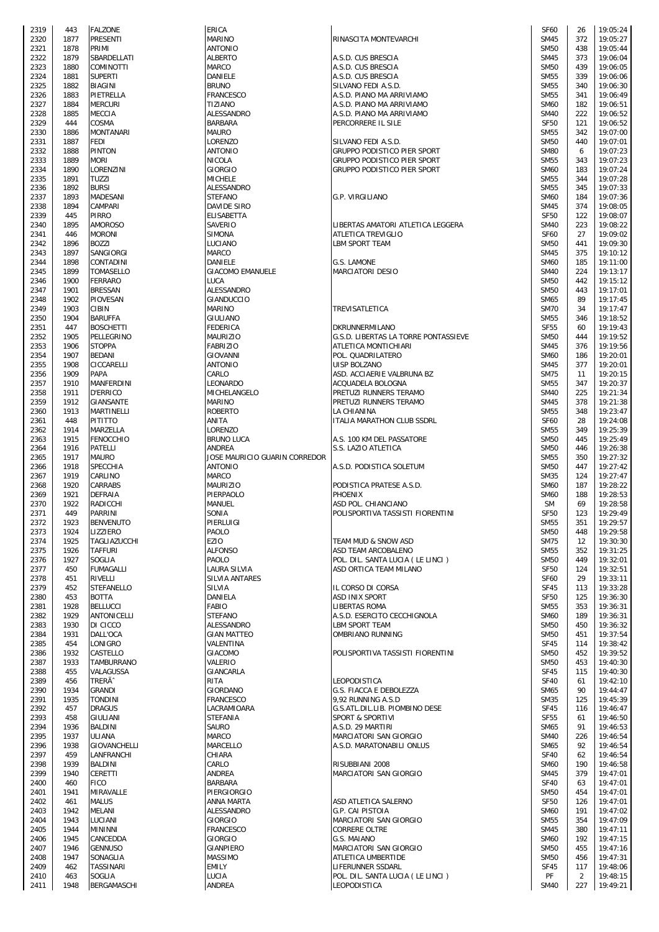| 2319         | 443          | <b>FALZONE</b>              | <b>ERI</b>      |
|--------------|--------------|-----------------------------|-----------------|
| 2320         | 1877         | PRESENTI                    | МA              |
| 2321         | 1878         | PRIMI                       | AN              |
| 2322         | 1879         | SBARDELLATI                 | ALE             |
| 2323         | 1880         | COMINOTTI                   | МA              |
| 2324         | 1881         | <b>SUPERTI</b>              | DA              |
| 2325         | 1882         | BIAGINI                     | <b>BRI</b>      |
| 2326         | 1883         | PIETRELLA                   | FR/             |
| 2327         | 1884         | <b>MERCURI</b>              | TIZ             |
| 2328         | 1885         | MECCIA                      | ALI             |
| 2329         | 444          | COSMA                       | BAI             |
| 2330         | 1886         | <b>MONTANARI</b>            | MA              |
| 2331         | 1887         | FEDI                        | LOI             |
| 2332         | 1888         | <b>PINTON</b>               | AN <sup>®</sup> |
| 2333         | 1889         | <b>MORI</b>                 | NI0             |
| 2334         | 1890         | LORENZINI                   | GIO             |
| 2335         | 1891         | TUZZI                       | МI              |
| 2336         | 1892         | <b>BURSI</b>                | ALE             |
| 2337         | 1893         | MADESANI                    | STI             |
| 2338         | 1894         | CAMPARI                     | DA'             |
| 2339         | 445          | PIRRO                       | ELI             |
| 2340         | 1895         | AMOROSO                     | <b>SA</b>       |
| 2341         | 446          | <b>MORONI</b>               | SIN             |
|              | 1896         | <b>BOZZI</b>                | LU <sup>(</sup> |
| 2342         |              | SANGIORGI                   |                 |
| 2343         | 1897         | CONTADINI                   | МA              |
| 2344         | 1898         |                             | DA<br>GIA       |
| 2345         | 1899<br>1900 | TOMASELLO<br><b>FERRARO</b> |                 |
| 2346         | 1901         | <b>BRESSAN</b>              | LU(<br>ALI      |
| 2347         | 1902         | PIOVESAN                    | GIA             |
| 2348         |              |                             |                 |
| 2349         | 1903         | CIBIN                       | MA              |
| 2350         | 1904         | <b>BARUFFA</b>              | GIL             |
| 2351         | 447          | <b>BOSCHETTI</b>            | FED             |
| 2352         | 1905         | PELLEGRINO                  | МA              |
| 2353         | 1906         | <b>STOPPA</b>               | FA              |
| 2354         | 1907         | BEDANI                      | GIO             |
| 2355         | 1908         | CICCARELLI                  | ΑN              |
| 2356         | 1909         | PAPA                        | CAI             |
| 2357         | 1910         | MANFERDINI                  | LE(             |
| 2358         | 1911         | <b>D'ERRICO</b>             | MI              |
| 2359         | 1912         | GIANSANTE                   | MA              |
| 2360         | 1913         | MARTINELLI                  | RO              |
| 2361         | 448<br>1914  | PITITTO<br>MARZELLA         | AN<br>LOI       |
| 2362<br>2363 | 1915         | FENOCCHIO                   | <b>BRI</b>      |
| 2364         | 1916         | PATELLI                     | ΑN              |
| 2365         | 1917         | MAURO                       | JOS             |
| 2366         | 1918         | SPECCHIA                    | AN              |
| 2367         | 1919         | CARLINO                     | МA              |
| 2368         | 1920         | CARRABS                     | МA              |
| 2369         | 1921         | DEFRAIA                     | PIE             |
| 2370         | 1922         | RADICCHI                    | МA              |
| 2371         | 449          | <b>PARRINI</b>              | SO.             |
| 2372         | 1923         | <b>BENVENUTO</b>            | PIE             |
| 2373         | 1924         | LIZZIERO                    | PA              |
| 2374         | 1925         | TAGLIAZUCCHI                | EZI             |
| 2375         | 1926         | TAFFURI                     | ALF             |
| 2376         | 1927         | SOGLIA                      | PA              |
| 2377         | 450          | FUMAGALLI                   | LA              |
| 2378         | 451          | RIVELLI                     | SIL             |
| 2379         | 452          | STEFANELLO                  | SIL             |
| 2380         | 453          | <b>BOTTA</b>                | DA              |
| 2381         | 1928         | <b>BELLUCCI</b>             | FAI             |
| 2382         | 1929         | ANTONICELLI                 | STI             |
| 2383         | 1930         | DI CICCO                    | ALE             |
| 2384         | 1931         | DALL'OCA                    | GIA             |
| 2385         | 454          | LONIGRO                     | VAI             |
| 2386         | 1932         | CASTELLO                    | GIA             |
| 2387         | 1933         | TAMBURRANO                  | VAI             |
| 2388         | 455          | VALAGUSSA                   | GIA             |
| 2389         | 456          | TRERÃ^                      | RI <sub>1</sub> |
| 2390         | 1934         | GRANDI                      | GIO             |
| 2391         | 1935         | TONDINI                     | FR/             |
| 2392         | 457          | <b>DRAGUS</b>               | LA(             |
| 2393         | 458          | GIULIANI                    | STI             |
| 2394         | 1936         | BALDINI                     | SAI             |
| 2395         | 1937         | ULIANA                      | MA              |
| 2396         | 1938         | GIOVANCHELLI                | MA              |
| 2397         | 459          | LANFRANCHI                  | CН              |
| 2398         | 1939         | BALDINI                     | CAI             |
| 2399         | 1940         | CERETTI                     | AN              |
| 2400         | 460          | <b>FICO</b>                 | BAI             |
| 2401         | 1941         | MIRAVALLE                   | PIE             |
| 2402         | 461          | <b>MALUS</b>                | AN              |
| 2403         | 1942         | MELANI                      | ALE             |
| 2404         | 1943         | LUCIANI                     | GIO             |
| 2405         | 1944         | <b>MININNI</b>              | FR/             |
| 2406         | 1945         | CANCEDDA                    | GIO             |
| 2407         | 1946         | <b>GENNUSO</b>              | GI/             |
| 2408         | 1947         | SONAGLIA                    | МA              |
| 2409         | 462          | TASSINARI                   | EM              |
| 2410         | 463          | SOGLIA                      | LU(             |
| 2411         | 1948         | BERGAMASCHI                 | AN              |

| 2319 | 443  | <b>FALZONE</b>      | ERICA                         |                                      | <b>SF60</b> | 26  | 19:05:24 |
|------|------|---------------------|-------------------------------|--------------------------------------|-------------|-----|----------|
| 2320 | 1877 | <b>PRESENTI</b>     | <b>MARINO</b>                 | RINASCITA MONTEVARCHI                | <b>SM45</b> | 372 | 19:05:27 |
| 2321 | 1878 | PRIMI               | <b>ANTONIO</b>                |                                      | <b>SM50</b> | 438 | 19:05:44 |
|      |      |                     |                               |                                      |             |     |          |
| 2322 | 1879 | SBARDELLATI         | <b>ALBERTO</b>                | A.S.D. CUS BRESCIA                   | <b>SM45</b> | 373 | 19:06:04 |
| 2323 | 1880 | <b>COMINOTTI</b>    | <b>MARCO</b>                  | A.S.D. CUS BRESCIA                   | <b>SM50</b> | 439 | 19:06:05 |
| 2324 | 1881 | <b>SUPERTI</b>      | DANIELE                       | A.S.D. CUS BRESCIA                   | <b>SM55</b> | 339 | 19:06:06 |
| 2325 | 1882 | <b>BIAGINI</b>      | <b>BRUNO</b>                  | SILVANO FEDI A.S.D.                  | <b>SM55</b> | 340 | 19:06:30 |
|      |      |                     |                               |                                      |             |     |          |
| 2326 | 1883 | PIETRELLA           | <b>FRANCESCO</b>              | A.S.D. PIANO MA ARRIVIAMO            | <b>SM55</b> | 341 | 19:06:49 |
| 2327 | 1884 | <b>MERCURI</b>      | <b>TIZIANO</b>                | A.S.D. PIANO MA ARRIVIAMO            | <b>SM60</b> | 182 | 19:06:51 |
| 2328 | 1885 | <b>MECCIA</b>       | ALESSANDRO                    | A.S.D. PIANO MA ARRIVIAMO            | <b>SM40</b> | 222 | 19:06:52 |
|      |      |                     |                               |                                      |             |     |          |
| 2329 | 444  | COSMA               | <b>BARBARA</b>                | PERCORRERE IL SILE                   | <b>SF50</b> | 121 | 19:06:52 |
| 2330 | 1886 | <b>MONTANARI</b>    | <b>MAURO</b>                  |                                      | <b>SM55</b> | 342 | 19:07:00 |
| 2331 | 1887 | <b>FEDI</b>         | LORENZO                       | SILVANO FEDI A.S.D.                  | <b>SM50</b> | 440 | 19:07:01 |
|      |      |                     |                               |                                      |             |     |          |
| 2332 | 1888 | <b>PINTON</b>       | <b>ANTONIO</b>                | <b>GRUPPO PODISTICO PIER SPORT</b>   | <b>SM80</b> | 6   | 19:07:23 |
| 2333 | 1889 | <b>MORI</b>         | <b>NICOLA</b>                 | <b>GRUPPO PODISTICO PIER SPORT</b>   | <b>SM55</b> | 343 | 19:07:23 |
| 2334 | 1890 | LORENZINI           | <b>GIORGIO</b>                | GRUPPO PODISTICO PIER SPORT          | <b>SM60</b> | 183 | 19:07:24 |
|      |      |                     |                               |                                      |             |     |          |
| 2335 | 1891 | <b>TUZZI</b>        | <b>MICHELE</b>                |                                      | <b>SM55</b> | 344 | 19:07:28 |
| 2336 | 1892 | <b>BURSI</b>        | ALESSANDRO                    |                                      | <b>SM55</b> | 345 | 19:07:33 |
| 2337 | 1893 | <b>MADESANI</b>     | <b>STEFANO</b>                | <b>G.P. VIRGILIANO</b>               | <b>SM60</b> | 184 | 19:07:36 |
|      |      |                     |                               |                                      |             |     |          |
| 2338 | 1894 | CAMPARI             | DAVIDE SIRO                   |                                      | <b>SM45</b> | 374 | 19:08:05 |
| 2339 | 445  | <b>PIRRO</b>        | <b>ELISABETTA</b>             |                                      | <b>SF50</b> | 122 | 19:08:07 |
| 2340 | 1895 | <b>AMOROSO</b>      | SAVERIO                       | LIBERTAS AMATORI ATLETICA LEGGERA    | <b>SM40</b> | 223 | 19:08:22 |
|      |      |                     |                               |                                      |             |     |          |
| 2341 | 446  | <b>MORONI</b>       | <b>SIMONA</b>                 | <b>ATLETICA TREVIGLIO</b>            | <b>SF60</b> | 27  | 19:09:02 |
| 2342 | 1896 | <b>BOZZI</b>        | LUCIANO                       | <b>LBM SPORT TEAM</b>                | <b>SM50</b> | 441 | 19:09:30 |
| 2343 | 1897 | SANGIORGI           | MARCO                         |                                      | <b>SM45</b> | 375 | 19:10:12 |
| 2344 | 1898 | CONTADINI           | DANIELE                       | G.S. LAMONE                          | <b>SM60</b> | 185 | 19:11:00 |
|      |      |                     |                               |                                      |             |     |          |
| 2345 | 1899 | <b>TOMASELLO</b>    | <b>GIACOMO EMANUELE</b>       | <b>MARCIATORI DESIO</b>              | <b>SM40</b> | 224 | 19:13:17 |
| 2346 | 1900 | <b>FERRARO</b>      | LUCA                          |                                      | <b>SM50</b> | 442 | 19:15:12 |
| 2347 | 1901 | <b>BRESSAN</b>      | ALESSANDRO                    |                                      | <b>SM50</b> | 443 | 19:17:01 |
|      |      |                     |                               |                                      |             |     |          |
| 2348 | 1902 | PIOVESAN            | <b>GIANDUCCIO</b>             |                                      | <b>SM65</b> | 89  | 19:17:45 |
| 2349 | 1903 | <b>CIBIN</b>        | <b>MARINO</b>                 | TREVISATLETICA                       | <b>SM70</b> | 34  | 19:17:47 |
| 2350 | 1904 | <b>BARUFFA</b>      | GIULIANO                      |                                      | <b>SM55</b> | 346 | 19:18:52 |
| 2351 | 447  | <b>BOSCHETTI</b>    | <b>FEDERICA</b>               | DKRUNNERMILANO                       | <b>SF55</b> | 60  | 19:19:43 |
|      |      |                     |                               |                                      |             |     |          |
| 2352 | 1905 | PELLEGRINO          | <b>MAURIZIO</b>               | G.S.D. LIBERTAS LA TORRE PONTASSIEVE | <b>SM50</b> | 444 | 19:19:52 |
| 2353 | 1906 | <b>STOPPA</b>       | <b>FABRIZIO</b>               | ATLETICA MONTICHIARI                 | <b>SM45</b> | 376 | 19:19:56 |
| 2354 | 1907 | <b>BEDANI</b>       | <b>GIOVANNI</b>               | POL. QUADRILATERO                    | <b>SM60</b> | 186 | 19:20:01 |
|      |      |                     |                               |                                      |             |     |          |
| 2355 | 1908 | CICCARELLI          | <b>ANTONIO</b>                | <b>UISP BOLZANO</b>                  | <b>SM45</b> | 377 | 19:20:01 |
| 2356 | 1909 | PAPA                | CARLO                         | ASD. ACCIAERIE VALBRUNA BZ           | <b>SM75</b> | 11  | 19:20:15 |
| 2357 | 1910 | <b>MANFERDINI</b>   | LEONARDO                      | ACQUADELA BOLOGNA                    | <b>SM55</b> | 347 | 19:20:37 |
|      |      |                     |                               |                                      |             |     |          |
| 2358 | 1911 | <b>D'ERRICO</b>     | MICHELANGELO                  | PRETUZI RUNNERS TERAMO               | <b>SM40</b> | 225 | 19:21:34 |
| 2359 | 1912 | <b>GIANSANTE</b>    | <b>MARINO</b>                 | PRETUZI RUNNERS TERAMO               | <b>SM45</b> | 378 | 19:21:38 |
| 2360 | 1913 | <b>MARTINELLI</b>   | <b>ROBERTO</b>                | LA CHIANINA                          | <b>SM55</b> | 348 | 19:23:47 |
|      | 448  | <b>PITITTO</b>      | ANITA                         | ITALIA MARATHON CLUB SSDRL           | <b>SF60</b> | 28  | 19:24:08 |
| 2361 |      |                     |                               |                                      |             |     |          |
| 2362 | 1914 | MARZELLA            | LORENZO                       |                                      | <b>SM55</b> | 349 | 19:25:39 |
| 2363 | 1915 | <b>FENOCCHIO</b>    | <b>BRUNO LUCA</b>             | A.S. 100 KM DEL PASSATORE            | <b>SM50</b> | 445 | 19:25:49 |
| 2364 | 1916 | <b>PATELLI</b>      | ANDREA                        | S.S. LAZIO ATLETICA                  | <b>SM50</b> | 446 | 19:26:38 |
|      |      |                     |                               |                                      |             |     |          |
| 2365 | 1917 | <b>MAURO</b>        | JOSE MAURICIO GUARIN CORREDOR |                                      | <b>SM55</b> | 350 | 19:27:32 |
| 2366 | 1918 | <b>SPECCHIA</b>     | <b>ANTONIO</b>                | A.S.D. PODISTICA SOLETUM             | <b>SM50</b> | 447 | 19:27:42 |
| 2367 | 1919 | CARLINO             | <b>MARCO</b>                  |                                      | <b>SM35</b> | 124 | 19:27:47 |
|      |      |                     |                               |                                      |             |     |          |
| 2368 | 1920 | <b>CARRABS</b>      | <b>MAURIZIO</b>               | PODISTICA PRATESE A.S.D.             | <b>SM60</b> | 187 | 19:28:22 |
| 2369 | 1921 | <b>DEFRAIA</b>      | PIERPAOLO                     | <b>PHOENIX</b>                       | <b>SM60</b> | 188 | 19:28:53 |
| 2370 | 1922 | <b>RADICCHI</b>     | MANUEL                        | ASD POL. CHIANCIANO                  | <b>SM</b>   | 69  | 19:28:58 |
|      | 449  | <b>PARRINI</b>      | SONIA                         |                                      | <b>SF50</b> | 123 | 19:29:49 |
| 2371 |      |                     |                               | POLISPORTIVA TASSISTI FIORENTINI     |             |     |          |
| 2372 | 1923 | <b>BENVENUTO</b>    | PIERLUIGI                     |                                      | <b>SM55</b> | 351 | 19:29:57 |
| 2373 | 1924 | LIZZIERO            | PAOLO                         |                                      | <b>SM50</b> | 448 | 19:29:58 |
| 2374 | 1925 | TAGLIAZUCCHI        | <b>EZIO</b>                   | TEAM MUD & SNOW ASD                  | <b>SM75</b> | 12  | 19:30:30 |
|      |      |                     |                               |                                      |             |     |          |
| 2375 | 1926 | <b>TAFFURI</b>      | <b>ALFONSO</b>                | ASD TEAM ARCOBALENO                  | <b>SM55</b> | 352 | 19:31:25 |
| 2376 | 1927 | <b>SOGLIA</b>       | PAOLO                         | POL. DIL. SANTA LUCIA (LE LINCI)     | <b>SM50</b> | 449 | 19:32:01 |
| 2377 | 450  | <b>FUMAGALLI</b>    | LAURA SILVIA                  | ASD ORTICA TEAM MILANO               | <b>SF50</b> | 124 | 19:32:51 |
|      |      |                     |                               |                                      |             |     |          |
| 2378 | 451  | <b>RIVELLI</b>      | SILVIA ANTARES                |                                      | <b>SF60</b> | 29  | 19:33:11 |
| 2379 | 452  | <b>STEFANELLO</b>   | SILVIA                        | IL CORSO DI CORSA                    | <b>SF45</b> | 113 | 19:33:28 |
| 2380 | 453  | <b>BOTTA</b>        | DANIELA                       | ASD INIX SPORT                       | <b>SF50</b> | 125 | 19:36:30 |
| 2381 | 1928 | <b>BELLUCCI</b>     | <b>FABIO</b>                  | <b>LIBERTAS ROMA</b>                 | <b>SM55</b> | 353 | 19:36:31 |
|      |      |                     |                               |                                      |             |     |          |
| 2382 | 1929 | <b>ANTONICELLI</b>  | <b>STEFANO</b>                | A.S.D. ESERCITO CECCHIGNOLA          | <b>SM60</b> | 189 | 19:36:31 |
| 2383 | 1930 | DI CICCO            | ALESSANDRO                    | LBM SPORT TEAM                       | <b>SM50</b> | 450 | 19:36:32 |
| 2384 | 1931 | DALL'OCA            | <b>GIAN MATTEO</b>            | <b>OMBRIANO RUNNING</b>              | <b>SM50</b> | 451 | 19:37:54 |
|      |      |                     | VALENTINA                     |                                      | <b>SF45</b> | 114 | 19:38:42 |
| 2385 | 454  | LONIGRO             |                               |                                      |             |     |          |
| 2386 | 1932 | CASTELLO            | <b>GIACOMO</b>                | POLISPORTIVA TASSISTI FIORENTINI     | <b>SM50</b> | 452 | 19:39:52 |
| 2387 | 1933 | <b>TAMBURRANO</b>   | VALERIO                       |                                      | <b>SM50</b> | 453 | 19:40:30 |
| 2388 | 455  | VALAGUSSA           | GIANCARLA                     |                                      | <b>SF45</b> | 115 | 19:40:30 |
|      |      |                     |                               |                                      |             |     |          |
| 2389 | 456  | <b>TRERÃ</b>        | RITA                          | LEOPODISTICA                         | <b>SF40</b> | 61  | 19:42:10 |
| 2390 | 1934 | <b>GRANDI</b>       | GIORDANO                      | G.S. FIACCA E DEBOLEZZA              | SM65        | 90  | 19:44:47 |
| 2391 | 1935 | <b>TONDINI</b>      | <b>FRANCESCO</b>              | 9,92 RUNNING A.S.D                   | <b>SM35</b> | 125 | 19:45:39 |
|      |      |                     |                               |                                      |             |     |          |
| 2392 | 457  | <b>DRAGUS</b>       | LACRAMIOARA                   | G.S.ATL.DIL.LIB. PIOMBINO DESE       | <b>SF45</b> | 116 | 19:46:47 |
| 2393 | 458  | <b>GIULIANI</b>     | <b>STEFANIA</b>               | <b>SPORT &amp; SPORTIVI</b>          | <b>SF55</b> | 61  | 19:46:50 |
| 2394 | 1936 | <b>BALDINI</b>      | <b>SAURO</b>                  | A.S.D. 29 MARTIRI                    | SM65        | 91  | 19:46:53 |
|      | 1937 | <b>ULIANA</b>       | <b>MARCO</b>                  | MARCIATORI SAN GIORGIO               | <b>SM40</b> |     | 19:46:54 |
| 2395 |      |                     |                               |                                      |             | 226 |          |
| 2396 | 1938 | <b>GIOVANCHELLI</b> | MARCELLO                      | A.S.D. MARATONABILI ONLUS            | SM65        | 92  | 19:46:54 |
| 2397 | 459  | LANFRANCHI          | CHIARA                        |                                      | <b>SF40</b> | 62  | 19:46:54 |
| 2398 | 1939 | BALDINI             | CARLO                         | RISUBBIANI 2008                      | <b>SM60</b> | 190 | 19:46:58 |
|      |      |                     |                               |                                      |             |     |          |
| 2399 | 1940 | <b>CERETTI</b>      | ANDREA                        | MARCIATORI SAN GIORGIO               | <b>SM45</b> | 379 | 19:47:01 |
| 2400 | 460  | <b>FICO</b>         | <b>BARBARA</b>                |                                      | <b>SF40</b> | 63  | 19:47:01 |
| 2401 | 1941 | MIRAVALLE           | PIERGIORGIO                   |                                      | <b>SM50</b> | 454 | 19:47:01 |
|      |      |                     |                               |                                      |             |     |          |
| 2402 | 461  | <b>MALUS</b>        | ANNA MARTA                    | ASD ATLETICA SALERNO                 | <b>SF50</b> | 126 | 19:47:01 |
| 2403 | 1942 | MELANI              | ALESSANDRO                    | <b>G.P. CAI PISTOIA</b>              | <b>SM60</b> | 191 | 19:47:02 |
| 2404 | 1943 | LUCIANI             | <b>GIORGIO</b>                | MARCIATORI SAN GIORGIO               | <b>SM55</b> | 354 | 19:47:09 |
|      |      | <b>MININNI</b>      |                               |                                      | <b>SM45</b> | 380 | 19:47:11 |
| 2405 | 1944 |                     | <b>FRANCESCO</b>              | <b>CORRERE OLTRE</b>                 |             |     |          |
| 2406 | 1945 | CANCEDDA            | <b>GIORGIO</b>                | G.S. MAIANO                          | <b>SM60</b> | 192 | 19:47:15 |
| 2407 | 1946 | <b>GENNUSO</b>      | <b>GIANPIERO</b>              | MARCIATORI SAN GIORGIO               | <b>SM50</b> | 455 | 19:47:16 |
|      |      |                     |                               |                                      |             |     |          |
| 2408 | 1947 | SONAGLIA            | <b>MASSIMO</b>                | ATLETICA UMBERTIDE                   | <b>SM50</b> | 456 | 19:47:31 |
| 2409 | 462  | TASSINARI           | <b>EMILY</b>                  | LIFERUNNER SSDARL                    | SF45        | 117 | 19:48:06 |
| 2410 | 463  | SOGLIA              | LUCIA                         | POL. DIL. SANTA LUCIA (LE LINCI)     | PF          | 2   | 19:48:15 |
| 2411 | 1948 | BERGAMASCHI         | ANDREA                        | LEOPODISTICA                         | <b>SM40</b> | 227 | 19:49:21 |
|      |      |                     |                               |                                      |             |     |          |